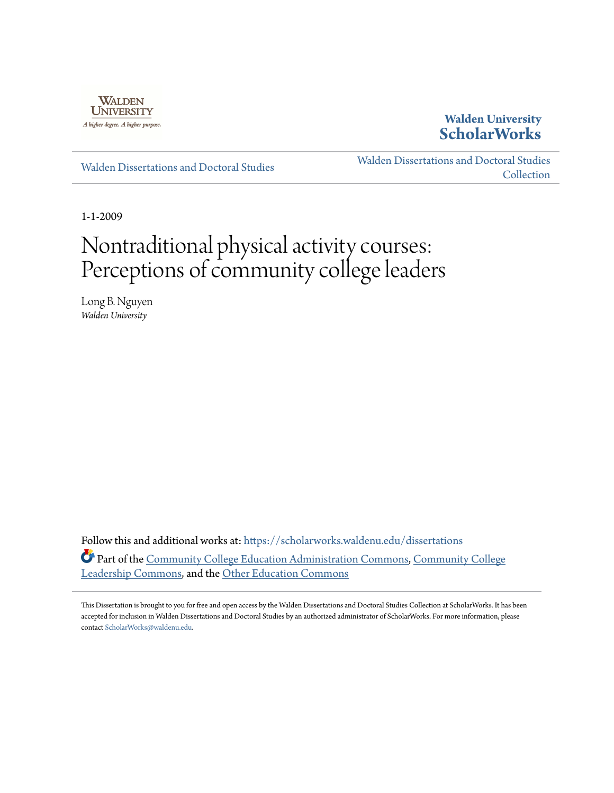

**Walden University [ScholarWorks](https://scholarworks.waldenu.edu?utm_source=scholarworks.waldenu.edu%2Fdissertations%2F682&utm_medium=PDF&utm_campaign=PDFCoverPages)**

[Walden Dissertations and Doctoral Studies](https://scholarworks.waldenu.edu/dissertations?utm_source=scholarworks.waldenu.edu%2Fdissertations%2F682&utm_medium=PDF&utm_campaign=PDFCoverPages)

[Walden Dissertations and Doctoral Studies](https://scholarworks.waldenu.edu/dissanddoc?utm_source=scholarworks.waldenu.edu%2Fdissertations%2F682&utm_medium=PDF&utm_campaign=PDFCoverPages) **[Collection](https://scholarworks.waldenu.edu/dissanddoc?utm_source=scholarworks.waldenu.edu%2Fdissertations%2F682&utm_medium=PDF&utm_campaign=PDFCoverPages)** 

1-1-2009

# Nontraditional physical activity courses: Perceptions of community college leaders

Long B. Nguyen *Walden University*

Follow this and additional works at: [https://scholarworks.waldenu.edu/dissertations](https://scholarworks.waldenu.edu/dissertations?utm_source=scholarworks.waldenu.edu%2Fdissertations%2F682&utm_medium=PDF&utm_campaign=PDFCoverPages) Part of the [Community College Education Administration Commons](http://network.bepress.com/hgg/discipline/792?utm_source=scholarworks.waldenu.edu%2Fdissertations%2F682&utm_medium=PDF&utm_campaign=PDFCoverPages), [Community College](http://network.bepress.com/hgg/discipline/1039?utm_source=scholarworks.waldenu.edu%2Fdissertations%2F682&utm_medium=PDF&utm_campaign=PDFCoverPages) [Leadership Commons](http://network.bepress.com/hgg/discipline/1039?utm_source=scholarworks.waldenu.edu%2Fdissertations%2F682&utm_medium=PDF&utm_campaign=PDFCoverPages), and the [Other Education Commons](http://network.bepress.com/hgg/discipline/811?utm_source=scholarworks.waldenu.edu%2Fdissertations%2F682&utm_medium=PDF&utm_campaign=PDFCoverPages)

This Dissertation is brought to you for free and open access by the Walden Dissertations and Doctoral Studies Collection at ScholarWorks. It has been accepted for inclusion in Walden Dissertations and Doctoral Studies by an authorized administrator of ScholarWorks. For more information, please contact [ScholarWorks@waldenu.edu](mailto:ScholarWorks@waldenu.edu).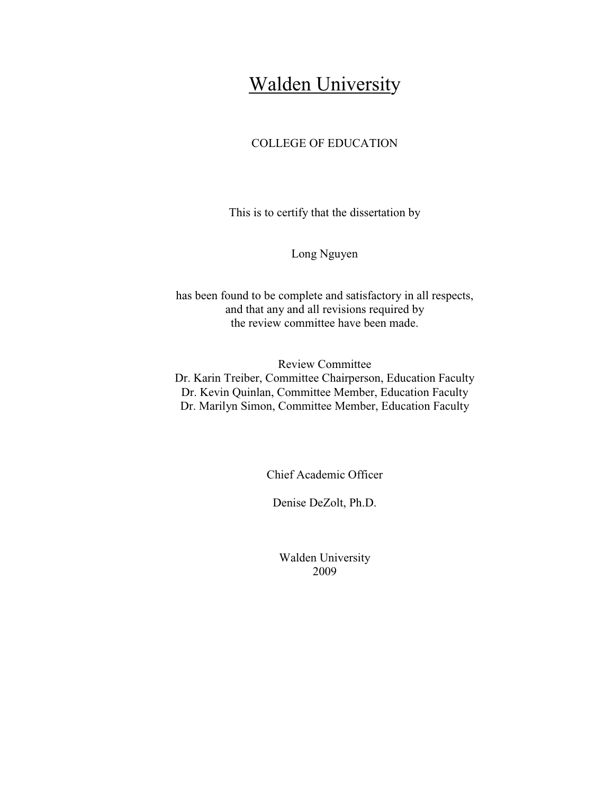# **Walden University**

# COLLEGE OF EDUCATION

This is to certify that the dissertation by

Long Nguyen

has been found to be complete and satisfactory in all respects, and that any and all revisions required by the review committee have been made.

Review Committee Dr. Karin Treiber, Committee Chairperson, Education Faculty Dr. Kevin Quinlan, Committee Member, Education Faculty Dr. Marilyn Simon, Committee Member, Education Faculty

Chief Academic Officer

Denise DeZolt, Ph.D.

Walden University 2009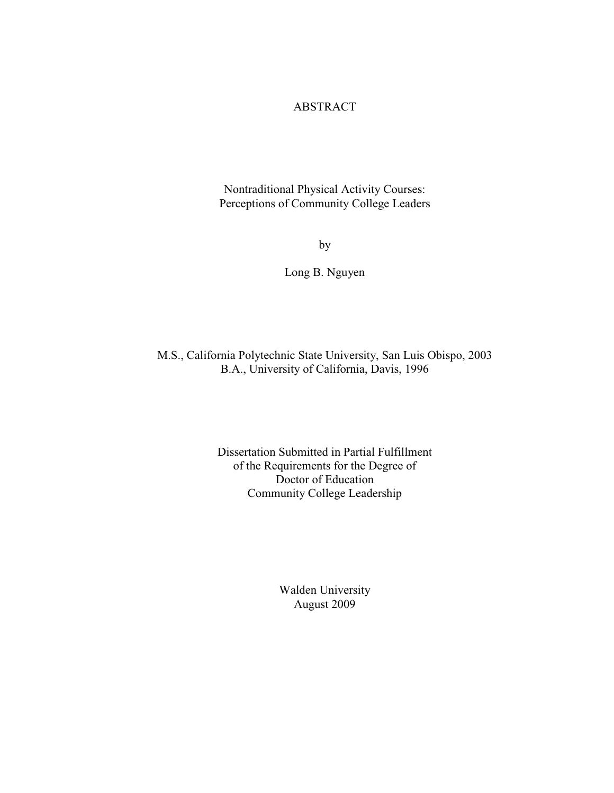# ABSTRACT

Nontraditional Physical Activity Courses: Perceptions of Community College Leaders

by

Long B. Nguyen

M.S., California Polytechnic State University, San Luis Obispo, 2003 B.A., University of California, Davis, 1996

> Dissertation Submitted in Partial Fulfillment of the Requirements for the Degree of Doctor of Education Community College Leadership

> > Walden University August 2009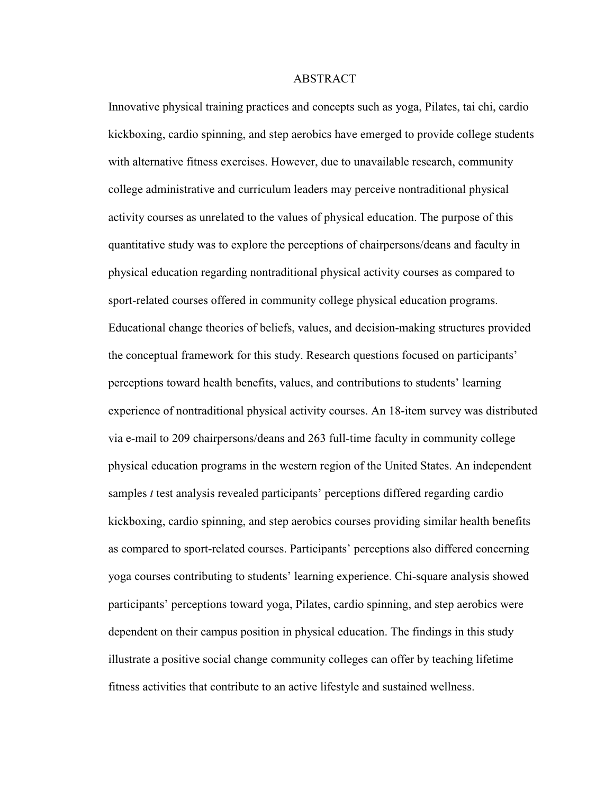### ABSTRACT

Innovative physical training practices and concepts such as yoga, Pilates, tai chi, cardio kickboxing, cardio spinning, and step aerobics have emerged to provide college students with alternative fitness exercises. However, due to unavailable research, community college administrative and curriculum leaders may perceive nontraditional physical activity courses as unrelated to the values of physical education. The purpose of this quantitative study was to explore the perceptions of chairpersons/deans and faculty in physical education regarding nontraditional physical activity courses as compared to sport-related courses offered in community college physical education programs. Educational change theories of beliefs, values, and decision-making structures provided the conceptual framework for this study. Research questions focused on participants' perceptions toward health benefits, values, and contributions to students' learning experience of nontraditional physical activity courses. An 18-item survey was distributed via e-mail to 209 chairpersons/deans and 263 full-time faculty in community college physical education programs in the western region of the United States. An independent samples *t* test analysis revealed participants' perceptions differed regarding cardio kickboxing, cardio spinning, and step aerobics courses providing similar health benefits as compared to sport-related courses. Participants' perceptions also differed concerning yoga courses contributing to students' learning experience. Chi-square analysis showed participants' perceptions toward yoga, Pilates, cardio spinning, and step aerobics were dependent on their campus position in physical education. The findings in this study illustrate a positive social change community colleges can offer by teaching lifetime fitness activities that contribute to an active lifestyle and sustained wellness.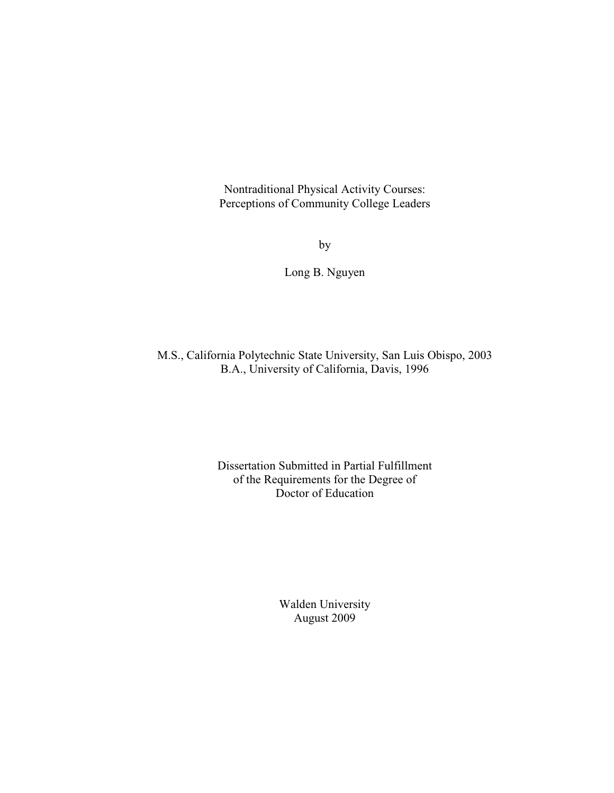Nontraditional Physical Activity Courses: Perceptions of Community College Leaders

by

Long B. Nguyen

M.S., California Polytechnic State University, San Luis Obispo, 2003 B.A., University of California, Davis, 1996

> Dissertation Submitted in Partial Fulfillment of the Requirements for the Degree of Doctor of Education

> > Walden University August 2009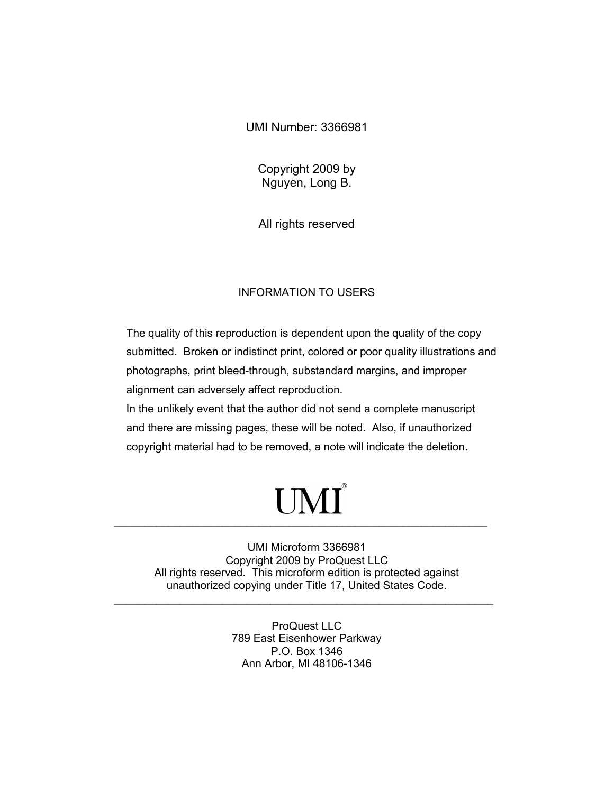UMI Number: 3366981

Copyright 2009 by Nguyen, Long B.

All rights reserved

# INFORMATION TO USERS

The quality of this reproduction is dependent upon the quality of the copy submitted. Broken or indistinct print, colored or poor quality illustrations and photographs, print bleed-through, substandard margins, and improper alignment can adversely affect reproduction.

In the unlikely event that the author did not send a complete manuscript and there are missing pages, these will be noted. Also, if unauthorized copyright material had to be removed, a note will indicate the deletion.

# UMI®  $\mathcal{L} = \{ \mathcal{L} = \{ \mathcal{L} \} \cup \{ \mathcal{L} \} \cup \{ \mathcal{L} \} \cup \{ \mathcal{L} \} \cup \{ \mathcal{L} \} \cup \{ \mathcal{L} \} \cup \{ \mathcal{L} \} \cup \{ \mathcal{L} \} \cup \{ \mathcal{L} \} \cup \{ \mathcal{L} \} \cup \{ \mathcal{L} \} \cup \{ \mathcal{L} \} \cup \{ \mathcal{L} \} \cup \{ \mathcal{L} \} \cup \{ \mathcal{L} \} \cup \{ \mathcal{L} \} \cup \{ \mathcal{L} \} \cup$

UMI Microform 3366981 Copyright 2009 by ProQuest LLC All rights reserved. This microform edition is protected against unauthorized copying under Title 17, United States Code.

 $\mathcal{L} = \{ \mathcal{L} = \{ \mathcal{L} \} \cup \{ \mathcal{L} = \{ \mathcal{L} \} \cup \{ \mathcal{L} = \{ \mathcal{L} \} \cup \{ \mathcal{L} = \{ \mathcal{L} \} \cup \{ \mathcal{L} = \{ \mathcal{L} \} \cup \{ \mathcal{L} = \{ \mathcal{L} \} \cup \{ \mathcal{L} = \{ \mathcal{L} \} \cup \{ \mathcal{L} = \{ \mathcal{L} \} \cup \{ \mathcal{L} = \{ \mathcal{L} \} \cup \{ \mathcal{L} = \{ \mathcal{L} \} \cup \{ \$ 

ProQuest LLC 789 East Eisenhower Parkway P.O. Box 1346 Ann Arbor, MI 48106-1346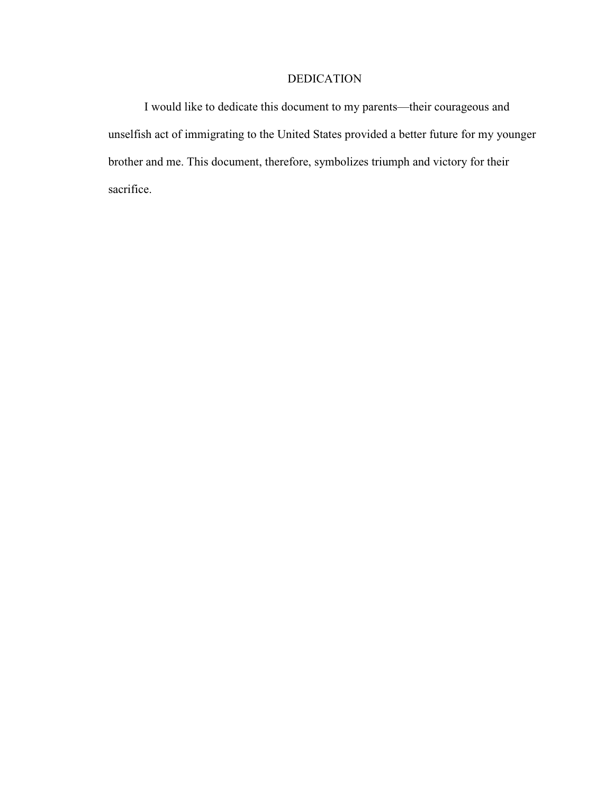# DEDICATION

 I would like to dedicate this document to my parents—their courageous and unselfish act of immigrating to the United States provided a better future for my younger brother and me. This document, therefore, symbolizes triumph and victory for their sacrifice.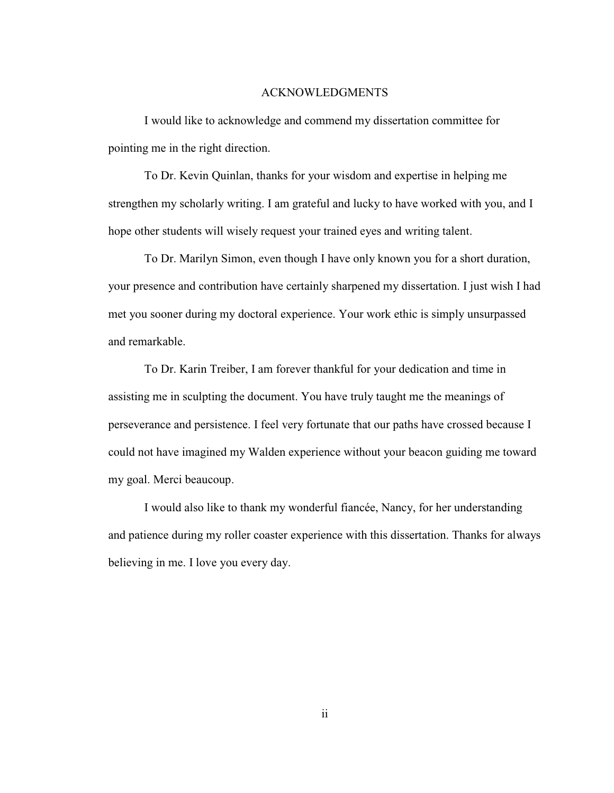### ACKNOWLEDGMENTS

I would like to acknowledge and commend my dissertation committee for pointing me in the right direction.

To Dr. Kevin Quinlan, thanks for your wisdom and expertise in helping me strengthen my scholarly writing. I am grateful and lucky to have worked with you, and I hope other students will wisely request your trained eyes and writing talent.

To Dr. Marilyn Simon, even though I have only known you for a short duration, your presence and contribution have certainly sharpened my dissertation. I just wish I had met you sooner during my doctoral experience. Your work ethic is simply unsurpassed and remarkable.

To Dr. Karin Treiber, I am forever thankful for your dedication and time in assisting me in sculpting the document. You have truly taught me the meanings of perseverance and persistence. I feel very fortunate that our paths have crossed because I could not have imagined my Walden experience without your beacon guiding me toward my goal. Merci beaucoup.

I would also like to thank my wonderful fiancée, Nancy, for her understanding and patience during my roller coaster experience with this dissertation. Thanks for always believing in me. I love you every day.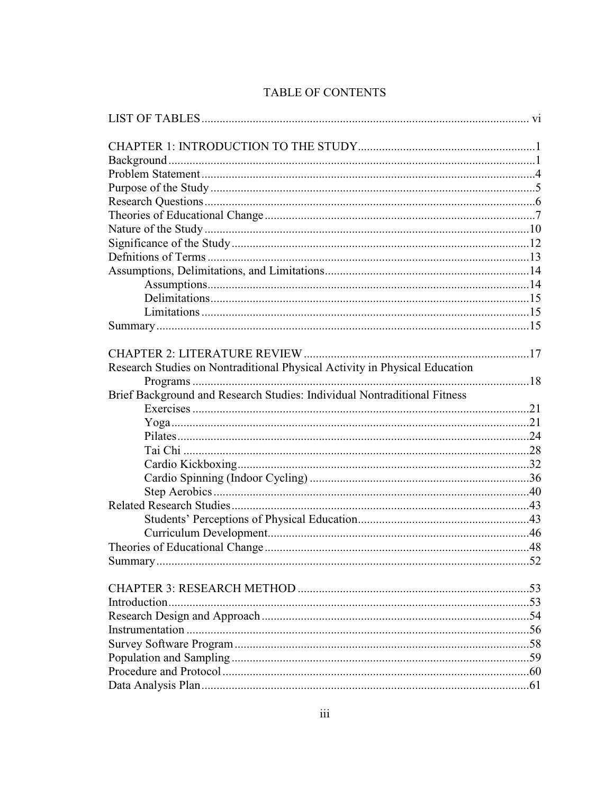| Research Studies on Nontraditional Physical Activity in Physical Education |  |
|----------------------------------------------------------------------------|--|
|                                                                            |  |
| Brief Background and Research Studies: Individual Nontraditional Fitness   |  |
|                                                                            |  |
|                                                                            |  |
|                                                                            |  |
|                                                                            |  |
|                                                                            |  |
|                                                                            |  |
|                                                                            |  |
|                                                                            |  |
|                                                                            |  |
|                                                                            |  |
|                                                                            |  |
| Summary                                                                    |  |
|                                                                            |  |
|                                                                            |  |
|                                                                            |  |
|                                                                            |  |
|                                                                            |  |
|                                                                            |  |
|                                                                            |  |
|                                                                            |  |
|                                                                            |  |
|                                                                            |  |

# TABLE OF CONTENTS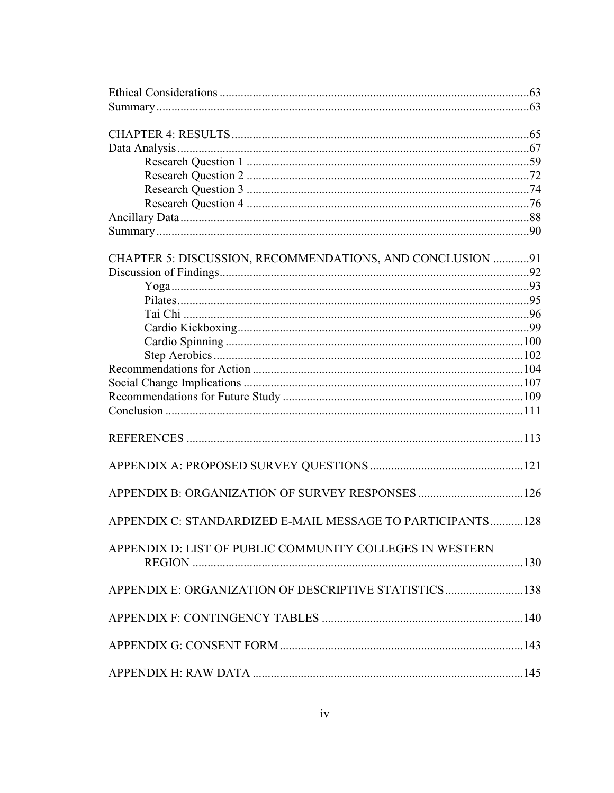| CHAPTER 5: DISCUSSION, RECOMMENDATIONS, AND CONCLUSION 91  |  |
|------------------------------------------------------------|--|
|                                                            |  |
|                                                            |  |
|                                                            |  |
|                                                            |  |
|                                                            |  |
|                                                            |  |
|                                                            |  |
|                                                            |  |
|                                                            |  |
|                                                            |  |
|                                                            |  |
|                                                            |  |
|                                                            |  |
|                                                            |  |
|                                                            |  |
|                                                            |  |
|                                                            |  |
| APPENDIX C: STANDARDIZED E-MAIL MESSAGE TO PARTICIPANTS128 |  |
|                                                            |  |
| APPENDIX D: LIST OF PUBLIC COMMUNITY COLLEGES IN WESTERN   |  |
|                                                            |  |
|                                                            |  |
| APPENDIX E: ORGANIZATION OF DESCRIPTIVE STATISTICS138      |  |
|                                                            |  |
|                                                            |  |
|                                                            |  |
|                                                            |  |
|                                                            |  |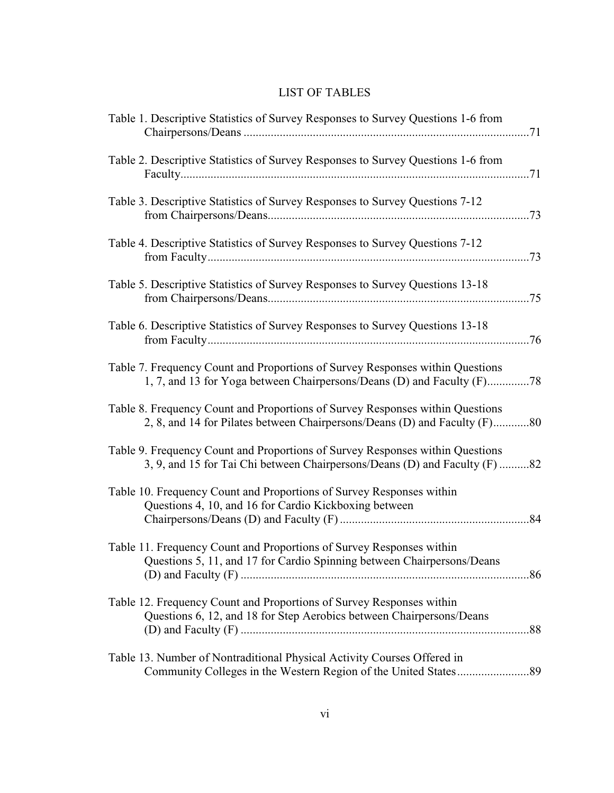# LIST OF TABLES

| Table 1. Descriptive Statistics of Survey Responses to Survey Questions 1-6 from                                                                            |
|-------------------------------------------------------------------------------------------------------------------------------------------------------------|
| Table 2. Descriptive Statistics of Survey Responses to Survey Questions 1-6 from                                                                            |
| Table 3. Descriptive Statistics of Survey Responses to Survey Questions 7-12                                                                                |
| Table 4. Descriptive Statistics of Survey Responses to Survey Questions 7-12                                                                                |
| Table 5. Descriptive Statistics of Survey Responses to Survey Questions 13-18                                                                               |
| Table 6. Descriptive Statistics of Survey Responses to Survey Questions 13-18                                                                               |
| Table 7. Frequency Count and Proportions of Survey Responses within Questions<br>1, 7, and 13 for Yoga between Chairpersons/Deans (D) and Faculty (F)78     |
| Table 8. Frequency Count and Proportions of Survey Responses within Questions<br>2, 8, and 14 for Pilates between Chairpersons/Deans (D) and Faculty (F)80  |
| Table 9. Frequency Count and Proportions of Survey Responses within Questions<br>3, 9, and 15 for Tai Chi between Chairpersons/Deans (D) and Faculty (F) 82 |
| Table 10. Frequency Count and Proportions of Survey Responses within<br>Questions 4, 10, and 16 for Cardio Kickboxing between<br>.84                        |
| Table 11. Frequency Count and Proportions of Survey Responses within<br>Questions 5, 11, and 17 for Cardio Spinning between Chairpersons/Deans              |
| Table 12. Frequency Count and Proportions of Survey Responses within<br>Questions 6, 12, and 18 for Step Aerobics between Chairpersons/Deans                |
| Table 13. Number of Nontraditional Physical Activity Courses Offered in                                                                                     |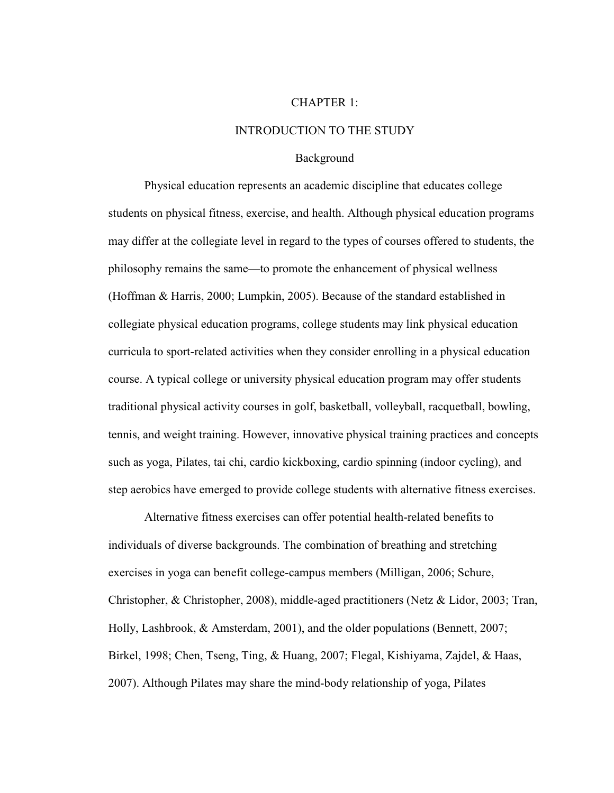#### CHAPTER 1:

#### INTRODUCTION TO THE STUDY

#### Background

 Physical education represents an academic discipline that educates college students on physical fitness, exercise, and health. Although physical education programs may differ at the collegiate level in regard to the types of courses offered to students, the philosophy remains the same—to promote the enhancement of physical wellness (Hoffman & Harris, 2000; Lumpkin, 2005). Because of the standard established in collegiate physical education programs, college students may link physical education curricula to sport-related activities when they consider enrolling in a physical education course. A typical college or university physical education program may offer students traditional physical activity courses in golf, basketball, volleyball, racquetball, bowling, tennis, and weight training. However, innovative physical training practices and concepts such as yoga, Pilates, tai chi, cardio kickboxing, cardio spinning (indoor cycling), and step aerobics have emerged to provide college students with alternative fitness exercises.

 Alternative fitness exercises can offer potential health-related benefits to individuals of diverse backgrounds. The combination of breathing and stretching exercises in yoga can benefit college-campus members (Milligan, 2006; Schure, Christopher, & Christopher, 2008), middle-aged practitioners (Netz & Lidor, 2003; Tran, Holly, Lashbrook, & Amsterdam, 2001), and the older populations (Bennett, 2007; Birkel, 1998; Chen, Tseng, Ting, & Huang, 2007; Flegal, Kishiyama, Zajdel, & Haas, 2007). Although Pilates may share the mind-body relationship of yoga, Pilates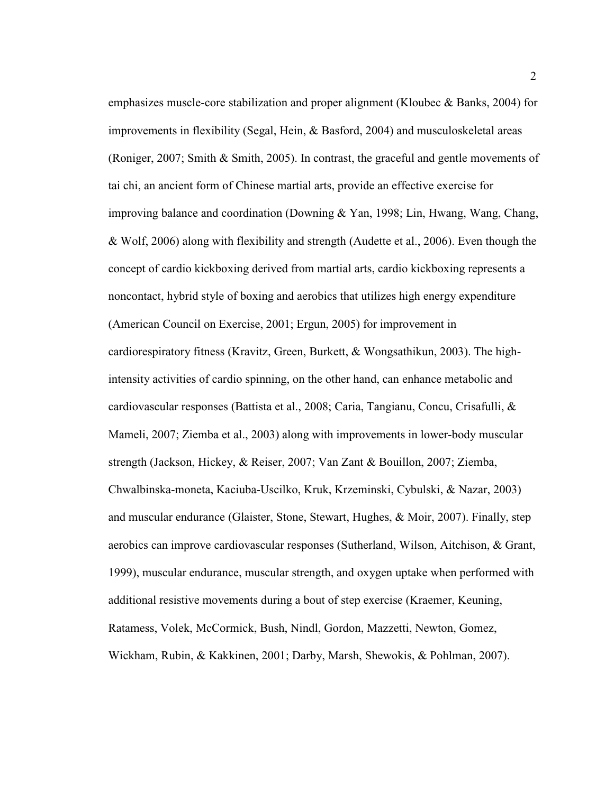emphasizes muscle-core stabilization and proper alignment (Kloubec & Banks, 2004) for improvements in flexibility (Segal, Hein, & Basford, 2004) and musculoskeletal areas (Roniger, 2007; Smith & Smith, 2005). In contrast, the graceful and gentle movements of tai chi, an ancient form of Chinese martial arts, provide an effective exercise for improving balance and coordination (Downing & Yan, 1998; Lin, Hwang, Wang, Chang, & Wolf, 2006) along with flexibility and strength (Audette et al., 2006). Even though the concept of cardio kickboxing derived from martial arts, cardio kickboxing represents a noncontact, hybrid style of boxing and aerobics that utilizes high energy expenditure (American Council on Exercise, 2001; Ergun, 2005) for improvement in cardiorespiratory fitness (Kravitz, Green, Burkett, & Wongsathikun, 2003). The highintensity activities of cardio spinning, on the other hand, can enhance metabolic and cardiovascular responses (Battista et al., 2008; Caria, Tangianu, Concu, Crisafulli, & Mameli, 2007; Ziemba et al., 2003) along with improvements in lower-body muscular strength (Jackson, Hickey, & Reiser, 2007; Van Zant & Bouillon, 2007; Ziemba, Chwalbinska-moneta, Kaciuba-Uscilko, Kruk, Krzeminski, Cybulski, & Nazar, 2003) and muscular endurance (Glaister, Stone, Stewart, Hughes, & Moir, 2007). Finally, step aerobics can improve cardiovascular responses (Sutherland, Wilson, Aitchison, & Grant, 1999), muscular endurance, muscular strength, and oxygen uptake when performed with additional resistive movements during a bout of step exercise (Kraemer, Keuning, Ratamess, Volek, McCormick, Bush, Nindl, Gordon, Mazzetti, Newton, Gomez, Wickham, Rubin, & Kakkinen, 2001; Darby, Marsh, Shewokis, & Pohlman, 2007).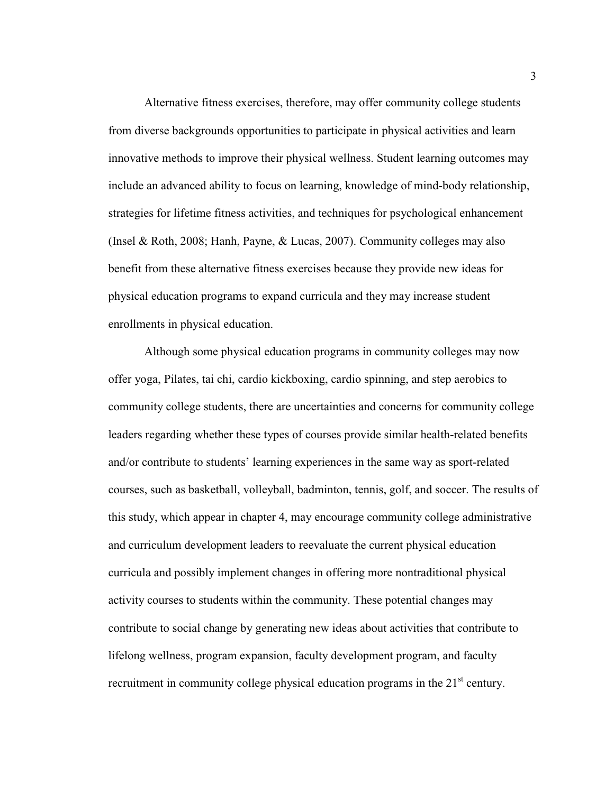Alternative fitness exercises, therefore, may offer community college students from diverse backgrounds opportunities to participate in physical activities and learn innovative methods to improve their physical wellness. Student learning outcomes may include an advanced ability to focus on learning, knowledge of mind-body relationship, strategies for lifetime fitness activities, and techniques for psychological enhancement (Insel & Roth, 2008; Hanh, Payne, & Lucas, 2007). Community colleges may also benefit from these alternative fitness exercises because they provide new ideas for physical education programs to expand curricula and they may increase student enrollments in physical education.

 Although some physical education programs in community colleges may now offer yoga, Pilates, tai chi, cardio kickboxing, cardio spinning, and step aerobics to community college students, there are uncertainties and concerns for community college leaders regarding whether these types of courses provide similar health-related benefits and/or contribute to students' learning experiences in the same way as sport-related courses, such as basketball, volleyball, badminton, tennis, golf, and soccer. The results of this study, which appear in chapter 4, may encourage community college administrative and curriculum development leaders to reevaluate the current physical education curricula and possibly implement changes in offering more nontraditional physical activity courses to students within the community. These potential changes may contribute to social change by generating new ideas about activities that contribute to lifelong wellness, program expansion, faculty development program, and faculty recruitment in community college physical education programs in the  $21<sup>st</sup>$  century.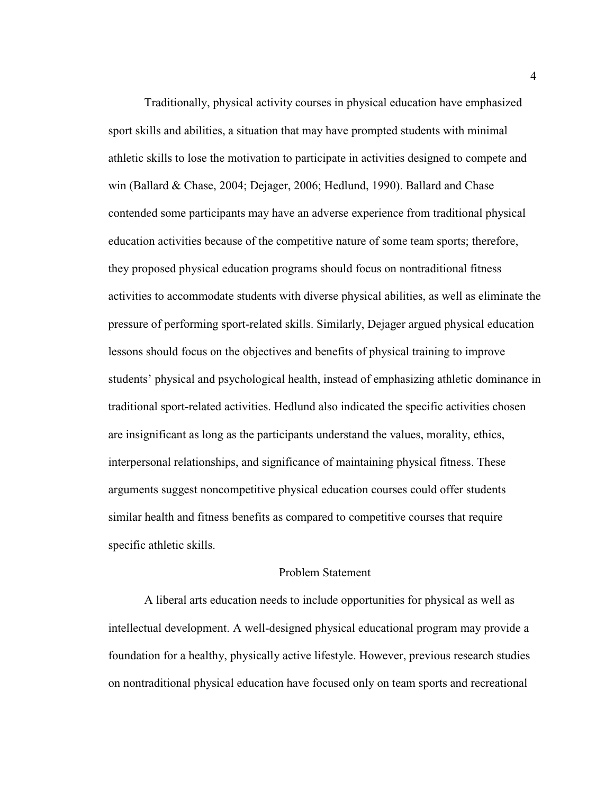Traditionally, physical activity courses in physical education have emphasized sport skills and abilities, a situation that may have prompted students with minimal athletic skills to lose the motivation to participate in activities designed to compete and win (Ballard & Chase, 2004; Dejager, 2006; Hedlund, 1990). Ballard and Chase contended some participants may have an adverse experience from traditional physical education activities because of the competitive nature of some team sports; therefore, they proposed physical education programs should focus on nontraditional fitness activities to accommodate students with diverse physical abilities, as well as eliminate the pressure of performing sport-related skills. Similarly, Dejager argued physical education lessons should focus on the objectives and benefits of physical training to improve students' physical and psychological health, instead of emphasizing athletic dominance in traditional sport-related activities. Hedlund also indicated the specific activities chosen are insignificant as long as the participants understand the values, morality, ethics, interpersonal relationships, and significance of maintaining physical fitness. These arguments suggest noncompetitive physical education courses could offer students similar health and fitness benefits as compared to competitive courses that require specific athletic skills.

# Problem Statement

 A liberal arts education needs to include opportunities for physical as well as intellectual development. A well-designed physical educational program may provide a foundation for a healthy, physically active lifestyle. However, previous research studies on nontraditional physical education have focused only on team sports and recreational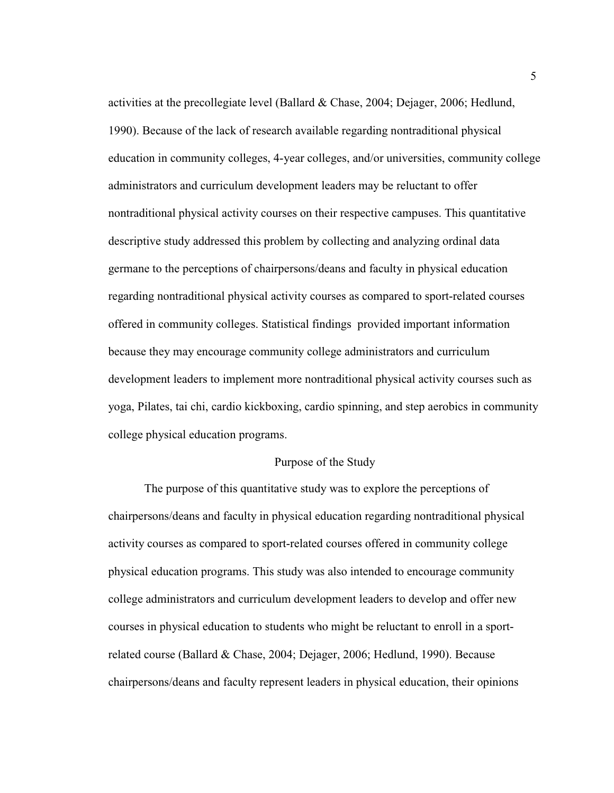activities at the precollegiate level (Ballard & Chase, 2004; Dejager, 2006; Hedlund, 1990). Because of the lack of research available regarding nontraditional physical education in community colleges, 4-year colleges, and/or universities, community college administrators and curriculum development leaders may be reluctant to offer nontraditional physical activity courses on their respective campuses. This quantitative descriptive study addressed this problem by collecting and analyzing ordinal data germane to the perceptions of chairpersons/deans and faculty in physical education regarding nontraditional physical activity courses as compared to sport-related courses offered in community colleges. Statistical findings provided important information because they may encourage community college administrators and curriculum development leaders to implement more nontraditional physical activity courses such as yoga, Pilates, tai chi, cardio kickboxing, cardio spinning, and step aerobics in community college physical education programs.

# Purpose of the Study

 The purpose of this quantitative study was to explore the perceptions of chairpersons/deans and faculty in physical education regarding nontraditional physical activity courses as compared to sport-related courses offered in community college physical education programs. This study was also intended to encourage community college administrators and curriculum development leaders to develop and offer new courses in physical education to students who might be reluctant to enroll in a sportrelated course (Ballard & Chase, 2004; Dejager, 2006; Hedlund, 1990). Because chairpersons/deans and faculty represent leaders in physical education, their opinions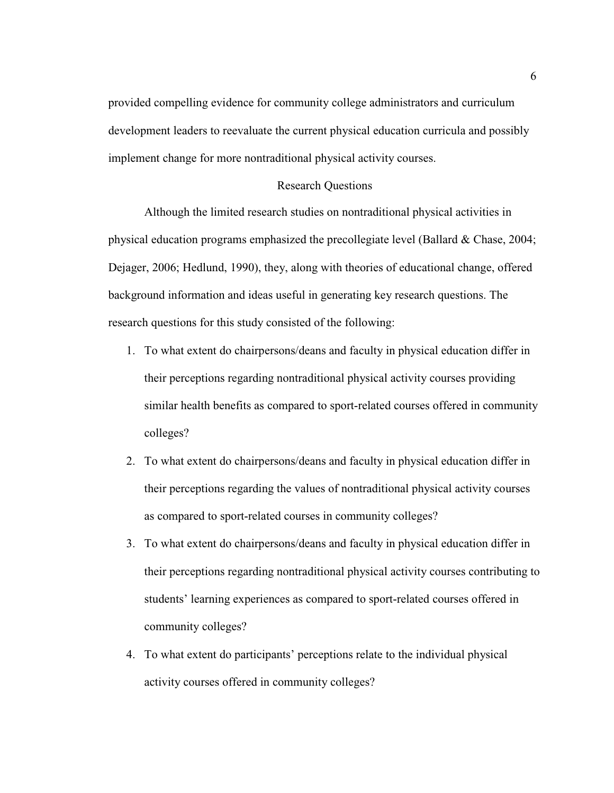provided compelling evidence for community college administrators and curriculum development leaders to reevaluate the current physical education curricula and possibly implement change for more nontraditional physical activity courses.

### Research Questions

 Although the limited research studies on nontraditional physical activities in physical education programs emphasized the precollegiate level (Ballard & Chase, 2004; Dejager, 2006; Hedlund, 1990), they, along with theories of educational change, offered background information and ideas useful in generating key research questions. The research questions for this study consisted of the following:

- 1. To what extent do chairpersons/deans and faculty in physical education differ in their perceptions regarding nontraditional physical activity courses providing similar health benefits as compared to sport-related courses offered in community colleges?
- 2. To what extent do chairpersons/deans and faculty in physical education differ in their perceptions regarding the values of nontraditional physical activity courses as compared to sport-related courses in community colleges?
- 3. To what extent do chairpersons/deans and faculty in physical education differ in their perceptions regarding nontraditional physical activity courses contributing to students' learning experiences as compared to sport-related courses offered in community colleges?
- 4. To what extent do participants' perceptions relate to the individual physical activity courses offered in community colleges?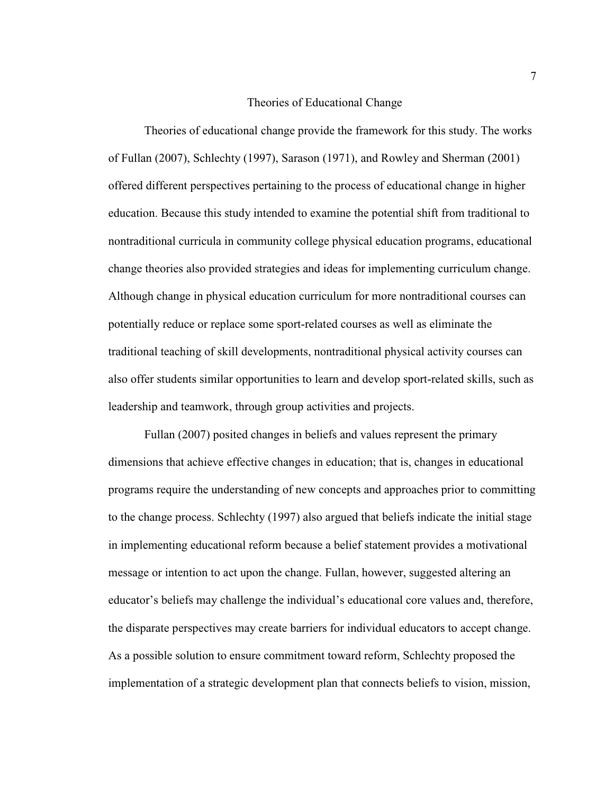#### Theories of Educational Change

 Theories of educational change provide the framework for this study. The works of Fullan (2007), Schlechty (1997), Sarason (1971), and Rowley and Sherman (2001) offered different perspectives pertaining to the process of educational change in higher education. Because this study intended to examine the potential shift from traditional to nontraditional curricula in community college physical education programs, educational change theories also provided strategies and ideas for implementing curriculum change. Although change in physical education curriculum for more nontraditional courses can potentially reduce or replace some sport-related courses as well as eliminate the traditional teaching of skill developments, nontraditional physical activity courses can also offer students similar opportunities to learn and develop sport-related skills, such as leadership and teamwork, through group activities and projects.

 Fullan (2007) posited changes in beliefs and values represent the primary dimensions that achieve effective changes in education; that is, changes in educational programs require the understanding of new concepts and approaches prior to committing to the change process. Schlechty (1997) also argued that beliefs indicate the initial stage in implementing educational reform because a belief statement provides a motivational message or intention to act upon the change. Fullan, however, suggested altering an educator's beliefs may challenge the individual's educational core values and, therefore, the disparate perspectives may create barriers for individual educators to accept change. As a possible solution to ensure commitment toward reform, Schlechty proposed the implementation of a strategic development plan that connects beliefs to vision, mission,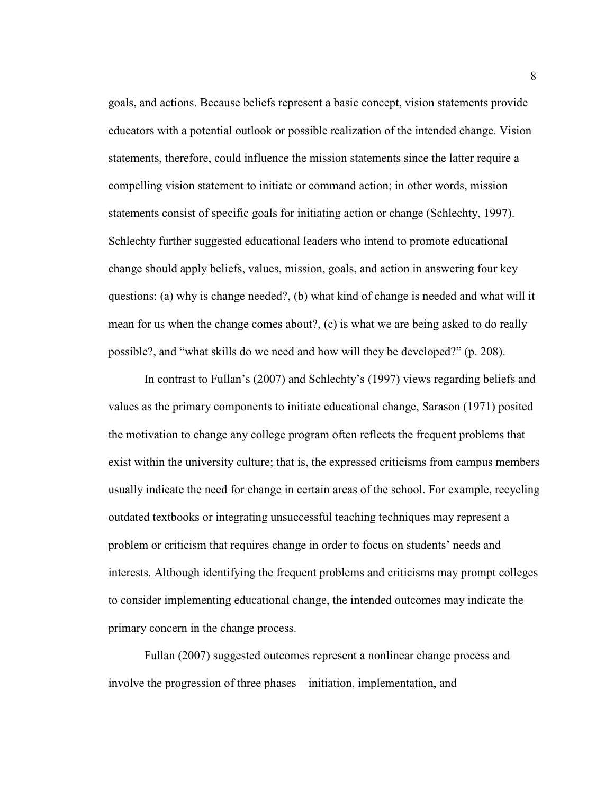goals, and actions. Because beliefs represent a basic concept, vision statements provide educators with a potential outlook or possible realization of the intended change. Vision statements, therefore, could influence the mission statements since the latter require a compelling vision statement to initiate or command action; in other words, mission statements consist of specific goals for initiating action or change (Schlechty, 1997). Schlechty further suggested educational leaders who intend to promote educational change should apply beliefs, values, mission, goals, and action in answering four key questions: (a) why is change needed?, (b) what kind of change is needed and what will it mean for us when the change comes about?, (c) is what we are being asked to do really possible?, and "what skills do we need and how will they be developed?" (p. 208).

 In contrast to Fullan's (2007) and Schlechty's (1997) views regarding beliefs and values as the primary components to initiate educational change, Sarason (1971) posited the motivation to change any college program often reflects the frequent problems that exist within the university culture; that is, the expressed criticisms from campus members usually indicate the need for change in certain areas of the school. For example, recycling outdated textbooks or integrating unsuccessful teaching techniques may represent a problem or criticism that requires change in order to focus on students' needs and interests. Although identifying the frequent problems and criticisms may prompt colleges to consider implementing educational change, the intended outcomes may indicate the primary concern in the change process.

 Fullan (2007) suggested outcomes represent a nonlinear change process and involve the progression of three phases—initiation, implementation, and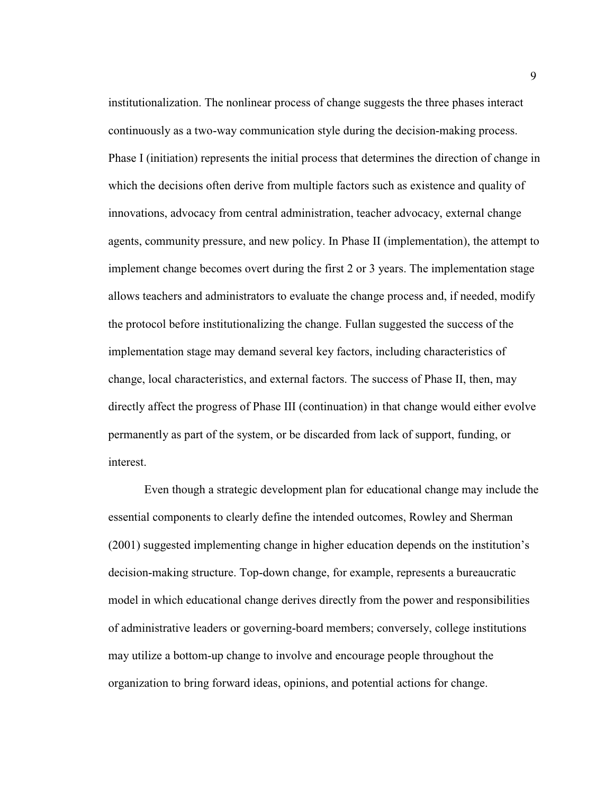institutionalization. The nonlinear process of change suggests the three phases interact continuously as a two-way communication style during the decision-making process. Phase I (initiation) represents the initial process that determines the direction of change in which the decisions often derive from multiple factors such as existence and quality of innovations, advocacy from central administration, teacher advocacy, external change agents, community pressure, and new policy. In Phase II (implementation), the attempt to implement change becomes overt during the first 2 or 3 years. The implementation stage allows teachers and administrators to evaluate the change process and, if needed, modify the protocol before institutionalizing the change. Fullan suggested the success of the implementation stage may demand several key factors, including characteristics of change, local characteristics, and external factors. The success of Phase II, then, may directly affect the progress of Phase III (continuation) in that change would either evolve permanently as part of the system, or be discarded from lack of support, funding, or interest.

 Even though a strategic development plan for educational change may include the essential components to clearly define the intended outcomes, Rowley and Sherman (2001) suggested implementing change in higher education depends on the institution's decision-making structure. Top-down change, for example, represents a bureaucratic model in which educational change derives directly from the power and responsibilities of administrative leaders or governing-board members; conversely, college institutions may utilize a bottom-up change to involve and encourage people throughout the organization to bring forward ideas, opinions, and potential actions for change.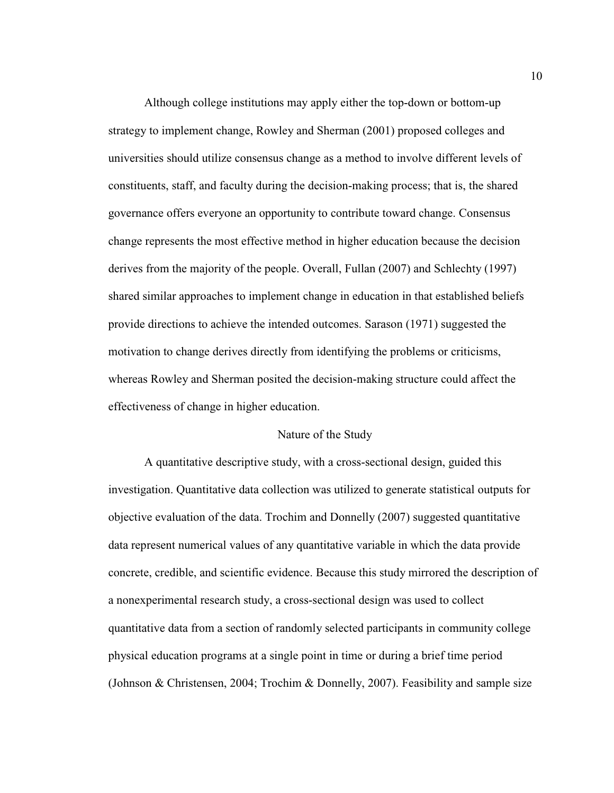Although college institutions may apply either the top-down or bottom-up strategy to implement change, Rowley and Sherman (2001) proposed colleges and universities should utilize consensus change as a method to involve different levels of constituents, staff, and faculty during the decision-making process; that is, the shared governance offers everyone an opportunity to contribute toward change. Consensus change represents the most effective method in higher education because the decision derives from the majority of the people. Overall, Fullan (2007) and Schlechty (1997) shared similar approaches to implement change in education in that established beliefs provide directions to achieve the intended outcomes. Sarason (1971) suggested the motivation to change derives directly from identifying the problems or criticisms, whereas Rowley and Sherman posited the decision-making structure could affect the effectiveness of change in higher education.

# Nature of the Study

 A quantitative descriptive study, with a cross-sectional design, guided this investigation. Quantitative data collection was utilized to generate statistical outputs for objective evaluation of the data. Trochim and Donnelly (2007) suggested quantitative data represent numerical values of any quantitative variable in which the data provide concrete, credible, and scientific evidence. Because this study mirrored the description of a nonexperimental research study, a cross-sectional design was used to collect quantitative data from a section of randomly selected participants in community college physical education programs at a single point in time or during a brief time period (Johnson & Christensen, 2004; Trochim & Donnelly, 2007). Feasibility and sample size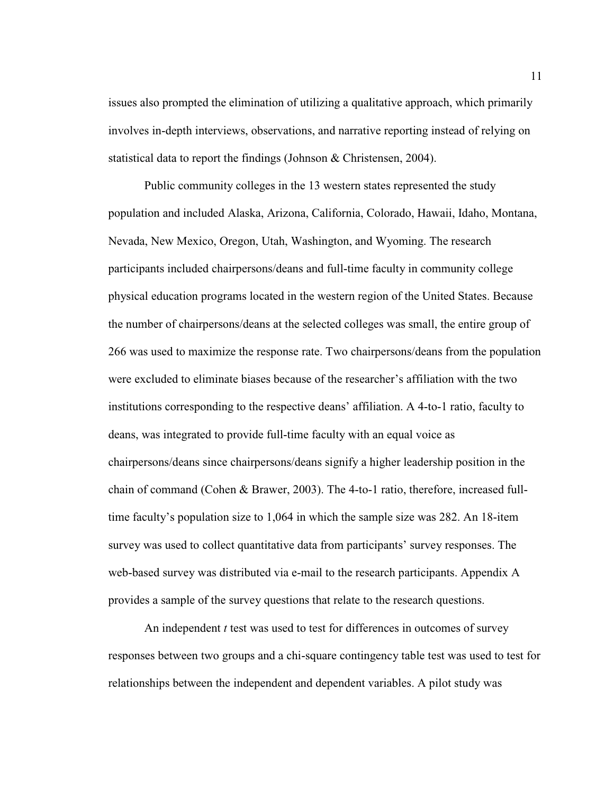issues also prompted the elimination of utilizing a qualitative approach, which primarily involves in-depth interviews, observations, and narrative reporting instead of relying on statistical data to report the findings (Johnson & Christensen, 2004).

Public community colleges in the 13 western states represented the study population and included Alaska, Arizona, California, Colorado, Hawaii, Idaho, Montana, Nevada, New Mexico, Oregon, Utah, Washington, and Wyoming. The research participants included chairpersons/deans and full-time faculty in community college physical education programs located in the western region of the United States. Because the number of chairpersons/deans at the selected colleges was small, the entire group of 266 was used to maximize the response rate. Two chairpersons/deans from the population were excluded to eliminate biases because of the researcher's affiliation with the two institutions corresponding to the respective deans' affiliation. A 4-to-1 ratio, faculty to deans, was integrated to provide full-time faculty with an equal voice as chairpersons/deans since chairpersons/deans signify a higher leadership position in the chain of command (Cohen & Brawer, 2003). The 4-to-1 ratio, therefore, increased fulltime faculty's population size to 1,064 in which the sample size was 282. An 18-item survey was used to collect quantitative data from participants' survey responses. The web-based survey was distributed via e-mail to the research participants. Appendix A provides a sample of the survey questions that relate to the research questions.

An independent *t* test was used to test for differences in outcomes of survey responses between two groups and a chi-square contingency table test was used to test for relationships between the independent and dependent variables. A pilot study was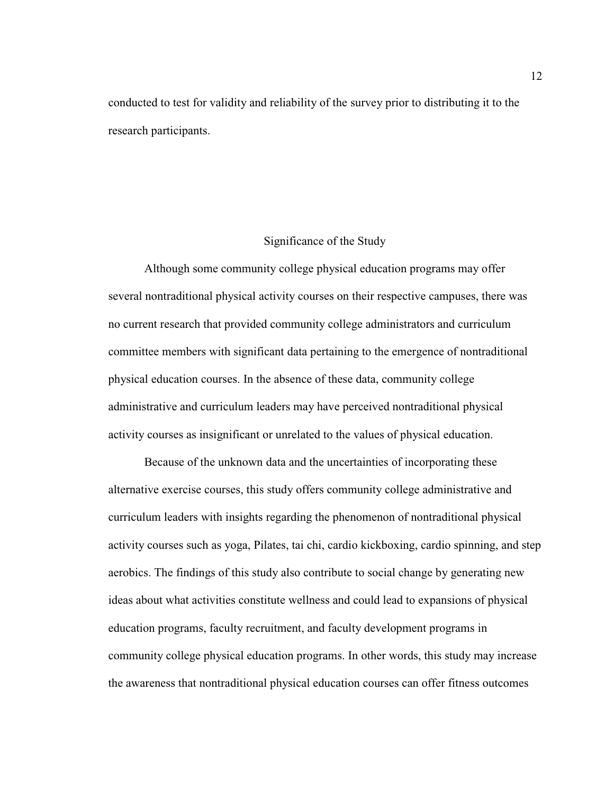conducted to test for validity and reliability of the survey prior to distributing it to the research participants.

## Significance of the Study

Although some community college physical education programs may offer several nontraditional physical activity courses on their respective campuses, there was no current research that provided community college administrators and curriculum committee members with significant data pertaining to the emergence of nontraditional physical education courses. In the absence of these data, community college administrative and curriculum leaders may have perceived nontraditional physical activity courses as insignificant or unrelated to the values of physical education.

Because of the unknown data and the uncertainties of incorporating these alternative exercise courses, this study offers community college administrative and curriculum leaders with insights regarding the phenomenon of nontraditional physical activity courses such as yoga, Pilates, tai chi, cardio kickboxing, cardio spinning, and step aerobics. The findings of this study also contribute to social change by generating new ideas about what activities constitute wellness and could lead to expansions of physical education programs, faculty recruitment, and faculty development programs in community college physical education programs. In other words, this study may increase the awareness that nontraditional physical education courses can offer fitness outcomes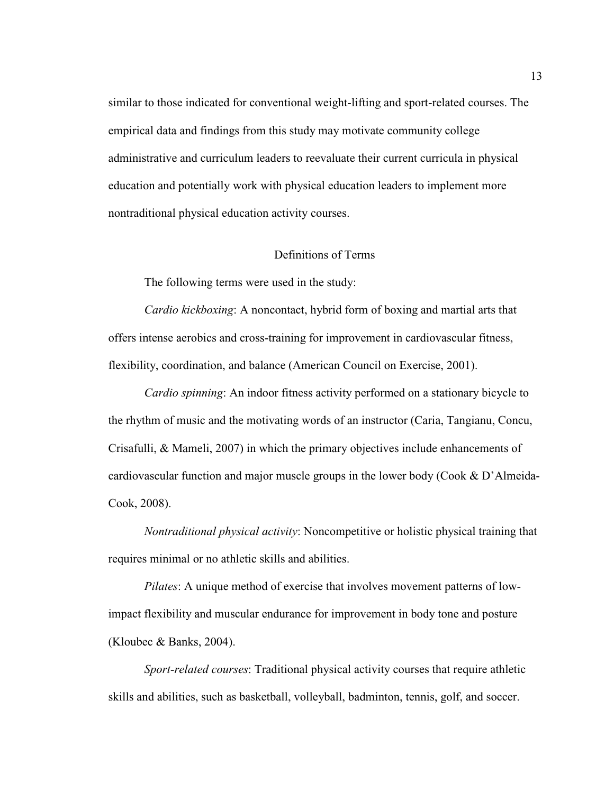similar to those indicated for conventional weight-lifting and sport-related courses. The empirical data and findings from this study may motivate community college administrative and curriculum leaders to reevaluate their current curricula in physical education and potentially work with physical education leaders to implement more nontraditional physical education activity courses.

#### Definitions of Terms

The following terms were used in the study:

*Cardio kickboxing*: A noncontact, hybrid form of boxing and martial arts that offers intense aerobics and cross-training for improvement in cardiovascular fitness, flexibility, coordination, and balance (American Council on Exercise, 2001).

*Cardio spinning*: An indoor fitness activity performed on a stationary bicycle to the rhythm of music and the motivating words of an instructor (Caria, Tangianu, Concu, Crisafulli, & Mameli, 2007) in which the primary objectives include enhancements of cardiovascular function and major muscle groups in the lower body (Cook & D'Almeida-Cook, 2008).

*Nontraditional physical activity*: Noncompetitive or holistic physical training that requires minimal or no athletic skills and abilities.

*Pilates*: A unique method of exercise that involves movement patterns of lowimpact flexibility and muscular endurance for improvement in body tone and posture (Kloubec & Banks, 2004).

*Sport-related courses*: Traditional physical activity courses that require athletic skills and abilities, such as basketball, volleyball, badminton, tennis, golf, and soccer.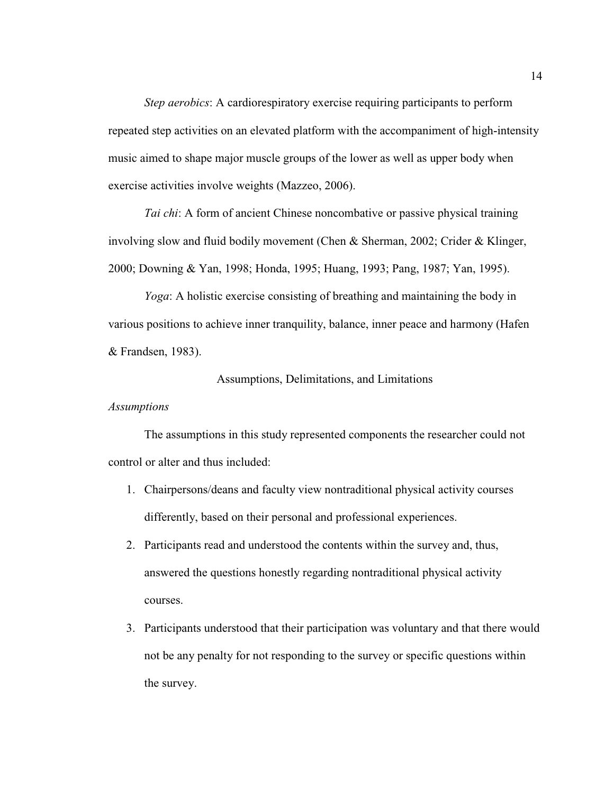*Step aerobics*: A cardiorespiratory exercise requiring participants to perform repeated step activities on an elevated platform with the accompaniment of high-intensity music aimed to shape major muscle groups of the lower as well as upper body when exercise activities involve weights (Mazzeo, 2006).

*Tai chi*: A form of ancient Chinese noncombative or passive physical training involving slow and fluid bodily movement (Chen & Sherman, 2002; Crider & Klinger, 2000; Downing & Yan, 1998; Honda, 1995; Huang, 1993; Pang, 1987; Yan, 1995).

*Yoga*: A holistic exercise consisting of breathing and maintaining the body in various positions to achieve inner tranquility, balance, inner peace and harmony (Hafen & Frandsen, 1983).

# Assumptions, Delimitations, and Limitations

## *Assumptions*

 The assumptions in this study represented components the researcher could not control or alter and thus included:

- 1. Chairpersons/deans and faculty view nontraditional physical activity courses differently, based on their personal and professional experiences.
- 2. Participants read and understood the contents within the survey and, thus, answered the questions honestly regarding nontraditional physical activity courses.
- 3. Participants understood that their participation was voluntary and that there would not be any penalty for not responding to the survey or specific questions within the survey.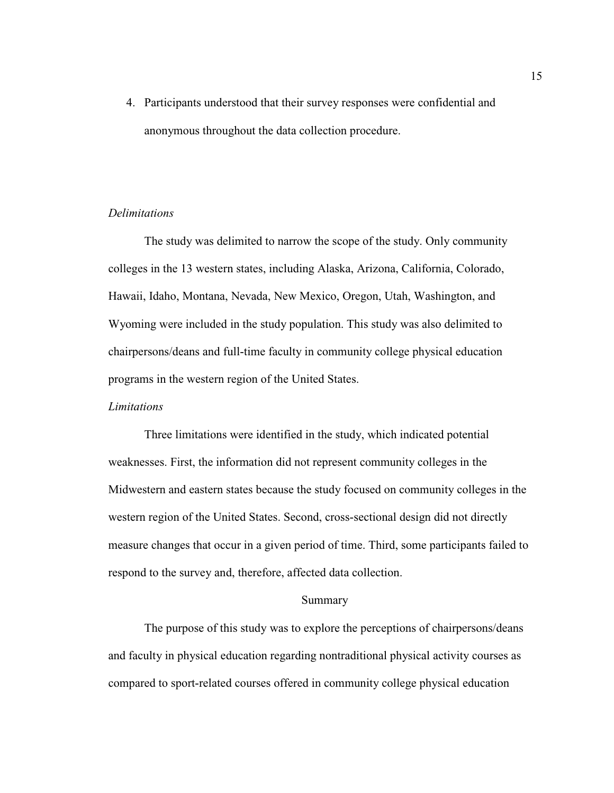4. Participants understood that their survey responses were confidential and anonymous throughout the data collection procedure.

# *Delimitations*

 The study was delimited to narrow the scope of the study. Only community colleges in the 13 western states, including Alaska, Arizona, California, Colorado, Hawaii, Idaho, Montana, Nevada, New Mexico, Oregon, Utah, Washington, and Wyoming were included in the study population. This study was also delimited to chairpersons/deans and full-time faculty in community college physical education programs in the western region of the United States.

## *Limitations*

 Three limitations were identified in the study, which indicated potential weaknesses. First, the information did not represent community colleges in the Midwestern and eastern states because the study focused on community colleges in the western region of the United States. Second, cross-sectional design did not directly measure changes that occur in a given period of time. Third, some participants failed to respond to the survey and, therefore, affected data collection.

# Summary

 The purpose of this study was to explore the perceptions of chairpersons/deans and faculty in physical education regarding nontraditional physical activity courses as compared to sport-related courses offered in community college physical education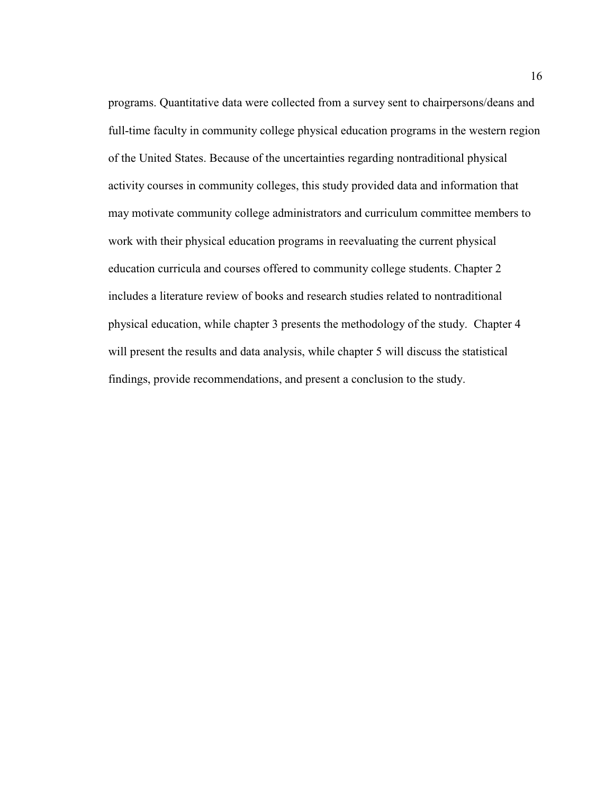programs. Quantitative data were collected from a survey sent to chairpersons/deans and full-time faculty in community college physical education programs in the western region of the United States. Because of the uncertainties regarding nontraditional physical activity courses in community colleges, this study provided data and information that may motivate community college administrators and curriculum committee members to work with their physical education programs in reevaluating the current physical education curricula and courses offered to community college students. Chapter 2 includes a literature review of books and research studies related to nontraditional physical education, while chapter 3 presents the methodology of the study. Chapter 4 will present the results and data analysis, while chapter 5 will discuss the statistical findings, provide recommendations, and present a conclusion to the study.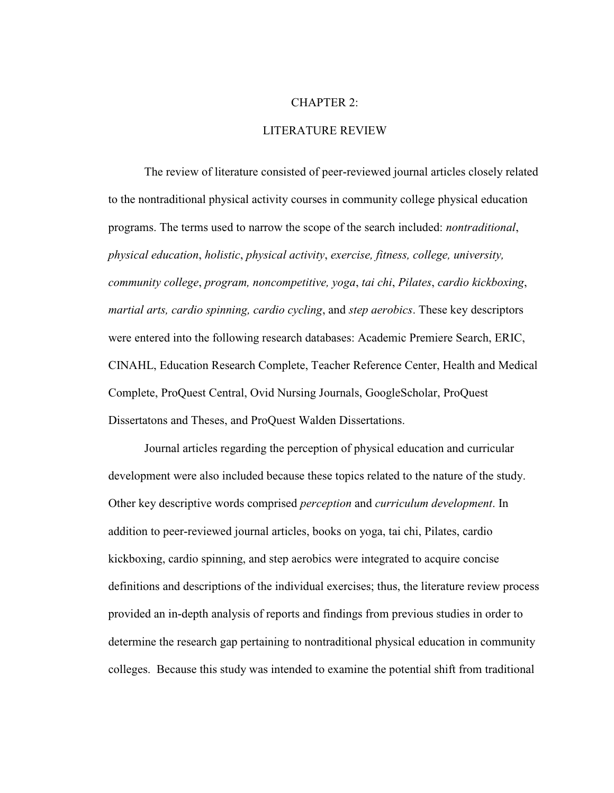#### CHAPTER 2:

### LITERATURE REVIEW

 The review of literature consisted of peer-reviewed journal articles closely related to the nontraditional physical activity courses in community college physical education programs. The terms used to narrow the scope of the search included: *nontraditional*, *physical education*, *holistic*, *physical activity*, *exercise, fitness, college, university, community college*, *program, noncompetitive, yoga*, *tai chi*, *Pilates*, *cardio kickboxing*, *martial arts, cardio spinning, cardio cycling*, and *step aerobics*. These key descriptors were entered into the following research databases: Academic Premiere Search, ERIC, CINAHL, Education Research Complete, Teacher Reference Center, Health and Medical Complete, ProQuest Central, Ovid Nursing Journals, GoogleScholar, ProQuest Dissertatons and Theses, and ProQuest Walden Dissertations.

 Journal articles regarding the perception of physical education and curricular development were also included because these topics related to the nature of the study. Other key descriptive words comprised *perception* and *curriculum development*. In addition to peer-reviewed journal articles, books on yoga, tai chi, Pilates, cardio kickboxing, cardio spinning, and step aerobics were integrated to acquire concise definitions and descriptions of the individual exercises; thus, the literature review process provided an in-depth analysis of reports and findings from previous studies in order to determine the research gap pertaining to nontraditional physical education in community colleges. Because this study was intended to examine the potential shift from traditional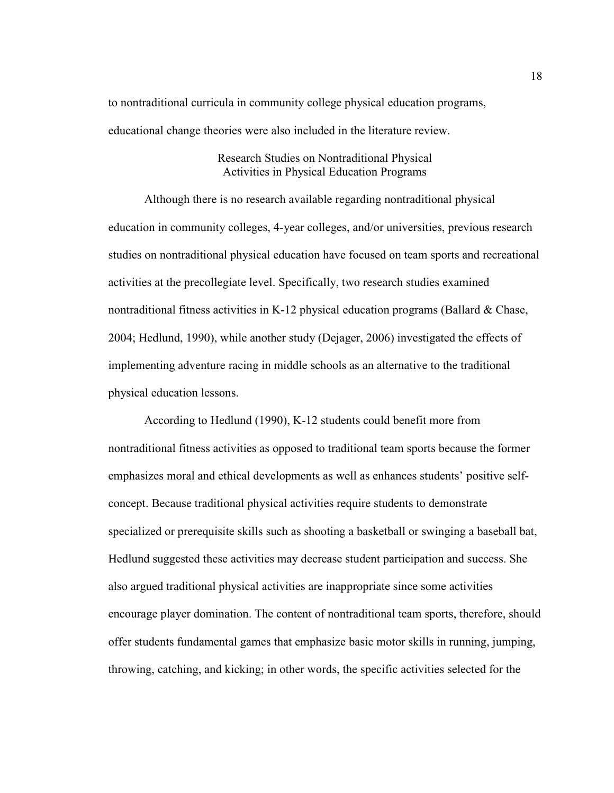to nontraditional curricula in community college physical education programs, educational change theories were also included in the literature review.

# Research Studies on Nontraditional Physical Activities in Physical Education Programs

 Although there is no research available regarding nontraditional physical education in community colleges, 4-year colleges, and/or universities, previous research studies on nontraditional physical education have focused on team sports and recreational activities at the precollegiate level. Specifically, two research studies examined nontraditional fitness activities in K-12 physical education programs (Ballard  $\&$  Chase, 2004; Hedlund, 1990), while another study (Dejager, 2006) investigated the effects of implementing adventure racing in middle schools as an alternative to the traditional physical education lessons.

 According to Hedlund (1990), K-12 students could benefit more from nontraditional fitness activities as opposed to traditional team sports because the former emphasizes moral and ethical developments as well as enhances students' positive selfconcept. Because traditional physical activities require students to demonstrate specialized or prerequisite skills such as shooting a basketball or swinging a baseball bat, Hedlund suggested these activities may decrease student participation and success. She also argued traditional physical activities are inappropriate since some activities encourage player domination. The content of nontraditional team sports, therefore, should offer students fundamental games that emphasize basic motor skills in running, jumping, throwing, catching, and kicking; in other words, the specific activities selected for the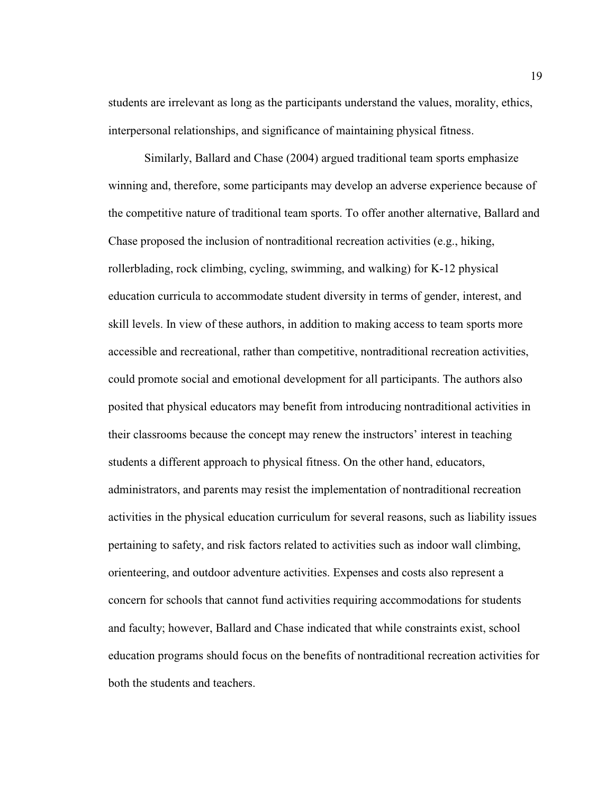students are irrelevant as long as the participants understand the values, morality, ethics, interpersonal relationships, and significance of maintaining physical fitness.

 Similarly, Ballard and Chase (2004) argued traditional team sports emphasize winning and, therefore, some participants may develop an adverse experience because of the competitive nature of traditional team sports. To offer another alternative, Ballard and Chase proposed the inclusion of nontraditional recreation activities (e.g., hiking, rollerblading, rock climbing, cycling, swimming, and walking) for K-12 physical education curricula to accommodate student diversity in terms of gender, interest, and skill levels. In view of these authors, in addition to making access to team sports more accessible and recreational, rather than competitive, nontraditional recreation activities, could promote social and emotional development for all participants. The authors also posited that physical educators may benefit from introducing nontraditional activities in their classrooms because the concept may renew the instructors' interest in teaching students a different approach to physical fitness. On the other hand, educators, administrators, and parents may resist the implementation of nontraditional recreation activities in the physical education curriculum for several reasons, such as liability issues pertaining to safety, and risk factors related to activities such as indoor wall climbing, orienteering, and outdoor adventure activities. Expenses and costs also represent a concern for schools that cannot fund activities requiring accommodations for students and faculty; however, Ballard and Chase indicated that while constraints exist, school education programs should focus on the benefits of nontraditional recreation activities for both the students and teachers.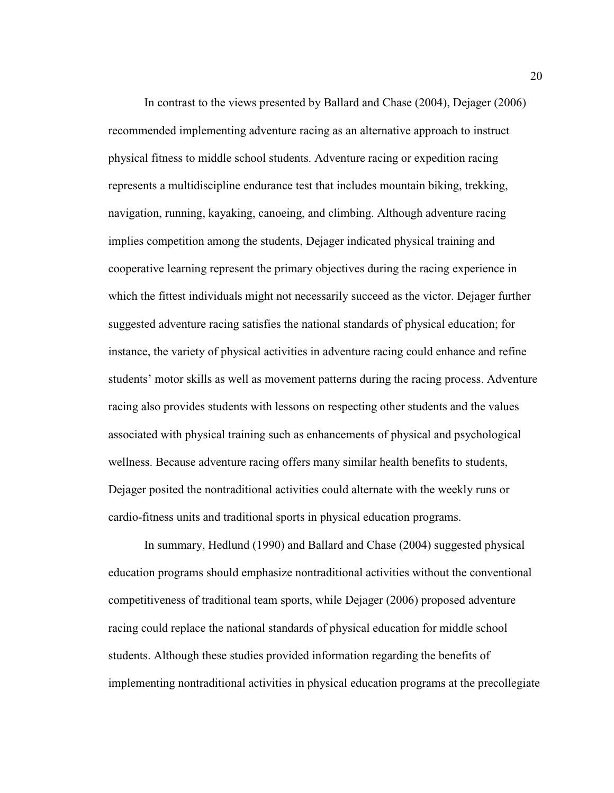In contrast to the views presented by Ballard and Chase (2004), Dejager (2006) recommended implementing adventure racing as an alternative approach to instruct physical fitness to middle school students. Adventure racing or expedition racing represents a multidiscipline endurance test that includes mountain biking, trekking, navigation, running, kayaking, canoeing, and climbing. Although adventure racing implies competition among the students, Dejager indicated physical training and cooperative learning represent the primary objectives during the racing experience in which the fittest individuals might not necessarily succeed as the victor. Dejager further suggested adventure racing satisfies the national standards of physical education; for instance, the variety of physical activities in adventure racing could enhance and refine students' motor skills as well as movement patterns during the racing process. Adventure racing also provides students with lessons on respecting other students and the values associated with physical training such as enhancements of physical and psychological wellness. Because adventure racing offers many similar health benefits to students, Dejager posited the nontraditional activities could alternate with the weekly runs or cardio-fitness units and traditional sports in physical education programs.

 In summary, Hedlund (1990) and Ballard and Chase (2004) suggested physical education programs should emphasize nontraditional activities without the conventional competitiveness of traditional team sports, while Dejager (2006) proposed adventure racing could replace the national standards of physical education for middle school students. Although these studies provided information regarding the benefits of implementing nontraditional activities in physical education programs at the precollegiate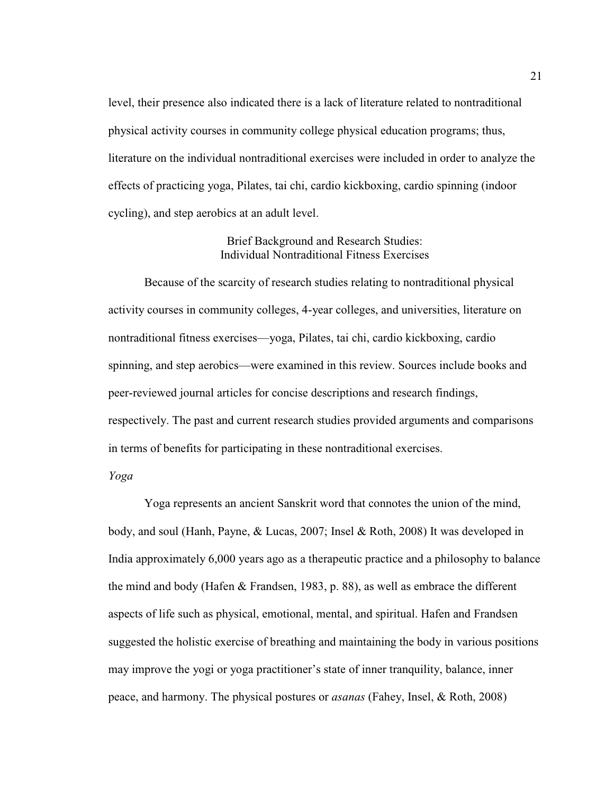level, their presence also indicated there is a lack of literature related to nontraditional physical activity courses in community college physical education programs; thus, literature on the individual nontraditional exercises were included in order to analyze the effects of practicing yoga, Pilates, tai chi, cardio kickboxing, cardio spinning (indoor cycling), and step aerobics at an adult level.

# Brief Background and Research Studies: Individual Nontraditional Fitness Exercises

 Because of the scarcity of research studies relating to nontraditional physical activity courses in community colleges, 4-year colleges, and universities, literature on nontraditional fitness exercises—yoga, Pilates, tai chi, cardio kickboxing, cardio spinning, and step aerobics—were examined in this review. Sources include books and peer-reviewed journal articles for concise descriptions and research findings, respectively. The past and current research studies provided arguments and comparisons in terms of benefits for participating in these nontraditional exercises.

# *Yoga*

Yoga represents an ancient Sanskrit word that connotes the union of the mind, body, and soul (Hanh, Payne, & Lucas, 2007; Insel & Roth, 2008) It was developed in India approximately 6,000 years ago as a therapeutic practice and a philosophy to balance the mind and body (Hafen & Frandsen, 1983, p. 88), as well as embrace the different aspects of life such as physical, emotional, mental, and spiritual. Hafen and Frandsen suggested the holistic exercise of breathing and maintaining the body in various positions may improve the yogi or yoga practitioner's state of inner tranquility, balance, inner peace, and harmony. The physical postures or *asanas* (Fahey, Insel, & Roth, 2008)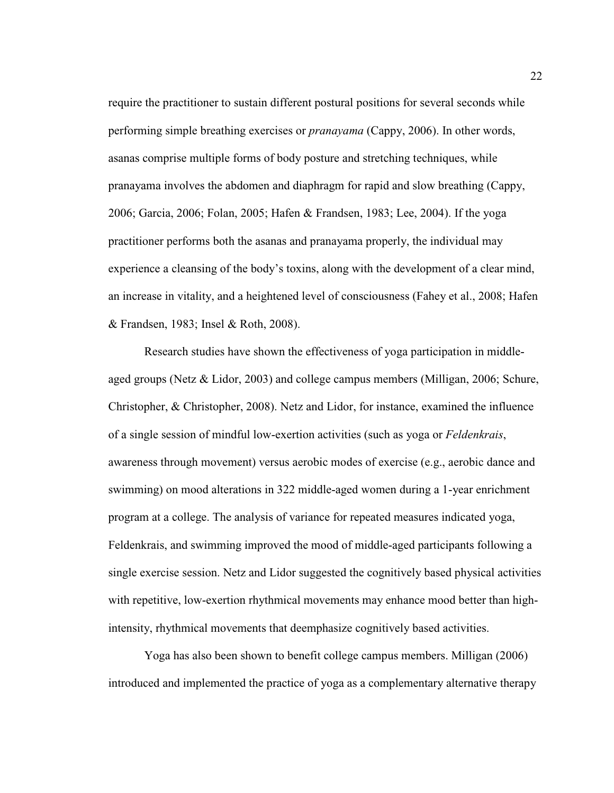require the practitioner to sustain different postural positions for several seconds while performing simple breathing exercises or *pranayama* (Cappy, 2006). In other words, asanas comprise multiple forms of body posture and stretching techniques, while pranayama involves the abdomen and diaphragm for rapid and slow breathing (Cappy, 2006; Garcia, 2006; Folan, 2005; Hafen & Frandsen, 1983; Lee, 2004). If the yoga practitioner performs both the asanas and pranayama properly, the individual may experience a cleansing of the body's toxins, along with the development of a clear mind, an increase in vitality, and a heightened level of consciousness (Fahey et al., 2008; Hafen & Frandsen, 1983; Insel & Roth, 2008).

 Research studies have shown the effectiveness of yoga participation in middleaged groups (Netz & Lidor, 2003) and college campus members (Milligan, 2006; Schure, Christopher, & Christopher, 2008). Netz and Lidor, for instance, examined the influence of a single session of mindful low-exertion activities (such as yoga or *Feldenkrais*, awareness through movement) versus aerobic modes of exercise (e.g., aerobic dance and swimming) on mood alterations in 322 middle-aged women during a 1-year enrichment program at a college. The analysis of variance for repeated measures indicated yoga, Feldenkrais, and swimming improved the mood of middle-aged participants following a single exercise session. Netz and Lidor suggested the cognitively based physical activities with repetitive, low-exertion rhythmical movements may enhance mood better than highintensity, rhythmical movements that deemphasize cognitively based activities.

 Yoga has also been shown to benefit college campus members. Milligan (2006) introduced and implemented the practice of yoga as a complementary alternative therapy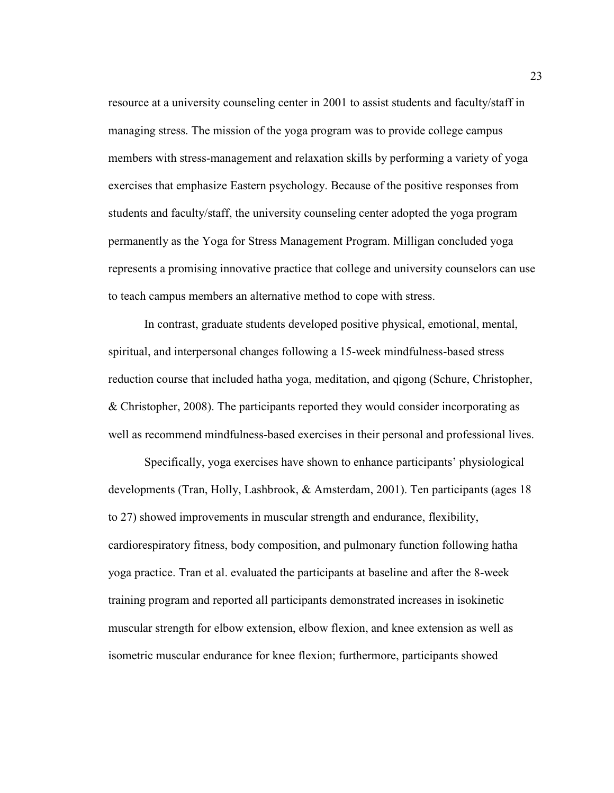resource at a university counseling center in 2001 to assist students and faculty/staff in managing stress. The mission of the yoga program was to provide college campus members with stress-management and relaxation skills by performing a variety of yoga exercises that emphasize Eastern psychology. Because of the positive responses from students and faculty/staff, the university counseling center adopted the yoga program permanently as the Yoga for Stress Management Program. Milligan concluded yoga represents a promising innovative practice that college and university counselors can use to teach campus members an alternative method to cope with stress.

 In contrast, graduate students developed positive physical, emotional, mental, spiritual, and interpersonal changes following a 15-week mindfulness-based stress reduction course that included hatha yoga, meditation, and qigong (Schure, Christopher, & Christopher, 2008). The participants reported they would consider incorporating as well as recommend mindfulness-based exercises in their personal and professional lives.

Specifically, yoga exercises have shown to enhance participants' physiological developments (Tran, Holly, Lashbrook, & Amsterdam, 2001). Ten participants (ages 18 to 27) showed improvements in muscular strength and endurance, flexibility, cardiorespiratory fitness, body composition, and pulmonary function following hatha yoga practice. Tran et al. evaluated the participants at baseline and after the 8-week training program and reported all participants demonstrated increases in isokinetic muscular strength for elbow extension, elbow flexion, and knee extension as well as isometric muscular endurance for knee flexion; furthermore, participants showed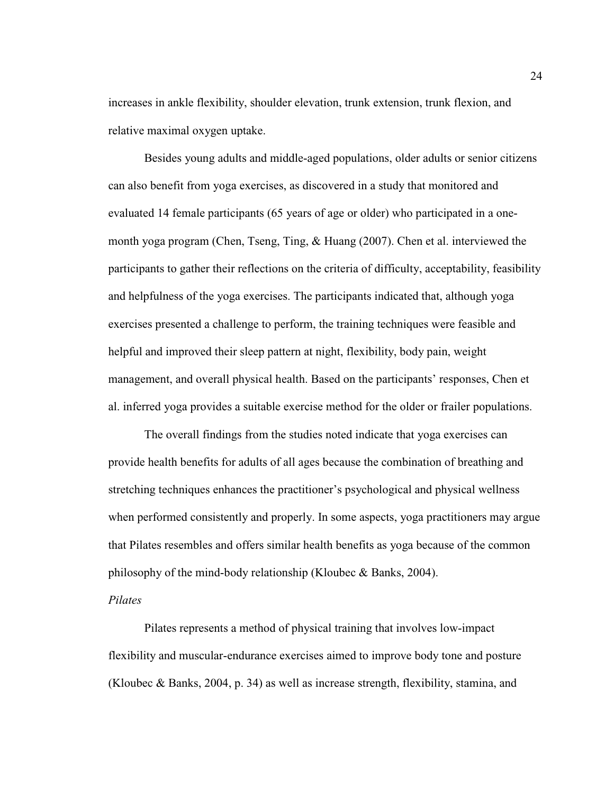increases in ankle flexibility, shoulder elevation, trunk extension, trunk flexion, and relative maximal oxygen uptake.

Besides young adults and middle-aged populations, older adults or senior citizens can also benefit from yoga exercises, as discovered in a study that monitored and evaluated 14 female participants (65 years of age or older) who participated in a onemonth yoga program (Chen, Tseng, Ting, & Huang (2007). Chen et al. interviewed the participants to gather their reflections on the criteria of difficulty, acceptability, feasibility and helpfulness of the yoga exercises. The participants indicated that, although yoga exercises presented a challenge to perform, the training techniques were feasible and helpful and improved their sleep pattern at night, flexibility, body pain, weight management, and overall physical health. Based on the participants' responses, Chen et al. inferred yoga provides a suitable exercise method for the older or frailer populations.

 The overall findings from the studies noted indicate that yoga exercises can provide health benefits for adults of all ages because the combination of breathing and stretching techniques enhances the practitioner's psychological and physical wellness when performed consistently and properly. In some aspects, yoga practitioners may argue that Pilates resembles and offers similar health benefits as yoga because of the common philosophy of the mind-body relationship (Kloubec & Banks, 2004).

## *Pilates*

 Pilates represents a method of physical training that involves low-impact flexibility and muscular-endurance exercises aimed to improve body tone and posture (Kloubec & Banks, 2004, p. 34) as well as increase strength, flexibility, stamina, and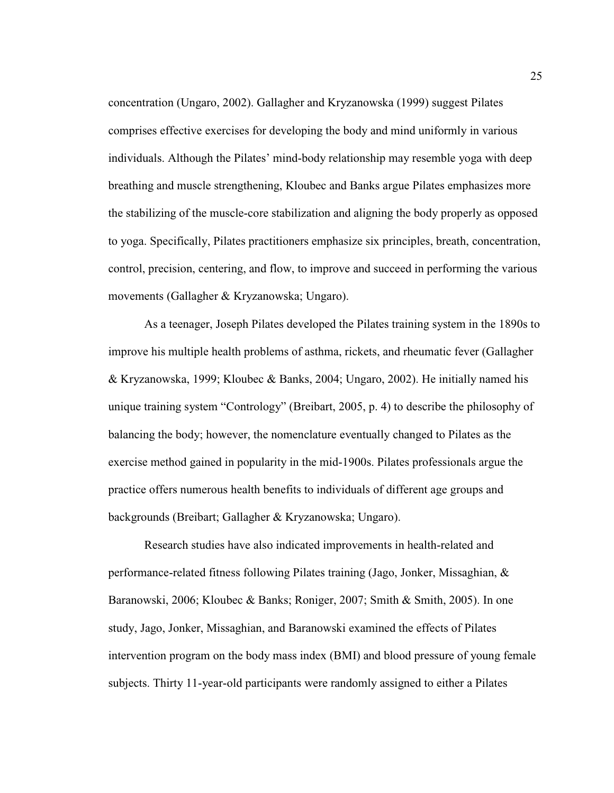concentration (Ungaro, 2002). Gallagher and Kryzanowska (1999) suggest Pilates comprises effective exercises for developing the body and mind uniformly in various individuals. Although the Pilates' mind-body relationship may resemble yoga with deep breathing and muscle strengthening, Kloubec and Banks argue Pilates emphasizes more the stabilizing of the muscle-core stabilization and aligning the body properly as opposed to yoga. Specifically, Pilates practitioners emphasize six principles, breath, concentration, control, precision, centering, and flow, to improve and succeed in performing the various movements (Gallagher & Kryzanowska; Ungaro).

 As a teenager, Joseph Pilates developed the Pilates training system in the 1890s to improve his multiple health problems of asthma, rickets, and rheumatic fever (Gallagher & Kryzanowska, 1999; Kloubec & Banks, 2004; Ungaro, 2002). He initially named his unique training system "Contrology" (Breibart, 2005, p. 4) to describe the philosophy of balancing the body; however, the nomenclature eventually changed to Pilates as the exercise method gained in popularity in the mid-1900s. Pilates professionals argue the practice offers numerous health benefits to individuals of different age groups and backgrounds (Breibart; Gallagher & Kryzanowska; Ungaro).

 Research studies have also indicated improvements in health-related and performance-related fitness following Pilates training (Jago, Jonker, Missaghian, & Baranowski, 2006; Kloubec & Banks; Roniger, 2007; Smith & Smith, 2005). In one study, Jago, Jonker, Missaghian, and Baranowski examined the effects of Pilates intervention program on the body mass index (BMI) and blood pressure of young female subjects. Thirty 11-year-old participants were randomly assigned to either a Pilates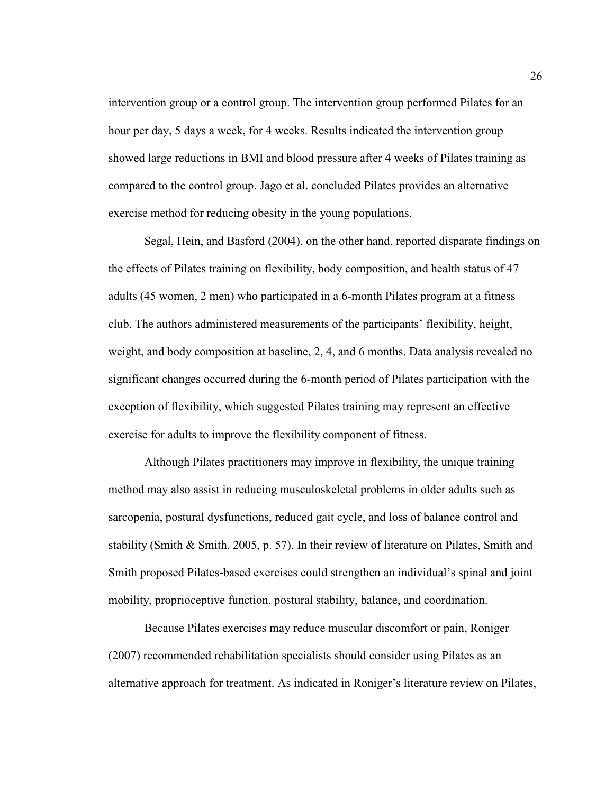intervention group or a control group. The intervention group performed Pilates for an hour per day, 5 days a week, for 4 weeks. Results indicated the intervention group showed large reductions in BMI and blood pressure after 4 weeks of Pilates training as compared to the control group. Jago et al. concluded Pilates provides an alternative exercise method for reducing obesity in the young populations.

 Segal, Hein, and Basford (2004), on the other hand, reported disparate findings on the effects of Pilates training on flexibility, body composition, and health status of 47 adults (45 women, 2 men) who participated in a 6-month Pilates program at a fitness club. The authors administered measurements of the participants' flexibility, height, weight, and body composition at baseline, 2, 4, and 6 months. Data analysis revealed no significant changes occurred during the 6-month period of Pilates participation with the exception of flexibility, which suggested Pilates training may represent an effective exercise for adults to improve the flexibility component of fitness.

 Although Pilates practitioners may improve in flexibility, the unique training method may also assist in reducing musculoskeletal problems in older adults such as sarcopenia, postural dysfunctions, reduced gait cycle, and loss of balance control and stability (Smith & Smith, 2005, p. 57). In their review of literature on Pilates, Smith and Smith proposed Pilates-based exercises could strengthen an individual's spinal and joint mobility, proprioceptive function, postural stability, balance, and coordination.

 Because Pilates exercises may reduce muscular discomfort or pain, Roniger (2007) recommended rehabilitation specialists should consider using Pilates as an alternative approach for treatment. As indicated in Roniger's literature review on Pilates,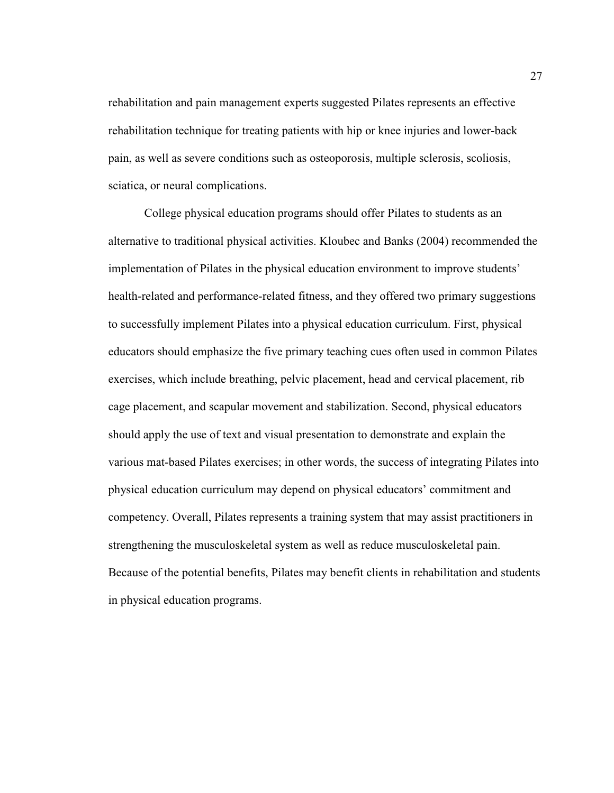rehabilitation and pain management experts suggested Pilates represents an effective rehabilitation technique for treating patients with hip or knee injuries and lower-back pain, as well as severe conditions such as osteoporosis, multiple sclerosis, scoliosis, sciatica, or neural complications.

 College physical education programs should offer Pilates to students as an alternative to traditional physical activities. Kloubec and Banks (2004) recommended the implementation of Pilates in the physical education environment to improve students' health-related and performance-related fitness, and they offered two primary suggestions to successfully implement Pilates into a physical education curriculum. First, physical educators should emphasize the five primary teaching cues often used in common Pilates exercises, which include breathing, pelvic placement, head and cervical placement, rib cage placement, and scapular movement and stabilization. Second, physical educators should apply the use of text and visual presentation to demonstrate and explain the various mat-based Pilates exercises; in other words, the success of integrating Pilates into physical education curriculum may depend on physical educators' commitment and competency. Overall, Pilates represents a training system that may assist practitioners in strengthening the musculoskeletal system as well as reduce musculoskeletal pain. Because of the potential benefits, Pilates may benefit clients in rehabilitation and students in physical education programs.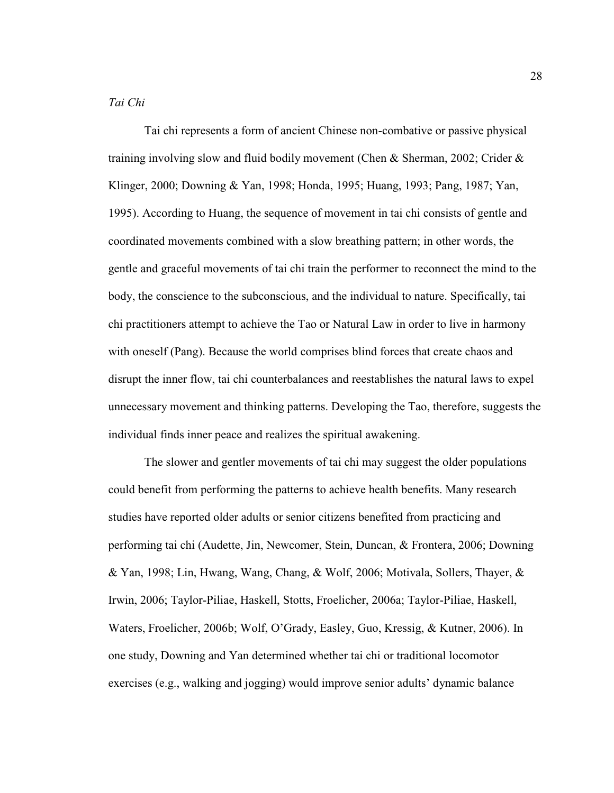# *Tai Chi*

 Tai chi represents a form of ancient Chinese non-combative or passive physical training involving slow and fluid bodily movement (Chen & Sherman, 2002; Crider & Klinger, 2000; Downing & Yan, 1998; Honda, 1995; Huang, 1993; Pang, 1987; Yan, 1995). According to Huang, the sequence of movement in tai chi consists of gentle and coordinated movements combined with a slow breathing pattern; in other words, the gentle and graceful movements of tai chi train the performer to reconnect the mind to the body, the conscience to the subconscious, and the individual to nature. Specifically, tai chi practitioners attempt to achieve the Tao or Natural Law in order to live in harmony with oneself (Pang). Because the world comprises blind forces that create chaos and disrupt the inner flow, tai chi counterbalances and reestablishes the natural laws to expel unnecessary movement and thinking patterns. Developing the Tao, therefore, suggests the individual finds inner peace and realizes the spiritual awakening.

 The slower and gentler movements of tai chi may suggest the older populations could benefit from performing the patterns to achieve health benefits. Many research studies have reported older adults or senior citizens benefited from practicing and performing tai chi (Audette, Jin, Newcomer, Stein, Duncan, & Frontera, 2006; Downing & Yan, 1998; Lin, Hwang, Wang, Chang, & Wolf, 2006; Motivala, Sollers, Thayer, & Irwin, 2006; Taylor-Piliae, Haskell, Stotts, Froelicher, 2006a; Taylor-Piliae, Haskell, Waters, Froelicher, 2006b; Wolf, O'Grady, Easley, Guo, Kressig, & Kutner, 2006). In one study, Downing and Yan determined whether tai chi or traditional locomotor exercises (e.g., walking and jogging) would improve senior adults' dynamic balance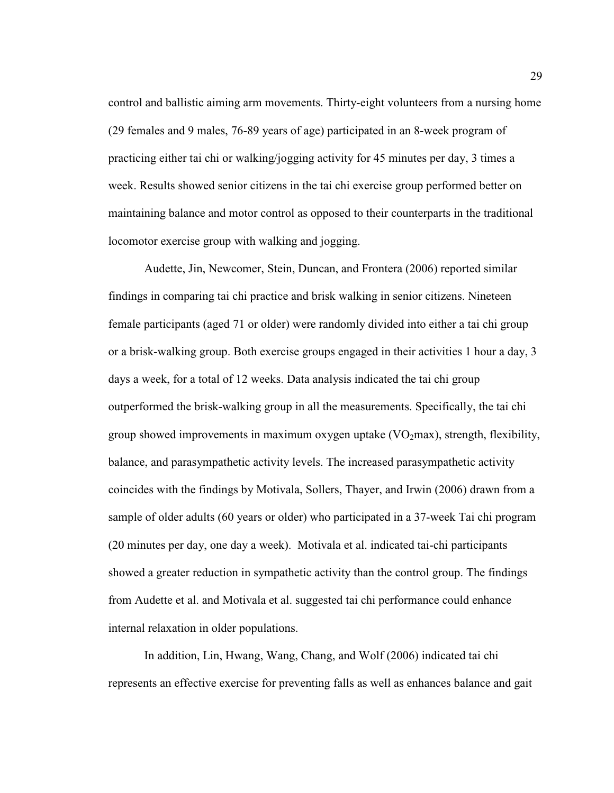control and ballistic aiming arm movements. Thirty-eight volunteers from a nursing home (29 females and 9 males, 76-89 years of age) participated in an 8-week program of practicing either tai chi or walking/jogging activity for 45 minutes per day, 3 times a week. Results showed senior citizens in the tai chi exercise group performed better on maintaining balance and motor control as opposed to their counterparts in the traditional locomotor exercise group with walking and jogging.

 Audette, Jin, Newcomer, Stein, Duncan, and Frontera (2006) reported similar findings in comparing tai chi practice and brisk walking in senior citizens. Nineteen female participants (aged 71 or older) were randomly divided into either a tai chi group or a brisk-walking group. Both exercise groups engaged in their activities 1 hour a day, 3 days a week, for a total of 12 weeks. Data analysis indicated the tai chi group outperformed the brisk-walking group in all the measurements. Specifically, the tai chi group showed improvements in maximum oxygen uptake  $(VO<sub>2</sub>max)$ , strength, flexibility, balance, and parasympathetic activity levels. The increased parasympathetic activity coincides with the findings by Motivala, Sollers, Thayer, and Irwin (2006) drawn from a sample of older adults (60 years or older) who participated in a 37-week Tai chi program (20 minutes per day, one day a week). Motivala et al. indicated tai-chi participants showed a greater reduction in sympathetic activity than the control group. The findings from Audette et al. and Motivala et al. suggested tai chi performance could enhance internal relaxation in older populations.

 In addition, Lin, Hwang, Wang, Chang, and Wolf (2006) indicated tai chi represents an effective exercise for preventing falls as well as enhances balance and gait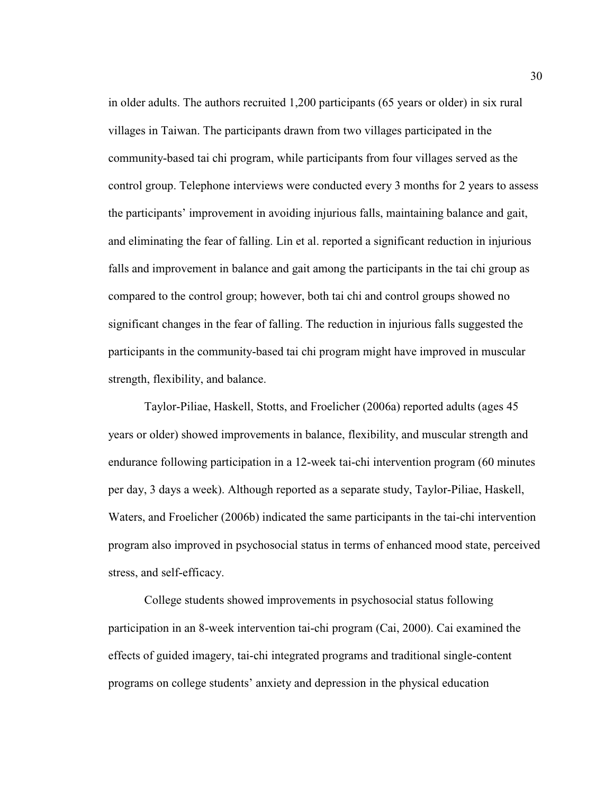in older adults. The authors recruited 1,200 participants (65 years or older) in six rural villages in Taiwan. The participants drawn from two villages participated in the community-based tai chi program, while participants from four villages served as the control group. Telephone interviews were conducted every 3 months for 2 years to assess the participants' improvement in avoiding injurious falls, maintaining balance and gait, and eliminating the fear of falling. Lin et al. reported a significant reduction in injurious falls and improvement in balance and gait among the participants in the tai chi group as compared to the control group; however, both tai chi and control groups showed no significant changes in the fear of falling. The reduction in injurious falls suggested the participants in the community-based tai chi program might have improved in muscular strength, flexibility, and balance.

Taylor-Piliae, Haskell, Stotts, and Froelicher (2006a) reported adults (ages 45 years or older) showed improvements in balance, flexibility, and muscular strength and endurance following participation in a 12-week tai-chi intervention program (60 minutes per day, 3 days a week). Although reported as a separate study, Taylor-Piliae, Haskell, Waters, and Froelicher (2006b) indicated the same participants in the tai-chi intervention program also improved in psychosocial status in terms of enhanced mood state, perceived stress, and self-efficacy.

 College students showed improvements in psychosocial status following participation in an 8-week intervention tai-chi program (Cai, 2000). Cai examined the effects of guided imagery, tai-chi integrated programs and traditional single-content programs on college students' anxiety and depression in the physical education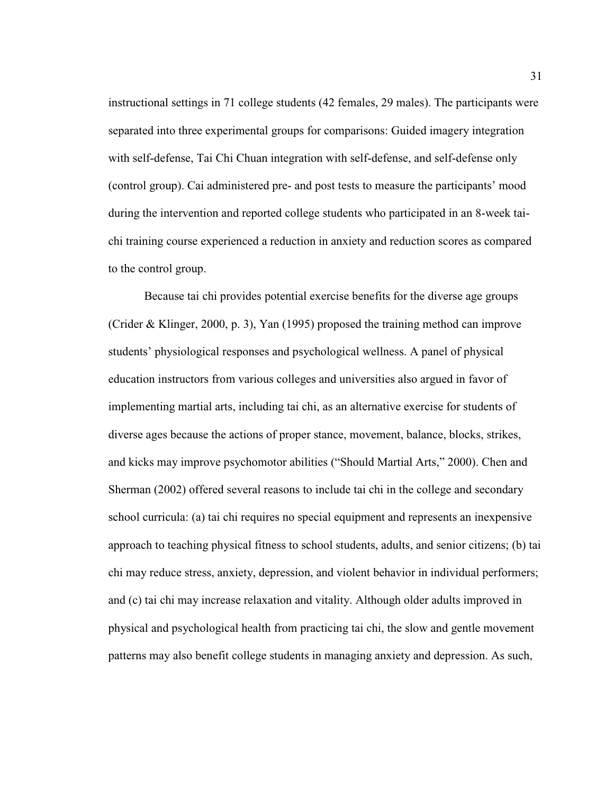instructional settings in 71 college students (42 females, 29 males). The participants were separated into three experimental groups for comparisons: Guided imagery integration with self-defense, Tai Chi Chuan integration with self-defense, and self-defense only (control group). Cai administered pre- and post tests to measure the participants' mood during the intervention and reported college students who participated in an 8-week taichi training course experienced a reduction in anxiety and reduction scores as compared to the control group.

 Because tai chi provides potential exercise benefits for the diverse age groups (Crider & Klinger, 2000, p. 3), Yan (1995) proposed the training method can improve students' physiological responses and psychological wellness. A panel of physical education instructors from various colleges and universities also argued in favor of implementing martial arts, including tai chi, as an alternative exercise for students of diverse ages because the actions of proper stance, movement, balance, blocks, strikes, and kicks may improve psychomotor abilities ("Should Martial Arts," 2000). Chen and Sherman (2002) offered several reasons to include tai chi in the college and secondary school curricula: (a) tai chi requires no special equipment and represents an inexpensive approach to teaching physical fitness to school students, adults, and senior citizens; (b) tai chi may reduce stress, anxiety, depression, and violent behavior in individual performers; and (c) tai chi may increase relaxation and vitality. Although older adults improved in physical and psychological health from practicing tai chi, the slow and gentle movement patterns may also benefit college students in managing anxiety and depression. As such,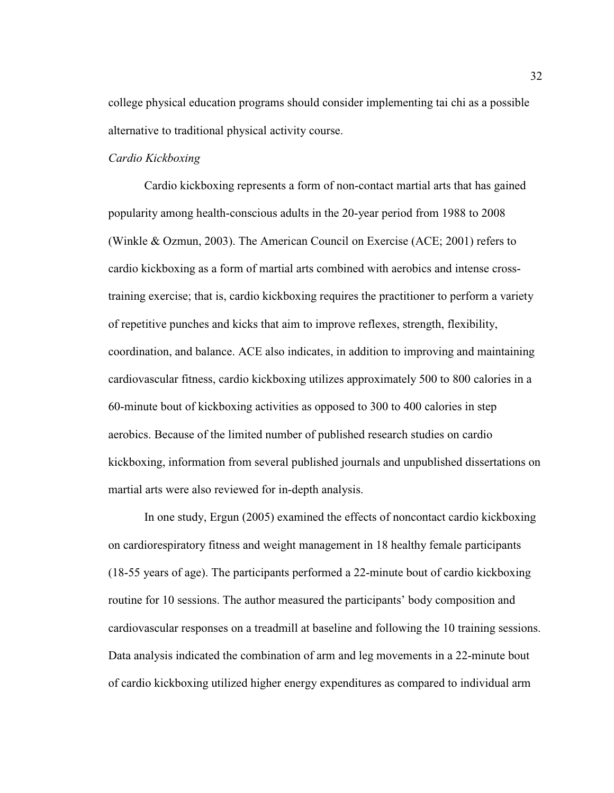college physical education programs should consider implementing tai chi as a possible alternative to traditional physical activity course.

## *Cardio Kickboxing*

Cardio kickboxing represents a form of non-contact martial arts that has gained popularity among health-conscious adults in the 20-year period from 1988 to 2008 (Winkle & Ozmun, 2003). The American Council on Exercise (ACE; 2001) refers to cardio kickboxing as a form of martial arts combined with aerobics and intense crosstraining exercise; that is, cardio kickboxing requires the practitioner to perform a variety of repetitive punches and kicks that aim to improve reflexes, strength, flexibility, coordination, and balance. ACE also indicates, in addition to improving and maintaining cardiovascular fitness, cardio kickboxing utilizes approximately 500 to 800 calories in a 60-minute bout of kickboxing activities as opposed to 300 to 400 calories in step aerobics. Because of the limited number of published research studies on cardio kickboxing, information from several published journals and unpublished dissertations on martial arts were also reviewed for in-depth analysis.

In one study, Ergun (2005) examined the effects of noncontact cardio kickboxing on cardiorespiratory fitness and weight management in 18 healthy female participants (18-55 years of age). The participants performed a 22-minute bout of cardio kickboxing routine for 10 sessions. The author measured the participants' body composition and cardiovascular responses on a treadmill at baseline and following the 10 training sessions. Data analysis indicated the combination of arm and leg movements in a 22-minute bout of cardio kickboxing utilized higher energy expenditures as compared to individual arm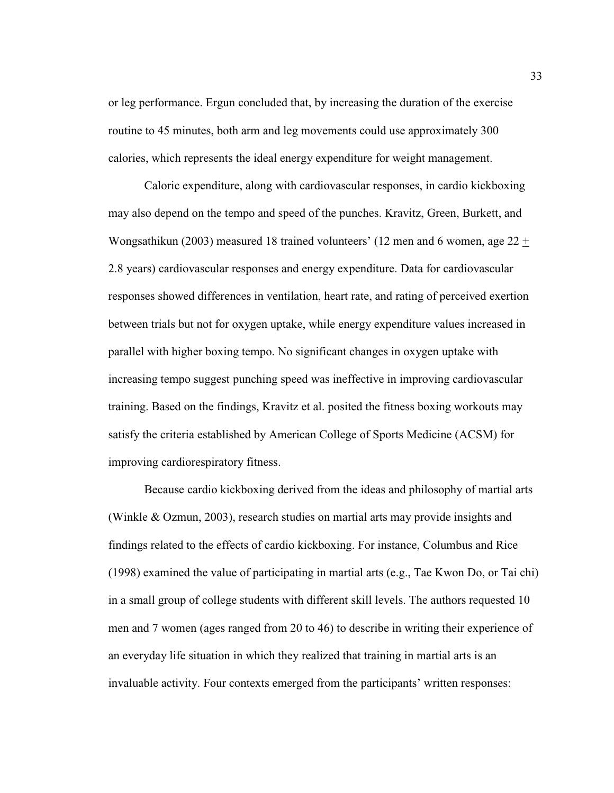or leg performance. Ergun concluded that, by increasing the duration of the exercise routine to 45 minutes, both arm and leg movements could use approximately 300 calories, which represents the ideal energy expenditure for weight management.

Caloric expenditure, along with cardiovascular responses, in cardio kickboxing may also depend on the tempo and speed of the punches. Kravitz, Green, Burkett, and Wongsathikun (2003) measured 18 trained volunteers' (12 men and 6 women, age  $22 \pm$ 2.8 years) cardiovascular responses and energy expenditure. Data for cardiovascular responses showed differences in ventilation, heart rate, and rating of perceived exertion between trials but not for oxygen uptake, while energy expenditure values increased in parallel with higher boxing tempo. No significant changes in oxygen uptake with increasing tempo suggest punching speed was ineffective in improving cardiovascular training. Based on the findings, Kravitz et al. posited the fitness boxing workouts may satisfy the criteria established by American College of Sports Medicine (ACSM) for improving cardiorespiratory fitness.

Because cardio kickboxing derived from the ideas and philosophy of martial arts (Winkle & Ozmun, 2003), research studies on martial arts may provide insights and findings related to the effects of cardio kickboxing. For instance, Columbus and Rice (1998) examined the value of participating in martial arts (e.g., Tae Kwon Do, or Tai chi) in a small group of college students with different skill levels. The authors requested 10 men and 7 women (ages ranged from 20 to 46) to describe in writing their experience of an everyday life situation in which they realized that training in martial arts is an invaluable activity. Four contexts emerged from the participants' written responses: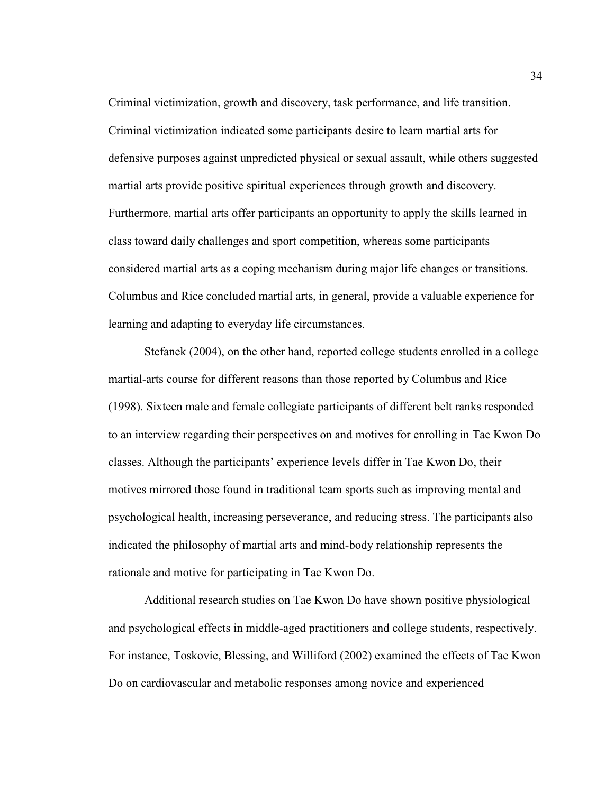Criminal victimization, growth and discovery, task performance, and life transition. Criminal victimization indicated some participants desire to learn martial arts for defensive purposes against unpredicted physical or sexual assault, while others suggested martial arts provide positive spiritual experiences through growth and discovery. Furthermore, martial arts offer participants an opportunity to apply the skills learned in class toward daily challenges and sport competition, whereas some participants considered martial arts as a coping mechanism during major life changes or transitions. Columbus and Rice concluded martial arts, in general, provide a valuable experience for learning and adapting to everyday life circumstances.

Stefanek (2004), on the other hand, reported college students enrolled in a college martial-arts course for different reasons than those reported by Columbus and Rice (1998). Sixteen male and female collegiate participants of different belt ranks responded to an interview regarding their perspectives on and motives for enrolling in Tae Kwon Do classes. Although the participants' experience levels differ in Tae Kwon Do, their motives mirrored those found in traditional team sports such as improving mental and psychological health, increasing perseverance, and reducing stress. The participants also indicated the philosophy of martial arts and mind-body relationship represents the rationale and motive for participating in Tae Kwon Do.

Additional research studies on Tae Kwon Do have shown positive physiological and psychological effects in middle-aged practitioners and college students, respectively. For instance, Toskovic, Blessing, and Williford (2002) examined the effects of Tae Kwon Do on cardiovascular and metabolic responses among novice and experienced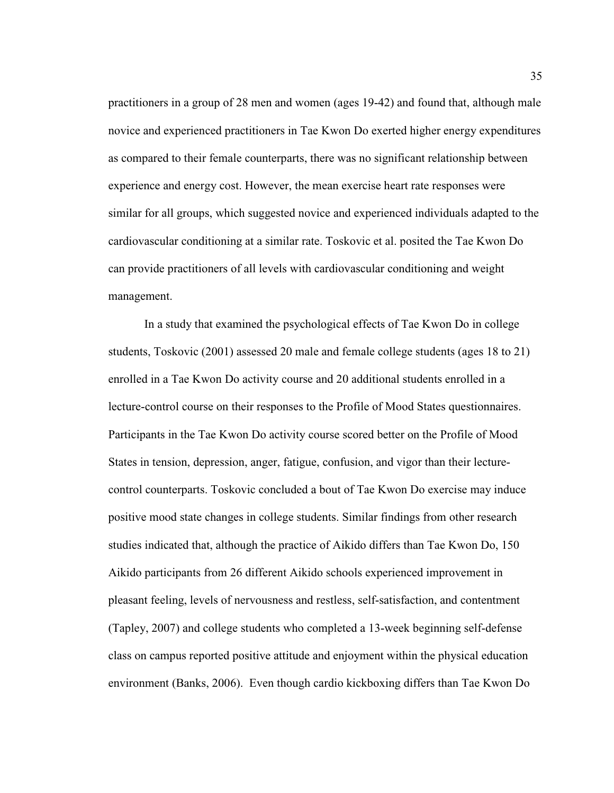practitioners in a group of 28 men and women (ages 19-42) and found that, although male novice and experienced practitioners in Tae Kwon Do exerted higher energy expenditures as compared to their female counterparts, there was no significant relationship between experience and energy cost. However, the mean exercise heart rate responses were similar for all groups, which suggested novice and experienced individuals adapted to the cardiovascular conditioning at a similar rate. Toskovic et al. posited the Tae Kwon Do can provide practitioners of all levels with cardiovascular conditioning and weight management.

In a study that examined the psychological effects of Tae Kwon Do in college students, Toskovic (2001) assessed 20 male and female college students (ages 18 to 21) enrolled in a Tae Kwon Do activity course and 20 additional students enrolled in a lecture-control course on their responses to the Profile of Mood States questionnaires. Participants in the Tae Kwon Do activity course scored better on the Profile of Mood States in tension, depression, anger, fatigue, confusion, and vigor than their lecturecontrol counterparts. Toskovic concluded a bout of Tae Kwon Do exercise may induce positive mood state changes in college students. Similar findings from other research studies indicated that, although the practice of Aikido differs than Tae Kwon Do, 150 Aikido participants from 26 different Aikido schools experienced improvement in pleasant feeling, levels of nervousness and restless, self-satisfaction, and contentment (Tapley, 2007) and college students who completed a 13-week beginning self-defense class on campus reported positive attitude and enjoyment within the physical education environment (Banks, 2006). Even though cardio kickboxing differs than Tae Kwon Do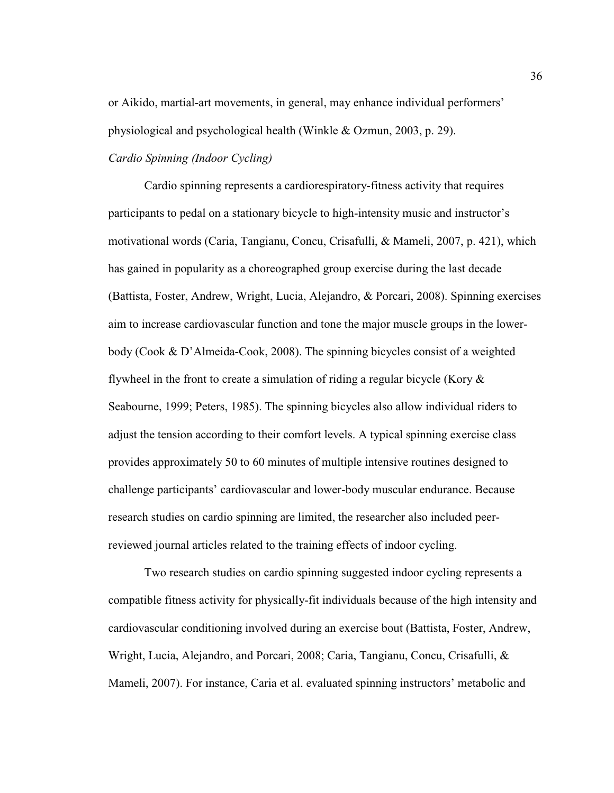or Aikido, martial-art movements, in general, may enhance individual performers' physiological and psychological health (Winkle & Ozmun, 2003, p. 29).

# *Cardio Spinning (Indoor Cycling)*

 Cardio spinning represents a cardiorespiratory-fitness activity that requires participants to pedal on a stationary bicycle to high-intensity music and instructor's motivational words (Caria, Tangianu, Concu, Crisafulli, & Mameli, 2007, p. 421), which has gained in popularity as a choreographed group exercise during the last decade (Battista, Foster, Andrew, Wright, Lucia, Alejandro, & Porcari, 2008). Spinning exercises aim to increase cardiovascular function and tone the major muscle groups in the lowerbody (Cook & D'Almeida-Cook, 2008). The spinning bicycles consist of a weighted flywheel in the front to create a simulation of riding a regular bicycle (Kory  $\&$ Seabourne, 1999; Peters, 1985). The spinning bicycles also allow individual riders to adjust the tension according to their comfort levels. A typical spinning exercise class provides approximately 50 to 60 minutes of multiple intensive routines designed to challenge participants' cardiovascular and lower-body muscular endurance. Because research studies on cardio spinning are limited, the researcher also included peerreviewed journal articles related to the training effects of indoor cycling.

 Two research studies on cardio spinning suggested indoor cycling represents a compatible fitness activity for physically-fit individuals because of the high intensity and cardiovascular conditioning involved during an exercise bout (Battista, Foster, Andrew, Wright, Lucia, Alejandro, and Porcari, 2008; Caria, Tangianu, Concu, Crisafulli, & Mameli, 2007). For instance, Caria et al. evaluated spinning instructors' metabolic and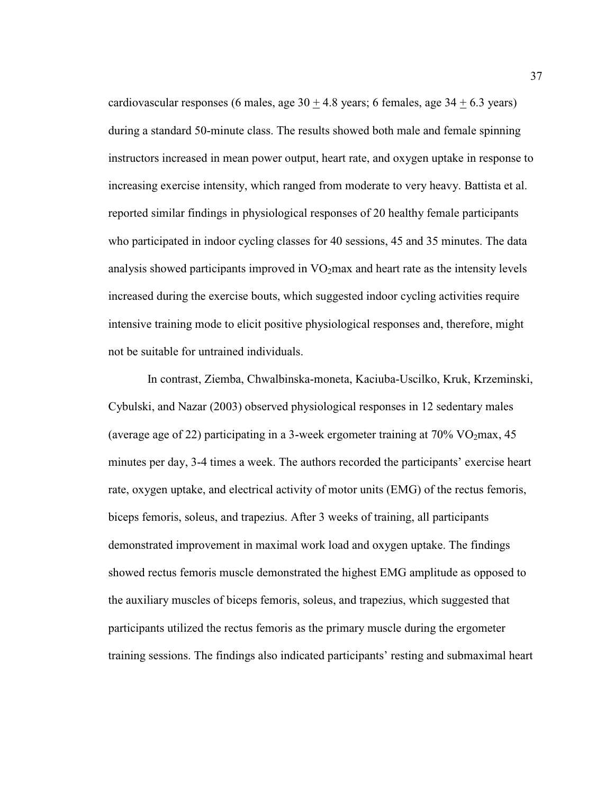cardiovascular responses (6 males, age  $30 \pm 4.8$  years; 6 females, age  $34 \pm 6.3$  years) during a standard 50-minute class. The results showed both male and female spinning instructors increased in mean power output, heart rate, and oxygen uptake in response to increasing exercise intensity, which ranged from moderate to very heavy. Battista et al. reported similar findings in physiological responses of 20 healthy female participants who participated in indoor cycling classes for 40 sessions, 45 and 35 minutes. The data analysis showed participants improved in  $VO<sub>2</sub>$  max and heart rate as the intensity levels increased during the exercise bouts, which suggested indoor cycling activities require intensive training mode to elicit positive physiological responses and, therefore, might not be suitable for untrained individuals.

 In contrast, Ziemba, Chwalbinska-moneta, Kaciuba-Uscilko, Kruk, Krzeminski, Cybulski, and Nazar (2003) observed physiological responses in 12 sedentary males (average age of 22) participating in a 3-week ergometer training at  $70\%$  VO<sub>2</sub>max, 45 minutes per day, 3-4 times a week. The authors recorded the participants' exercise heart rate, oxygen uptake, and electrical activity of motor units (EMG) of the rectus femoris, biceps femoris, soleus, and trapezius. After 3 weeks of training, all participants demonstrated improvement in maximal work load and oxygen uptake. The findings showed rectus femoris muscle demonstrated the highest EMG amplitude as opposed to the auxiliary muscles of biceps femoris, soleus, and trapezius, which suggested that participants utilized the rectus femoris as the primary muscle during the ergometer training sessions. The findings also indicated participants' resting and submaximal heart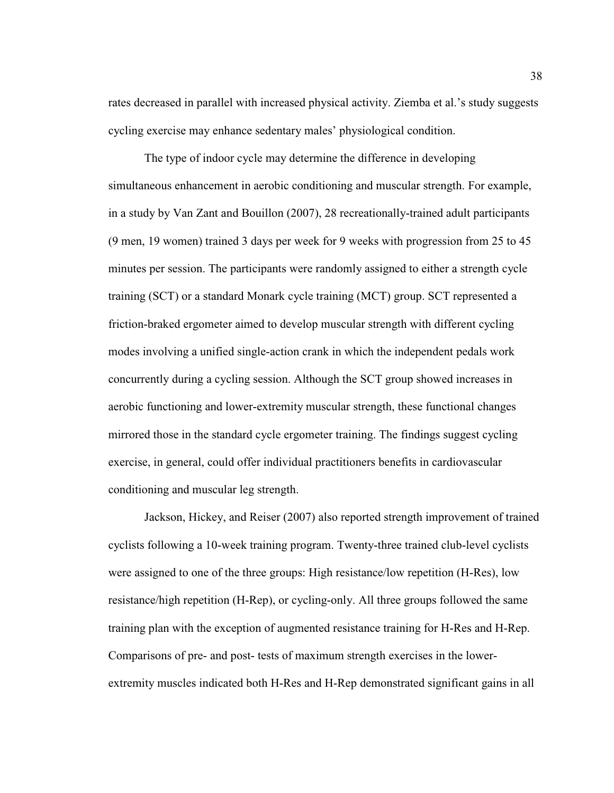rates decreased in parallel with increased physical activity. Ziemba et al.'s study suggests cycling exercise may enhance sedentary males' physiological condition.

 The type of indoor cycle may determine the difference in developing simultaneous enhancement in aerobic conditioning and muscular strength. For example, in a study by Van Zant and Bouillon (2007), 28 recreationally-trained adult participants (9 men, 19 women) trained 3 days per week for 9 weeks with progression from 25 to 45 minutes per session. The participants were randomly assigned to either a strength cycle training (SCT) or a standard Monark cycle training (MCT) group. SCT represented a friction-braked ergometer aimed to develop muscular strength with different cycling modes involving a unified single-action crank in which the independent pedals work concurrently during a cycling session. Although the SCT group showed increases in aerobic functioning and lower-extremity muscular strength, these functional changes mirrored those in the standard cycle ergometer training. The findings suggest cycling exercise, in general, could offer individual practitioners benefits in cardiovascular conditioning and muscular leg strength.

 Jackson, Hickey, and Reiser (2007) also reported strength improvement of trained cyclists following a 10-week training program. Twenty-three trained club-level cyclists were assigned to one of the three groups: High resistance/low repetition (H-Res), low resistance/high repetition (H-Rep), or cycling-only. All three groups followed the same training plan with the exception of augmented resistance training for H-Res and H-Rep. Comparisons of pre- and post- tests of maximum strength exercises in the lowerextremity muscles indicated both H-Res and H-Rep demonstrated significant gains in all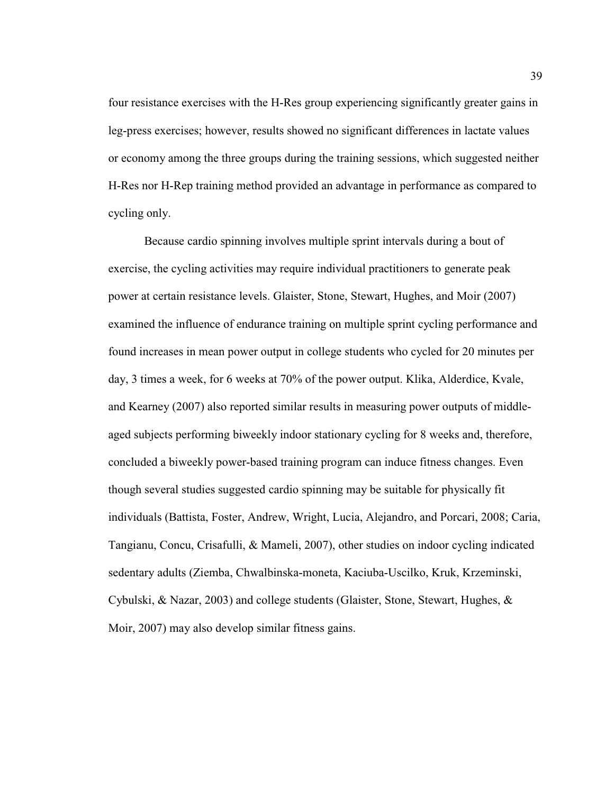four resistance exercises with the H-Res group experiencing significantly greater gains in leg-press exercises; however, results showed no significant differences in lactate values or economy among the three groups during the training sessions, which suggested neither H-Res nor H-Rep training method provided an advantage in performance as compared to cycling only.

 Because cardio spinning involves multiple sprint intervals during a bout of exercise, the cycling activities may require individual practitioners to generate peak power at certain resistance levels. Glaister, Stone, Stewart, Hughes, and Moir (2007) examined the influence of endurance training on multiple sprint cycling performance and found increases in mean power output in college students who cycled for 20 minutes per day, 3 times a week, for 6 weeks at 70% of the power output. Klika, Alderdice, Kvale, and Kearney (2007) also reported similar results in measuring power outputs of middleaged subjects performing biweekly indoor stationary cycling for 8 weeks and, therefore, concluded a biweekly power-based training program can induce fitness changes. Even though several studies suggested cardio spinning may be suitable for physically fit individuals (Battista, Foster, Andrew, Wright, Lucia, Alejandro, and Porcari, 2008; Caria, Tangianu, Concu, Crisafulli, & Mameli, 2007), other studies on indoor cycling indicated sedentary adults (Ziemba, Chwalbinska-moneta, Kaciuba-Uscilko, Kruk, Krzeminski, Cybulski, & Nazar, 2003) and college students (Glaister, Stone, Stewart, Hughes, & Moir, 2007) may also develop similar fitness gains.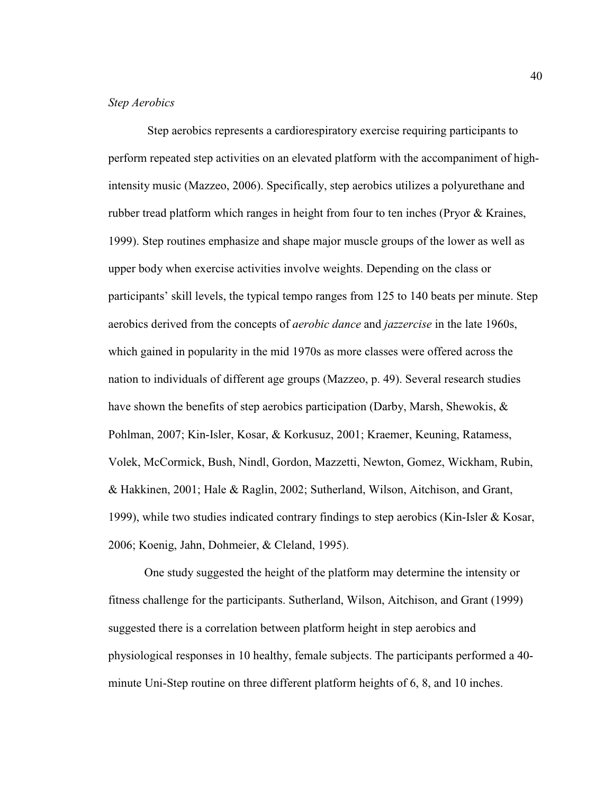# *Step Aerobics*

 Step aerobics represents a cardiorespiratory exercise requiring participants to perform repeated step activities on an elevated platform with the accompaniment of highintensity music (Mazzeo, 2006). Specifically, step aerobics utilizes a polyurethane and rubber tread platform which ranges in height from four to ten inches (Pryor & Kraines, 1999). Step routines emphasize and shape major muscle groups of the lower as well as upper body when exercise activities involve weights. Depending on the class or participants' skill levels, the typical tempo ranges from 125 to 140 beats per minute. Step aerobics derived from the concepts of *aerobic dance* and *jazzercise* in the late 1960s, which gained in popularity in the mid 1970s as more classes were offered across the nation to individuals of different age groups (Mazzeo, p. 49). Several research studies have shown the benefits of step aerobics participation (Darby, Marsh, Shewokis,  $\&$ Pohlman, 2007; Kin-Isler, Kosar, & Korkusuz, 2001; Kraemer, Keuning, Ratamess, Volek, McCormick, Bush, Nindl, Gordon, Mazzetti, Newton, Gomez, Wickham, Rubin, & Hakkinen, 2001; Hale & Raglin, 2002; Sutherland, Wilson, Aitchison, and Grant, 1999), while two studies indicated contrary findings to step aerobics (Kin-Isler & Kosar, 2006; Koenig, Jahn, Dohmeier, & Cleland, 1995).

 One study suggested the height of the platform may determine the intensity or fitness challenge for the participants. Sutherland, Wilson, Aitchison, and Grant (1999) suggested there is a correlation between platform height in step aerobics and physiological responses in 10 healthy, female subjects. The participants performed a 40 minute Uni-Step routine on three different platform heights of 6, 8, and 10 inches.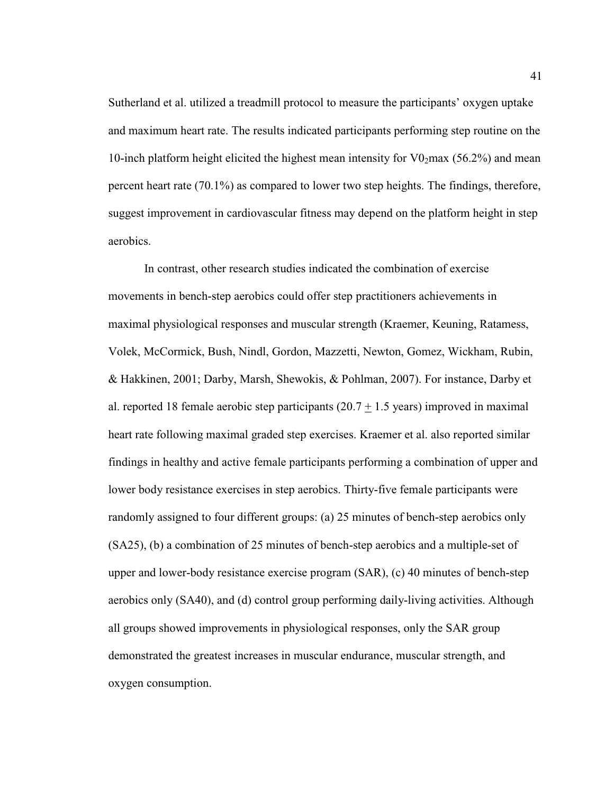Sutherland et al. utilized a treadmill protocol to measure the participants' oxygen uptake and maximum heart rate. The results indicated participants performing step routine on the 10-inch platform height elicited the highest mean intensity for  $\sqrt{0.296}$  and mean percent heart rate (70.1%) as compared to lower two step heights. The findings, therefore, suggest improvement in cardiovascular fitness may depend on the platform height in step aerobics.

 In contrast, other research studies indicated the combination of exercise movements in bench-step aerobics could offer step practitioners achievements in maximal physiological responses and muscular strength (Kraemer, Keuning, Ratamess, Volek, McCormick, Bush, Nindl, Gordon, Mazzetti, Newton, Gomez, Wickham, Rubin, & Hakkinen, 2001; Darby, Marsh, Shewokis, & Pohlman, 2007). For instance, Darby et al. reported 18 female aerobic step participants  $(20.7 + 1.5$  years) improved in maximal heart rate following maximal graded step exercises. Kraemer et al. also reported similar findings in healthy and active female participants performing a combination of upper and lower body resistance exercises in step aerobics. Thirty-five female participants were randomly assigned to four different groups: (a) 25 minutes of bench-step aerobics only (SA25), (b) a combination of 25 minutes of bench-step aerobics and a multiple-set of upper and lower-body resistance exercise program (SAR), (c) 40 minutes of bench-step aerobics only (SA40), and (d) control group performing daily-living activities. Although all groups showed improvements in physiological responses, only the SAR group demonstrated the greatest increases in muscular endurance, muscular strength, and oxygen consumption.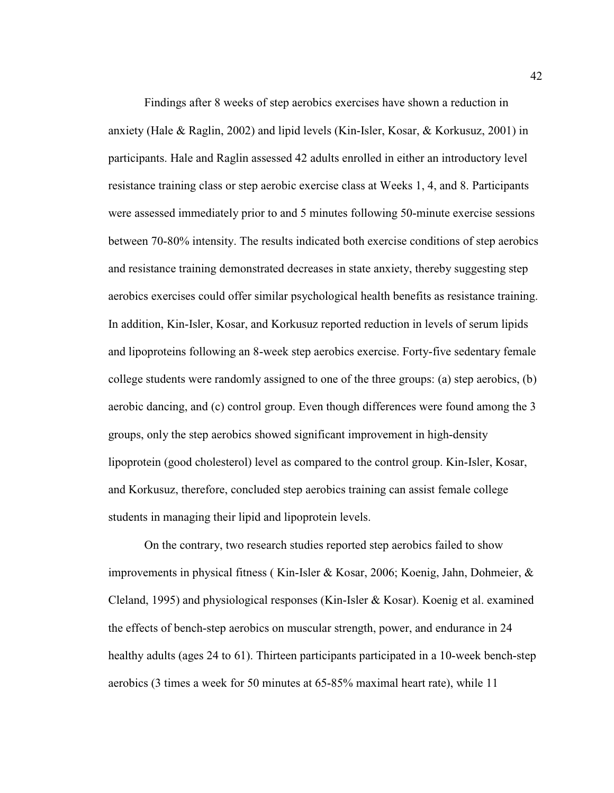Findings after 8 weeks of step aerobics exercises have shown a reduction in anxiety (Hale & Raglin, 2002) and lipid levels (Kin-Isler, Kosar, & Korkusuz, 2001) in participants. Hale and Raglin assessed 42 adults enrolled in either an introductory level resistance training class or step aerobic exercise class at Weeks 1, 4, and 8. Participants were assessed immediately prior to and 5 minutes following 50-minute exercise sessions between 70-80% intensity. The results indicated both exercise conditions of step aerobics and resistance training demonstrated decreases in state anxiety, thereby suggesting step aerobics exercises could offer similar psychological health benefits as resistance training. In addition, Kin-Isler, Kosar, and Korkusuz reported reduction in levels of serum lipids and lipoproteins following an 8-week step aerobics exercise. Forty-five sedentary female college students were randomly assigned to one of the three groups: (a) step aerobics, (b) aerobic dancing, and (c) control group. Even though differences were found among the 3 groups, only the step aerobics showed significant improvement in high-density lipoprotein (good cholesterol) level as compared to the control group. Kin-Isler, Kosar, and Korkusuz, therefore, concluded step aerobics training can assist female college students in managing their lipid and lipoprotein levels.

 On the contrary, two research studies reported step aerobics failed to show improvements in physical fitness ( Kin-Isler & Kosar, 2006; Koenig, Jahn, Dohmeier, & Cleland, 1995) and physiological responses (Kin-Isler & Kosar). Koenig et al. examined the effects of bench-step aerobics on muscular strength, power, and endurance in 24 healthy adults (ages 24 to 61). Thirteen participants participated in a 10-week bench-step aerobics (3 times a week for 50 minutes at 65-85% maximal heart rate), while 11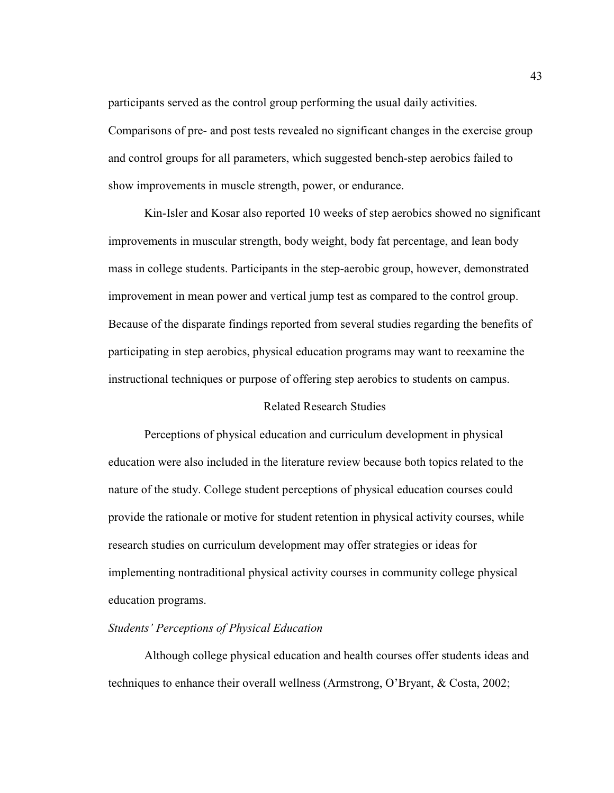participants served as the control group performing the usual daily activities.

Comparisons of pre- and post tests revealed no significant changes in the exercise group and control groups for all parameters, which suggested bench-step aerobics failed to show improvements in muscle strength, power, or endurance.

Kin-Isler and Kosar also reported 10 weeks of step aerobics showed no significant improvements in muscular strength, body weight, body fat percentage, and lean body mass in college students. Participants in the step-aerobic group, however, demonstrated improvement in mean power and vertical jump test as compared to the control group. Because of the disparate findings reported from several studies regarding the benefits of participating in step aerobics, physical education programs may want to reexamine the instructional techniques or purpose of offering step aerobics to students on campus.

# Related Research Studies

 Perceptions of physical education and curriculum development in physical education were also included in the literature review because both topics related to the nature of the study. College student perceptions of physical education courses could provide the rationale or motive for student retention in physical activity courses, while research studies on curriculum development may offer strategies or ideas for implementing nontraditional physical activity courses in community college physical education programs.

# *Students' Perceptions of Physical Education*

 Although college physical education and health courses offer students ideas and techniques to enhance their overall wellness (Armstrong, O'Bryant, & Costa, 2002;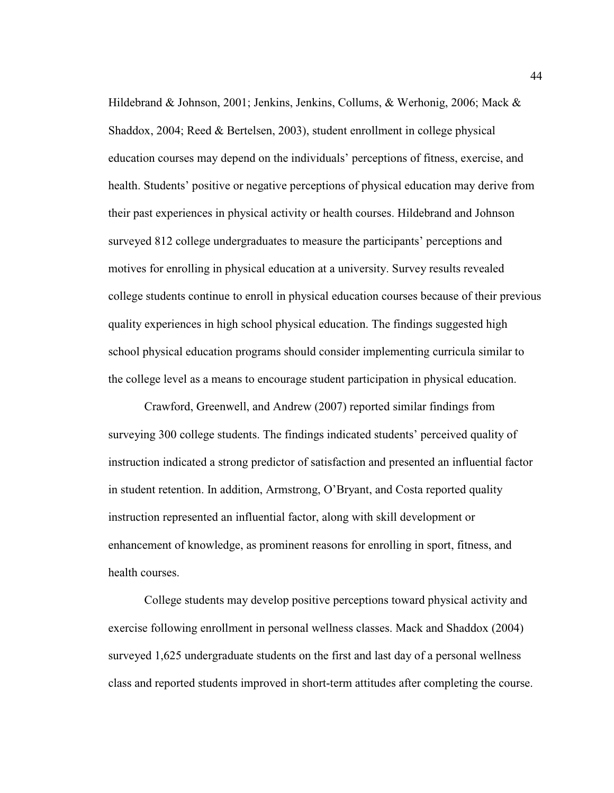Hildebrand & Johnson, 2001; Jenkins, Jenkins, Collums, & Werhonig, 2006; Mack & Shaddox, 2004; Reed & Bertelsen, 2003), student enrollment in college physical education courses may depend on the individuals' perceptions of fitness, exercise, and health. Students' positive or negative perceptions of physical education may derive from their past experiences in physical activity or health courses. Hildebrand and Johnson surveyed 812 college undergraduates to measure the participants' perceptions and motives for enrolling in physical education at a university. Survey results revealed college students continue to enroll in physical education courses because of their previous quality experiences in high school physical education. The findings suggested high school physical education programs should consider implementing curricula similar to the college level as a means to encourage student participation in physical education.

 Crawford, Greenwell, and Andrew (2007) reported similar findings from surveying 300 college students. The findings indicated students' perceived quality of instruction indicated a strong predictor of satisfaction and presented an influential factor in student retention. In addition, Armstrong, O'Bryant, and Costa reported quality instruction represented an influential factor, along with skill development or enhancement of knowledge, as prominent reasons for enrolling in sport, fitness, and health courses.

 College students may develop positive perceptions toward physical activity and exercise following enrollment in personal wellness classes. Mack and Shaddox (2004) surveyed 1,625 undergraduate students on the first and last day of a personal wellness class and reported students improved in short-term attitudes after completing the course.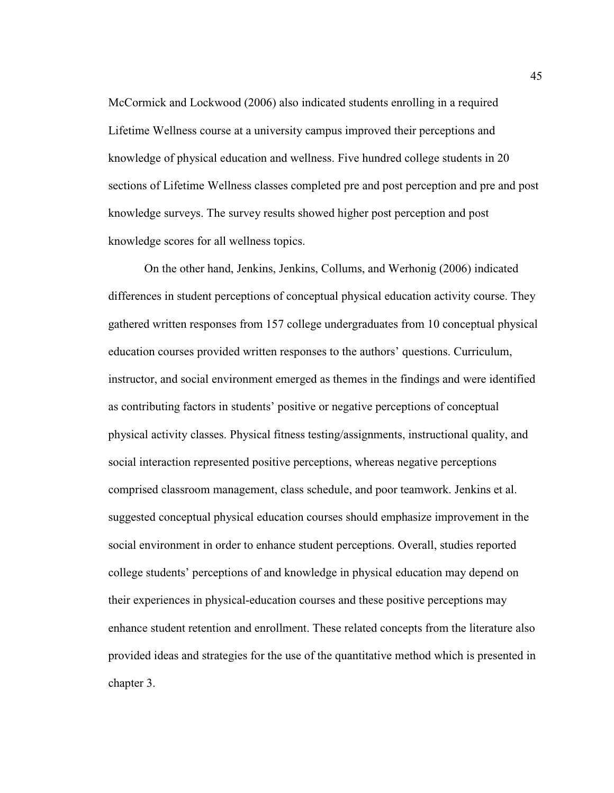McCormick and Lockwood (2006) also indicated students enrolling in a required Lifetime Wellness course at a university campus improved their perceptions and knowledge of physical education and wellness. Five hundred college students in 20 sections of Lifetime Wellness classes completed pre and post perception and pre and post knowledge surveys. The survey results showed higher post perception and post knowledge scores for all wellness topics.

 On the other hand, Jenkins, Jenkins, Collums, and Werhonig (2006) indicated differences in student perceptions of conceptual physical education activity course. They gathered written responses from 157 college undergraduates from 10 conceptual physical education courses provided written responses to the authors' questions. Curriculum, instructor, and social environment emerged as themes in the findings and were identified as contributing factors in students' positive or negative perceptions of conceptual physical activity classes. Physical fitness testing/assignments, instructional quality, and social interaction represented positive perceptions, whereas negative perceptions comprised classroom management, class schedule, and poor teamwork. Jenkins et al. suggested conceptual physical education courses should emphasize improvement in the social environment in order to enhance student perceptions. Overall, studies reported college students' perceptions of and knowledge in physical education may depend on their experiences in physical-education courses and these positive perceptions may enhance student retention and enrollment. These related concepts from the literature also provided ideas and strategies for the use of the quantitative method which is presented in chapter 3.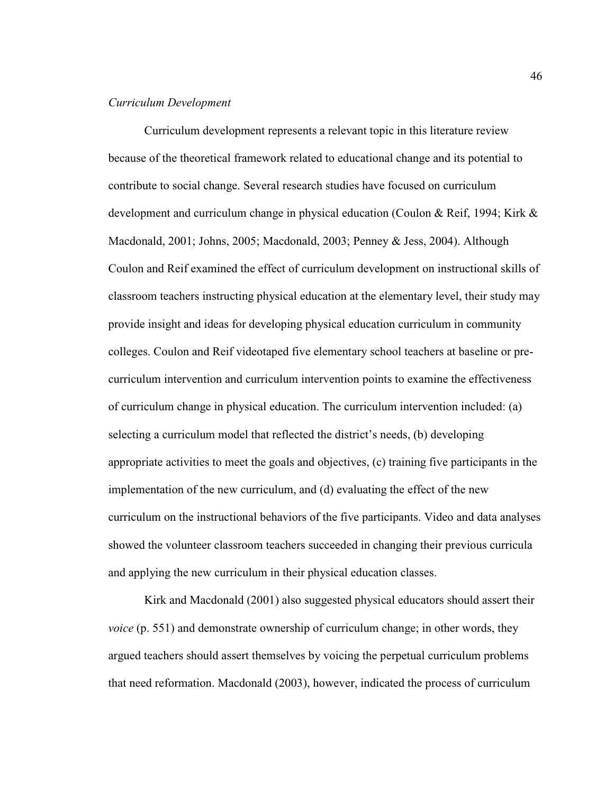## *Curriculum Development*

 Curriculum development represents a relevant topic in this literature review because of the theoretical framework related to educational change and its potential to contribute to social change. Several research studies have focused on curriculum development and curriculum change in physical education (Coulon & Reif, 1994; Kirk & Macdonald, 2001; Johns, 2005; Macdonald, 2003; Penney & Jess, 2004). Although Coulon and Reif examined the effect of curriculum development on instructional skills of classroom teachers instructing physical education at the elementary level, their study may provide insight and ideas for developing physical education curriculum in community colleges. Coulon and Reif videotaped five elementary school teachers at baseline or precurriculum intervention and curriculum intervention points to examine the effectiveness of curriculum change in physical education. The curriculum intervention included: (a) selecting a curriculum model that reflected the district's needs, (b) developing appropriate activities to meet the goals and objectives, (c) training five participants in the implementation of the new curriculum, and (d) evaluating the effect of the new curriculum on the instructional behaviors of the five participants. Video and data analyses showed the volunteer classroom teachers succeeded in changing their previous curricula and applying the new curriculum in their physical education classes.

 Kirk and Macdonald (2001) also suggested physical educators should assert their *voice* (p. 551) and demonstrate ownership of curriculum change; in other words, they argued teachers should assert themselves by voicing the perpetual curriculum problems that need reformation. Macdonald (2003), however, indicated the process of curriculum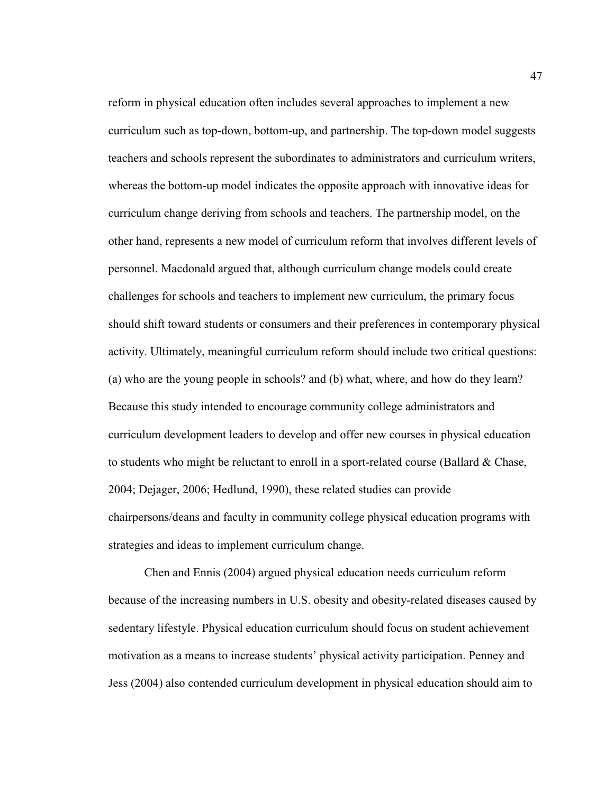reform in physical education often includes several approaches to implement a new curriculum such as top-down, bottom-up, and partnership. The top-down model suggests teachers and schools represent the subordinates to administrators and curriculum writers, whereas the bottom-up model indicates the opposite approach with innovative ideas for curriculum change deriving from schools and teachers. The partnership model, on the other hand, represents a new model of curriculum reform that involves different levels of personnel. Macdonald argued that, although curriculum change models could create challenges for schools and teachers to implement new curriculum, the primary focus should shift toward students or consumers and their preferences in contemporary physical activity. Ultimately, meaningful curriculum reform should include two critical questions: (a) who are the young people in schools? and (b) what, where, and how do they learn? Because this study intended to encourage community college administrators and curriculum development leaders to develop and offer new courses in physical education to students who might be reluctant to enroll in a sport-related course (Ballard & Chase, 2004; Dejager, 2006; Hedlund, 1990), these related studies can provide chairpersons/deans and faculty in community college physical education programs with strategies and ideas to implement curriculum change.

 Chen and Ennis (2004) argued physical education needs curriculum reform because of the increasing numbers in U.S. obesity and obesity-related diseases caused by sedentary lifestyle. Physical education curriculum should focus on student achievement motivation as a means to increase students' physical activity participation. Penney and Jess (2004) also contended curriculum development in physical education should aim to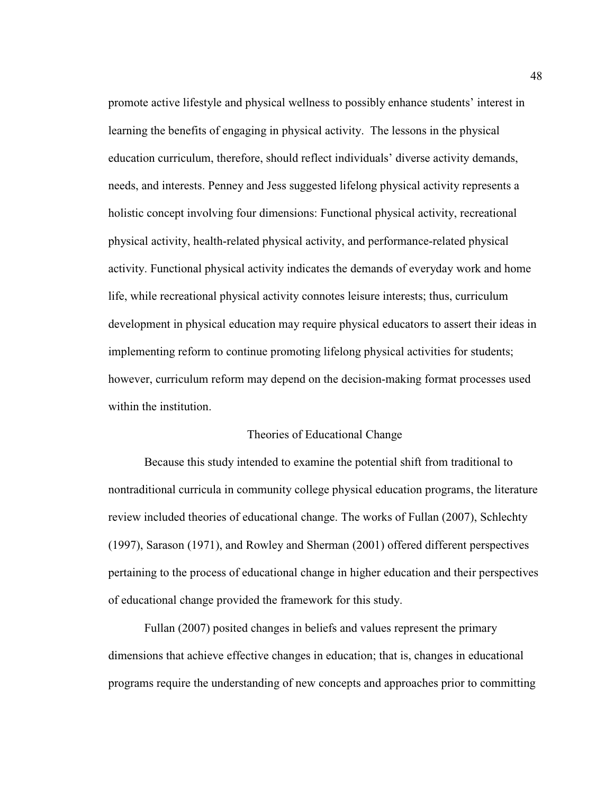promote active lifestyle and physical wellness to possibly enhance students' interest in learning the benefits of engaging in physical activity. The lessons in the physical education curriculum, therefore, should reflect individuals' diverse activity demands, needs, and interests. Penney and Jess suggested lifelong physical activity represents a holistic concept involving four dimensions: Functional physical activity, recreational physical activity, health-related physical activity, and performance-related physical activity. Functional physical activity indicates the demands of everyday work and home life, while recreational physical activity connotes leisure interests; thus, curriculum development in physical education may require physical educators to assert their ideas in implementing reform to continue promoting lifelong physical activities for students; however, curriculum reform may depend on the decision-making format processes used within the institution.

# Theories of Educational Change

 Because this study intended to examine the potential shift from traditional to nontraditional curricula in community college physical education programs, the literature review included theories of educational change. The works of Fullan (2007), Schlechty (1997), Sarason (1971), and Rowley and Sherman (2001) offered different perspectives pertaining to the process of educational change in higher education and their perspectives of educational change provided the framework for this study.

 Fullan (2007) posited changes in beliefs and values represent the primary dimensions that achieve effective changes in education; that is, changes in educational programs require the understanding of new concepts and approaches prior to committing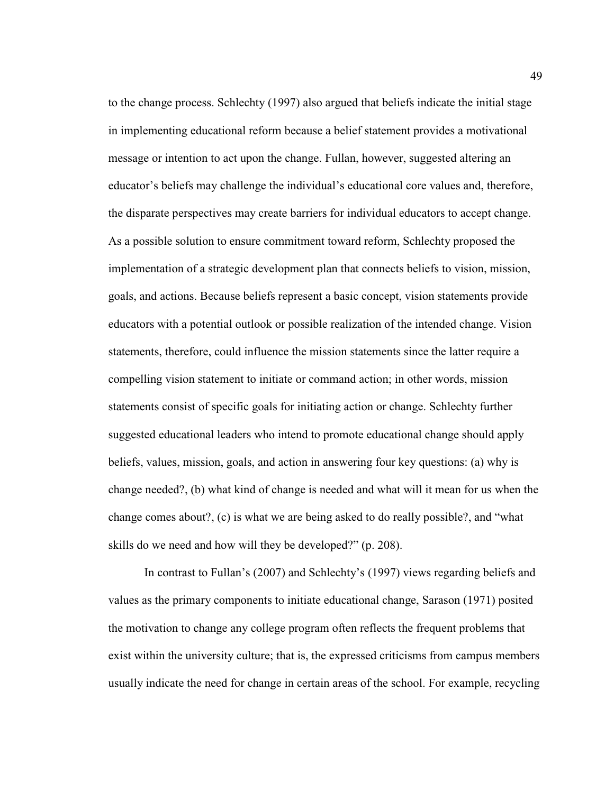to the change process. Schlechty (1997) also argued that beliefs indicate the initial stage in implementing educational reform because a belief statement provides a motivational message or intention to act upon the change. Fullan, however, suggested altering an educator's beliefs may challenge the individual's educational core values and, therefore, the disparate perspectives may create barriers for individual educators to accept change. As a possible solution to ensure commitment toward reform, Schlechty proposed the implementation of a strategic development plan that connects beliefs to vision, mission, goals, and actions. Because beliefs represent a basic concept, vision statements provide educators with a potential outlook or possible realization of the intended change. Vision statements, therefore, could influence the mission statements since the latter require a compelling vision statement to initiate or command action; in other words, mission statements consist of specific goals for initiating action or change. Schlechty further suggested educational leaders who intend to promote educational change should apply beliefs, values, mission, goals, and action in answering four key questions: (a) why is change needed?, (b) what kind of change is needed and what will it mean for us when the change comes about?, (c) is what we are being asked to do really possible?, and "what skills do we need and how will they be developed?" (p. 208).

 In contrast to Fullan's (2007) and Schlechty's (1997) views regarding beliefs and values as the primary components to initiate educational change, Sarason (1971) posited the motivation to change any college program often reflects the frequent problems that exist within the university culture; that is, the expressed criticisms from campus members usually indicate the need for change in certain areas of the school. For example, recycling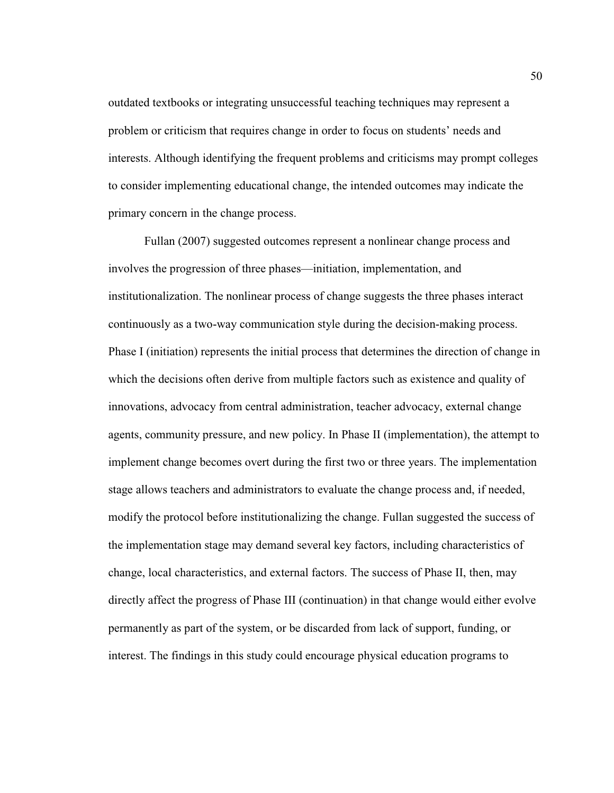outdated textbooks or integrating unsuccessful teaching techniques may represent a problem or criticism that requires change in order to focus on students' needs and interests. Although identifying the frequent problems and criticisms may prompt colleges to consider implementing educational change, the intended outcomes may indicate the primary concern in the change process.

 Fullan (2007) suggested outcomes represent a nonlinear change process and involves the progression of three phases—initiation, implementation, and institutionalization. The nonlinear process of change suggests the three phases interact continuously as a two-way communication style during the decision-making process. Phase I (initiation) represents the initial process that determines the direction of change in which the decisions often derive from multiple factors such as existence and quality of innovations, advocacy from central administration, teacher advocacy, external change agents, community pressure, and new policy. In Phase II (implementation), the attempt to implement change becomes overt during the first two or three years. The implementation stage allows teachers and administrators to evaluate the change process and, if needed, modify the protocol before institutionalizing the change. Fullan suggested the success of the implementation stage may demand several key factors, including characteristics of change, local characteristics, and external factors. The success of Phase II, then, may directly affect the progress of Phase III (continuation) in that change would either evolve permanently as part of the system, or be discarded from lack of support, funding, or interest. The findings in this study could encourage physical education programs to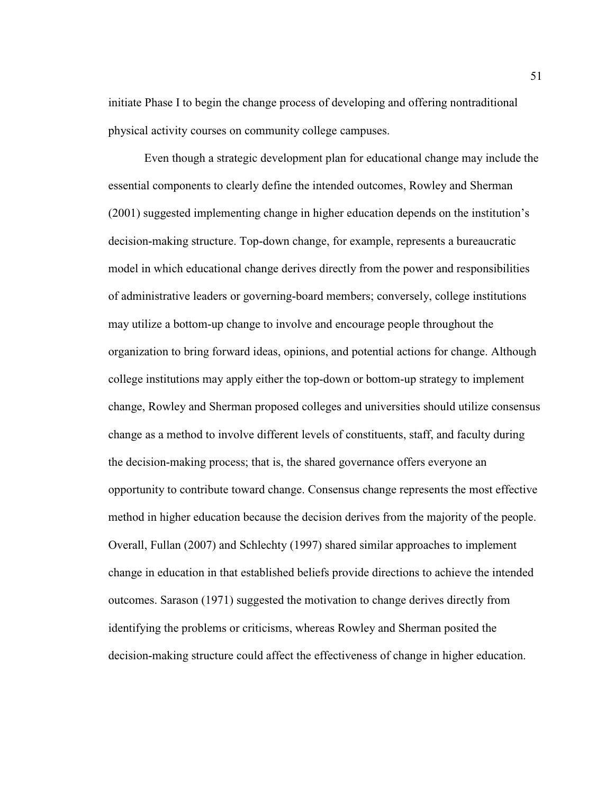initiate Phase I to begin the change process of developing and offering nontraditional physical activity courses on community college campuses.

 Even though a strategic development plan for educational change may include the essential components to clearly define the intended outcomes, Rowley and Sherman (2001) suggested implementing change in higher education depends on the institution's decision-making structure. Top-down change, for example, represents a bureaucratic model in which educational change derives directly from the power and responsibilities of administrative leaders or governing-board members; conversely, college institutions may utilize a bottom-up change to involve and encourage people throughout the organization to bring forward ideas, opinions, and potential actions for change. Although college institutions may apply either the top-down or bottom-up strategy to implement change, Rowley and Sherman proposed colleges and universities should utilize consensus change as a method to involve different levels of constituents, staff, and faculty during the decision-making process; that is, the shared governance offers everyone an opportunity to contribute toward change. Consensus change represents the most effective method in higher education because the decision derives from the majority of the people. Overall, Fullan (2007) and Schlechty (1997) shared similar approaches to implement change in education in that established beliefs provide directions to achieve the intended outcomes. Sarason (1971) suggested the motivation to change derives directly from identifying the problems or criticisms, whereas Rowley and Sherman posited the decision-making structure could affect the effectiveness of change in higher education.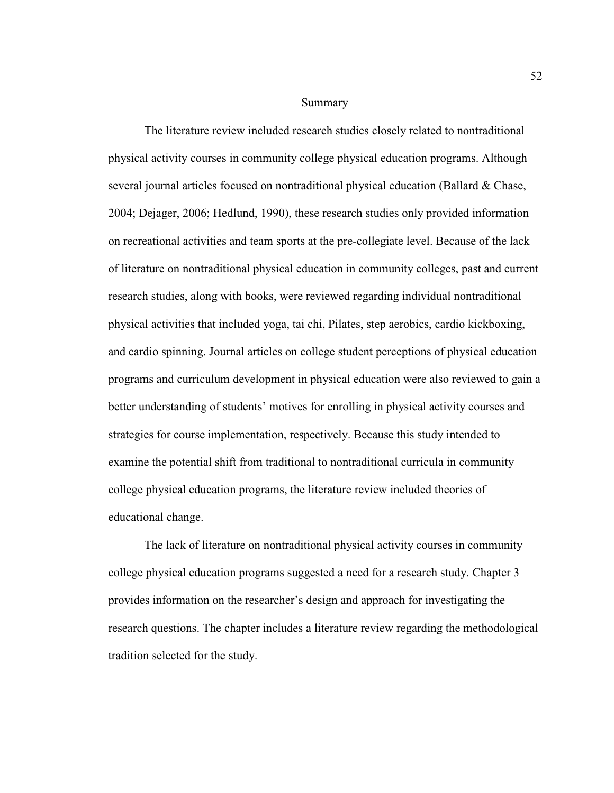#### Summary

The literature review included research studies closely related to nontraditional physical activity courses in community college physical education programs. Although several journal articles focused on nontraditional physical education (Ballard & Chase, 2004; Dejager, 2006; Hedlund, 1990), these research studies only provided information on recreational activities and team sports at the pre-collegiate level. Because of the lack of literature on nontraditional physical education in community colleges, past and current research studies, along with books, were reviewed regarding individual nontraditional physical activities that included yoga, tai chi, Pilates, step aerobics, cardio kickboxing, and cardio spinning. Journal articles on college student perceptions of physical education programs and curriculum development in physical education were also reviewed to gain a better understanding of students' motives for enrolling in physical activity courses and strategies for course implementation, respectively. Because this study intended to examine the potential shift from traditional to nontraditional curricula in community college physical education programs, the literature review included theories of educational change.

 The lack of literature on nontraditional physical activity courses in community college physical education programs suggested a need for a research study. Chapter 3 provides information on the researcher's design and approach for investigating the research questions. The chapter includes a literature review regarding the methodological tradition selected for the study.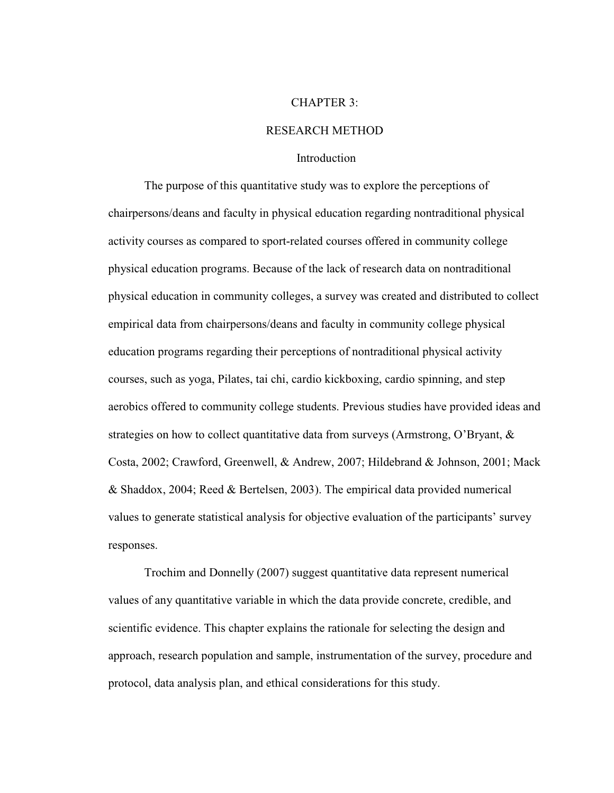#### CHAPTER 3:

## RESEARCH METHOD

## Introduction

 The purpose of this quantitative study was to explore the perceptions of chairpersons/deans and faculty in physical education regarding nontraditional physical activity courses as compared to sport-related courses offered in community college physical education programs. Because of the lack of research data on nontraditional physical education in community colleges, a survey was created and distributed to collect empirical data from chairpersons/deans and faculty in community college physical education programs regarding their perceptions of nontraditional physical activity courses, such as yoga, Pilates, tai chi, cardio kickboxing, cardio spinning, and step aerobics offered to community college students. Previous studies have provided ideas and strategies on how to collect quantitative data from surveys (Armstrong, O'Bryant, & Costa, 2002; Crawford, Greenwell, & Andrew, 2007; Hildebrand & Johnson, 2001; Mack & Shaddox, 2004; Reed & Bertelsen, 2003). The empirical data provided numerical values to generate statistical analysis for objective evaluation of the participants' survey responses.

 Trochim and Donnelly (2007) suggest quantitative data represent numerical values of any quantitative variable in which the data provide concrete, credible, and scientific evidence. This chapter explains the rationale for selecting the design and approach, research population and sample, instrumentation of the survey, procedure and protocol, data analysis plan, and ethical considerations for this study.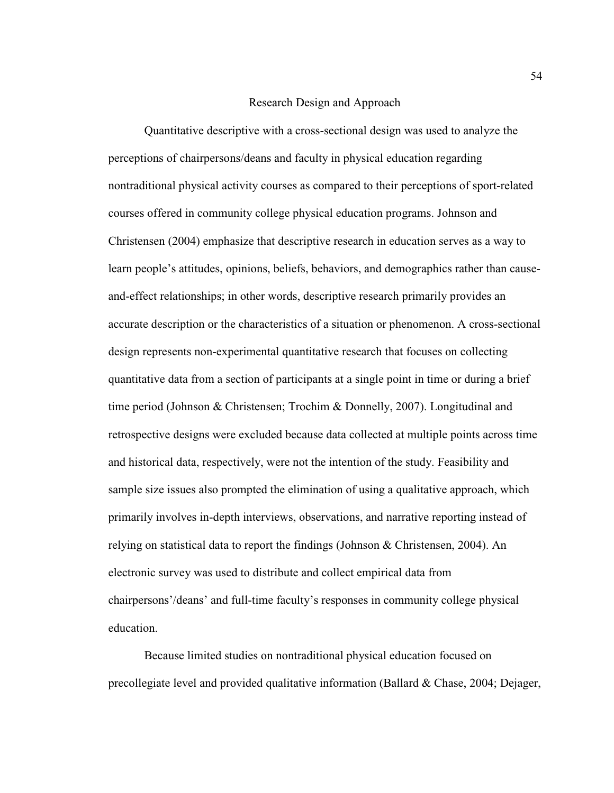## Research Design and Approach

 Quantitative descriptive with a cross-sectional design was used to analyze the perceptions of chairpersons/deans and faculty in physical education regarding nontraditional physical activity courses as compared to their perceptions of sport-related courses offered in community college physical education programs. Johnson and Christensen (2004) emphasize that descriptive research in education serves as a way to learn people's attitudes, opinions, beliefs, behaviors, and demographics rather than causeand-effect relationships; in other words, descriptive research primarily provides an accurate description or the characteristics of a situation or phenomenon. A cross-sectional design represents non-experimental quantitative research that focuses on collecting quantitative data from a section of participants at a single point in time or during a brief time period (Johnson & Christensen; Trochim & Donnelly, 2007). Longitudinal and retrospective designs were excluded because data collected at multiple points across time and historical data, respectively, were not the intention of the study. Feasibility and sample size issues also prompted the elimination of using a qualitative approach, which primarily involves in-depth interviews, observations, and narrative reporting instead of relying on statistical data to report the findings (Johnson & Christensen, 2004). An electronic survey was used to distribute and collect empirical data from chairpersons'/deans' and full-time faculty's responses in community college physical education.

 Because limited studies on nontraditional physical education focused on precollegiate level and provided qualitative information (Ballard & Chase, 2004; Dejager,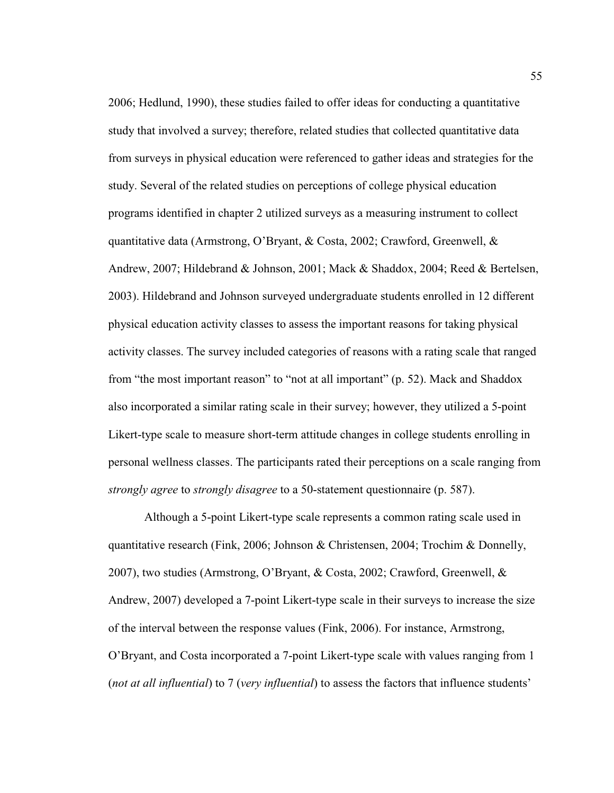2006; Hedlund, 1990), these studies failed to offer ideas for conducting a quantitative study that involved a survey; therefore, related studies that collected quantitative data from surveys in physical education were referenced to gather ideas and strategies for the study. Several of the related studies on perceptions of college physical education programs identified in chapter 2 utilized surveys as a measuring instrument to collect quantitative data (Armstrong, O'Bryant, & Costa, 2002; Crawford, Greenwell, & Andrew, 2007; Hildebrand & Johnson, 2001; Mack & Shaddox, 2004; Reed & Bertelsen, 2003). Hildebrand and Johnson surveyed undergraduate students enrolled in 12 different physical education activity classes to assess the important reasons for taking physical activity classes. The survey included categories of reasons with a rating scale that ranged from "the most important reason" to "not at all important" (p. 52). Mack and Shaddox also incorporated a similar rating scale in their survey; however, they utilized a 5-point Likert-type scale to measure short-term attitude changes in college students enrolling in personal wellness classes. The participants rated their perceptions on a scale ranging from *strongly agree* to *strongly disagree* to a 50-statement questionnaire (p. 587).

 Although a 5-point Likert-type scale represents a common rating scale used in quantitative research (Fink, 2006; Johnson & Christensen, 2004; Trochim & Donnelly, 2007), two studies (Armstrong, O'Bryant, & Costa, 2002; Crawford, Greenwell, & Andrew, 2007) developed a 7-point Likert-type scale in their surveys to increase the size of the interval between the response values (Fink, 2006). For instance, Armstrong, O'Bryant, and Costa incorporated a 7-point Likert-type scale with values ranging from 1 (*not at all influential*) to 7 (*very influential*) to assess the factors that influence students'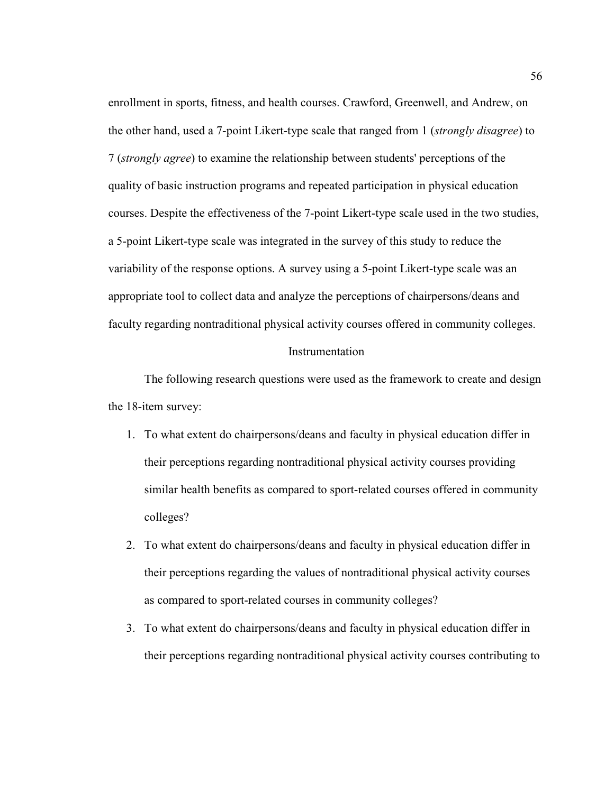enrollment in sports, fitness, and health courses. Crawford, Greenwell, and Andrew, on the other hand, used a 7-point Likert-type scale that ranged from 1 (*strongly disagree*) to 7 (*strongly agree*) to examine the relationship between students' perceptions of the quality of basic instruction programs and repeated participation in physical education courses. Despite the effectiveness of the 7-point Likert-type scale used in the two studies, a 5-point Likert-type scale was integrated in the survey of this study to reduce the variability of the response options. A survey using a 5-point Likert-type scale was an appropriate tool to collect data and analyze the perceptions of chairpersons/deans and faculty regarding nontraditional physical activity courses offered in community colleges.

#### Instrumentation

 The following research questions were used as the framework to create and design the 18-item survey:

- 1. To what extent do chairpersons/deans and faculty in physical education differ in their perceptions regarding nontraditional physical activity courses providing similar health benefits as compared to sport-related courses offered in community colleges?
- 2. To what extent do chairpersons/deans and faculty in physical education differ in their perceptions regarding the values of nontraditional physical activity courses as compared to sport-related courses in community colleges?
- 3. To what extent do chairpersons/deans and faculty in physical education differ in their perceptions regarding nontraditional physical activity courses contributing to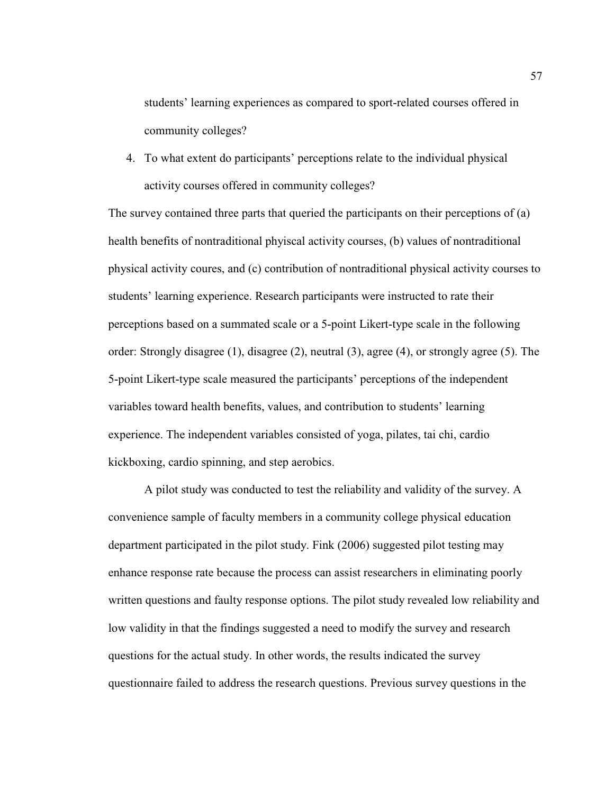students' learning experiences as compared to sport-related courses offered in community colleges?

4. To what extent do participants' perceptions relate to the individual physical activity courses offered in community colleges?

The survey contained three parts that queried the participants on their perceptions of (a) health benefits of nontraditional phyiscal activity courses, (b) values of nontraditional physical activity coures, and (c) contribution of nontraditional physical activity courses to students' learning experience. Research participants were instructed to rate their perceptions based on a summated scale or a 5-point Likert-type scale in the following order: Strongly disagree (1), disagree (2), neutral (3), agree (4), or strongly agree (5). The 5-point Likert-type scale measured the participants' perceptions of the independent variables toward health benefits, values, and contribution to students' learning experience. The independent variables consisted of yoga, pilates, tai chi, cardio kickboxing, cardio spinning, and step aerobics.

 A pilot study was conducted to test the reliability and validity of the survey. A convenience sample of faculty members in a community college physical education department participated in the pilot study. Fink (2006) suggested pilot testing may enhance response rate because the process can assist researchers in eliminating poorly written questions and faulty response options. The pilot study revealed low reliability and low validity in that the findings suggested a need to modify the survey and research questions for the actual study. In other words, the results indicated the survey questionnaire failed to address the research questions. Previous survey questions in the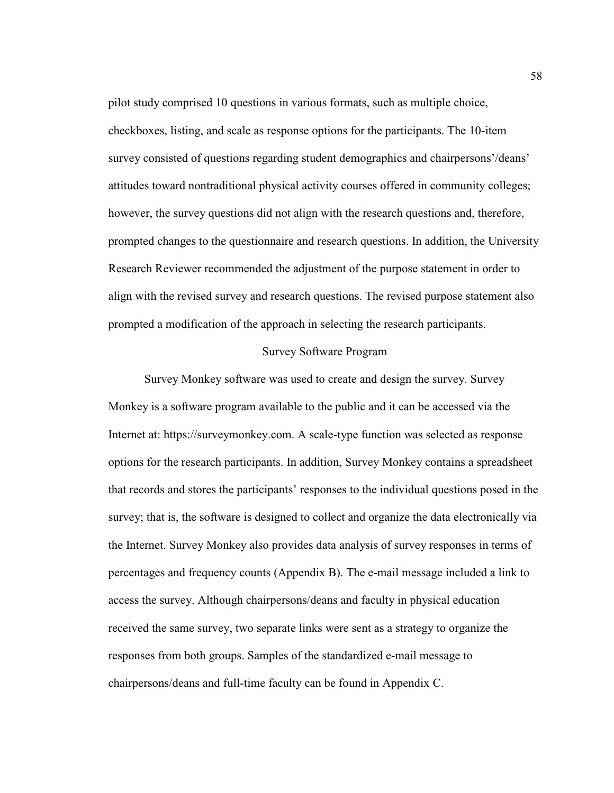pilot study comprised 10 questions in various formats, such as multiple choice, checkboxes, listing, and scale as response options for the participants. The 10-item survey consisted of questions regarding student demographics and chairpersons'/deans' attitudes toward nontraditional physical activity courses offered in community colleges; however, the survey questions did not align with the research questions and, therefore, prompted changes to the questionnaire and research questions. In addition, the University Research Reviewer recommended the adjustment of the purpose statement in order to align with the revised survey and research questions. The revised purpose statement also prompted a modification of the approach in selecting the research participants.

## Survey Software Program

 Survey Monkey software was used to create and design the survey. Survey Monkey is a software program available to the public and it can be accessed via the Internet at: https://surveymonkey.com. A scale-type function was selected as response options for the research participants. In addition, Survey Monkey contains a spreadsheet that records and stores the participants' responses to the individual questions posed in the survey; that is, the software is designed to collect and organize the data electronically via the Internet. Survey Monkey also provides data analysis of survey responses in terms of percentages and frequency counts (Appendix B). The e-mail message included a link to access the survey. Although chairpersons/deans and faculty in physical education received the same survey, two separate links were sent as a strategy to organize the responses from both groups. Samples of the standardized e-mail message to chairpersons/deans and full-time faculty can be found in Appendix C.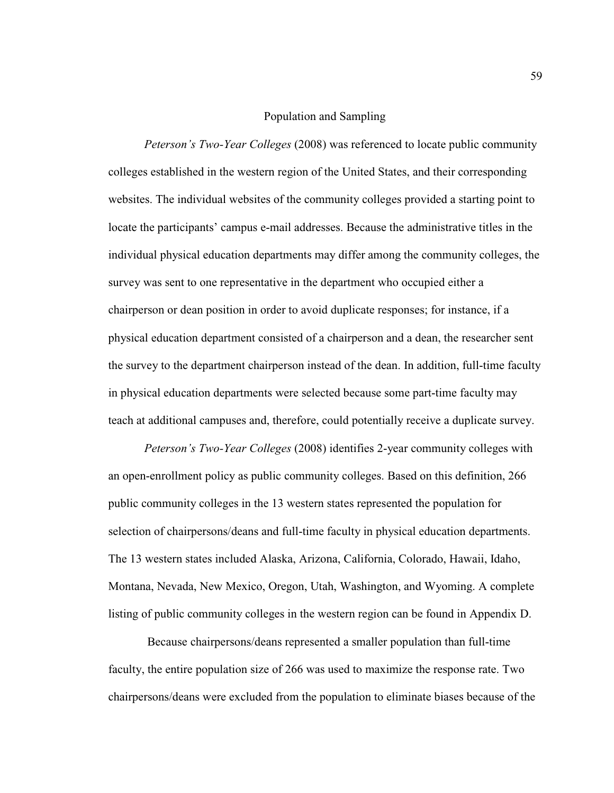# Population and Sampling

*Peterson's Two-Year Colleges* (2008) was referenced to locate public community colleges established in the western region of the United States, and their corresponding websites. The individual websites of the community colleges provided a starting point to locate the participants' campus e-mail addresses. Because the administrative titles in the individual physical education departments may differ among the community colleges, the survey was sent to one representative in the department who occupied either a chairperson or dean position in order to avoid duplicate responses; for instance, if a physical education department consisted of a chairperson and a dean, the researcher sent the survey to the department chairperson instead of the dean. In addition, full-time faculty in physical education departments were selected because some part-time faculty may teach at additional campuses and, therefore, could potentially receive a duplicate survey.

*Peterson's Two-Year Colleges* (2008) identifies 2-year community colleges with an open-enrollment policy as public community colleges. Based on this definition, 266 public community colleges in the 13 western states represented the population for selection of chairpersons/deans and full-time faculty in physical education departments. The 13 western states included Alaska, Arizona, California, Colorado, Hawaii, Idaho, Montana, Nevada, New Mexico, Oregon, Utah, Washington, and Wyoming. A complete listing of public community colleges in the western region can be found in Appendix D.

Because chairpersons/deans represented a smaller population than full-time faculty, the entire population size of 266 was used to maximize the response rate. Two chairpersons/deans were excluded from the population to eliminate biases because of the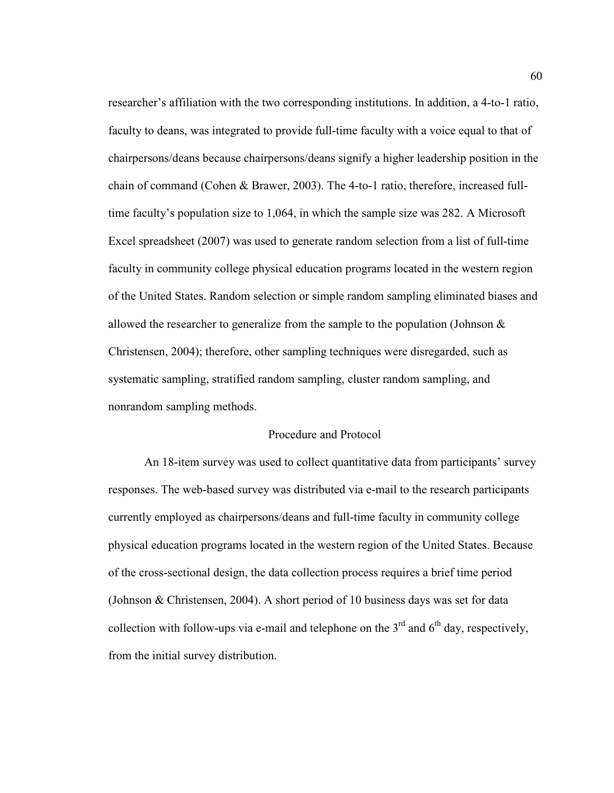researcher's affiliation with the two corresponding institutions. In addition, a 4-to-1 ratio, faculty to deans, was integrated to provide full-time faculty with a voice equal to that of chairpersons/deans because chairpersons/deans signify a higher leadership position in the chain of command (Cohen & Brawer, 2003). The 4-to-1 ratio, therefore, increased fulltime faculty's population size to 1,064, in which the sample size was 282. A Microsoft Excel spreadsheet (2007) was used to generate random selection from a list of full-time faculty in community college physical education programs located in the western region of the United States. Random selection or simple random sampling eliminated biases and allowed the researcher to generalize from the sample to the population (Johnson  $\&$ Christensen, 2004); therefore, other sampling techniques were disregarded, such as systematic sampling, stratified random sampling, cluster random sampling, and nonrandom sampling methods.

### Procedure and Protocol

 An 18-item survey was used to collect quantitative data from participants' survey responses. The web-based survey was distributed via e-mail to the research participants currently employed as chairpersons/deans and full-time faculty in community college physical education programs located in the western region of the United States. Because of the cross-sectional design, the data collection process requires a brief time period (Johnson & Christensen, 2004). A short period of 10 business days was set for data collection with follow-ups via e-mail and telephone on the  $3<sup>rd</sup>$  and  $6<sup>th</sup>$  day, respectively, from the initial survey distribution.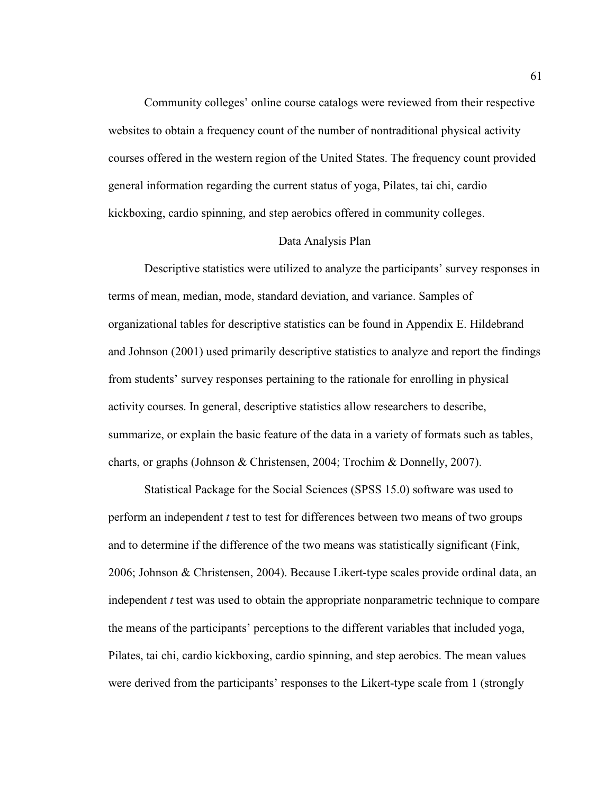Community colleges' online course catalogs were reviewed from their respective websites to obtain a frequency count of the number of nontraditional physical activity courses offered in the western region of the United States. The frequency count provided general information regarding the current status of yoga, Pilates, tai chi, cardio kickboxing, cardio spinning, and step aerobics offered in community colleges.

#### Data Analysis Plan

 Descriptive statistics were utilized to analyze the participants' survey responses in terms of mean, median, mode, standard deviation, and variance. Samples of organizational tables for descriptive statistics can be found in Appendix E. Hildebrand and Johnson (2001) used primarily descriptive statistics to analyze and report the findings from students' survey responses pertaining to the rationale for enrolling in physical activity courses. In general, descriptive statistics allow researchers to describe, summarize, or explain the basic feature of the data in a variety of formats such as tables, charts, or graphs (Johnson & Christensen, 2004; Trochim & Donnelly, 2007).

 Statistical Package for the Social Sciences (SPSS 15.0) software was used to perform an independent *t* test to test for differences between two means of two groups and to determine if the difference of the two means was statistically significant (Fink, 2006; Johnson & Christensen, 2004). Because Likert-type scales provide ordinal data, an independent *t* test was used to obtain the appropriate nonparametric technique to compare the means of the participants' perceptions to the different variables that included yoga, Pilates, tai chi, cardio kickboxing, cardio spinning, and step aerobics. The mean values were derived from the participants' responses to the Likert-type scale from 1 (strongly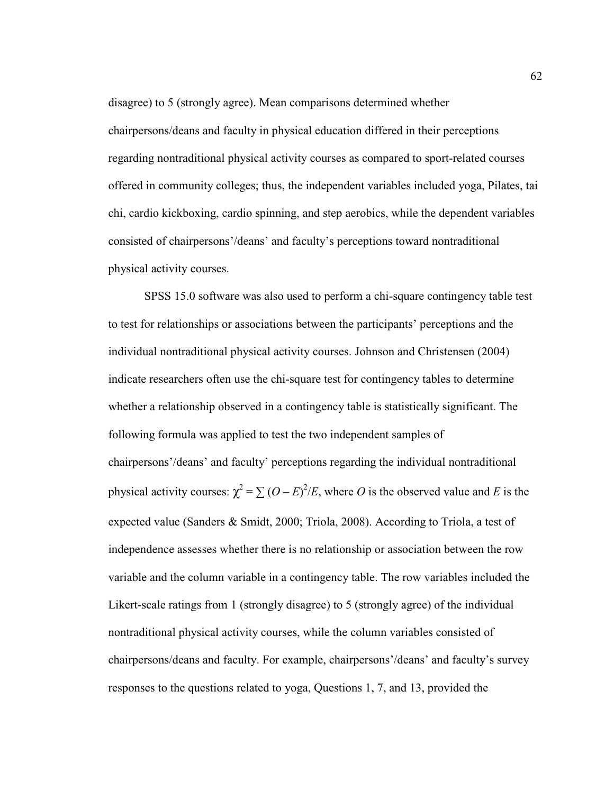disagree) to 5 (strongly agree). Mean comparisons determined whether chairpersons/deans and faculty in physical education differed in their perceptions regarding nontraditional physical activity courses as compared to sport-related courses offered in community colleges; thus, the independent variables included yoga, Pilates, tai chi, cardio kickboxing, cardio spinning, and step aerobics, while the dependent variables consisted of chairpersons'/deans' and faculty's perceptions toward nontraditional physical activity courses.

 SPSS 15.0 software was also used to perform a chi-square contingency table test to test for relationships or associations between the participants' perceptions and the individual nontraditional physical activity courses. Johnson and Christensen (2004) indicate researchers often use the chi-square test for contingency tables to determine whether a relationship observed in a contingency table is statistically significant. The following formula was applied to test the two independent samples of chairpersons'/deans' and faculty' perceptions regarding the individual nontraditional physical activity courses:  $\chi^2 = \sum (O - E)^2 / E$ , where *O* is the observed value and *E* is the expected value (Sanders & Smidt, 2000; Triola, 2008). According to Triola, a test of independence assesses whether there is no relationship or association between the row variable and the column variable in a contingency table. The row variables included the Likert-scale ratings from 1 (strongly disagree) to 5 (strongly agree) of the individual nontraditional physical activity courses, while the column variables consisted of chairpersons/deans and faculty. For example, chairpersons'/deans' and faculty's survey responses to the questions related to yoga, Questions 1, 7, and 13, provided the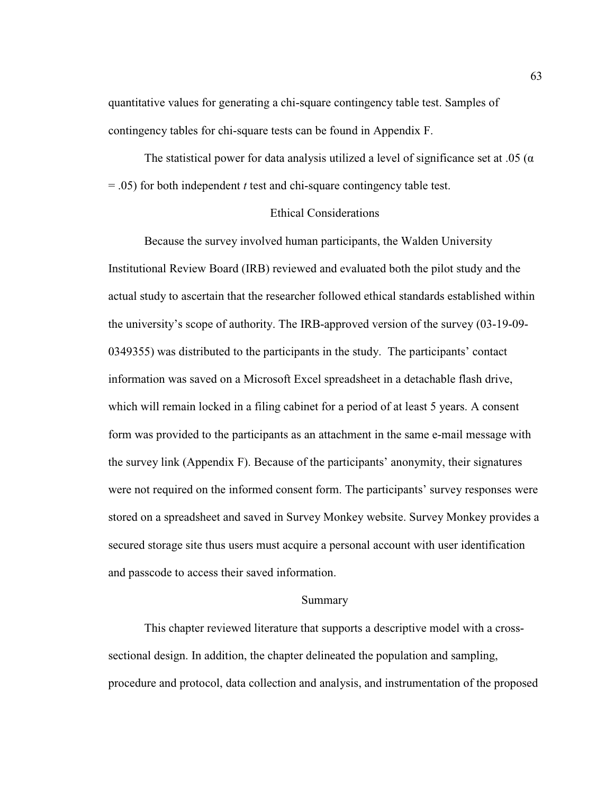quantitative values for generating a chi-square contingency table test. Samples of contingency tables for chi-square tests can be found in Appendix F.

The statistical power for data analysis utilized a level of significance set at .05 ( $\alpha$ ) = .05) for both independent *t* test and chi-square contingency table test.

## Ethical Considerations

 Because the survey involved human participants, the Walden University Institutional Review Board (IRB) reviewed and evaluated both the pilot study and the actual study to ascertain that the researcher followed ethical standards established within the university's scope of authority. The IRB-approved version of the survey (03-19-09- 0349355) was distributed to the participants in the study. The participants' contact information was saved on a Microsoft Excel spreadsheet in a detachable flash drive, which will remain locked in a filing cabinet for a period of at least 5 years. A consent form was provided to the participants as an attachment in the same e-mail message with the survey link (Appendix F). Because of the participants' anonymity, their signatures were not required on the informed consent form. The participants' survey responses were stored on a spreadsheet and saved in Survey Monkey website. Survey Monkey provides a secured storage site thus users must acquire a personal account with user identification and passcode to access their saved information.

## Summary

 This chapter reviewed literature that supports a descriptive model with a crosssectional design. In addition, the chapter delineated the population and sampling, procedure and protocol, data collection and analysis, and instrumentation of the proposed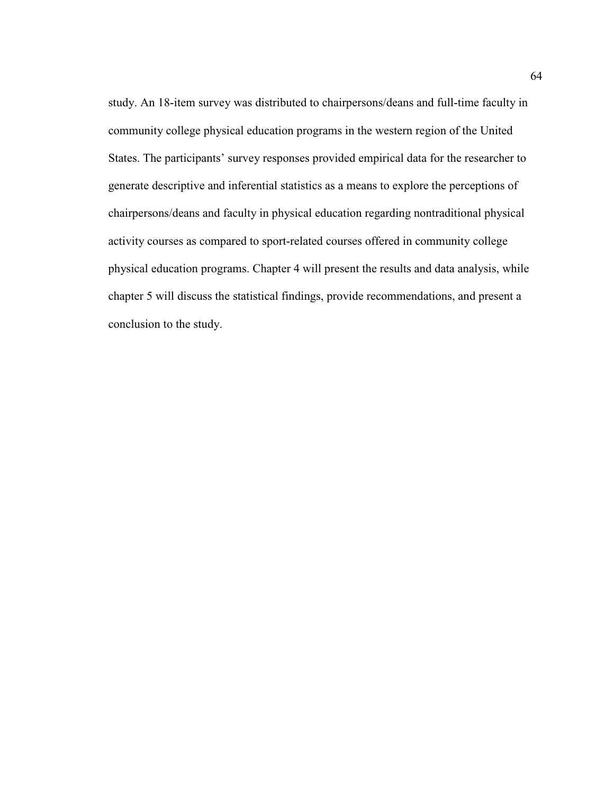study. An 18-item survey was distributed to chairpersons/deans and full-time faculty in community college physical education programs in the western region of the United States. The participants' survey responses provided empirical data for the researcher to generate descriptive and inferential statistics as a means to explore the perceptions of chairpersons/deans and faculty in physical education regarding nontraditional physical activity courses as compared to sport-related courses offered in community college physical education programs. Chapter 4 will present the results and data analysis, while chapter 5 will discuss the statistical findings, provide recommendations, and present a conclusion to the study.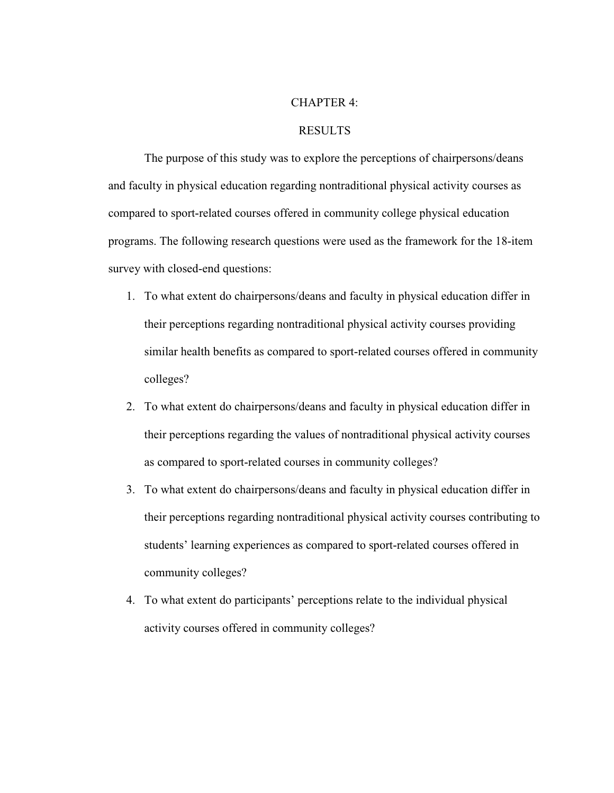## CHAPTER 4:

#### RESULTS

The purpose of this study was to explore the perceptions of chairpersons/deans and faculty in physical education regarding nontraditional physical activity courses as compared to sport-related courses offered in community college physical education programs. The following research questions were used as the framework for the 18-item survey with closed-end questions:

- 1. To what extent do chairpersons/deans and faculty in physical education differ in their perceptions regarding nontraditional physical activity courses providing similar health benefits as compared to sport-related courses offered in community colleges?
- 2. To what extent do chairpersons/deans and faculty in physical education differ in their perceptions regarding the values of nontraditional physical activity courses as compared to sport-related courses in community colleges?
- 3. To what extent do chairpersons/deans and faculty in physical education differ in their perceptions regarding nontraditional physical activity courses contributing to students' learning experiences as compared to sport-related courses offered in community colleges?
- 4. To what extent do participants' perceptions relate to the individual physical activity courses offered in community colleges?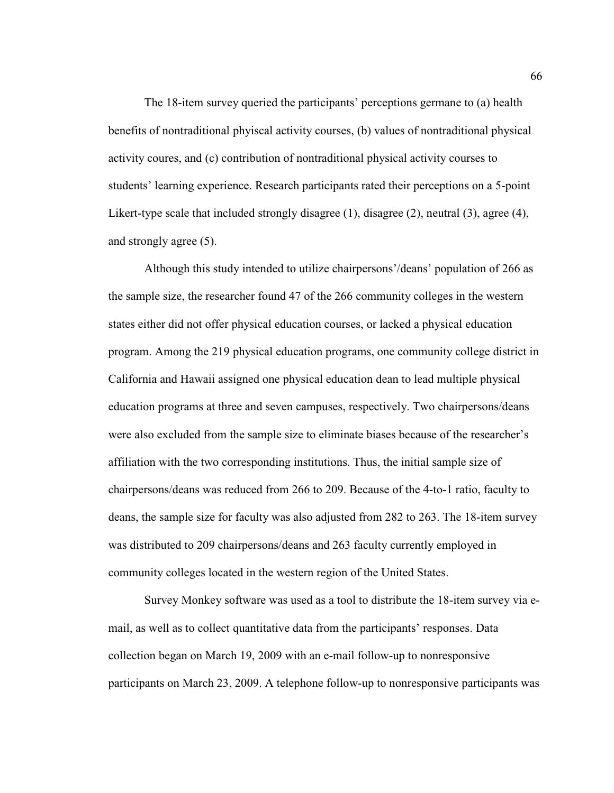The 18-item survey queried the participants' perceptions germane to (a) health benefits of nontraditional phyiscal activity courses, (b) values of nontraditional physical activity coures, and (c) contribution of nontraditional physical activity courses to students' learning experience. Research participants rated their perceptions on a 5-point Likert-type scale that included strongly disagree (1), disagree (2), neutral (3), agree (4), and strongly agree (5).

 Although this study intended to utilize chairpersons'/deans' population of 266 as the sample size, the researcher found 47 of the 266 community colleges in the western states either did not offer physical education courses, or lacked a physical education program. Among the 219 physical education programs, one community college district in California and Hawaii assigned one physical education dean to lead multiple physical education programs at three and seven campuses, respectively. Two chairpersons/deans were also excluded from the sample size to eliminate biases because of the researcher's affiliation with the two corresponding institutions. Thus, the initial sample size of chairpersons/deans was reduced from 266 to 209. Because of the 4-to-1 ratio, faculty to deans, the sample size for faculty was also adjusted from 282 to 263. The 18-item survey was distributed to 209 chairpersons/deans and 263 faculty currently employed in community colleges located in the western region of the United States.

Survey Monkey software was used as a tool to distribute the 18-item survey via email, as well as to collect quantitative data from the participants' responses. Data collection began on March 19, 2009 with an e-mail follow-up to nonresponsive participants on March 23, 2009. A telephone follow-up to nonresponsive participants was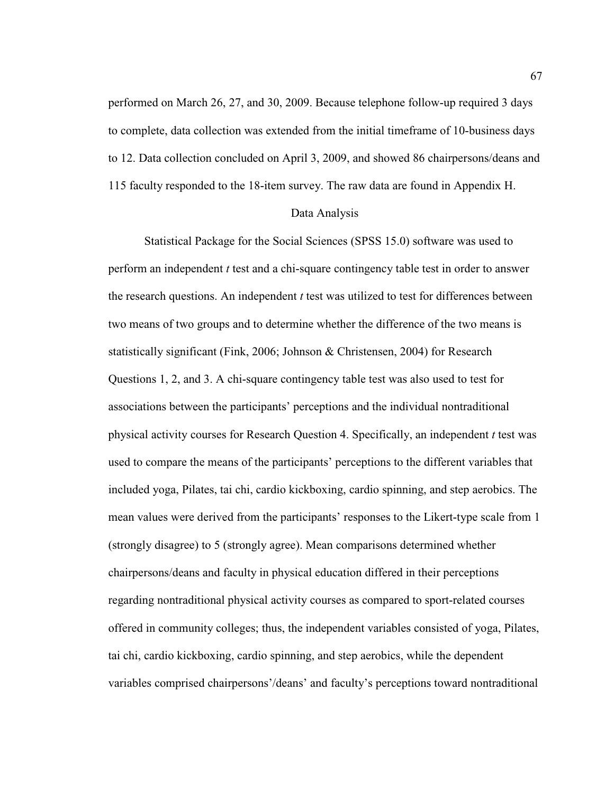performed on March 26, 27, and 30, 2009. Because telephone follow-up required 3 days to complete, data collection was extended from the initial timeframe of 10-business days to 12. Data collection concluded on April 3, 2009, and showed 86 chairpersons/deans and 115 faculty responded to the 18-item survey. The raw data are found in Appendix H.

#### Data Analysis

 Statistical Package for the Social Sciences (SPSS 15.0) software was used to perform an independent *t* test and a chi-square contingency table test in order to answer the research questions. An independent *t* test was utilized to test for differences between two means of two groups and to determine whether the difference of the two means is statistically significant (Fink, 2006; Johnson & Christensen, 2004) for Research Questions 1, 2, and 3. A chi-square contingency table test was also used to test for associations between the participants' perceptions and the individual nontraditional physical activity courses for Research Question 4. Specifically, an independent *t* test was used to compare the means of the participants' perceptions to the different variables that included yoga, Pilates, tai chi, cardio kickboxing, cardio spinning, and step aerobics. The mean values were derived from the participants' responses to the Likert-type scale from 1 (strongly disagree) to 5 (strongly agree). Mean comparisons determined whether chairpersons/deans and faculty in physical education differed in their perceptions regarding nontraditional physical activity courses as compared to sport-related courses offered in community colleges; thus, the independent variables consisted of yoga, Pilates, tai chi, cardio kickboxing, cardio spinning, and step aerobics, while the dependent variables comprised chairpersons'/deans' and faculty's perceptions toward nontraditional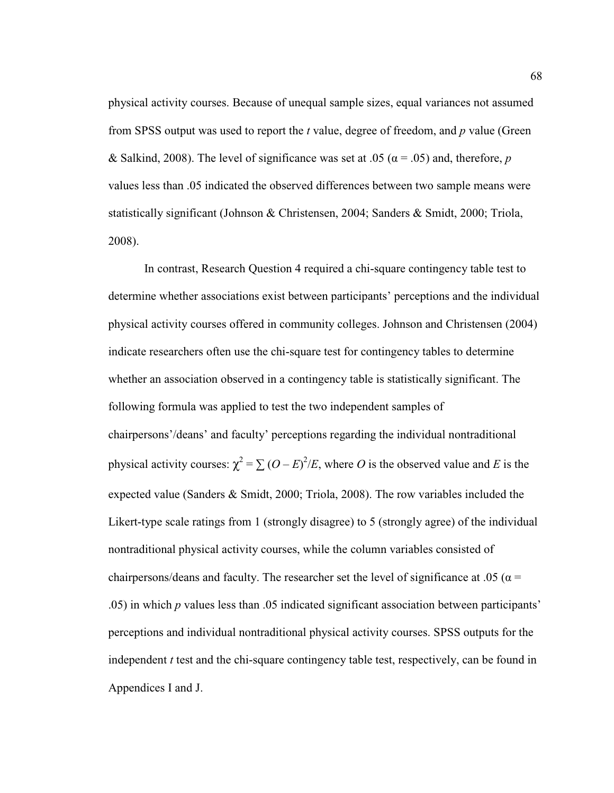physical activity courses. Because of unequal sample sizes, equal variances not assumed from SPSS output was used to report the *t* value, degree of freedom, and *p* value (Green & Salkind, 2008). The level of significance was set at .05 ( $\alpha$  = .05) and, therefore, *p* values less than .05 indicated the observed differences between two sample means were statistically significant (Johnson & Christensen, 2004; Sanders & Smidt, 2000; Triola, 2008).

In contrast, Research Question 4 required a chi-square contingency table test to determine whether associations exist between participants' perceptions and the individual physical activity courses offered in community colleges. Johnson and Christensen (2004) indicate researchers often use the chi-square test for contingency tables to determine whether an association observed in a contingency table is statistically significant. The following formula was applied to test the two independent samples of chairpersons'/deans' and faculty' perceptions regarding the individual nontraditional physical activity courses:  $\chi^2 = \sum (O - E)^2 / E$ , where *O* is the observed value and *E* is the expected value (Sanders & Smidt, 2000; Triola, 2008). The row variables included the Likert-type scale ratings from 1 (strongly disagree) to 5 (strongly agree) of the individual nontraditional physical activity courses, while the column variables consisted of chairpersons/deans and faculty. The researcher set the level of significance at .05 ( $\alpha$  = .05) in which *p* values less than .05 indicated significant association between participants' perceptions and individual nontraditional physical activity courses. SPSS outputs for the independent *t* test and the chi-square contingency table test, respectively, can be found in Appendices I and J.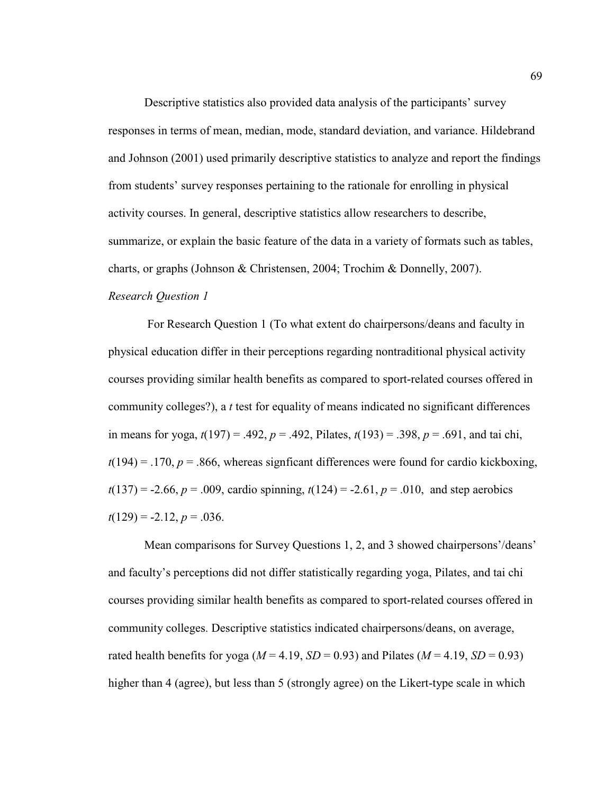Descriptive statistics also provided data analysis of the participants' survey responses in terms of mean, median, mode, standard deviation, and variance. Hildebrand and Johnson (2001) used primarily descriptive statistics to analyze and report the findings from students' survey responses pertaining to the rationale for enrolling in physical activity courses. In general, descriptive statistics allow researchers to describe, summarize, or explain the basic feature of the data in a variety of formats such as tables, charts, or graphs (Johnson & Christensen, 2004; Trochim & Donnelly, 2007). *Research Question 1* 

 For Research Question 1 (To what extent do chairpersons/deans and faculty in physical education differ in their perceptions regarding nontraditional physical activity courses providing similar health benefits as compared to sport-related courses offered in community colleges?), a *t* test for equality of means indicated no significant differences in means for yoga,  $t(197) = .492$ ,  $p = .492$ , Pilates,  $t(193) = .398$ ,  $p = .691$ , and tai chi,  $t(194) = .170$ ,  $p = .866$ , whereas signficant differences were found for cardio kickboxing,  $t(137) = -2.66$ ,  $p = .009$ , cardio spinning,  $t(124) = -2.61$ ,  $p = .010$ , and step aerobics  $t(129) = -2.12, p = .036.$ 

Mean comparisons for Survey Questions 1, 2, and 3 showed chairpersons'/deans' and faculty's perceptions did not differ statistically regarding yoga, Pilates, and tai chi courses providing similar health benefits as compared to sport-related courses offered in community colleges. Descriptive statistics indicated chairpersons/deans, on average, rated health benefits for yoga ( $M = 4.19$ ,  $SD = 0.93$ ) and Pilates ( $M = 4.19$ ,  $SD = 0.93$ ) higher than 4 (agree), but less than 5 (strongly agree) on the Likert-type scale in which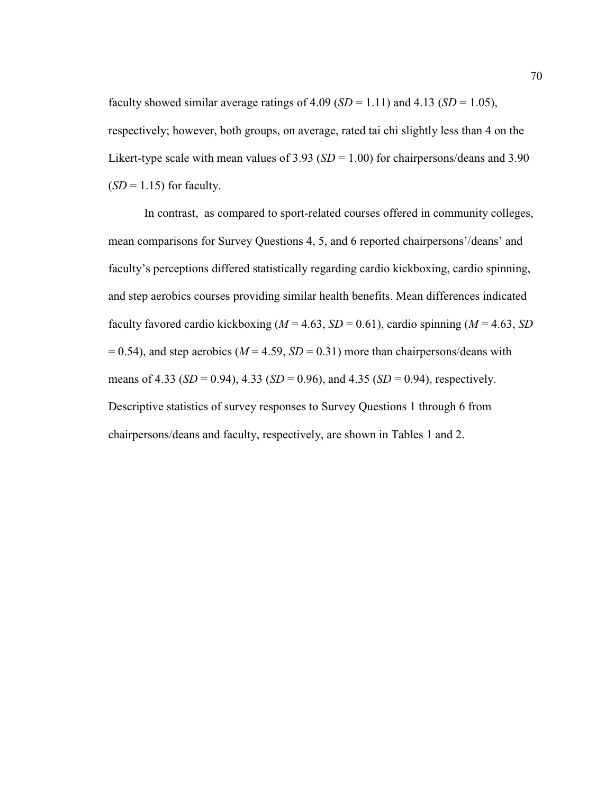faculty showed similar average ratings of 4.09 ( $SD = 1.11$ ) and 4.13 ( $SD = 1.05$ ), respectively; however, both groups, on average, rated tai chi slightly less than 4 on the Likert-type scale with mean values of  $3.93$  (*SD* = 1.00) for chairpersons/deans and 3.90  $(SD = 1.15)$  for faculty.

 In contrast, as compared to sport-related courses offered in community colleges, mean comparisons for Survey Questions 4, 5, and 6 reported chairpersons'/deans' and faculty's perceptions differed statistically regarding cardio kickboxing, cardio spinning, and step aerobics courses providing similar health benefits. Mean differences indicated faculty favored cardio kickboxing ( $M = 4.63$ ,  $SD = 0.61$ ), cardio spinning ( $M = 4.63$ ,  $SD$  $= 0.54$ ), and step aerobics ( $M = 4.59$ ,  $SD = 0.31$ ) more than chairpersons/deans with means of 4.33 (*SD* = 0.94), 4.33 (*SD* = 0.96), and 4.35 (*SD* = 0.94), respectively. Descriptive statistics of survey responses to Survey Questions 1 through 6 from chairpersons/deans and faculty, respectively, are shown in Tables 1 and 2.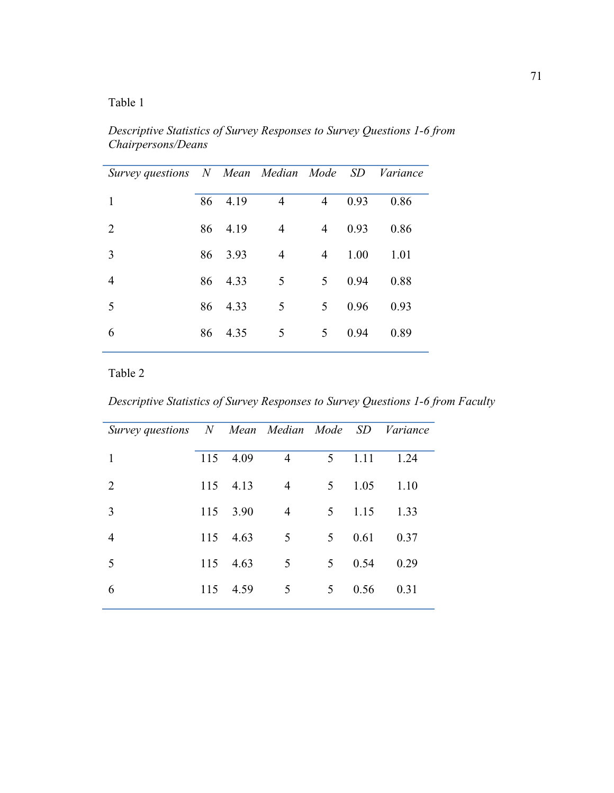*Descriptive Statistics of Survey Responses to Survey Questions 1-6 from Chairpersons/Deans* 

| Survey questions N Mean Median Mode SD Variance |    |         |                |                |      |      |
|-------------------------------------------------|----|---------|----------------|----------------|------|------|
| 1                                               | 86 | 4.19    | $\overline{4}$ | $\overline{4}$ | 0.93 | 0.86 |
| 2                                               |    | 86 4.19 | $\overline{4}$ | $\overline{4}$ | 0.93 | 0.86 |
| 3                                               |    | 86 3.93 | $\overline{4}$ | 4              | 1.00 | 1.01 |
| $\overline{4}$                                  | 86 | 4.33    | 5              | 5              | 0.94 | 0.88 |
| 5                                               | 86 | 4.33    | 5              | 5              | 0.96 | 0.93 |
| 6                                               | 86 | 4.35    | 5              | 5              | 0.94 | 0.89 |
|                                                 |    |         |                |                |      |      |

# Table 2

*Descriptive Statistics of Survey Responses to Survey Questions 1-6 from Faculty* 

| Survey questions N Mean Median Mode SD Variance |     |      |                |                |      |      |
|-------------------------------------------------|-----|------|----------------|----------------|------|------|
| 1                                               | 115 | 4.09 | $\overline{4}$ | 5              | 1.11 | 1.24 |
| $\overline{2}$                                  | 115 | 4.13 | $\overline{4}$ | 5 <sup>5</sup> | 1.05 | 1.10 |
| 3                                               | 115 | 3.90 | $\overline{4}$ | 5              | 1.15 | 1.33 |
| 4                                               | 115 | 4.63 | 5              | 5              | 0.61 | 0.37 |
| 5                                               | 115 | 4.63 | 5              | 5              | 0.54 | 0.29 |
| 6                                               | 115 | 4.59 | 5              | 5              | 0.56 | 0.31 |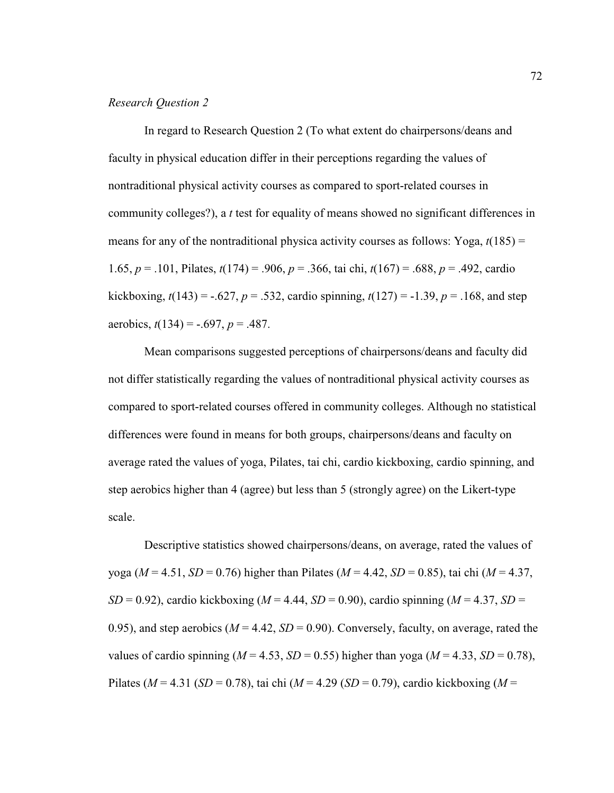## *Research Question 2*

 In regard to Research Question 2 (To what extent do chairpersons/deans and faculty in physical education differ in their perceptions regarding the values of nontraditional physical activity courses as compared to sport-related courses in community colleges?), a *t* test for equality of means showed no significant differences in means for any of the nontraditional physica activity courses as follows: Yoga,  $t(185)$  = 1.65, *p* = .101, Pilates, *t*(174) = .906, *p* = .366, tai chi, *t*(167) = .688, *p* = .492, cardio kickboxing,  $t(143) = -.627$ ,  $p = .532$ , cardio spinning,  $t(127) = -1.39$ ,  $p = .168$ , and step aerobics, *t*(134) = -.697, *p* = .487.

Mean comparisons suggested perceptions of chairpersons/deans and faculty did not differ statistically regarding the values of nontraditional physical activity courses as compared to sport-related courses offered in community colleges. Although no statistical differences were found in means for both groups, chairpersons/deans and faculty on average rated the values of yoga, Pilates, tai chi, cardio kickboxing, cardio spinning, and step aerobics higher than 4 (agree) but less than 5 (strongly agree) on the Likert-type scale.

Descriptive statistics showed chairpersons/deans, on average, rated the values of yoga (*M* = 4.51, *SD* = 0.76) higher than Pilates (*M* = 4.42, *SD* = 0.85), tai chi (*M* = 4.37,  $SD = 0.92$ ), cardio kickboxing ( $M = 4.44$ ,  $SD = 0.90$ ), cardio spinning ( $M = 4.37$ ,  $SD = 0.90$ ) 0.95), and step aerobics ( $M = 4.42$ ,  $SD = 0.90$ ). Conversely, faculty, on average, rated the values of cardio spinning ( $M = 4.53$ ,  $SD = 0.55$ ) higher than yoga ( $M = 4.33$ ,  $SD = 0.78$ ), Pilates (*M* = 4.31 (*SD* = 0.78), tai chi (*M* = 4.29 (*SD* = 0.79), cardio kickboxing (*M* =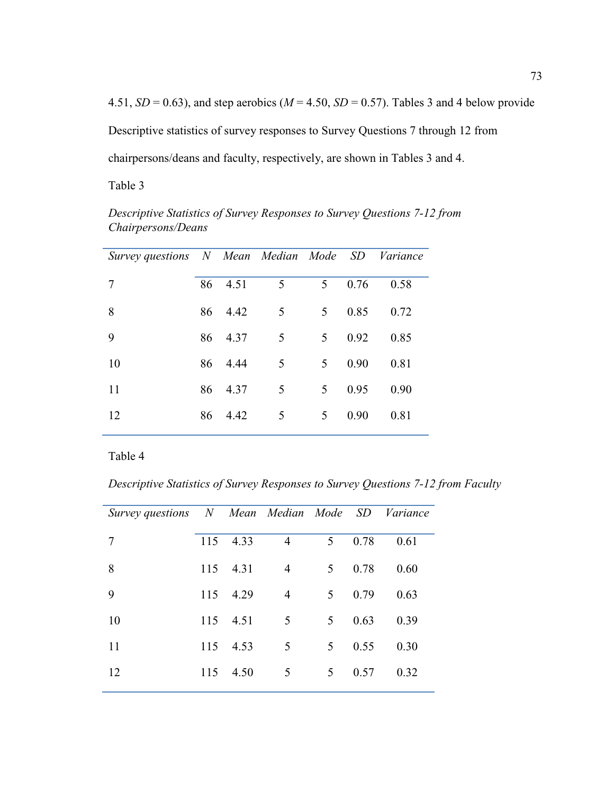4.51,  $SD = 0.63$ ), and step aerobics ( $M = 4.50$ ,  $SD = 0.57$ ). Tables 3 and 4 below provide Descriptive statistics of survey responses to Survey Questions 7 through 12 from chairpersons/deans and faculty, respectively, are shown in Tables 3 and 4.

Table 3

*Descriptive Statistics of Survey Responses to Survey Questions 7-12 from Chairpersons/Deans* 

| Survey questions N Mean Median Mode SD Variance |    |         |                 |                |      |      |
|-------------------------------------------------|----|---------|-----------------|----------------|------|------|
| 7                                               | 86 | 4.51    | $5\overline{)}$ | 5              | 0.76 | 0.58 |
| 8                                               |    | 86 4.42 | $5\overline{)}$ | 5              | 0.85 | 0.72 |
| 9                                               |    | 86 4.37 | 5               | 5              | 0.92 | 0.85 |
| 10                                              |    | 86 4.44 | 5               | 5 <sup>5</sup> | 0.90 | 0.81 |
| 11                                              | 86 | 4.37    | 5               | 5              | 0.95 | 0.90 |
| 12                                              | 86 | 4.42    | 5               | 5              | 0.90 | 0.81 |

Table 4

*Descriptive Statistics of Survey Responses to Survey Questions 7-12 from Faculty* 

| Survey questions N Mean Median Mode SD Variance |     |      |                |   |      |      |
|-------------------------------------------------|-----|------|----------------|---|------|------|
| 7                                               | 115 | 4.33 | $\overline{4}$ | 5 | 0.78 | 0.61 |
| 8                                               | 115 | 4.31 | $\overline{4}$ | 5 | 0.78 | 0.60 |
| 9                                               | 115 | 4.29 | $\overline{4}$ | 5 | 0.79 | 0.63 |
| 10                                              | 115 | 4.51 | $\overline{5}$ | 5 | 0.63 | 0.39 |
| 11                                              | 115 | 4.53 | $\overline{5}$ | 5 | 0.55 | 0.30 |
| 12                                              | 115 | 4.50 | 5              | 5 | 0.57 | 0.32 |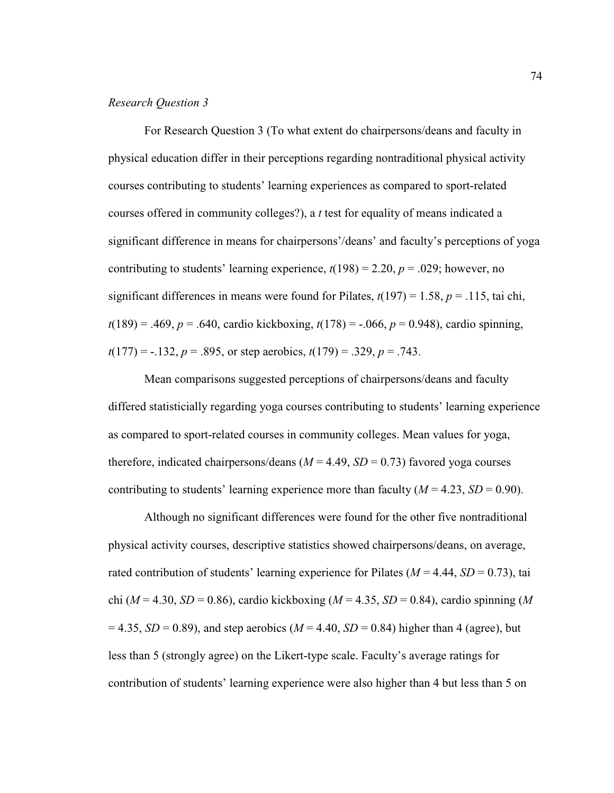## *Research Question 3*

For Research Question 3 (To what extent do chairpersons/deans and faculty in physical education differ in their perceptions regarding nontraditional physical activity courses contributing to students' learning experiences as compared to sport-related courses offered in community colleges?), a *t* test for equality of means indicated a significant difference in means for chairpersons'/deans' and faculty's perceptions of yoga contributing to students' learning experience,  $t(198) = 2.20$ ,  $p = .029$ ; however, no significant differences in means were found for Pilates,  $t(197) = 1.58$ ,  $p = .115$ , tai chi, *t*(189) = .469, *p* = .640, cardio kickboxing, *t*(178) = -.066, *p* = 0.948), cardio spinning, *t*(177) = -.132, *p* = .895, or step aerobics, *t*(179) = .329, *p* = .743.

Mean comparisons suggested perceptions of chairpersons/deans and faculty differed statisticially regarding yoga courses contributing to students' learning experience as compared to sport-related courses in community colleges. Mean values for yoga, therefore, indicated chairpersons/deans  $(M = 4.49, SD = 0.73)$  favored yoga courses contributing to students' learning experience more than faculty  $(M = 4.23, SD = 0.90)$ .

Although no significant differences were found for the other five nontraditional physical activity courses, descriptive statistics showed chairpersons/deans, on average, rated contribution of students' learning experience for Pilates ( $M = 4.44$ ,  $SD = 0.73$ ), tai chi (*M* = 4.30, *SD* = 0.86), cardio kickboxing (*M* = 4.35, *SD* = 0.84), cardio spinning (*M*  $= 4.35, SD = 0.89$ ), and step aerobics ( $M = 4.40, SD = 0.84$ ) higher than 4 (agree), but less than 5 (strongly agree) on the Likert-type scale. Faculty's average ratings for contribution of students' learning experience were also higher than 4 but less than 5 on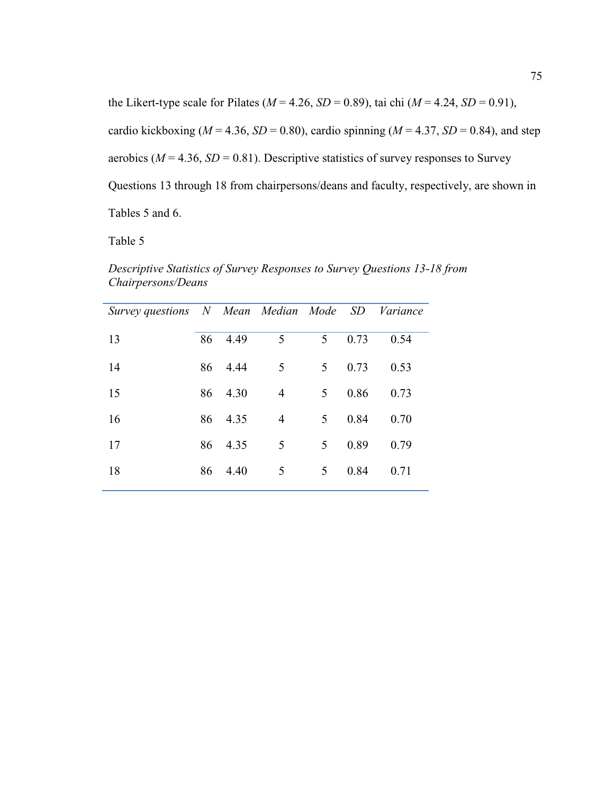the Likert-type scale for Pilates ( $M = 4.26$ ,  $SD = 0.89$ ), tai chi ( $M = 4.24$ ,  $SD = 0.91$ ), cardio kickboxing ( $M = 4.36$ ,  $SD = 0.80$ ), cardio spinning ( $M = 4.37$ ,  $SD = 0.84$ ), and step aerobics ( $M = 4.36$ ,  $SD = 0.81$ ). Descriptive statistics of survey responses to Survey Questions 13 through 18 from chairpersons/deans and faculty, respectively, are shown in Tables 5 and 6.

Table 5

*Descriptive Statistics of Survey Responses to Survey Questions 13-18 from Chairpersons/Deans* 

| Survey questions N Mean Median Mode SD Variance |    |         |                |   |      |      |
|-------------------------------------------------|----|---------|----------------|---|------|------|
| 13                                              | 86 | 4.49    | 5              | 5 | 0.73 | 0.54 |
| 14                                              | 86 | 4.44    | $\overline{5}$ | 5 | 0.73 | 0.53 |
| 15                                              |    | 86 4.30 | 4              | 5 | 0.86 | 0.73 |
| 16                                              | 86 | 4.35    | $\overline{4}$ | 5 | 0.84 | 0.70 |
| 17                                              | 86 | 4.35    | $\overline{5}$ | 5 | 0.89 | 0.79 |
| 18                                              | 86 | 4.40    | 5              | 5 | 0.84 | 0.71 |
|                                                 |    |         |                |   |      |      |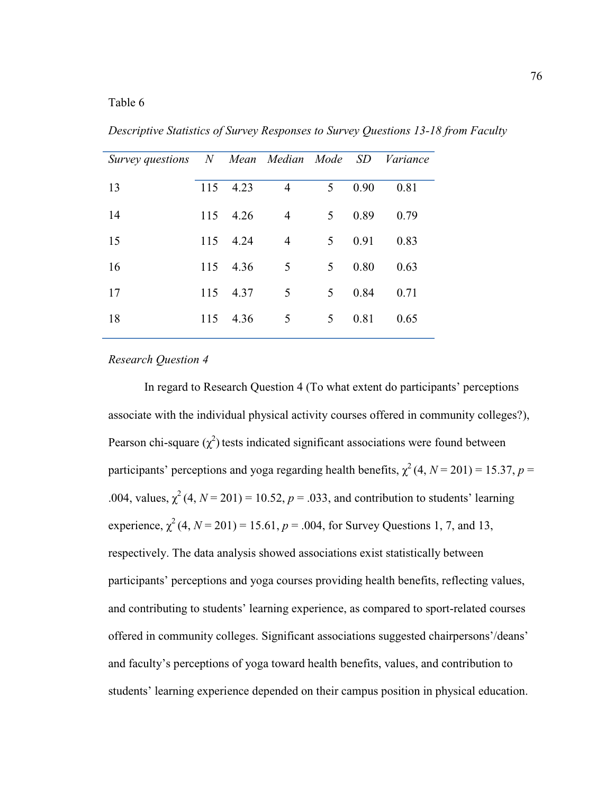| Survey questions N Mean Median Mode SD |     |      |                |                |      | Variance |
|----------------------------------------|-----|------|----------------|----------------|------|----------|
| 13                                     | 115 | 4.23 | $\overline{4}$ | 5              | 0.90 | 0.81     |
| 14                                     | 115 | 4.26 | 4              | 5 <sup>1</sup> | 0.89 | 0.79     |
| 15                                     | 115 | 4.24 | 4              | 5              | 0.91 | 0.83     |
| 16                                     | 115 | 4.36 | 5              | 5              | 0.80 | 0.63     |
| 17                                     | 115 | 4.37 | 5              | 5              | 0.84 | 0.71     |
| 18                                     | 115 | 4.36 | 5              | 5              | 0.81 | 0.65     |

*Descriptive Statistics of Survey Responses to Survey Questions 13-18 from Faculty* 

## *Research Question 4*

In regard to Research Question 4 (To what extent do participants' perceptions associate with the individual physical activity courses offered in community colleges?), Pearson chi-square  $(\chi^2)$  tests indicated significant associations were found between participants' perceptions and yoga regarding health benefits,  $\chi^2(4, N = 201) = 15.37, p =$ .004, values,  $\chi^2$  (4,  $N = 201$ ) = 10.52,  $p = .033$ , and contribution to students' learning experience,  $\chi^2$  (4, *N* = 201) = 15.61, *p* = .004, for Survey Questions 1, 7, and 13, respectively. The data analysis showed associations exist statistically between participants' perceptions and yoga courses providing health benefits, reflecting values, and contributing to students' learning experience, as compared to sport-related courses offered in community colleges. Significant associations suggested chairpersons'/deans' and faculty's perceptions of yoga toward health benefits, values, and contribution to students' learning experience depended on their campus position in physical education.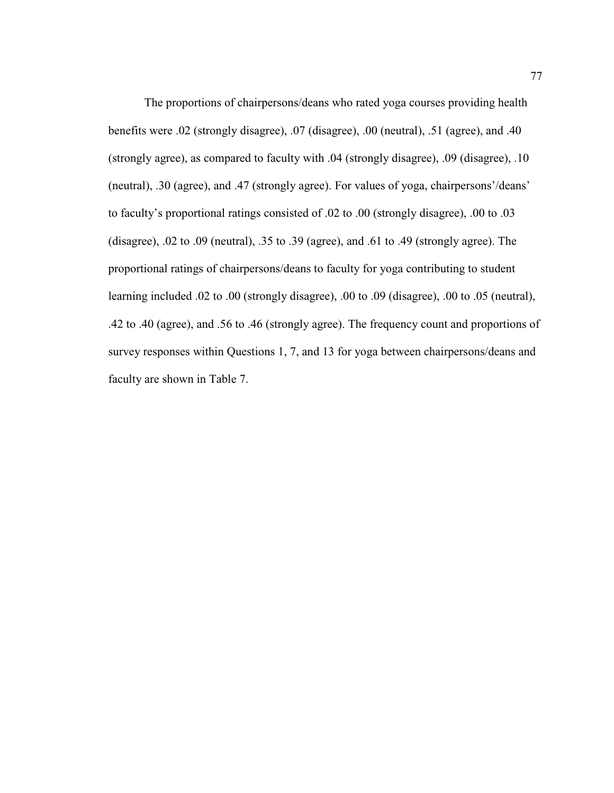The proportions of chairpersons/deans who rated yoga courses providing health benefits were .02 (strongly disagree), .07 (disagree), .00 (neutral), .51 (agree), and .40 (strongly agree), as compared to faculty with .04 (strongly disagree), .09 (disagree), .10 (neutral), .30 (agree), and .47 (strongly agree). For values of yoga, chairpersons'/deans' to faculty's proportional ratings consisted of .02 to .00 (strongly disagree), .00 to .03 (disagree), .02 to .09 (neutral), .35 to .39 (agree), and .61 to .49 (strongly agree). The proportional ratings of chairpersons/deans to faculty for yoga contributing to student learning included .02 to .00 (strongly disagree), .00 to .09 (disagree), .00 to .05 (neutral), .42 to .40 (agree), and .56 to .46 (strongly agree). The frequency count and proportions of survey responses within Questions 1, 7, and 13 for yoga between chairpersons/deans and faculty are shown in Table 7.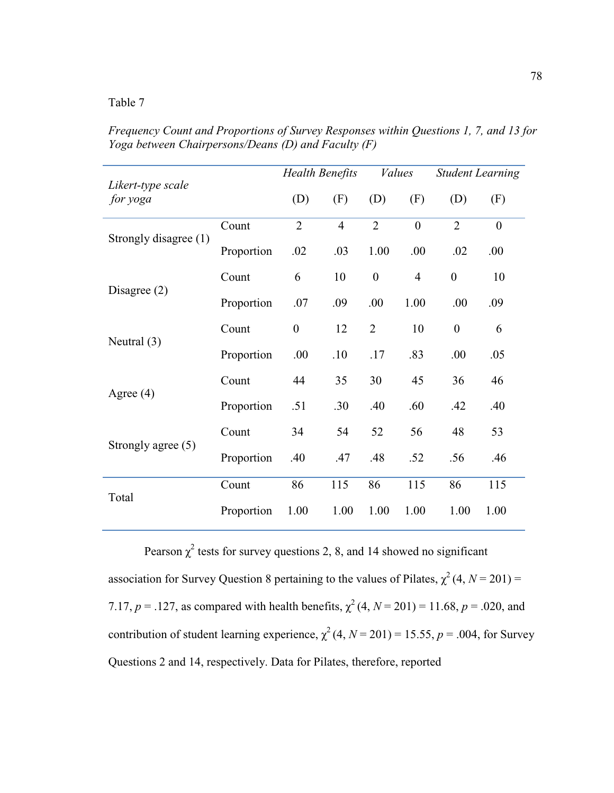*Frequency Count and Proportions of Survey Responses within Questions 1, 7, and 13 for Yoga between Chairpersons/Deans (D) and Faculty (F)*

|                               |            | <b>Health Benefits</b> |                | <b>Values</b>    |                | <b>Student Learning</b> |                  |
|-------------------------------|------------|------------------------|----------------|------------------|----------------|-------------------------|------------------|
| Likert-type scale<br>for yoga |            | (D)                    | (F)            | (D)              | (F)            | (D)                     | (F)              |
| Strongly disagree (1)         | Count      | $\overline{2}$         | $\overline{4}$ | $\overline{2}$   | $\overline{0}$ | $\overline{2}$          | $\boldsymbol{0}$ |
|                               | Proportion | .02                    | .03            | 1.00             | .00            | .02                     | .00              |
| Disagree $(2)$                | Count      | 6                      | 10             | $\boldsymbol{0}$ | $\overline{4}$ | $\boldsymbol{0}$        | 10               |
|                               | Proportion | .07                    | .09            | .00              | 1.00           | .00                     | .09              |
|                               | Count      | $\boldsymbol{0}$       | 12             | $\overline{2}$   | 10             | $\boldsymbol{0}$        | 6                |
| Neutral $(3)$                 | Proportion | .00                    | .10            | .17              | .83            | .00                     | .05              |
| Agree $(4)$                   | Count      | 44                     | 35             | 30               | 45             | 36                      | 46               |
|                               | Proportion | .51                    | .30            | .40              | .60            | .42                     | .40              |
| Strongly agree (5)            | Count      | 34                     | 54             | 52               | 56             | 48                      | 53               |
|                               | Proportion | .40                    | .47            | .48              | .52            | .56                     | .46              |
|                               | Count      | 86                     | 115            | 86               | 115            | 86                      | 115              |
| Total                         | Proportion | 1.00                   | 1.00           | 1.00             | 1.00           | 1.00                    | 1.00             |

Pearson  $\chi^2$  tests for survey questions 2, 8, and 14 showed no significant association for Survey Question 8 pertaining to the values of Pilates,  $\chi^2(4, N = 201) =$ 7.17,  $p = 0.127$ , as compared with health benefits,  $\chi^2(4, N = 201) = 11.68$ ,  $p = 0.020$ , and contribution of student learning experience,  $\chi^2$  (4, *N* = 201) = 15.55, *p* = .004, for Survey Questions 2 and 14, respectively. Data for Pilates, therefore, reported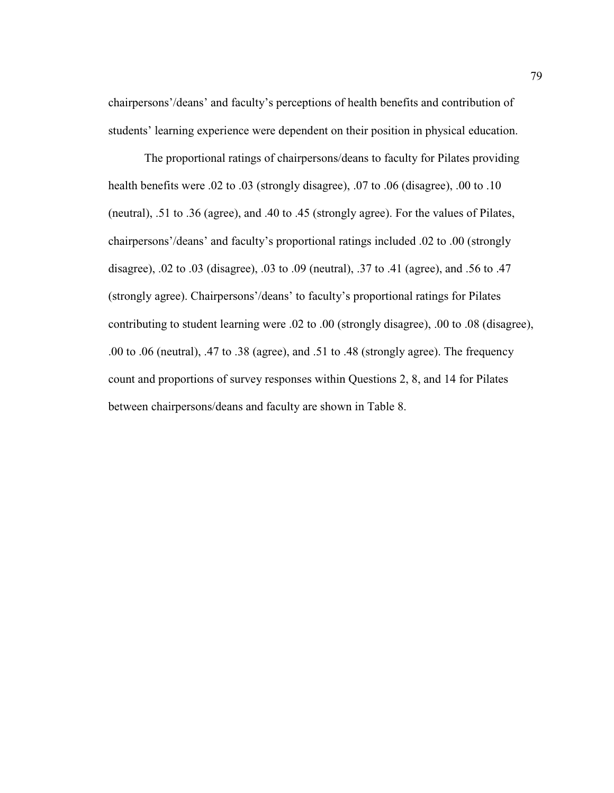chairpersons'/deans' and faculty's perceptions of health benefits and contribution of students' learning experience were dependent on their position in physical education.

The proportional ratings of chairpersons/deans to faculty for Pilates providing health benefits were .02 to .03 (strongly disagree), .07 to .06 (disagree), .00 to .10 (neutral), .51 to .36 (agree), and .40 to .45 (strongly agree). For the values of Pilates, chairpersons'/deans' and faculty's proportional ratings included .02 to .00 (strongly disagree), .02 to .03 (disagree), .03 to .09 (neutral), .37 to .41 (agree), and .56 to .47 (strongly agree). Chairpersons'/deans' to faculty's proportional ratings for Pilates contributing to student learning were .02 to .00 (strongly disagree), .00 to .08 (disagree), .00 to .06 (neutral), .47 to .38 (agree), and .51 to .48 (strongly agree). The frequency count and proportions of survey responses within Questions 2, 8, and 14 for Pilates between chairpersons/deans and faculty are shown in Table 8.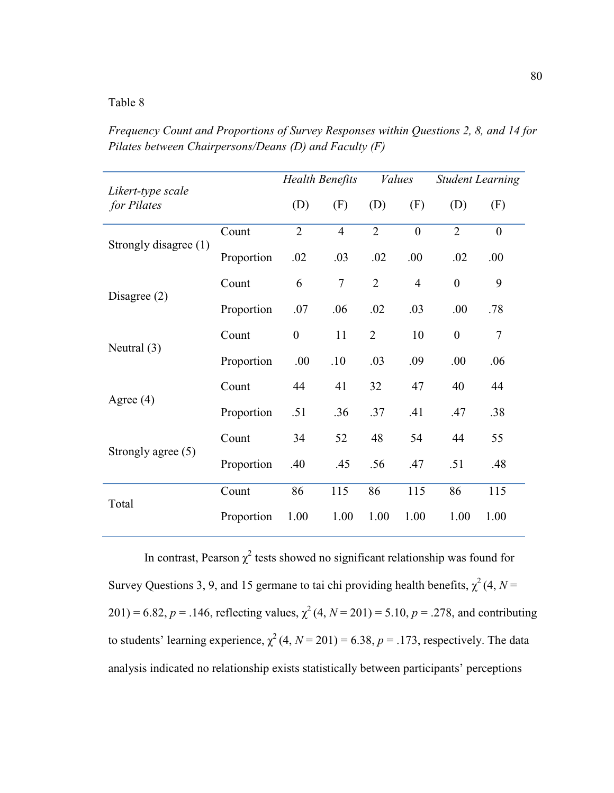*Frequency Count and Proportions of Survey Responses within Questions 2, 8, and 14 for Pilates between Chairpersons/Deans (D) and Faculty (F)*

|                                  |            | <b>Health Benefits</b> |                | <b>Values</b>  |                | <b>Student Learning</b> |              |
|----------------------------------|------------|------------------------|----------------|----------------|----------------|-------------------------|--------------|
| Likert-type scale<br>for Pilates |            | (D)                    | (F)            | (D)            | (F)            | (D)                     | (F)          |
| Strongly disagree (1)            | Count      | $\overline{2}$         | $\overline{4}$ | $\overline{2}$ | $\overline{0}$ | $\overline{2}$          | $\mathbf{0}$ |
|                                  | Proportion | .02                    | .03            | .02            | .00            | .02                     | .00          |
| Disagree $(2)$                   | Count      | 6                      | $\tau$         | $\overline{2}$ | $\overline{4}$ | $\boldsymbol{0}$        | 9            |
|                                  | Proportion | .07                    | .06            | .02            | .03            | .00                     | .78          |
| Neutral $(3)$                    | Count      | $\boldsymbol{0}$       | 11             | $\overline{2}$ | 10             | $\boldsymbol{0}$        | 7            |
|                                  | Proportion | .00                    | .10            | .03            | .09            | .00                     | .06          |
| Agree $(4)$                      | Count      | 44                     | 41             | 32             | 47             | 40                      | 44           |
|                                  | Proportion | .51                    | .36            | .37            | .41            | .47                     | .38          |
|                                  | Count      | 34                     | 52             | 48             | 54             | 44                      | 55           |
| Strongly agree (5)               | Proportion | .40                    | .45            | .56            | .47            | .51                     | .48          |
| Total                            | Count      | 86                     | 115            | 86             | 115            | 86                      | 115          |
|                                  | Proportion | 1.00                   | 1.00           | 1.00           | 1.00           | 1.00                    | 1.00         |

In contrast, Pearson  $\chi^2$  tests showed no significant relationship was found for Survey Questions 3, 9, and 15 germane to tai chi providing health benefits,  $\chi^2(4, N=$  $201$ ) = 6.82, *p* = .146, reflecting values,  $\chi^2$  (4, *N* = 201) = 5.10, *p* = .278, and contributing to students' learning experience,  $\chi^2$  (4, *N* = 201) = 6.38, *p* = .173, respectively. The data analysis indicated no relationship exists statistically between participants' perceptions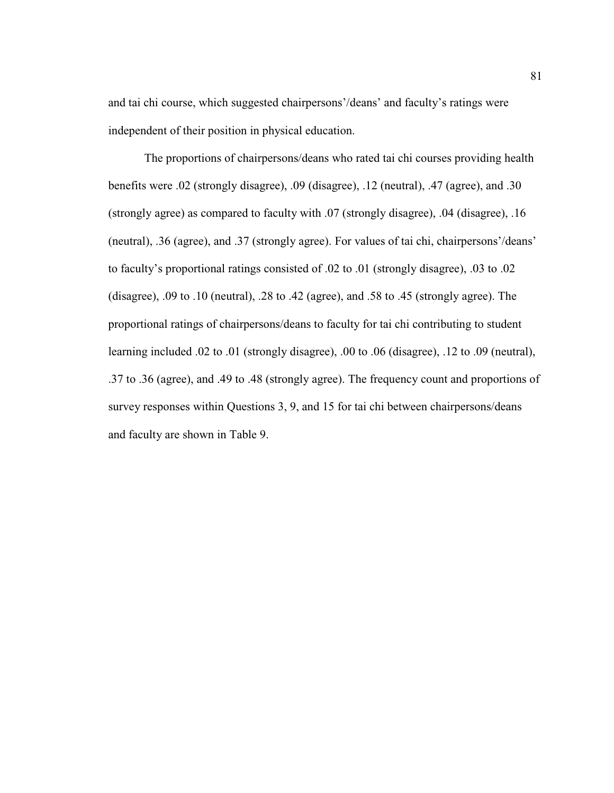and tai chi course, which suggested chairpersons'/deans' and faculty's ratings were independent of their position in physical education.

The proportions of chairpersons/deans who rated tai chi courses providing health benefits were .02 (strongly disagree), .09 (disagree), .12 (neutral), .47 (agree), and .30 (strongly agree) as compared to faculty with .07 (strongly disagree), .04 (disagree), .16 (neutral), .36 (agree), and .37 (strongly agree). For values of tai chi, chairpersons'/deans' to faculty's proportional ratings consisted of .02 to .01 (strongly disagree), .03 to .02 (disagree), .09 to .10 (neutral), .28 to .42 (agree), and .58 to .45 (strongly agree). The proportional ratings of chairpersons/deans to faculty for tai chi contributing to student learning included .02 to .01 (strongly disagree), .00 to .06 (disagree), .12 to .09 (neutral), .37 to .36 (agree), and .49 to .48 (strongly agree). The frequency count and proportions of survey responses within Questions 3, 9, and 15 for tai chi between chairpersons/deans and faculty are shown in Table 9.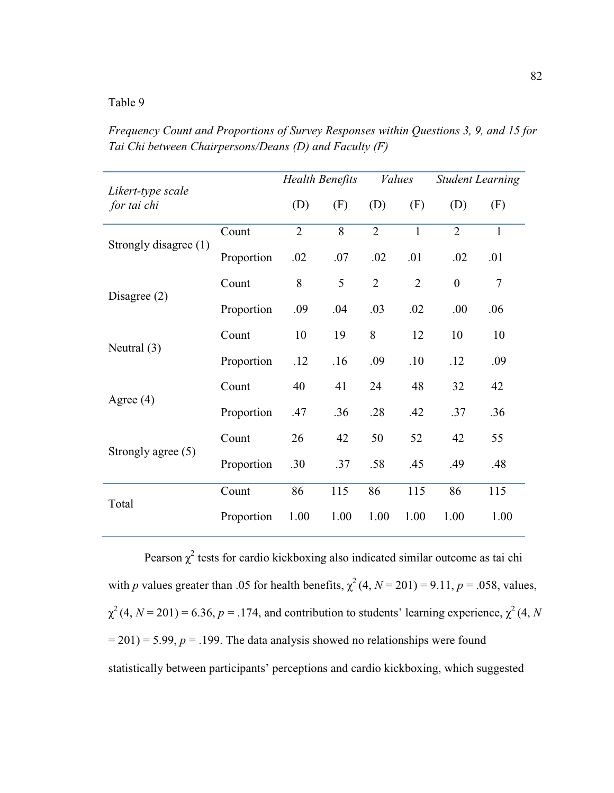*Frequency Count and Proportions of Survey Responses within Questions 3, 9, and 15 for Tai Chi between Chairpersons/Deans (D) and Faculty (F)*

|                                  |            | <b>Health Benefits</b> |      | <b>Values</b>  |                | <b>Student Learning</b> |              |
|----------------------------------|------------|------------------------|------|----------------|----------------|-------------------------|--------------|
| Likert-type scale<br>for tai chi |            | (D)                    | (F)  | (D)            | (F)            | (D)                     | (F)          |
| Strongly disagree (1)            | Count      | $\overline{2}$         | 8    | $\overline{2}$ | $\mathbf{1}$   | $\overline{2}$          | $\mathbf{1}$ |
|                                  | Proportion | .02                    | .07  | .02            | .01            | .02                     | .01          |
| Disagree $(2)$                   | Count      | 8                      | 5    | $\overline{2}$ | $\overline{2}$ | $\boldsymbol{0}$        | $\tau$       |
|                                  | Proportion | .09                    | .04  | .03            | .02            | .00                     | .06          |
| Neutral $(3)$                    | Count      | 10                     | 19   | 8              | 12             | 10                      | 10           |
|                                  | Proportion | .12                    | .16  | .09            | .10            | .12                     | .09          |
| Agree $(4)$                      | Count      | 40                     | 41   | 24             | 48             | 32                      | 42           |
|                                  | Proportion | .47                    | .36  | .28            | .42            | .37                     | .36          |
| Strongly agree $(5)$             | Count      | 26                     | 42   | 50             | 52             | 42                      | 55           |
|                                  | Proportion | .30                    | .37  | .58            | .45            | .49                     | .48          |
| Total                            | Count      | 86                     | 115  | 86             | 115            | 86                      | 115          |
|                                  | Proportion | 1.00                   | 1.00 | 1.00           | 1.00           | 1.00                    | 1.00         |

Pearson  $\chi^2$  tests for cardio kickboxing also indicated similar outcome as tai chi with *p* values greater than .05 for health benefits,  $\chi^2$  (4, *N* = 201) = 9.11, *p* = .058, values,  $\chi^2$  (4, *N* = 201) = 6.36, *p* = .174, and contribution to students' learning experience,  $\chi^2$  (4, *N*  $= 201$ ) = 5.99,  $p = 0.199$ . The data analysis showed no relationships were found statistically between participants' perceptions and cardio kickboxing, which suggested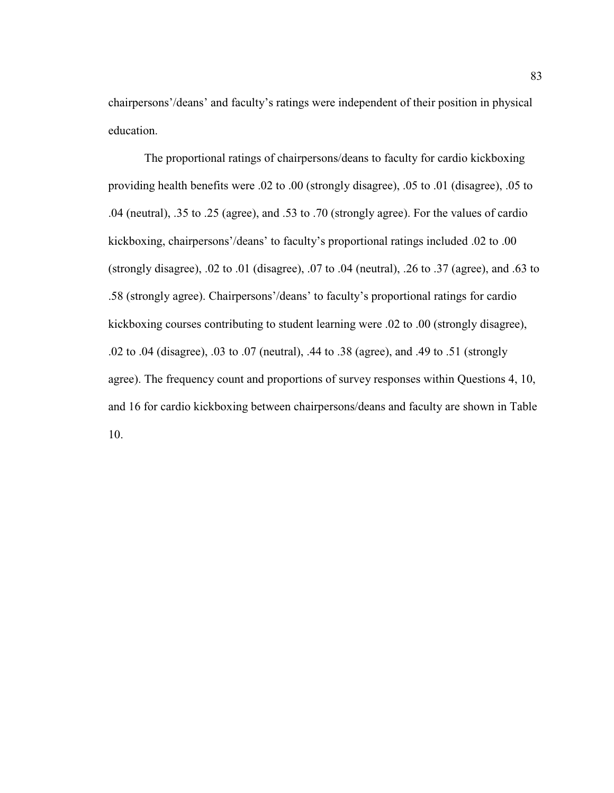chairpersons'/deans' and faculty's ratings were independent of their position in physical education.

The proportional ratings of chairpersons/deans to faculty for cardio kickboxing providing health benefits were .02 to .00 (strongly disagree), .05 to .01 (disagree), .05 to .04 (neutral), .35 to .25 (agree), and .53 to .70 (strongly agree). For the values of cardio kickboxing, chairpersons'/deans' to faculty's proportional ratings included .02 to .00 (strongly disagree), .02 to .01 (disagree), .07 to .04 (neutral), .26 to .37 (agree), and .63 to .58 (strongly agree). Chairpersons'/deans' to faculty's proportional ratings for cardio kickboxing courses contributing to student learning were .02 to .00 (strongly disagree), .02 to .04 (disagree), .03 to .07 (neutral), .44 to .38 (agree), and .49 to .51 (strongly agree). The frequency count and proportions of survey responses within Questions 4, 10, and 16 for cardio kickboxing between chairpersons/deans and faculty are shown in Table 10.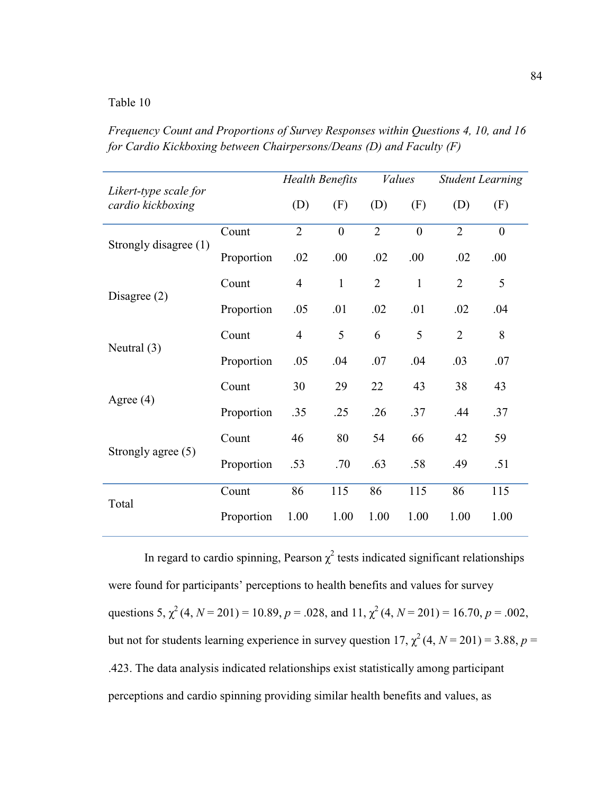*Frequency Count and Proportions of Survey Responses within Questions 4, 10, and 16 for Cardio Kickboxing between Chairpersons/Deans (D) and Faculty (F)*

|                                            |            | <b>Health Benefits</b> |                | <b>Values</b>  |                | <b>Student Learning</b> |                |
|--------------------------------------------|------------|------------------------|----------------|----------------|----------------|-------------------------|----------------|
| Likert-type scale for<br>cardio kickboxing |            | (D)                    | (F)            | (D)            | (F)            | (D)                     | (F)            |
| Strongly disagree (1)                      | Count      | $\overline{2}$         | $\overline{0}$ | $\overline{2}$ | $\overline{0}$ | $\overline{2}$          | $\overline{0}$ |
|                                            | Proportion | .02                    | .00            | .02            | .00            | .02                     | .00            |
| Disagree $(2)$                             | Count      | $\overline{4}$         | $\mathbf{1}$   | $\overline{2}$ | $\mathbf{1}$   | $\overline{2}$          | 5              |
|                                            | Proportion | .05                    | .01            | .02            | .01            | .02                     | .04            |
|                                            | Count      | $\overline{4}$         | 5              | 6              | 5              | $\overline{2}$          | 8              |
| Neutral $(3)$                              | Proportion | .05                    | .04            | .07            | .04            | .03                     | .07            |
| Agree $(4)$                                | Count      | 30                     | 29             | 22             | 43             | 38                      | 43             |
|                                            | Proportion | .35                    | .25            | .26            | .37            | .44                     | .37            |
|                                            | Count      | 46                     | 80             | 54             | 66             | 42                      | 59             |
| Strongly agree (5)                         | Proportion | .53                    | .70            | .63            | .58            | .49                     | .51            |
| Total                                      | Count      | 86                     | 115            | 86             | 115            | 86                      | 115            |
|                                            | Proportion | 1.00                   | 1.00           | 1.00           | 1.00           | 1.00                    | 1.00           |

In regard to cardio spinning, Pearson  $\chi^2$  tests indicated significant relationships were found for participants' perceptions to health benefits and values for survey questions 5,  $\chi^2$  (4, *N* = 201) = 10.89, *p* = .028, and 11,  $\chi^2$  (4, *N* = 201) = 16.70, *p* = .002, but not for students learning experience in survey question  $17, \chi^2(4, N = 201) = 3.88, p =$ .423. The data analysis indicated relationships exist statistically among participant perceptions and cardio spinning providing similar health benefits and values, as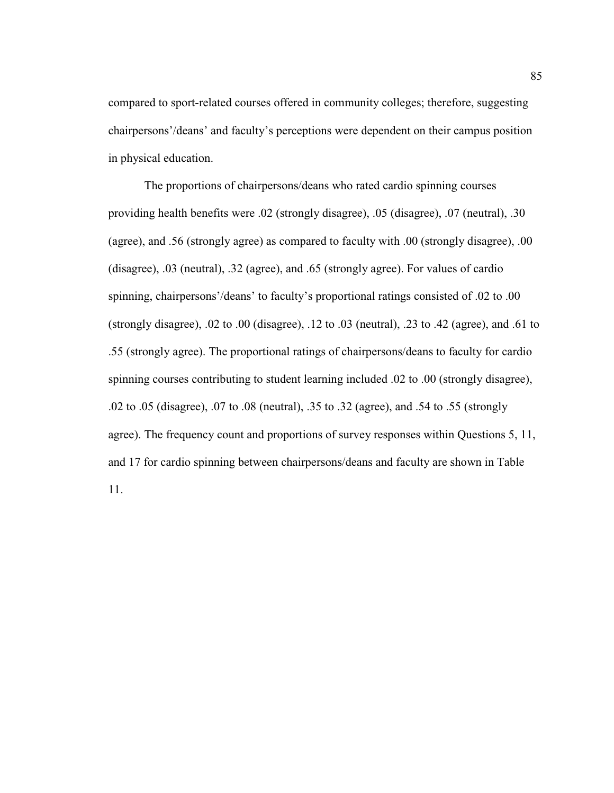compared to sport-related courses offered in community colleges; therefore, suggesting chairpersons'/deans' and faculty's perceptions were dependent on their campus position in physical education.

The proportions of chairpersons/deans who rated cardio spinning courses providing health benefits were .02 (strongly disagree), .05 (disagree), .07 (neutral), .30 (agree), and .56 (strongly agree) as compared to faculty with .00 (strongly disagree), .00 (disagree), .03 (neutral), .32 (agree), and .65 (strongly agree). For values of cardio spinning, chairpersons'/deans' to faculty's proportional ratings consisted of .02 to .00 (strongly disagree), .02 to .00 (disagree), .12 to .03 (neutral), .23 to .42 (agree), and .61 to .55 (strongly agree). The proportional ratings of chairpersons/deans to faculty for cardio spinning courses contributing to student learning included .02 to .00 (strongly disagree), .02 to .05 (disagree), .07 to .08 (neutral), .35 to .32 (agree), and .54 to .55 (strongly agree). The frequency count and proportions of survey responses within Questions 5, 11, and 17 for cardio spinning between chairpersons/deans and faculty are shown in Table 11.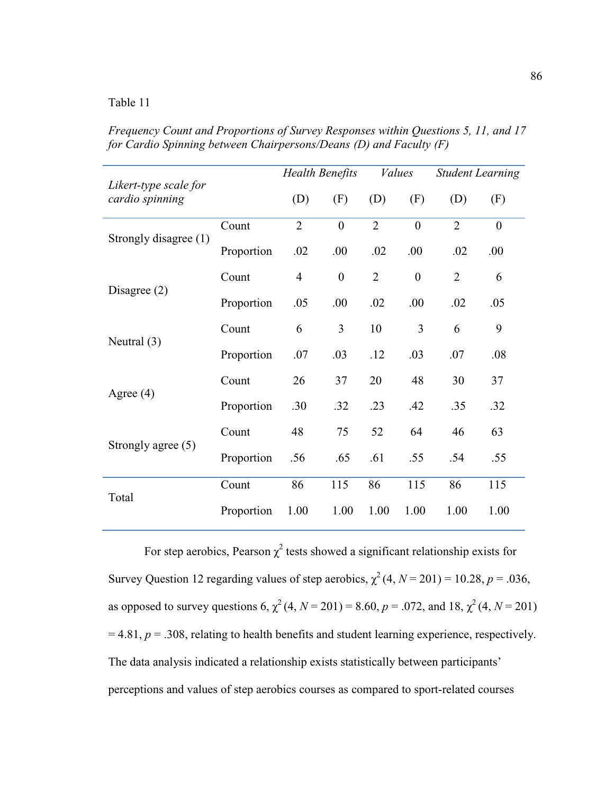*Frequency Count and Proportions of Survey Responses within Questions 5, 11, and 17 for Cardio Spinning between Chairpersons/Deans (D) and Faculty (F)*

| Likert-type scale for |            | <b>Health Benefits</b> |                  | <i>Values</i>  |                  | <b>Student Learning</b> |                  |
|-----------------------|------------|------------------------|------------------|----------------|------------------|-------------------------|------------------|
| cardio spinning       |            | (D)                    | (F)              | (D)            | (F)              | (D)                     | (F)              |
| Strongly disagree (1) | Count      | $\overline{2}$         | $\boldsymbol{0}$ | $\overline{2}$ | $\overline{0}$   | $\overline{2}$          | $\boldsymbol{0}$ |
|                       | Proportion | .02                    | .00              | .02            | .00              | .02                     | .00              |
| Disagree $(2)$        | Count      | $\overline{4}$         | $\boldsymbol{0}$ | $\overline{2}$ | $\boldsymbol{0}$ | $\overline{2}$          | 6                |
|                       | Proportion | .05                    | .00.             | .02            | .00              | .02                     | .05              |
|                       | Count      | 6                      | 3                | 10             | 3                | 6                       | 9                |
| Neutral $(3)$         | Proportion | .07                    | .03              | .12            | .03              | .07                     | .08              |
| Agree $(4)$           | Count      | 26                     | 37               | 20             | 48               | 30                      | 37               |
|                       | Proportion | .30                    | .32              | .23            | .42              | .35                     | .32              |
|                       | Count      | 48                     | 75               | 52             | 64               | 46                      | 63               |
| Strongly agree (5)    | Proportion | .56                    | .65              | .61            | .55              | .54                     | .55              |
| Total                 | Count      | 86                     | 115              | 86             | 115              | 86                      | 115              |
|                       | Proportion | 1.00                   | 1.00             | 1.00           | 1.00             | 1.00                    | 1.00             |

For step aerobics, Pearson  $\chi^2$  tests showed a significant relationship exists for Survey Question 12 regarding values of step aerobics,  $\chi^2$  (4,  $N = 201$ ) = 10.28,  $p = .036$ , as opposed to survey questions 6,  $\chi^2$  (4, *N* = 201) = 8.60, *p* = .072, and 18,  $\chi^2$  (4, *N* = 201)  $= 4.81, p = .308$ , relating to health benefits and student learning experience, respectively. The data analysis indicated a relationship exists statistically between participants' perceptions and values of step aerobics courses as compared to sport-related courses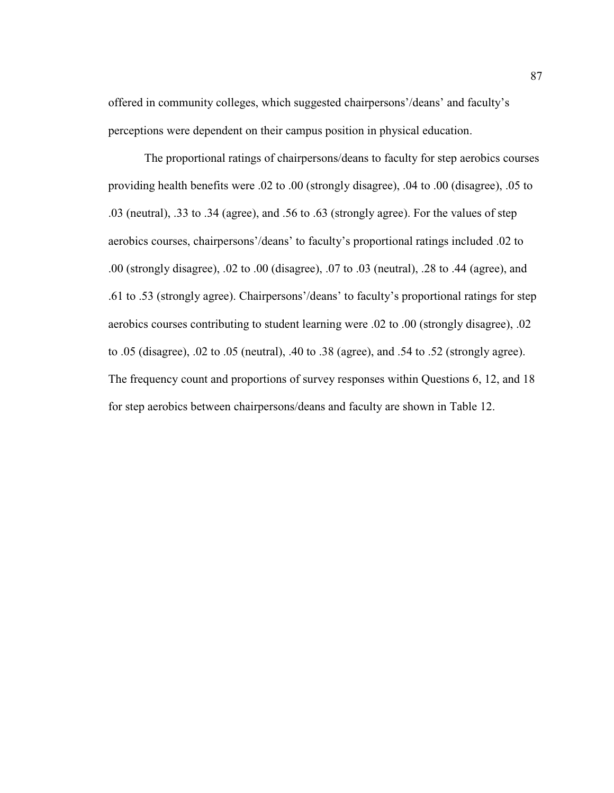offered in community colleges, which suggested chairpersons'/deans' and faculty's perceptions were dependent on their campus position in physical education.

The proportional ratings of chairpersons/deans to faculty for step aerobics courses providing health benefits were .02 to .00 (strongly disagree), .04 to .00 (disagree), .05 to .03 (neutral), .33 to .34 (agree), and .56 to .63 (strongly agree). For the values of step aerobics courses, chairpersons'/deans' to faculty's proportional ratings included .02 to .00 (strongly disagree), .02 to .00 (disagree), .07 to .03 (neutral), .28 to .44 (agree), and .61 to .53 (strongly agree). Chairpersons'/deans' to faculty's proportional ratings for step aerobics courses contributing to student learning were .02 to .00 (strongly disagree), .02 to .05 (disagree), .02 to .05 (neutral), .40 to .38 (agree), and .54 to .52 (strongly agree). The frequency count and proportions of survey responses within Questions 6, 12, and 18 for step aerobics between chairpersons/deans and faculty are shown in Table 12.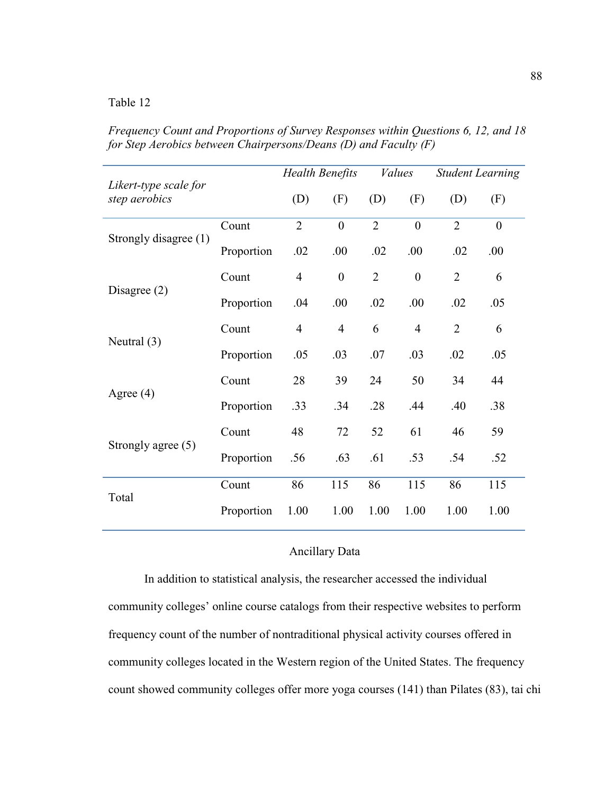*Frequency Count and Proportions of Survey Responses within Questions 6, 12, and 18 for Step Aerobics between Chairpersons/Deans (D) and Faculty (F)*

| Likert-type scale for |            | <b>Health Benefits</b> |                  | <i>Values</i>  |                  | <b>Student Learning</b> |                  |
|-----------------------|------------|------------------------|------------------|----------------|------------------|-------------------------|------------------|
| step aerobics         |            | (D)                    | (F)              | (D)            | (F)              | (D)                     | (F)              |
| Strongly disagree (1) | Count      | $\overline{2}$         | $\mathbf{0}$     | $\overline{2}$ | $\overline{0}$   | $\overline{2}$          | $\boldsymbol{0}$ |
|                       | Proportion | .02                    | .00              | .02            | .00              | .02                     | .00              |
| Disagree $(2)$        | Count      | $\overline{4}$         | $\boldsymbol{0}$ | $\overline{2}$ | $\boldsymbol{0}$ | $\overline{2}$          | 6                |
|                       | Proportion | .04                    | .00              | .02            | .00              | .02                     | .05              |
| Neutral $(3)$         | Count      | $\overline{4}$         | $\overline{4}$   | 6              | $\overline{4}$   | $\overline{2}$          | 6                |
|                       | Proportion | .05                    | .03              | .07            | .03              | .02                     | .05              |
| Agree $(4)$           | Count      | 28                     | 39               | 24             | 50               | 34                      | 44               |
|                       | Proportion | .33                    | .34              | .28            | .44              | .40                     | .38              |
| Strongly agree (5)    | Count      | 48                     | 72               | 52             | 61               | 46                      | 59               |
|                       | Proportion | .56                    | .63              | .61            | .53              | .54                     | .52              |
| Total                 | Count      | 86                     | 115              | 86             | 115              | 86                      | 115              |
|                       | Proportion | 1.00                   | 1.00             | 1.00           | 1.00             | 1.00                    | 1.00             |

# Ancillary Data

In addition to statistical analysis, the researcher accessed the individual community colleges' online course catalogs from their respective websites to perform frequency count of the number of nontraditional physical activity courses offered in community colleges located in the Western region of the United States. The frequency count showed community colleges offer more yoga courses (141) than Pilates (83), tai chi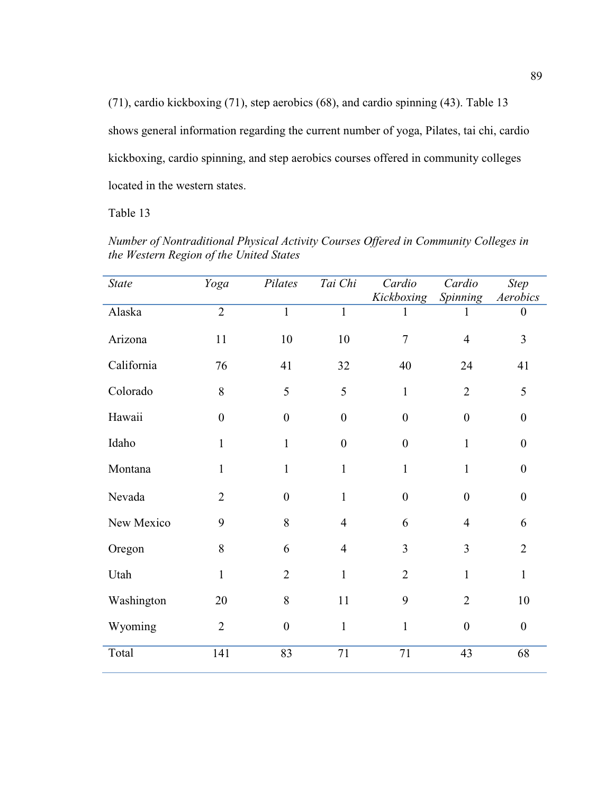(71), cardio kickboxing (71), step aerobics (68), and cardio spinning (43). Table 13 shows general information regarding the current number of yoga, Pilates, tai chi, cardio kickboxing, cardio spinning, and step aerobics courses offered in community colleges located in the western states.

Table 13

| <b>State</b> | Yoga             | Pilates          | Tai Chi          | Cardio<br>Kickboxing | Cardio<br>Spinning | <b>Step</b><br>$\Large \label{eq:4} Aerobics$ |
|--------------|------------------|------------------|------------------|----------------------|--------------------|-----------------------------------------------|
| Alaska       | $\overline{2}$   | $\mathbf{1}$     | $\mathbf{1}$     | 1                    | 1                  | $\boldsymbol{0}$                              |
| Arizona      | 11               | 10               | 10               | $\overline{7}$       | $\overline{4}$     | $\overline{3}$                                |
| California   | 76               | 41               | 32               | 40                   | 24                 | 41                                            |
| Colorado     | 8                | 5                | 5                | $\mathbf{1}$         | $\overline{2}$     | 5                                             |
| Hawaii       | $\boldsymbol{0}$ | $\boldsymbol{0}$ | $\boldsymbol{0}$ | $\boldsymbol{0}$     | $\boldsymbol{0}$   | $\boldsymbol{0}$                              |
| Idaho        | 1                | $\mathbf{1}$     | $\boldsymbol{0}$ | $\boldsymbol{0}$     | $\mathbf{1}$       | $\boldsymbol{0}$                              |
| Montana      | 1                | $\mathbf{1}$     | $\mathbf{1}$     | $\mathbf{1}$         | $\mathbf{1}$       | $\boldsymbol{0}$                              |
| Nevada       | $\overline{2}$   | $\overline{0}$   | $\mathbf{1}$     | $\overline{0}$       | $\overline{0}$     | $\boldsymbol{0}$                              |
| New Mexico   | 9                | 8                | $\overline{4}$   | 6                    | $\overline{4}$     | 6                                             |
| Oregon       | 8                | 6                | $\overline{4}$   | $\overline{3}$       | 3                  | $\overline{2}$                                |
| Utah         | $\mathbf{1}$     | $\overline{2}$   | $\mathbf{1}$     | $\overline{2}$       | $\mathbf{1}$       | $\mathbf{1}$                                  |
| Washington   | 20               | 8                | 11               | 9                    | $\overline{2}$     | 10                                            |
| Wyoming      | $\overline{2}$   | $\mathbf{0}$     | $\mathbf{1}$     | $\mathbf{1}$         | $\overline{0}$     | $\mathbf{0}$                                  |
| Total        | 141              | 83               | 71               | 71                   | 43                 | 68                                            |

*Number of Nontraditional Physical Activity Courses Offered in Community Colleges in the Western Region of the United States*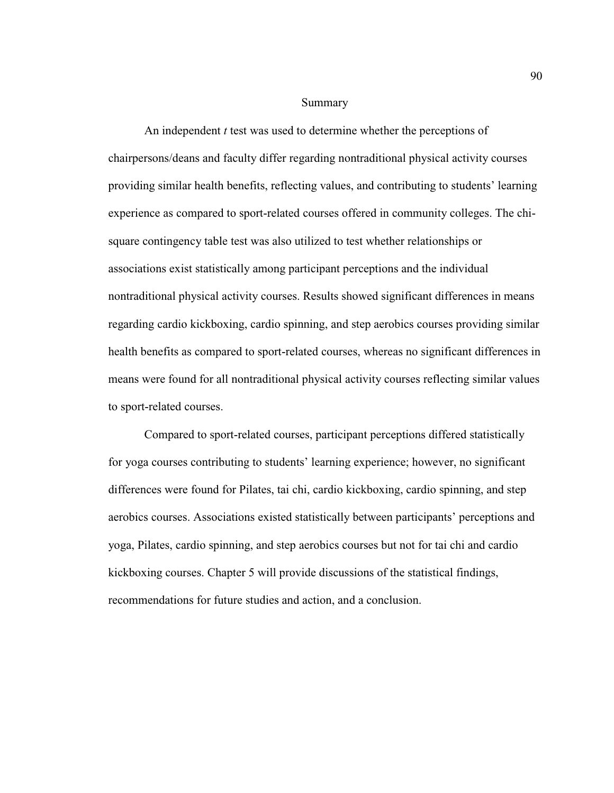#### Summary

 An independent *t* test was used to determine whether the perceptions of chairpersons/deans and faculty differ regarding nontraditional physical activity courses providing similar health benefits, reflecting values, and contributing to students' learning experience as compared to sport-related courses offered in community colleges. The chisquare contingency table test was also utilized to test whether relationships or associations exist statistically among participant perceptions and the individual nontraditional physical activity courses. Results showed significant differences in means regarding cardio kickboxing, cardio spinning, and step aerobics courses providing similar health benefits as compared to sport-related courses, whereas no significant differences in means were found for all nontraditional physical activity courses reflecting similar values to sport-related courses.

 Compared to sport-related courses, participant perceptions differed statistically for yoga courses contributing to students' learning experience; however, no significant differences were found for Pilates, tai chi, cardio kickboxing, cardio spinning, and step aerobics courses. Associations existed statistically between participants' perceptions and yoga, Pilates, cardio spinning, and step aerobics courses but not for tai chi and cardio kickboxing courses. Chapter 5 will provide discussions of the statistical findings, recommendations for future studies and action, and a conclusion.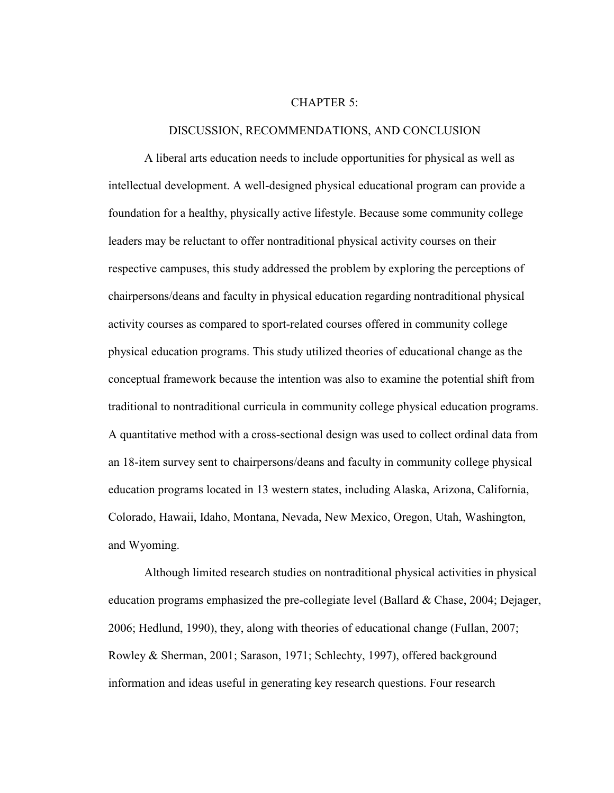#### CHAPTER 5:

#### DISCUSSION, RECOMMENDATIONS, AND CONCLUSION

 A liberal arts education needs to include opportunities for physical as well as intellectual development. A well-designed physical educational program can provide a foundation for a healthy, physically active lifestyle. Because some community college leaders may be reluctant to offer nontraditional physical activity courses on their respective campuses, this study addressed the problem by exploring the perceptions of chairpersons/deans and faculty in physical education regarding nontraditional physical activity courses as compared to sport-related courses offered in community college physical education programs. This study utilized theories of educational change as the conceptual framework because the intention was also to examine the potential shift from traditional to nontraditional curricula in community college physical education programs. A quantitative method with a cross-sectional design was used to collect ordinal data from an 18-item survey sent to chairpersons/deans and faculty in community college physical education programs located in 13 western states, including Alaska, Arizona, California, Colorado, Hawaii, Idaho, Montana, Nevada, New Mexico, Oregon, Utah, Washington, and Wyoming.

Although limited research studies on nontraditional physical activities in physical education programs emphasized the pre-collegiate level (Ballard & Chase, 2004; Dejager, 2006; Hedlund, 1990), they, along with theories of educational change (Fullan, 2007; Rowley & Sherman, 2001; Sarason, 1971; Schlechty, 1997), offered background information and ideas useful in generating key research questions. Four research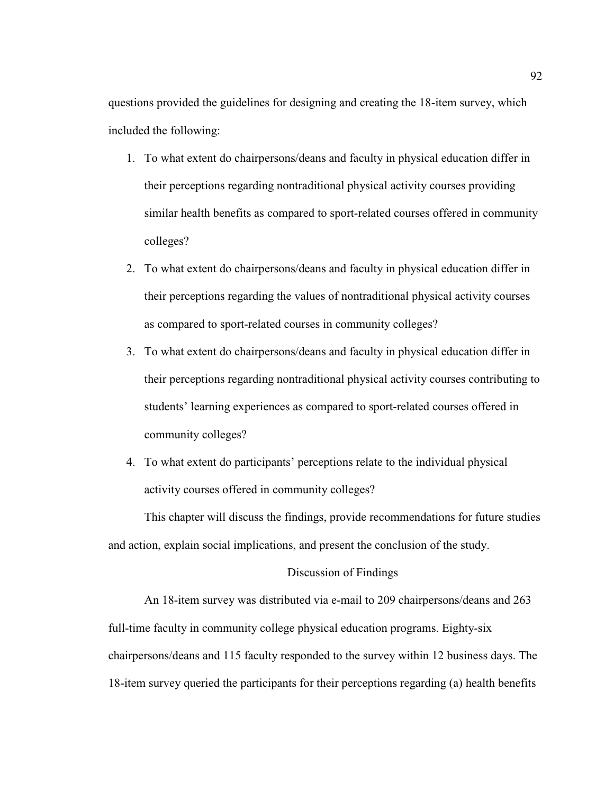questions provided the guidelines for designing and creating the 18-item survey, which included the following:

- 1. To what extent do chairpersons/deans and faculty in physical education differ in their perceptions regarding nontraditional physical activity courses providing similar health benefits as compared to sport-related courses offered in community colleges?
- 2. To what extent do chairpersons/deans and faculty in physical education differ in their perceptions regarding the values of nontraditional physical activity courses as compared to sport-related courses in community colleges?
- 3. To what extent do chairpersons/deans and faculty in physical education differ in their perceptions regarding nontraditional physical activity courses contributing to students' learning experiences as compared to sport-related courses offered in community colleges?
- 4. To what extent do participants' perceptions relate to the individual physical activity courses offered in community colleges?

This chapter will discuss the findings, provide recommendations for future studies and action, explain social implications, and present the conclusion of the study.

# Discussion of Findings

 An 18-item survey was distributed via e-mail to 209 chairpersons/deans and 263 full-time faculty in community college physical education programs. Eighty-six chairpersons/deans and 115 faculty responded to the survey within 12 business days. The 18-item survey queried the participants for their perceptions regarding (a) health benefits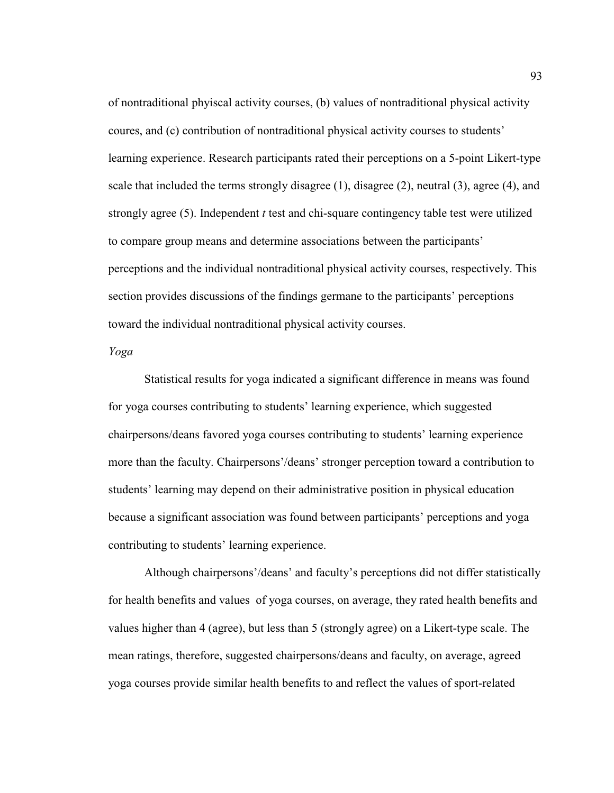of nontraditional phyiscal activity courses, (b) values of nontraditional physical activity coures, and (c) contribution of nontraditional physical activity courses to students' learning experience. Research participants rated their perceptions on a 5-point Likert-type scale that included the terms strongly disagree (1), disagree (2), neutral (3), agree (4), and strongly agree (5). Independent *t* test and chi-square contingency table test were utilized to compare group means and determine associations between the participants' perceptions and the individual nontraditional physical activity courses, respectively. This section provides discussions of the findings germane to the participants' perceptions toward the individual nontraditional physical activity courses.

*Yoga* 

 Statistical results for yoga indicated a significant difference in means was found for yoga courses contributing to students' learning experience, which suggested chairpersons/deans favored yoga courses contributing to students' learning experience more than the faculty. Chairpersons'/deans' stronger perception toward a contribution to students' learning may depend on their administrative position in physical education because a significant association was found between participants' perceptions and yoga contributing to students' learning experience.

 Although chairpersons'/deans' and faculty's perceptions did not differ statistically for health benefits and values of yoga courses, on average, they rated health benefits and values higher than 4 (agree), but less than 5 (strongly agree) on a Likert-type scale. The mean ratings, therefore, suggested chairpersons/deans and faculty, on average, agreed yoga courses provide similar health benefits to and reflect the values of sport-related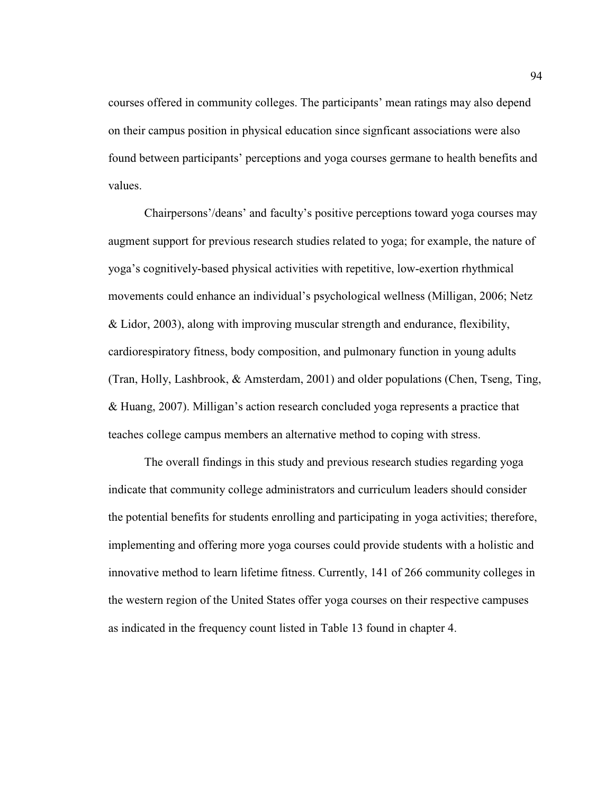courses offered in community colleges. The participants' mean ratings may also depend on their campus position in physical education since signficant associations were also found between participants' perceptions and yoga courses germane to health benefits and values.

Chairpersons'/deans' and faculty's positive perceptions toward yoga courses may augment support for previous research studies related to yoga; for example, the nature of yoga's cognitively-based physical activities with repetitive, low-exertion rhythmical movements could enhance an individual's psychological wellness (Milligan, 2006; Netz & Lidor, 2003), along with improving muscular strength and endurance, flexibility, cardiorespiratory fitness, body composition, and pulmonary function in young adults (Tran, Holly, Lashbrook, & Amsterdam, 2001) and older populations (Chen, Tseng, Ting, & Huang, 2007). Milligan's action research concluded yoga represents a practice that teaches college campus members an alternative method to coping with stress.

The overall findings in this study and previous research studies regarding yoga indicate that community college administrators and curriculum leaders should consider the potential benefits for students enrolling and participating in yoga activities; therefore, implementing and offering more yoga courses could provide students with a holistic and innovative method to learn lifetime fitness. Currently, 141 of 266 community colleges in the western region of the United States offer yoga courses on their respective campuses as indicated in the frequency count listed in Table 13 found in chapter 4.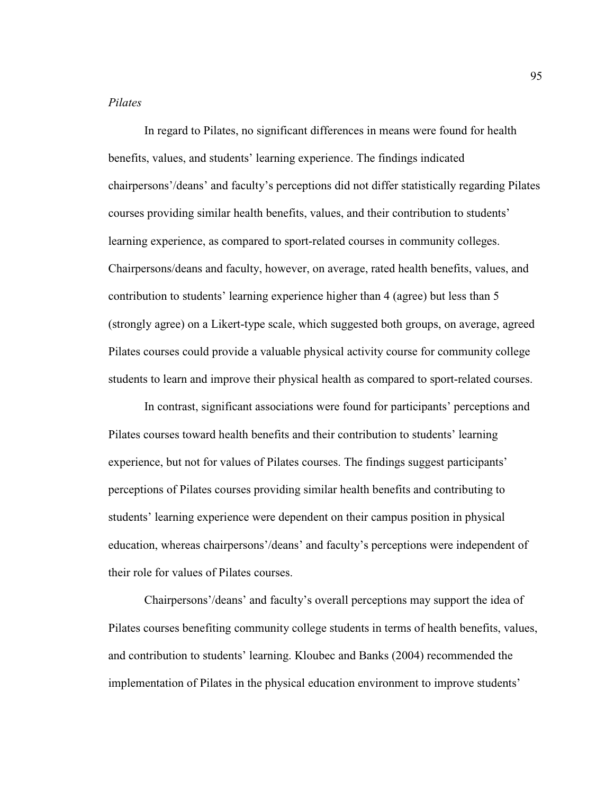## *Pilates*

 In regard to Pilates, no significant differences in means were found for health benefits, values, and students' learning experience. The findings indicated chairpersons'/deans' and faculty's perceptions did not differ statistically regarding Pilates courses providing similar health benefits, values, and their contribution to students' learning experience, as compared to sport-related courses in community colleges. Chairpersons/deans and faculty, however, on average, rated health benefits, values, and contribution to students' learning experience higher than 4 (agree) but less than 5 (strongly agree) on a Likert-type scale, which suggested both groups, on average, agreed Pilates courses could provide a valuable physical activity course for community college students to learn and improve their physical health as compared to sport-related courses.

In contrast, significant associations were found for participants' perceptions and Pilates courses toward health benefits and their contribution to students' learning experience, but not for values of Pilates courses. The findings suggest participants' perceptions of Pilates courses providing similar health benefits and contributing to students' learning experience were dependent on their campus position in physical education, whereas chairpersons'/deans' and faculty's perceptions were independent of their role for values of Pilates courses.

Chairpersons'/deans' and faculty's overall perceptions may support the idea of Pilates courses benefiting community college students in terms of health benefits, values, and contribution to students' learning. Kloubec and Banks (2004) recommended the implementation of Pilates in the physical education environment to improve students'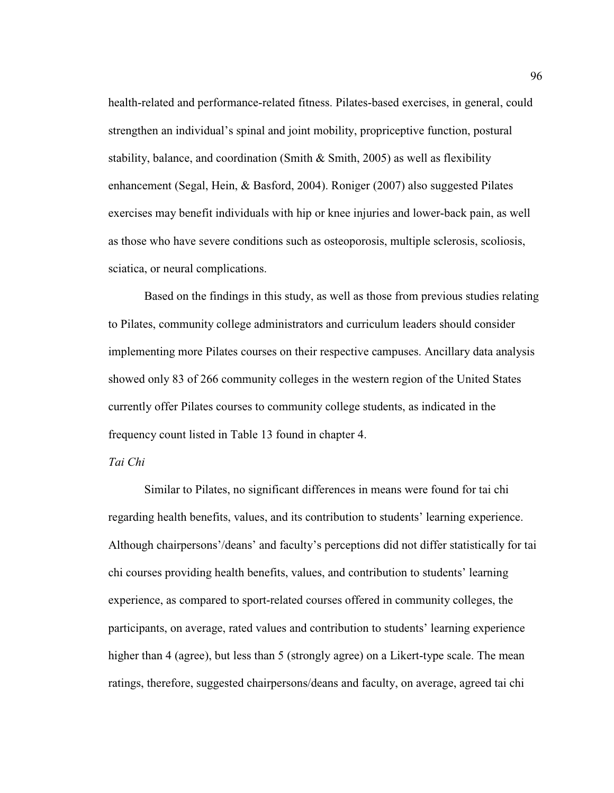health-related and performance-related fitness. Pilates-based exercises, in general, could strengthen an individual's spinal and joint mobility, propriceptive function, postural stability, balance, and coordination (Smith  $\&$  Smith, 2005) as well as flexibility enhancement (Segal, Hein, & Basford, 2004). Roniger (2007) also suggested Pilates exercises may benefit individuals with hip or knee injuries and lower-back pain, as well as those who have severe conditions such as osteoporosis, multiple sclerosis, scoliosis, sciatica, or neural complications.

Based on the findings in this study, as well as those from previous studies relating to Pilates, community college administrators and curriculum leaders should consider implementing more Pilates courses on their respective campuses. Ancillary data analysis showed only 83 of 266 community colleges in the western region of the United States currently offer Pilates courses to community college students, as indicated in the frequency count listed in Table 13 found in chapter 4.

### *Tai Chi*

 Similar to Pilates, no significant differences in means were found for tai chi regarding health benefits, values, and its contribution to students' learning experience. Although chairpersons'/deans' and faculty's perceptions did not differ statistically for tai chi courses providing health benefits, values, and contribution to students' learning experience, as compared to sport-related courses offered in community colleges, the participants, on average, rated values and contribution to students' learning experience higher than 4 (agree), but less than 5 (strongly agree) on a Likert-type scale. The mean ratings, therefore, suggested chairpersons/deans and faculty, on average, agreed tai chi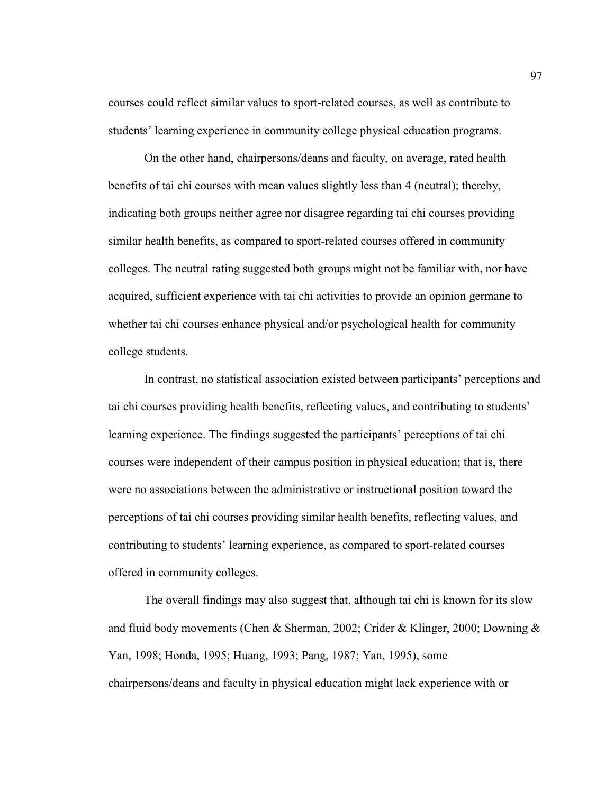courses could reflect similar values to sport-related courses, as well as contribute to students' learning experience in community college physical education programs.

 On the other hand, chairpersons/deans and faculty, on average, rated health benefits of tai chi courses with mean values slightly less than 4 (neutral); thereby, indicating both groups neither agree nor disagree regarding tai chi courses providing similar health benefits, as compared to sport-related courses offered in community colleges. The neutral rating suggested both groups might not be familiar with, nor have acquired, sufficient experience with tai chi activities to provide an opinion germane to whether tai chi courses enhance physical and/or psychological health for community college students.

In contrast, no statistical association existed between participants' perceptions and tai chi courses providing health benefits, reflecting values, and contributing to students' learning experience. The findings suggested the participants' perceptions of tai chi courses were independent of their campus position in physical education; that is, there were no associations between the administrative or instructional position toward the perceptions of tai chi courses providing similar health benefits, reflecting values, and contributing to students' learning experience, as compared to sport-related courses offered in community colleges.

The overall findings may also suggest that, although tai chi is known for its slow and fluid body movements (Chen & Sherman, 2002; Crider & Klinger, 2000; Downing & Yan, 1998; Honda, 1995; Huang, 1993; Pang, 1987; Yan, 1995), some chairpersons/deans and faculty in physical education might lack experience with or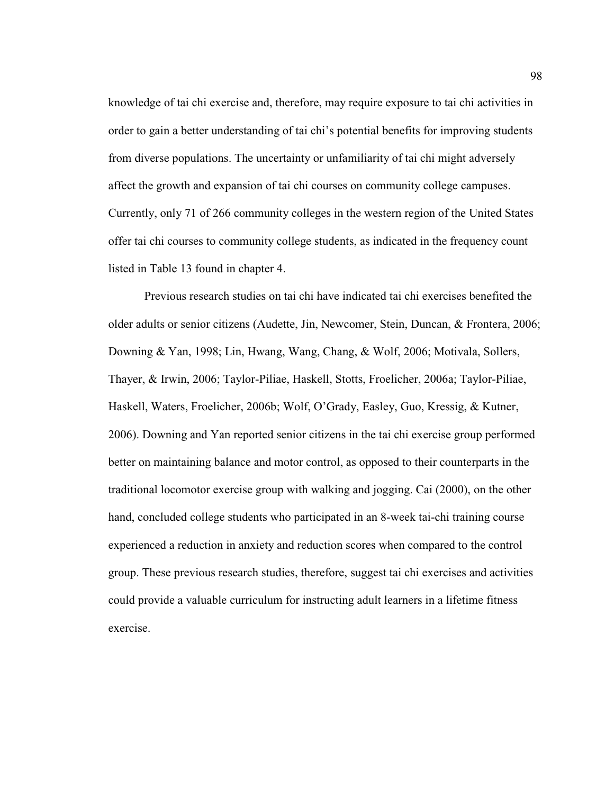knowledge of tai chi exercise and, therefore, may require exposure to tai chi activities in order to gain a better understanding of tai chi's potential benefits for improving students from diverse populations. The uncertainty or unfamiliarity of tai chi might adversely affect the growth and expansion of tai chi courses on community college campuses. Currently, only 71 of 266 community colleges in the western region of the United States offer tai chi courses to community college students, as indicated in the frequency count listed in Table 13 found in chapter 4.

Previous research studies on tai chi have indicated tai chi exercises benefited the older adults or senior citizens (Audette, Jin, Newcomer, Stein, Duncan, & Frontera, 2006; Downing & Yan, 1998; Lin, Hwang, Wang, Chang, & Wolf, 2006; Motivala, Sollers, Thayer, & Irwin, 2006; Taylor-Piliae, Haskell, Stotts, Froelicher, 2006a; Taylor-Piliae, Haskell, Waters, Froelicher, 2006b; Wolf, O'Grady, Easley, Guo, Kressig, & Kutner, 2006). Downing and Yan reported senior citizens in the tai chi exercise group performed better on maintaining balance and motor control, as opposed to their counterparts in the traditional locomotor exercise group with walking and jogging. Cai (2000), on the other hand, concluded college students who participated in an 8-week tai-chi training course experienced a reduction in anxiety and reduction scores when compared to the control group. These previous research studies, therefore, suggest tai chi exercises and activities could provide a valuable curriculum for instructing adult learners in a lifetime fitness exercise.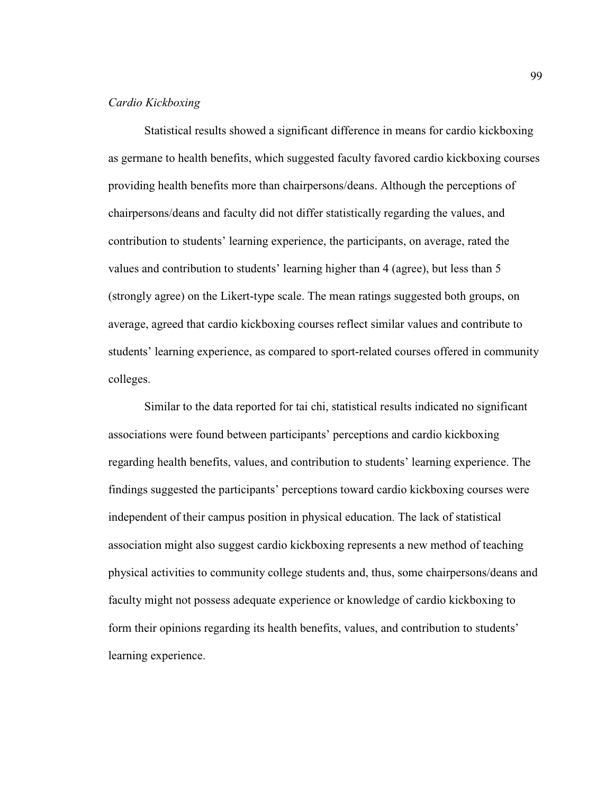#### *Cardio Kickboxing*

 Statistical results showed a significant difference in means for cardio kickboxing as germane to health benefits, which suggested faculty favored cardio kickboxing courses providing health benefits more than chairpersons/deans. Although the perceptions of chairpersons/deans and faculty did not differ statistically regarding the values, and contribution to students' learning experience, the participants, on average, rated the values and contribution to students' learning higher than 4 (agree), but less than 5 (strongly agree) on the Likert-type scale. The mean ratings suggested both groups, on average, agreed that cardio kickboxing courses reflect similar values and contribute to students' learning experience, as compared to sport-related courses offered in community colleges.

Similar to the data reported for tai chi, statistical results indicated no significant associations were found between participants' perceptions and cardio kickboxing regarding health benefits, values, and contribution to students' learning experience. The findings suggested the participants' perceptions toward cardio kickboxing courses were independent of their campus position in physical education. The lack of statistical association might also suggest cardio kickboxing represents a new method of teaching physical activities to community college students and, thus, some chairpersons/deans and faculty might not possess adequate experience or knowledge of cardio kickboxing to form their opinions regarding its health benefits, values, and contribution to students' learning experience.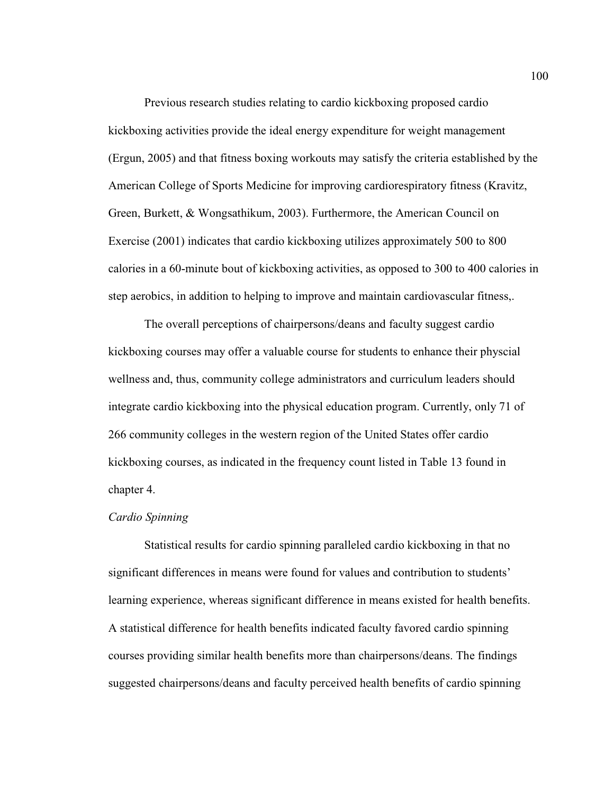Previous research studies relating to cardio kickboxing proposed cardio kickboxing activities provide the ideal energy expenditure for weight management (Ergun, 2005) and that fitness boxing workouts may satisfy the criteria established by the American College of Sports Medicine for improving cardiorespiratory fitness (Kravitz, Green, Burkett, & Wongsathikum, 2003). Furthermore, the American Council on Exercise (2001) indicates that cardio kickboxing utilizes approximately 500 to 800 calories in a 60-minute bout of kickboxing activities, as opposed to 300 to 400 calories in step aerobics, in addition to helping to improve and maintain cardiovascular fitness,.

The overall perceptions of chairpersons/deans and faculty suggest cardio kickboxing courses may offer a valuable course for students to enhance their physcial wellness and, thus, community college administrators and curriculum leaders should integrate cardio kickboxing into the physical education program. Currently, only 71 of 266 community colleges in the western region of the United States offer cardio kickboxing courses, as indicated in the frequency count listed in Table 13 found in chapter 4.

#### *Cardio Spinning*

 Statistical results for cardio spinning paralleled cardio kickboxing in that no significant differences in means were found for values and contribution to students' learning experience, whereas significant difference in means existed for health benefits. A statistical difference for health benefits indicated faculty favored cardio spinning courses providing similar health benefits more than chairpersons/deans. The findings suggested chairpersons/deans and faculty perceived health benefits of cardio spinning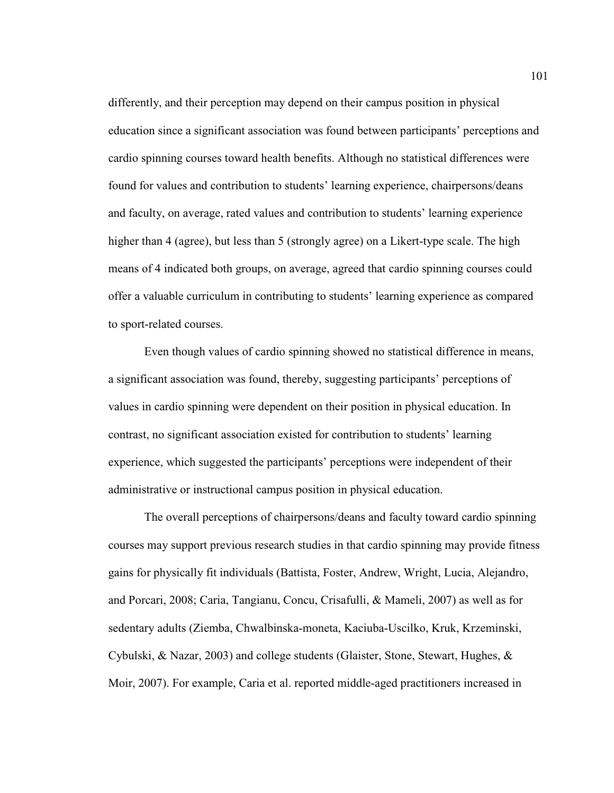differently, and their perception may depend on their campus position in physical education since a significant association was found between participants' perceptions and cardio spinning courses toward health benefits. Although no statistical differences were found for values and contribution to students' learning experience, chairpersons/deans and faculty, on average, rated values and contribution to students' learning experience higher than 4 (agree), but less than 5 (strongly agree) on a Likert-type scale. The high means of 4 indicated both groups, on average, agreed that cardio spinning courses could offer a valuable curriculum in contributing to students' learning experience as compared to sport-related courses.

Even though values of cardio spinning showed no statistical difference in means, a significant association was found, thereby, suggesting participants' perceptions of values in cardio spinning were dependent on their position in physical education. In contrast, no significant association existed for contribution to students' learning experience, which suggested the participants' perceptions were independent of their administrative or instructional campus position in physical education.

The overall perceptions of chairpersons/deans and faculty toward cardio spinning courses may support previous research studies in that cardio spinning may provide fitness gains for physically fit individuals (Battista, Foster, Andrew, Wright, Lucia, Alejandro, and Porcari, 2008; Caria, Tangianu, Concu, Crisafulli, & Mameli, 2007) as well as for sedentary adults (Ziemba, Chwalbinska-moneta, Kaciuba-Uscilko, Kruk, Krzeminski, Cybulski, & Nazar, 2003) and college students (Glaister, Stone, Stewart, Hughes, & Moir, 2007). For example, Caria et al. reported middle-aged practitioners increased in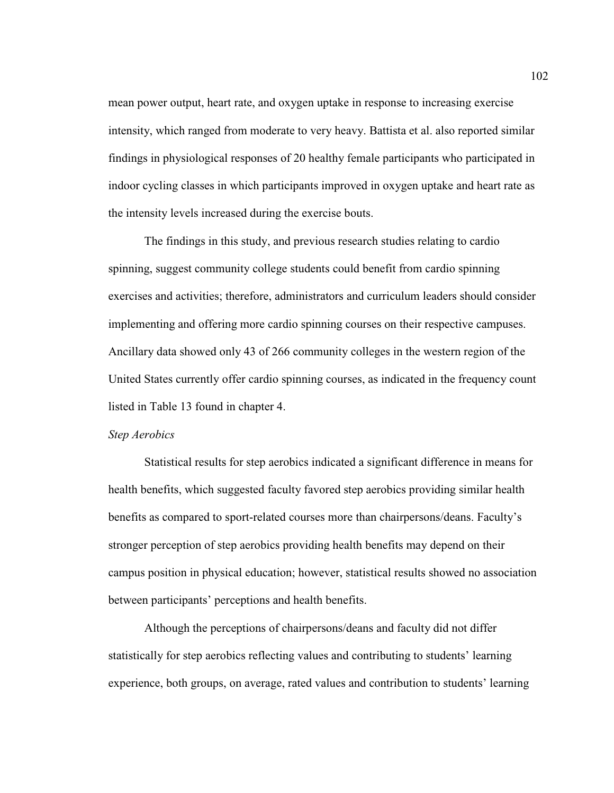mean power output, heart rate, and oxygen uptake in response to increasing exercise intensity, which ranged from moderate to very heavy. Battista et al. also reported similar findings in physiological responses of 20 healthy female participants who participated in indoor cycling classes in which participants improved in oxygen uptake and heart rate as the intensity levels increased during the exercise bouts.

The findings in this study, and previous research studies relating to cardio spinning, suggest community college students could benefit from cardio spinning exercises and activities; therefore, administrators and curriculum leaders should consider implementing and offering more cardio spinning courses on their respective campuses. Ancillary data showed only 43 of 266 community colleges in the western region of the United States currently offer cardio spinning courses, as indicated in the frequency count listed in Table 13 found in chapter 4.

#### *Step Aerobics*

 Statistical results for step aerobics indicated a significant difference in means for health benefits, which suggested faculty favored step aerobics providing similar health benefits as compared to sport-related courses more than chairpersons/deans. Faculty's stronger perception of step aerobics providing health benefits may depend on their campus position in physical education; however, statistical results showed no association between participants' perceptions and health benefits.

 Although the perceptions of chairpersons/deans and faculty did not differ statistically for step aerobics reflecting values and contributing to students' learning experience, both groups, on average, rated values and contribution to students' learning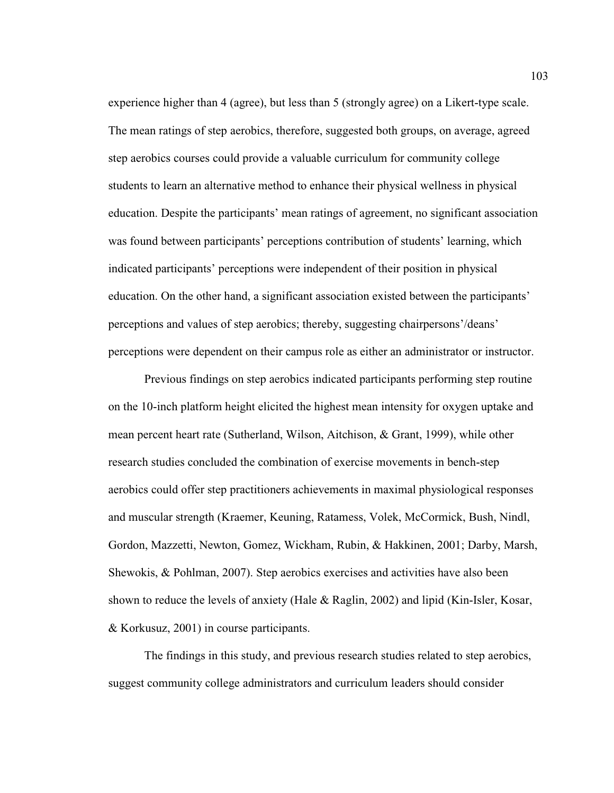experience higher than 4 (agree), but less than 5 (strongly agree) on a Likert-type scale. The mean ratings of step aerobics, therefore, suggested both groups, on average, agreed step aerobics courses could provide a valuable curriculum for community college students to learn an alternative method to enhance their physical wellness in physical education. Despite the participants' mean ratings of agreement, no significant association was found between participants' perceptions contribution of students' learning, which indicated participants' perceptions were independent of their position in physical education. On the other hand, a significant association existed between the participants' perceptions and values of step aerobics; thereby, suggesting chairpersons'/deans' perceptions were dependent on their campus role as either an administrator or instructor.

Previous findings on step aerobics indicated participants performing step routine on the 10-inch platform height elicited the highest mean intensity for oxygen uptake and mean percent heart rate (Sutherland, Wilson, Aitchison, & Grant, 1999), while other research studies concluded the combination of exercise movements in bench-step aerobics could offer step practitioners achievements in maximal physiological responses and muscular strength (Kraemer, Keuning, Ratamess, Volek, McCormick, Bush, Nindl, Gordon, Mazzetti, Newton, Gomez, Wickham, Rubin, & Hakkinen, 2001; Darby, Marsh, Shewokis, & Pohlman, 2007). Step aerobics exercises and activities have also been shown to reduce the levels of anxiety (Hale & Raglin, 2002) and lipid (Kin-Isler, Kosar, & Korkusuz, 2001) in course participants.

The findings in this study, and previous research studies related to step aerobics, suggest community college administrators and curriculum leaders should consider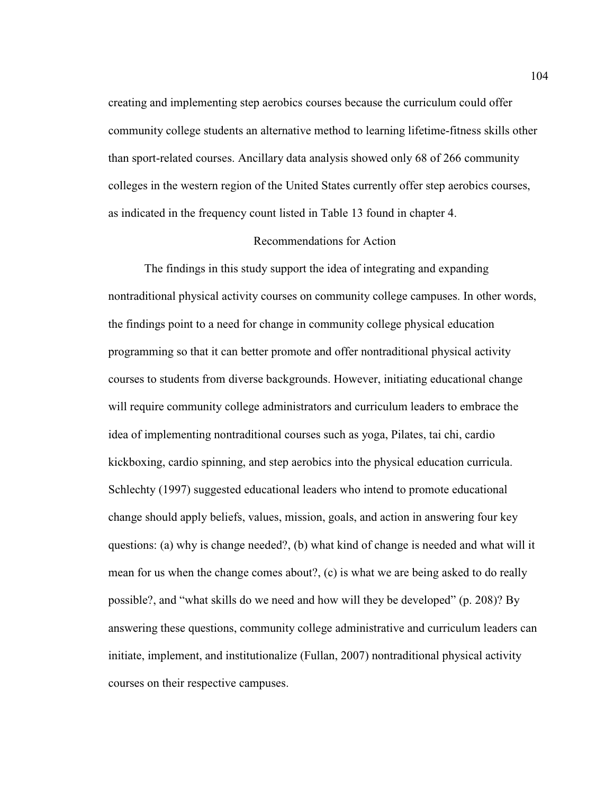creating and implementing step aerobics courses because the curriculum could offer community college students an alternative method to learning lifetime-fitness skills other than sport-related courses. Ancillary data analysis showed only 68 of 266 community colleges in the western region of the United States currently offer step aerobics courses, as indicated in the frequency count listed in Table 13 found in chapter 4.

#### Recommendations for Action

 The findings in this study support the idea of integrating and expanding nontraditional physical activity courses on community college campuses. In other words, the findings point to a need for change in community college physical education programming so that it can better promote and offer nontraditional physical activity courses to students from diverse backgrounds. However, initiating educational change will require community college administrators and curriculum leaders to embrace the idea of implementing nontraditional courses such as yoga, Pilates, tai chi, cardio kickboxing, cardio spinning, and step aerobics into the physical education curricula. Schlechty (1997) suggested educational leaders who intend to promote educational change should apply beliefs, values, mission, goals, and action in answering four key questions: (a) why is change needed?, (b) what kind of change is needed and what will it mean for us when the change comes about?, (c) is what we are being asked to do really possible?, and "what skills do we need and how will they be developed" (p. 208)? By answering these questions, community college administrative and curriculum leaders can initiate, implement, and institutionalize (Fullan, 2007) nontraditional physical activity courses on their respective campuses.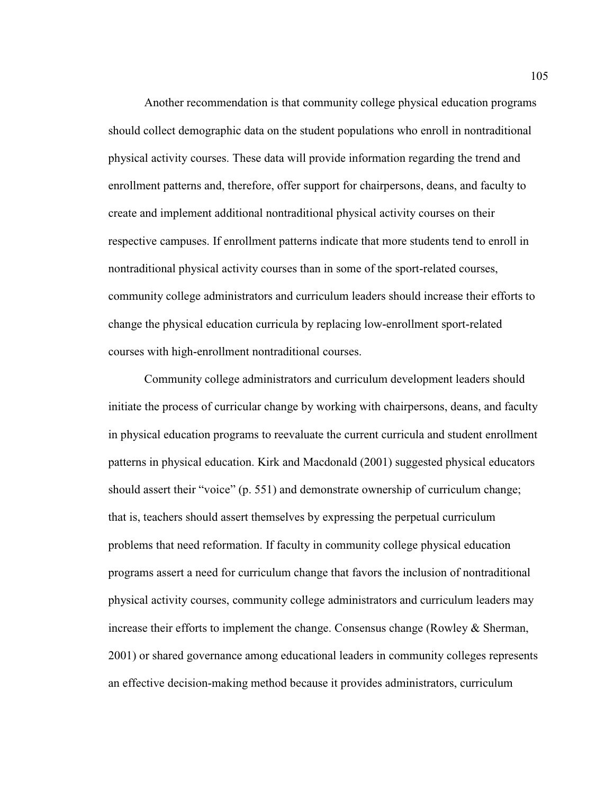Another recommendation is that community college physical education programs should collect demographic data on the student populations who enroll in nontraditional physical activity courses. These data will provide information regarding the trend and enrollment patterns and, therefore, offer support for chairpersons, deans, and faculty to create and implement additional nontraditional physical activity courses on their respective campuses. If enrollment patterns indicate that more students tend to enroll in nontraditional physical activity courses than in some of the sport-related courses, community college administrators and curriculum leaders should increase their efforts to change the physical education curricula by replacing low-enrollment sport-related courses with high-enrollment nontraditional courses.

Community college administrators and curriculum development leaders should initiate the process of curricular change by working with chairpersons, deans, and faculty in physical education programs to reevaluate the current curricula and student enrollment patterns in physical education. Kirk and Macdonald (2001) suggested physical educators should assert their "voice" (p. 551) and demonstrate ownership of curriculum change; that is, teachers should assert themselves by expressing the perpetual curriculum problems that need reformation. If faculty in community college physical education programs assert a need for curriculum change that favors the inclusion of nontraditional physical activity courses, community college administrators and curriculum leaders may increase their efforts to implement the change. Consensus change (Rowley & Sherman, 2001) or shared governance among educational leaders in community colleges represents an effective decision-making method because it provides administrators, curriculum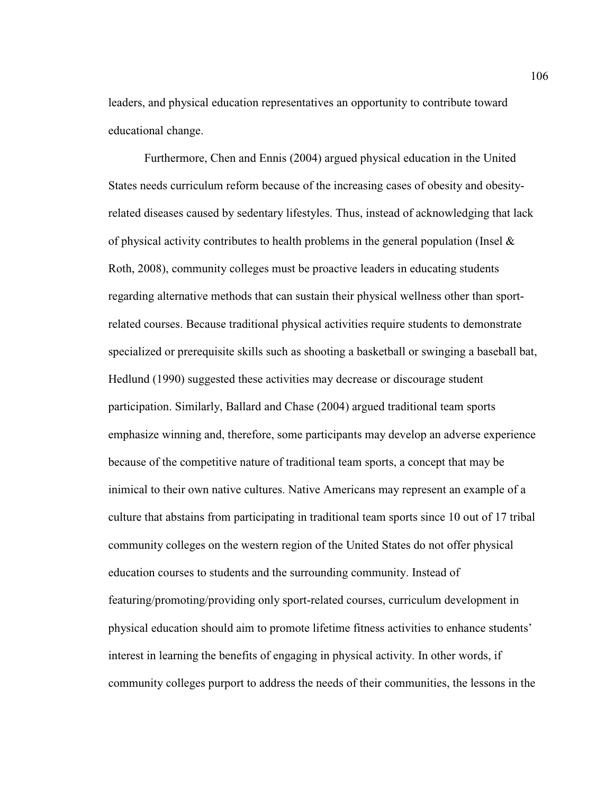leaders, and physical education representatives an opportunity to contribute toward educational change.

Furthermore, Chen and Ennis (2004) argued physical education in the United States needs curriculum reform because of the increasing cases of obesity and obesityrelated diseases caused by sedentary lifestyles. Thus, instead of acknowledging that lack of physical activity contributes to health problems in the general population (Insel  $\&$ Roth, 2008), community colleges must be proactive leaders in educating students regarding alternative methods that can sustain their physical wellness other than sportrelated courses. Because traditional physical activities require students to demonstrate specialized or prerequisite skills such as shooting a basketball or swinging a baseball bat, Hedlund (1990) suggested these activities may decrease or discourage student participation. Similarly, Ballard and Chase (2004) argued traditional team sports emphasize winning and, therefore, some participants may develop an adverse experience because of the competitive nature of traditional team sports, a concept that may be inimical to their own native cultures. Native Americans may represent an example of a culture that abstains from participating in traditional team sports since 10 out of 17 tribal community colleges on the western region of the United States do not offer physical education courses to students and the surrounding community. Instead of featuring/promoting/providing only sport-related courses, curriculum development in physical education should aim to promote lifetime fitness activities to enhance students' interest in learning the benefits of engaging in physical activity. In other words, if community colleges purport to address the needs of their communities, the lessons in the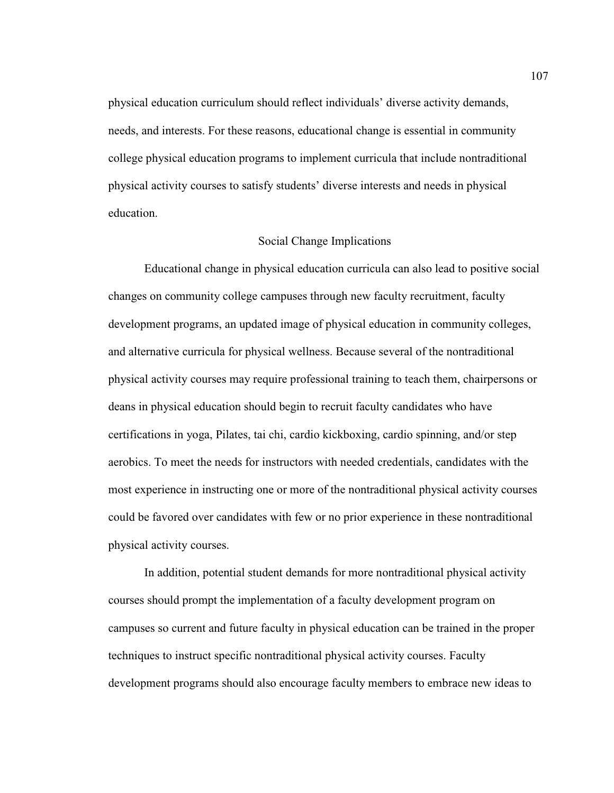physical education curriculum should reflect individuals' diverse activity demands, needs, and interests. For these reasons, educational change is essential in community college physical education programs to implement curricula that include nontraditional physical activity courses to satisfy students' diverse interests and needs in physical education.

#### Social Change Implications

Educational change in physical education curricula can also lead to positive social changes on community college campuses through new faculty recruitment, faculty development programs, an updated image of physical education in community colleges, and alternative curricula for physical wellness. Because several of the nontraditional physical activity courses may require professional training to teach them, chairpersons or deans in physical education should begin to recruit faculty candidates who have certifications in yoga, Pilates, tai chi, cardio kickboxing, cardio spinning, and/or step aerobics. To meet the needs for instructors with needed credentials, candidates with the most experience in instructing one or more of the nontraditional physical activity courses could be favored over candidates with few or no prior experience in these nontraditional physical activity courses.

In addition, potential student demands for more nontraditional physical activity courses should prompt the implementation of a faculty development program on campuses so current and future faculty in physical education can be trained in the proper techniques to instruct specific nontraditional physical activity courses. Faculty development programs should also encourage faculty members to embrace new ideas to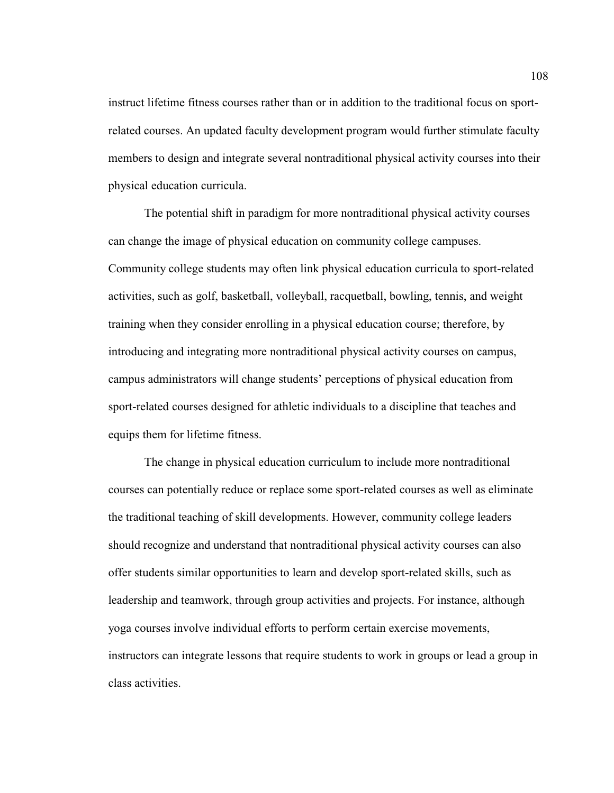instruct lifetime fitness courses rather than or in addition to the traditional focus on sportrelated courses. An updated faculty development program would further stimulate faculty members to design and integrate several nontraditional physical activity courses into their physical education curricula.

 The potential shift in paradigm for more nontraditional physical activity courses can change the image of physical education on community college campuses. Community college students may often link physical education curricula to sport-related activities, such as golf, basketball, volleyball, racquetball, bowling, tennis, and weight training when they consider enrolling in a physical education course; therefore, by introducing and integrating more nontraditional physical activity courses on campus, campus administrators will change students' perceptions of physical education from sport-related courses designed for athletic individuals to a discipline that teaches and equips them for lifetime fitness.

 The change in physical education curriculum to include more nontraditional courses can potentially reduce or replace some sport-related courses as well as eliminate the traditional teaching of skill developments. However, community college leaders should recognize and understand that nontraditional physical activity courses can also offer students similar opportunities to learn and develop sport-related skills, such as leadership and teamwork, through group activities and projects. For instance, although yoga courses involve individual efforts to perform certain exercise movements, instructors can integrate lessons that require students to work in groups or lead a group in class activities.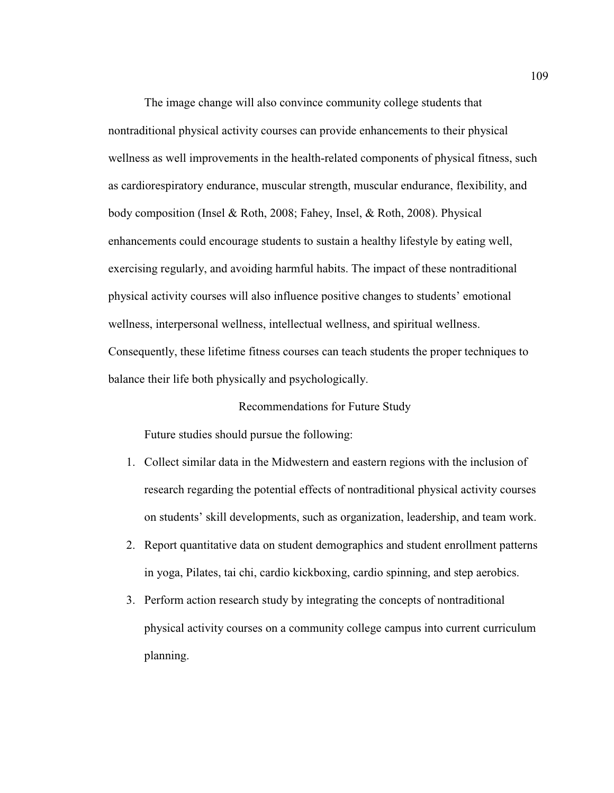The image change will also convince community college students that nontraditional physical activity courses can provide enhancements to their physical wellness as well improvements in the health-related components of physical fitness, such as cardiorespiratory endurance, muscular strength, muscular endurance, flexibility, and body composition (Insel & Roth, 2008; Fahey, Insel, & Roth, 2008). Physical enhancements could encourage students to sustain a healthy lifestyle by eating well, exercising regularly, and avoiding harmful habits. The impact of these nontraditional physical activity courses will also influence positive changes to students' emotional wellness, interpersonal wellness, intellectual wellness, and spiritual wellness. Consequently, these lifetime fitness courses can teach students the proper techniques to balance their life both physically and psychologically.

#### Recommendations for Future Study

Future studies should pursue the following:

- 1. Collect similar data in the Midwestern and eastern regions with the inclusion of research regarding the potential effects of nontraditional physical activity courses on students' skill developments, such as organization, leadership, and team work.
- 2. Report quantitative data on student demographics and student enrollment patterns in yoga, Pilates, tai chi, cardio kickboxing, cardio spinning, and step aerobics.
- 3. Perform action research study by integrating the concepts of nontraditional physical activity courses on a community college campus into current curriculum planning.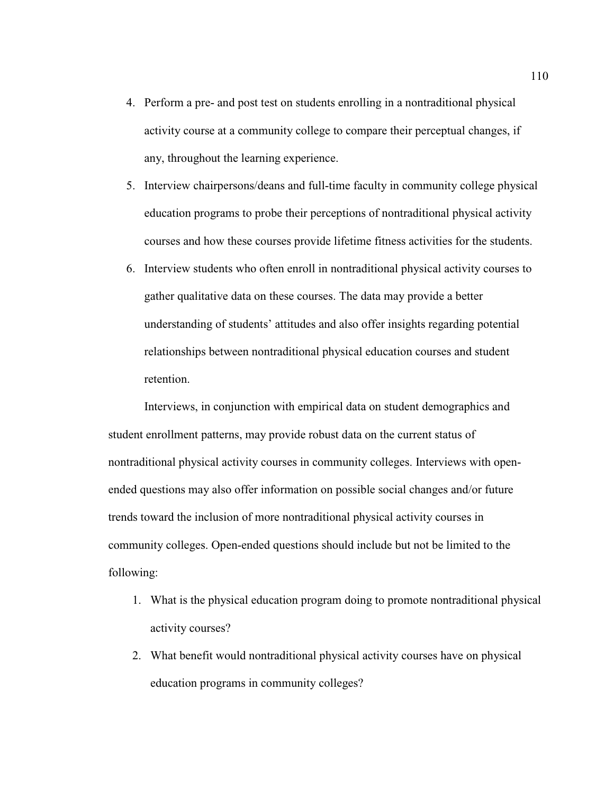- 4. Perform a pre- and post test on students enrolling in a nontraditional physical activity course at a community college to compare their perceptual changes, if any, throughout the learning experience.
- 5. Interview chairpersons/deans and full-time faculty in community college physical education programs to probe their perceptions of nontraditional physical activity courses and how these courses provide lifetime fitness activities for the students.
- 6. Interview students who often enroll in nontraditional physical activity courses to gather qualitative data on these courses. The data may provide a better understanding of students' attitudes and also offer insights regarding potential relationships between nontraditional physical education courses and student retention.

Interviews, in conjunction with empirical data on student demographics and student enrollment patterns, may provide robust data on the current status of nontraditional physical activity courses in community colleges. Interviews with openended questions may also offer information on possible social changes and/or future trends toward the inclusion of more nontraditional physical activity courses in community colleges. Open-ended questions should include but not be limited to the following:

- 1. What is the physical education program doing to promote nontraditional physical activity courses?
- 2. What benefit would nontraditional physical activity courses have on physical education programs in community colleges?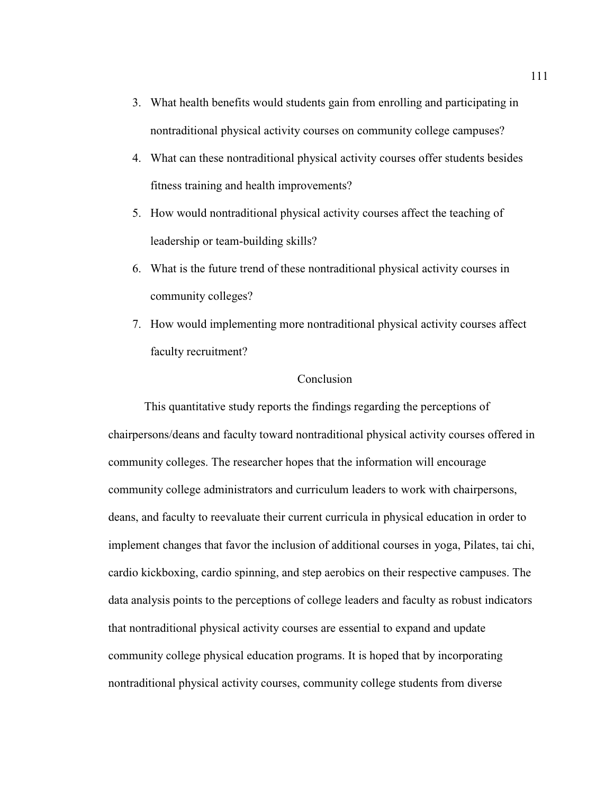- 3. What health benefits would students gain from enrolling and participating in nontraditional physical activity courses on community college campuses?
- 4. What can these nontraditional physical activity courses offer students besides fitness training and health improvements?
- 5. How would nontraditional physical activity courses affect the teaching of leadership or team-building skills?
- 6. What is the future trend of these nontraditional physical activity courses in community colleges?
- 7. How would implementing more nontraditional physical activity courses affect faculty recruitment?

#### Conclusion

 This quantitative study reports the findings regarding the perceptions of chairpersons/deans and faculty toward nontraditional physical activity courses offered in community colleges. The researcher hopes that the information will encourage community college administrators and curriculum leaders to work with chairpersons, deans, and faculty to reevaluate their current curricula in physical education in order to implement changes that favor the inclusion of additional courses in yoga, Pilates, tai chi, cardio kickboxing, cardio spinning, and step aerobics on their respective campuses. The data analysis points to the perceptions of college leaders and faculty as robust indicators that nontraditional physical activity courses are essential to expand and update community college physical education programs. It is hoped that by incorporating nontraditional physical activity courses, community college students from diverse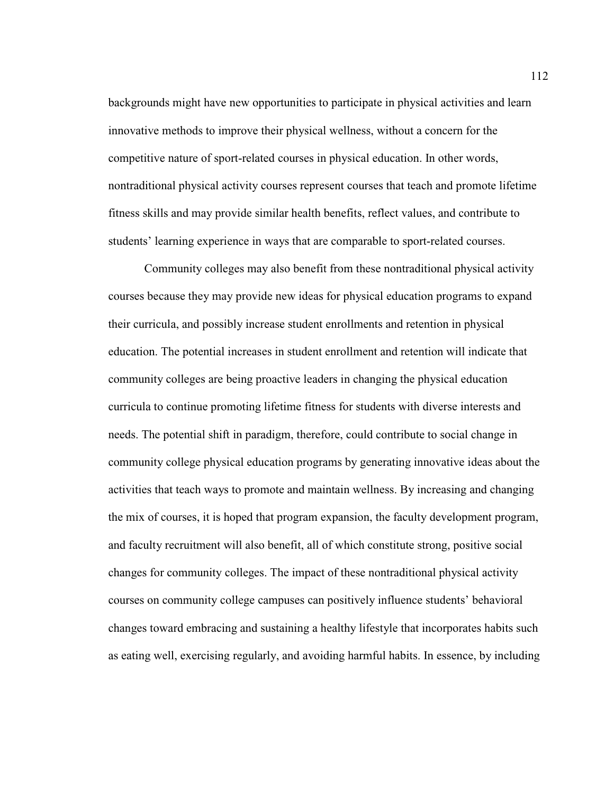backgrounds might have new opportunities to participate in physical activities and learn innovative methods to improve their physical wellness, without a concern for the competitive nature of sport-related courses in physical education. In other words, nontraditional physical activity courses represent courses that teach and promote lifetime fitness skills and may provide similar health benefits, reflect values, and contribute to students' learning experience in ways that are comparable to sport-related courses.

 Community colleges may also benefit from these nontraditional physical activity courses because they may provide new ideas for physical education programs to expand their curricula, and possibly increase student enrollments and retention in physical education. The potential increases in student enrollment and retention will indicate that community colleges are being proactive leaders in changing the physical education curricula to continue promoting lifetime fitness for students with diverse interests and needs. The potential shift in paradigm, therefore, could contribute to social change in community college physical education programs by generating innovative ideas about the activities that teach ways to promote and maintain wellness. By increasing and changing the mix of courses, it is hoped that program expansion, the faculty development program, and faculty recruitment will also benefit, all of which constitute strong, positive social changes for community colleges. The impact of these nontraditional physical activity courses on community college campuses can positively influence students' behavioral changes toward embracing and sustaining a healthy lifestyle that incorporates habits such as eating well, exercising regularly, and avoiding harmful habits. In essence, by including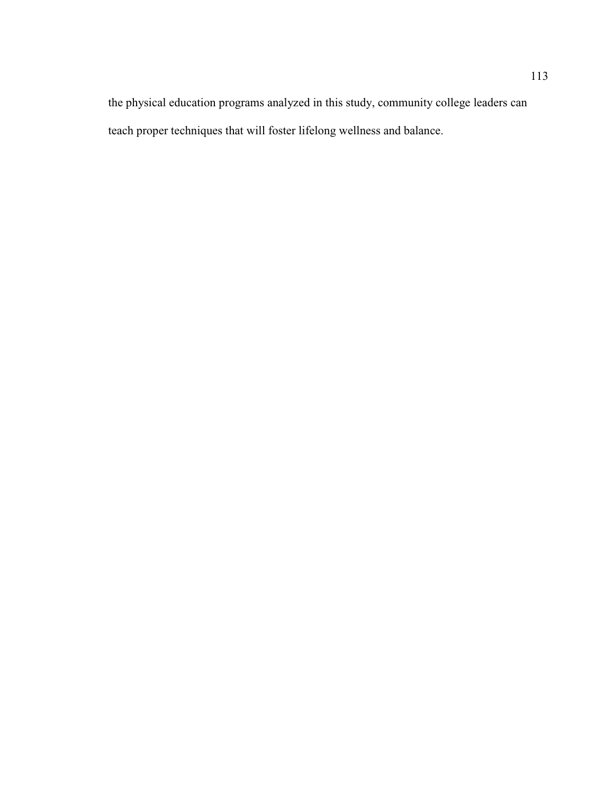the physical education programs analyzed in this study, community college leaders can teach proper techniques that will foster lifelong wellness and balance.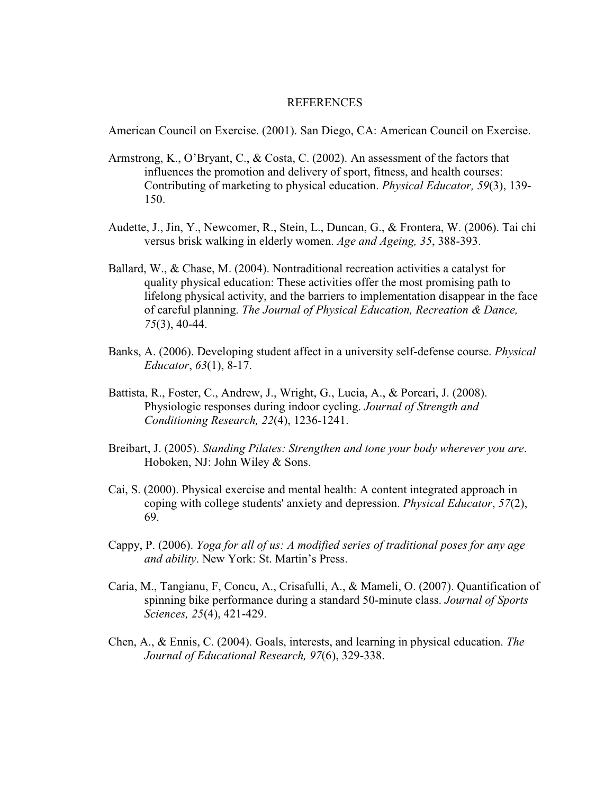#### REFERENCES

American Council on Exercise. (2001). San Diego, CA: American Council on Exercise.

- Armstrong, K., O'Bryant, C., & Costa, C. (2002). An assessment of the factors that influences the promotion and delivery of sport, fitness, and health courses: Contributing of marketing to physical education. *Physical Educator, 59*(3), 139- 150.
- Audette, J., Jin, Y., Newcomer, R., Stein, L., Duncan, G., & Frontera, W. (2006). Tai chi versus brisk walking in elderly women. *Age and Ageing, 35*, 388-393.
- Ballard, W., & Chase, M. (2004). Nontraditional recreation activities a catalyst for quality physical education: These activities offer the most promising path to lifelong physical activity, and the barriers to implementation disappear in the face of careful planning. *The Journal of Physical Education, Recreation & Dance, 75*(3), 40-44.
- Banks, A. (2006). Developing student affect in a university self-defense course. *Physical Educator*, *63*(1), 8-17.
- Battista, R., Foster, C., Andrew, J., Wright, G., Lucia, A., & Porcari, J. (2008). Physiologic responses during indoor cycling. *Journal of Strength and Conditioning Research, 22*(4), 1236-1241.
- Breibart, J. (2005). *Standing Pilates: Strengthen and tone your body wherever you are*. Hoboken, NJ: John Wiley & Sons.
- Cai, S. (2000). Physical exercise and mental health: A content integrated approach in coping with college students' anxiety and depression. *Physical Educator*, *57*(2), 69.
- Cappy, P. (2006). *Yoga for all of us: A modified series of traditional poses for any age and ability*. New York: St. Martin's Press.
- Caria, M., Tangianu, F, Concu, A., Crisafulli, A., & Mameli, O. (2007). Quantification of spinning bike performance during a standard 50-minute class. *Journal of Sports Sciences, 25*(4), 421-429.
- Chen, A., & Ennis, C. (2004). Goals, interests, and learning in physical education. *The Journal of Educational Research, 97*(6), 329-338.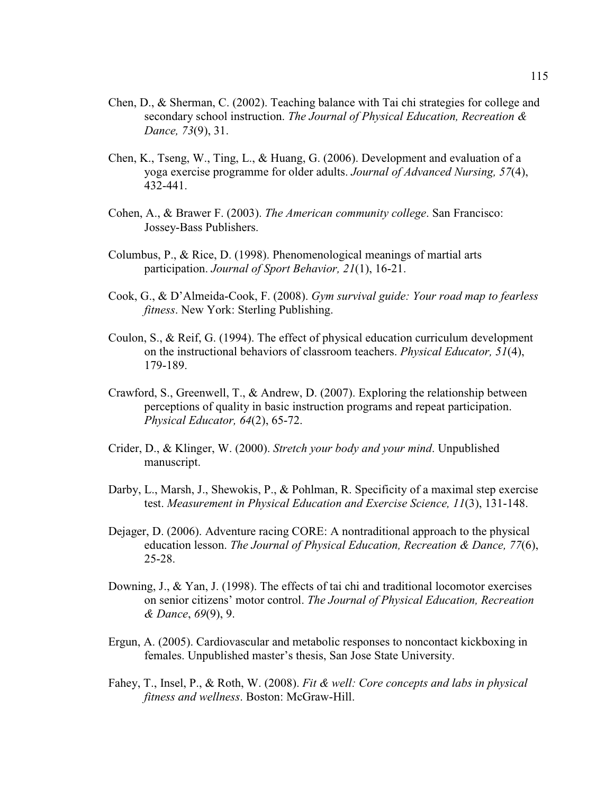- Chen, D., & Sherman, C. (2002). Teaching balance with Tai chi strategies for college and secondary school instruction. *The Journal of Physical Education, Recreation & Dance, 73*(9), 31.
- Chen, K., Tseng, W., Ting, L., & Huang, G. (2006). Development and evaluation of a yoga exercise programme for older adults. *Journal of Advanced Nursing, 57*(4), 432-441.
- Cohen, A., & Brawer F. (2003). *The American community college*. San Francisco: Jossey-Bass Publishers.
- Columbus, P., & Rice, D. (1998). Phenomenological meanings of martial arts participation. *Journal of Sport Behavior, 21*(1), 16-21.
- Cook, G., & D'Almeida-Cook, F. (2008). *Gym survival guide: Your road map to fearless fitness*. New York: Sterling Publishing.
- Coulon, S., & Reif, G. (1994). The effect of physical education curriculum development on the instructional behaviors of classroom teachers. *Physical Educator, 51*(4), 179-189.
- Crawford, S., Greenwell, T., & Andrew, D. (2007). Exploring the relationship between perceptions of quality in basic instruction programs and repeat participation. *Physical Educator, 64*(2), 65-72.
- Crider, D., & Klinger, W. (2000). *Stretch your body and your mind*. Unpublished manuscript.
- Darby, L., Marsh, J., Shewokis, P., & Pohlman, R. Specificity of a maximal step exercise test. *Measurement in Physical Education and Exercise Science, 11*(3), 131-148.
- Dejager, D. (2006). Adventure racing CORE: A nontraditional approach to the physical education lesson. *The Journal of Physical Education, Recreation & Dance, 77*(6), 25-28.
- Downing, J., & Yan, J. (1998). The effects of tai chi and traditional locomotor exercises on senior citizens' motor control. *The Journal of Physical Education, Recreation & Dance*, *69*(9), 9.
- Ergun, A. (2005). Cardiovascular and metabolic responses to noncontact kickboxing in females. Unpublished master's thesis, San Jose State University.
- Fahey, T., Insel, P., & Roth, W. (2008). *Fit & well: Core concepts and labs in physical fitness and wellness*. Boston: McGraw-Hill.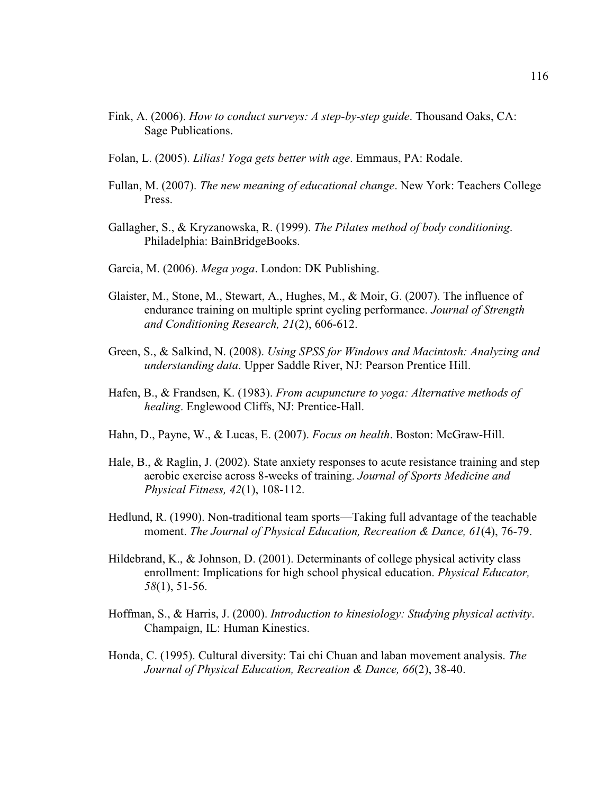- Fink, A. (2006). *How to conduct surveys: A step-by-step guide*. Thousand Oaks, CA: Sage Publications.
- Folan, L. (2005). *Lilias! Yoga gets better with age*. Emmaus, PA: Rodale.
- Fullan, M. (2007). *The new meaning of educational change*. New York: Teachers College Press.
- Gallagher, S., & Kryzanowska, R. (1999). *The Pilates method of body conditioning*. Philadelphia: BainBridgeBooks.
- Garcia, M. (2006). *Mega yoga*. London: DK Publishing.
- Glaister, M., Stone, M., Stewart, A., Hughes, M., & Moir, G. (2007). The influence of endurance training on multiple sprint cycling performance. *Journal of Strength and Conditioning Research, 21*(2), 606-612.
- Green, S., & Salkind, N. (2008). *Using SPSS for Windows and Macintosh: Analyzing and understanding data*. Upper Saddle River, NJ: Pearson Prentice Hill.
- Hafen, B., & Frandsen, K. (1983). *From acupuncture to yoga: Alternative methods of healing*. Englewood Cliffs, NJ: Prentice-Hall.
- Hahn, D., Payne, W., & Lucas, E. (2007). *Focus on health*. Boston: McGraw-Hill.
- Hale, B., & Raglin, J. (2002). State anxiety responses to acute resistance training and step aerobic exercise across 8-weeks of training. *Journal of Sports Medicine and Physical Fitness, 42*(1), 108-112.
- Hedlund, R. (1990). Non-traditional team sports—Taking full advantage of the teachable moment. *The Journal of Physical Education, Recreation & Dance, 61*(4), 76-79.
- Hildebrand, K., & Johnson, D. (2001). Determinants of college physical activity class enrollment: Implications for high school physical education. *Physical Educator, 58*(1), 51-56.
- Hoffman, S., & Harris, J. (2000). *Introduction to kinesiology: Studying physical activity*. Champaign, IL: Human Kinestics.
- Honda, C. (1995). Cultural diversity: Tai chi Chuan and laban movement analysis. *The Journal of Physical Education, Recreation & Dance, 66*(2), 38-40.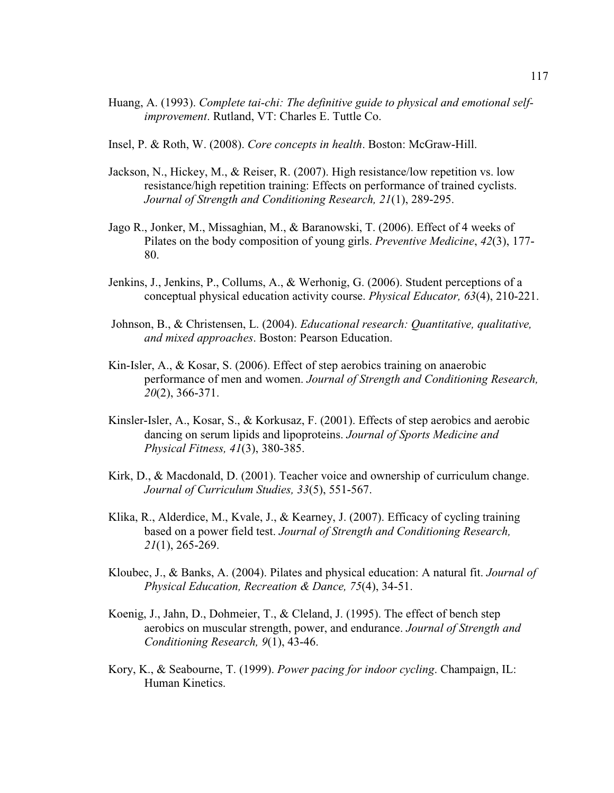- Huang, A. (1993). *Complete tai-chi: The definitive guide to physical and emotional selfimprovement*. Rutland, VT: Charles E. Tuttle Co.
- Insel, P. & Roth, W. (2008). *Core concepts in health*. Boston: McGraw-Hill.
- Jackson, N., Hickey, M., & Reiser, R. (2007). High resistance/low repetition vs. low resistance/high repetition training: Effects on performance of trained cyclists. *Journal of Strength and Conditioning Research, 21*(1), 289-295.
- Jago R., Jonker, M., Missaghian, M., & Baranowski, T. (2006). Effect of 4 weeks of Pilates on the body composition of young girls. *Preventive Medicine*, *42*(3), 177- 80.
- Jenkins, J., Jenkins, P., Collums, A., & Werhonig, G. (2006). Student perceptions of a conceptual physical education activity course. *Physical Educator, 63*(4), 210-221.
- Johnson, B., & Christensen, L. (2004). *Educational research: Quantitative, qualitative, and mixed approaches*. Boston: Pearson Education.
- Kin-Isler, A., & Kosar, S. (2006). Effect of step aerobics training on anaerobic performance of men and women. *Journal of Strength and Conditioning Research, 20*(2), 366-371.
- Kinsler-Isler, A., Kosar, S., & Korkusaz, F. (2001). Effects of step aerobics and aerobic dancing on serum lipids and lipoproteins. *Journal of Sports Medicine and Physical Fitness, 41*(3), 380-385.
- Kirk, D., & Macdonald, D. (2001). Teacher voice and ownership of curriculum change. *Journal of Curriculum Studies, 33*(5), 551-567.
- Klika, R., Alderdice, M., Kvale, J., & Kearney, J. (2007). Efficacy of cycling training based on a power field test. *Journal of Strength and Conditioning Research, 21*(1), 265-269.
- Kloubec, J., & Banks, A. (2004). Pilates and physical education: A natural fit. *Journal of Physical Education, Recreation & Dance, 75*(4), 34-51.
- Koenig, J., Jahn, D., Dohmeier, T., & Cleland, J. (1995). The effect of bench step aerobics on muscular strength, power, and endurance. *Journal of Strength and Conditioning Research, 9*(1), 43-46.
- Kory, K., & Seabourne, T. (1999). *Power pacing for indoor cycling*. Champaign, IL: Human Kinetics.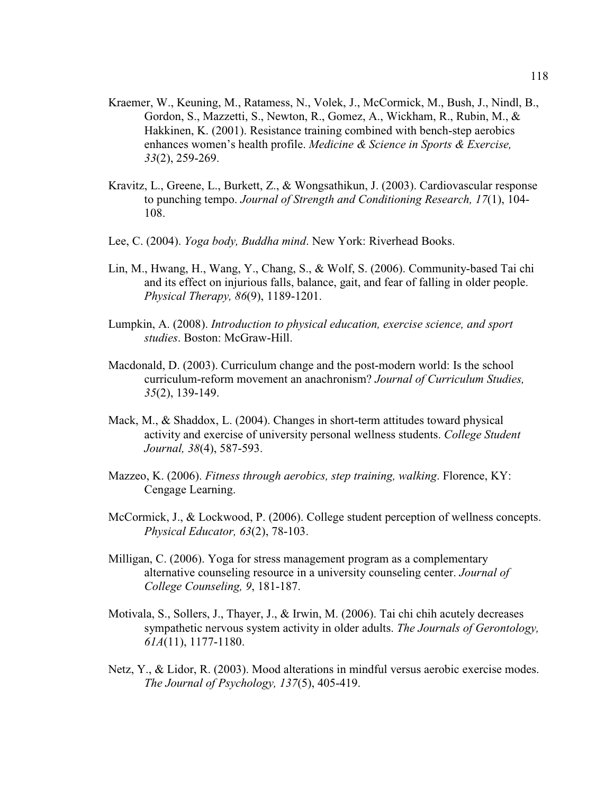- Kraemer, W., Keuning, M., Ratamess, N., Volek, J., McCormick, M., Bush, J., Nindl, B., Gordon, S., Mazzetti, S., Newton, R., Gomez, A., Wickham, R., Rubin, M., & Hakkinen, K. (2001). Resistance training combined with bench-step aerobics enhances women's health profile. *Medicine & Science in Sports & Exercise, 33*(2), 259-269.
- Kravitz, L., Greene, L., Burkett, Z., & Wongsathikun, J. (2003). Cardiovascular response to punching tempo. *Journal of Strength and Conditioning Research, 17*(1), 104- 108.
- Lee, C. (2004). *Yoga body, Buddha mind*. New York: Riverhead Books.
- Lin, M., Hwang, H., Wang, Y., Chang, S., & Wolf, S. (2006). Community-based Tai chi and its effect on injurious falls, balance, gait, and fear of falling in older people. *Physical Therapy, 86*(9), 1189-1201.
- Lumpkin, A. (2008). *Introduction to physical education, exercise science, and sport studies*. Boston: McGraw-Hill.
- Macdonald, D. (2003). Curriculum change and the post-modern world: Is the school curriculum-reform movement an anachronism? *Journal of Curriculum Studies, 35*(2), 139-149.
- Mack, M., & Shaddox, L. (2004). Changes in short-term attitudes toward physical activity and exercise of university personal wellness students. *College Student Journal, 38*(4), 587-593.
- Mazzeo, K. (2006). *Fitness through aerobics, step training, walking*. Florence, KY: Cengage Learning.
- McCormick, J., & Lockwood, P. (2006). College student perception of wellness concepts. *Physical Educator, 63*(2), 78-103.
- Milligan, C. (2006). Yoga for stress management program as a complementary alternative counseling resource in a university counseling center. *Journal of College Counseling, 9*, 181-187.
- Motivala, S., Sollers, J., Thayer, J., & Irwin, M. (2006). Tai chi chih acutely decreases sympathetic nervous system activity in older adults. *The Journals of Gerontology, 61A*(11), 1177-1180.
- Netz, Y., & Lidor, R. (2003). Mood alterations in mindful versus aerobic exercise modes. *The Journal of Psychology, 137*(5), 405-419.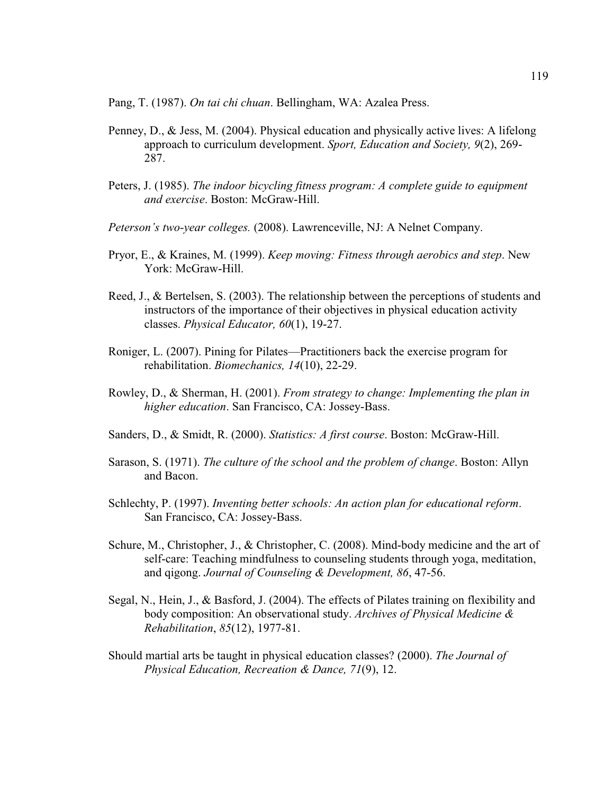Pang, T. (1987). *On tai chi chuan*. Bellingham, WA: Azalea Press.

- Penney, D., & Jess, M. (2004). Physical education and physically active lives: A lifelong approach to curriculum development. *Sport, Education and Society, 9*(2), 269- 287.
- Peters, J. (1985). *The indoor bicycling fitness program: A complete guide to equipment and exercise*. Boston: McGraw-Hill.
- *Peterson's two-year colleges.* (2008). Lawrenceville, NJ: A Nelnet Company.
- Pryor, E., & Kraines, M. (1999). *Keep moving: Fitness through aerobics and step*. New York: McGraw-Hill.
- Reed, J., & Bertelsen, S. (2003). The relationship between the perceptions of students and instructors of the importance of their objectives in physical education activity classes. *Physical Educator, 60*(1), 19-27.
- Roniger, L. (2007). Pining for Pilates—Practitioners back the exercise program for rehabilitation. *Biomechanics, 14*(10), 22-29.
- Rowley, D., & Sherman, H. (2001). *From strategy to change: Implementing the plan in higher education*. San Francisco, CA: Jossey-Bass.
- Sanders, D., & Smidt, R. (2000). *Statistics: A first course*. Boston: McGraw-Hill.
- Sarason, S. (1971). *The culture of the school and the problem of change*. Boston: Allyn and Bacon.
- Schlechty, P. (1997). *Inventing better schools: An action plan for educational reform*. San Francisco, CA: Jossey-Bass.
- Schure, M., Christopher, J., & Christopher, C. (2008). Mind-body medicine and the art of self-care: Teaching mindfulness to counseling students through yoga, meditation, and qigong. *Journal of Counseling & Development, 86*, 47-56.
- Segal, N., Hein, J., & Basford, J. (2004). The effects of Pilates training on flexibility and body composition: An observational study. *Archives of Physical Medicine & Rehabilitation*, *85*(12), 1977-81.
- Should martial arts be taught in physical education classes? (2000). *The Journal of Physical Education, Recreation & Dance, 71*(9), 12.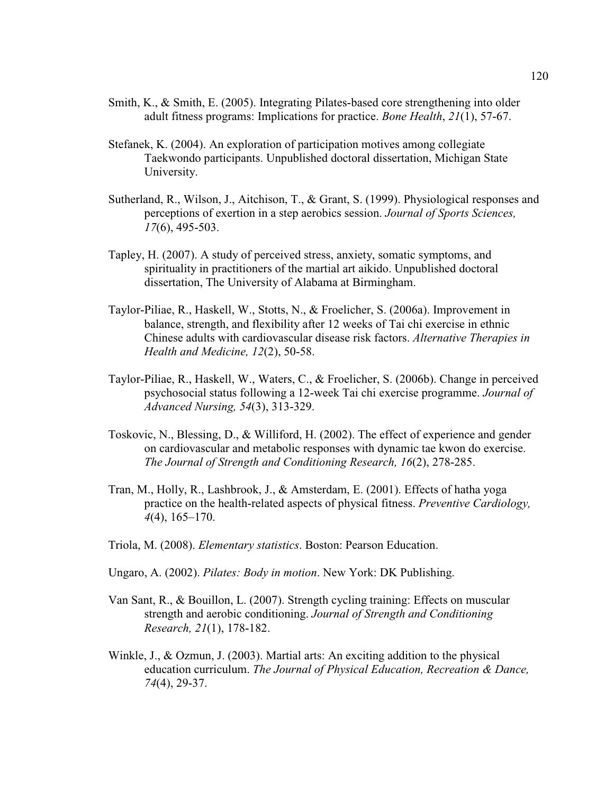- Smith, K., & Smith, E. (2005). Integrating Pilates-based core strengthening into older adult fitness programs: Implications for practice. *Bone Health*, *21*(1), 57-67.
- Stefanek, K. (2004). An exploration of participation motives among collegiate Taekwondo participants. Unpublished doctoral dissertation, Michigan State University.
- Sutherland, R., Wilson, J., Aitchison, T., & Grant, S. (1999). Physiological responses and perceptions of exertion in a step aerobics session. *Journal of Sports Sciences, 17*(6), 495-503.
- Tapley, H. (2007). A study of perceived stress, anxiety, somatic symptoms, and spirituality in practitioners of the martial art aikido. Unpublished doctoral dissertation, The University of Alabama at Birmingham.
- Taylor-Piliae, R., Haskell, W., Stotts, N., & Froelicher, S. (2006a). Improvement in balance, strength, and flexibility after 12 weeks of Tai chi exercise in ethnic Chinese adults with cardiovascular disease risk factors. *Alternative Therapies in Health and Medicine, 12*(2), 50-58.
- Taylor-Piliae, R., Haskell, W., Waters, C., & Froelicher, S. (2006b). Change in perceived psychosocial status following a 12-week Tai chi exercise programme. *Journal of Advanced Nursing, 54*(3), 313-329.
- Toskovic, N., Blessing, D., & Williford, H. (2002). The effect of experience and gender on cardiovascular and metabolic responses with dynamic tae kwon do exercise. *The Journal of Strength and Conditioning Research, 16*(2), 278-285.
- Tran, M., Holly, R., Lashbrook, J., & Amsterdam, E. (2001). Effects of hatha yoga practice on the health-related aspects of physical fitness. *Preventive Cardiology, 4*(4), 165–170.
- Triola, M. (2008). *Elementary statistics*. Boston: Pearson Education.
- Ungaro, A. (2002). *Pilates: Body in motion*. New York: DK Publishing.
- Van Sant, R., & Bouillon, L. (2007). Strength cycling training: Effects on muscular strength and aerobic conditioning. *Journal of Strength and Conditioning Research, 21*(1), 178-182.
- Winkle, J., & Ozmun, J. (2003). Martial arts: An exciting addition to the physical education curriculum. *The Journal of Physical Education, Recreation & Dance, 74*(4), 29-37.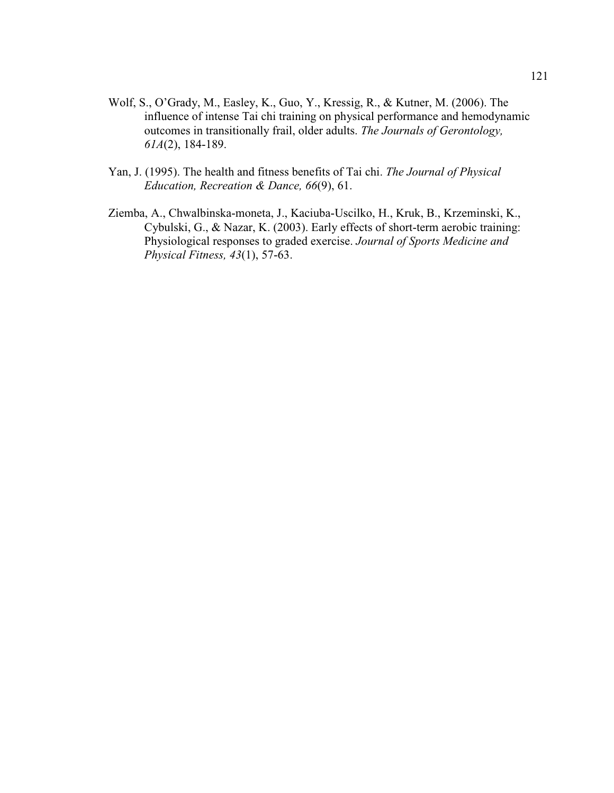- Wolf, S., O'Grady, M., Easley, K., Guo, Y., Kressig, R., & Kutner, M. (2006). The influence of intense Tai chi training on physical performance and hemodynamic outcomes in transitionally frail, older adults. *The Journals of Gerontology, 61A*(2), 184-189.
- Yan, J. (1995). The health and fitness benefits of Tai chi. *The Journal of Physical Education, Recreation & Dance, 66*(9), 61.
- Ziemba, A., Chwalbinska-moneta, J., Kaciuba-Uscilko, H., Kruk, B., Krzeminski, K., Cybulski, G., & Nazar, K. (2003). Early effects of short-term aerobic training: Physiological responses to graded exercise. *Journal of Sports Medicine and Physical Fitness, 43*(1), 57-63.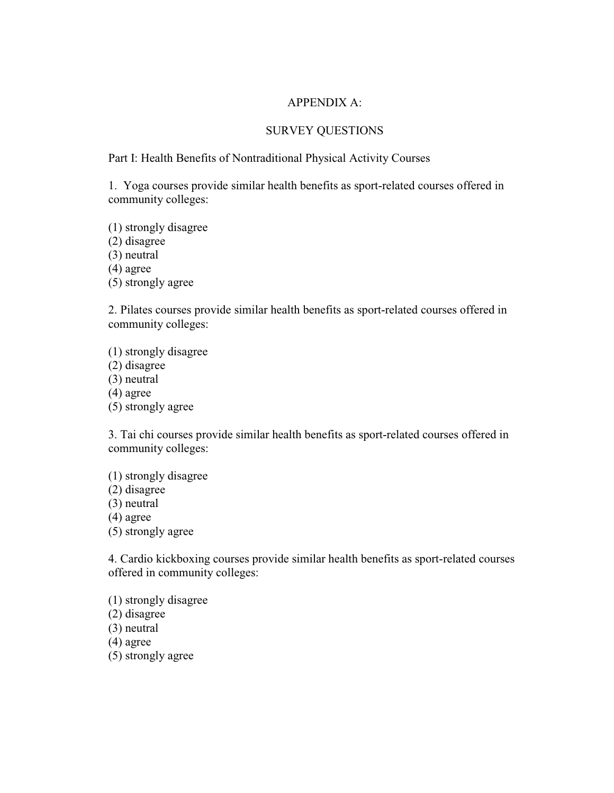### APPENDIX A:

### SURVEY QUESTIONS

### Part I: Health Benefits of Nontraditional Physical Activity Courses

1. Yoga courses provide similar health benefits as sport-related courses offered in community colleges:

(1) strongly disagree

(2) disagree

(3) neutral

(4) agree

(5) strongly agree

2. Pilates courses provide similar health benefits as sport-related courses offered in community colleges:

(1) strongly disagree (2) disagree (3) neutral (4) agree (5) strongly agree

3. Tai chi courses provide similar health benefits as sport-related courses offered in community colleges:

(1) strongly disagree (2) disagree (3) neutral (4) agree (5) strongly agree

4. Cardio kickboxing courses provide similar health benefits as sport-related courses offered in community colleges:

(1) strongly disagree (2) disagree (3) neutral (4) agree

(5) strongly agree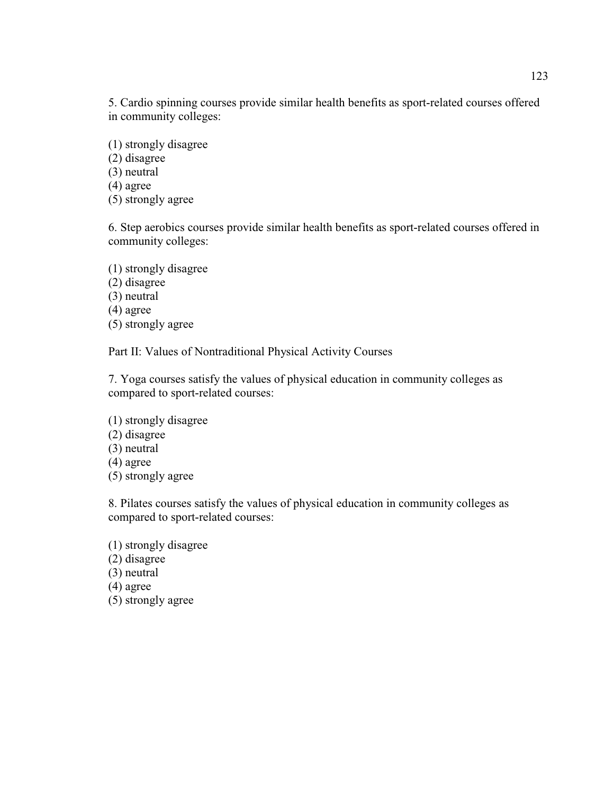5. Cardio spinning courses provide similar health benefits as sport-related courses offered in community colleges:

(1) strongly disagree

(2) disagree

(3) neutral

(4) agree

(5) strongly agree

6. Step aerobics courses provide similar health benefits as sport-related courses offered in community colleges:

(1) strongly disagree (2) disagree (3) neutral (4) agree (5) strongly agree

Part II: Values of Nontraditional Physical Activity Courses

7. Yoga courses satisfy the values of physical education in community colleges as compared to sport-related courses:

(1) strongly disagree (2) disagree (3) neutral (4) agree (5) strongly agree

8. Pilates courses satisfy the values of physical education in community colleges as compared to sport-related courses:

(1) strongly disagree (2) disagree (3) neutral (4) agree (5) strongly agree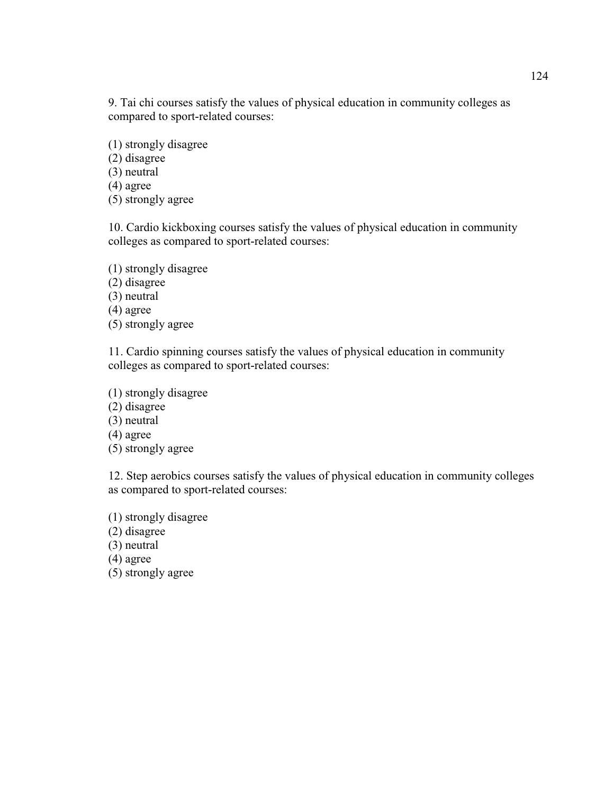9. Tai chi courses satisfy the values of physical education in community colleges as compared to sport-related courses:

(1) strongly disagree

(2) disagree

(3) neutral

(4) agree

(5) strongly agree

10. Cardio kickboxing courses satisfy the values of physical education in community colleges as compared to sport-related courses:

(1) strongly disagree (2) disagree (3) neutral (4) agree (5) strongly agree

11. Cardio spinning courses satisfy the values of physical education in community colleges as compared to sport-related courses:

(1) strongly disagree

(2) disagree

(3) neutral

(4) agree

(5) strongly agree

12. Step aerobics courses satisfy the values of physical education in community colleges as compared to sport-related courses:

(1) strongly disagree (2) disagree (3) neutral (4) agree (5) strongly agree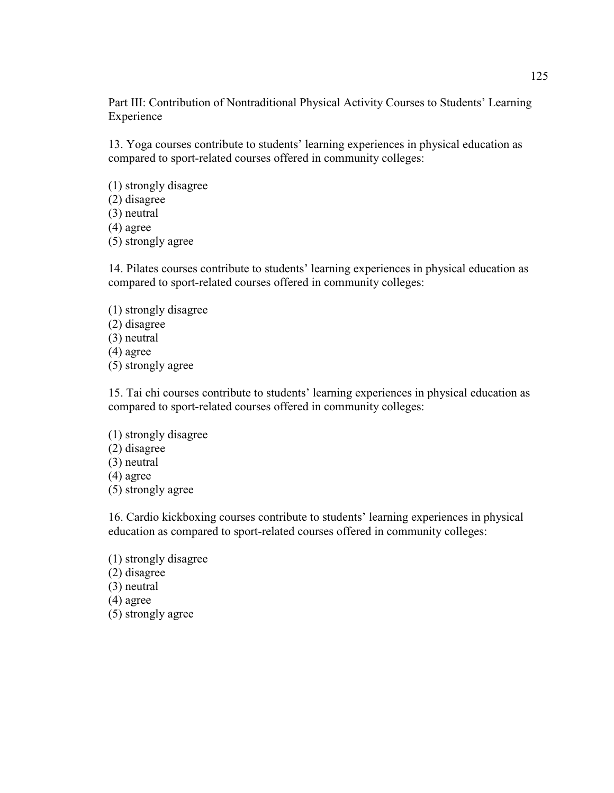Part III: Contribution of Nontraditional Physical Activity Courses to Students' Learning Experience

13. Yoga courses contribute to students' learning experiences in physical education as compared to sport-related courses offered in community colleges:

(1) strongly disagree (2) disagree (3) neutral (4) agree (5) strongly agree

14. Pilates courses contribute to students' learning experiences in physical education as compared to sport-related courses offered in community colleges:

- (1) strongly disagree (2) disagree (3) neutral (4) agree
- (5) strongly agree

15. Tai chi courses contribute to students' learning experiences in physical education as compared to sport-related courses offered in community colleges:

(1) strongly disagree (2) disagree (3) neutral (4) agree (5) strongly agree

16. Cardio kickboxing courses contribute to students' learning experiences in physical education as compared to sport-related courses offered in community colleges:

(1) strongly disagree (2) disagree (3) neutral (4) agree (5) strongly agree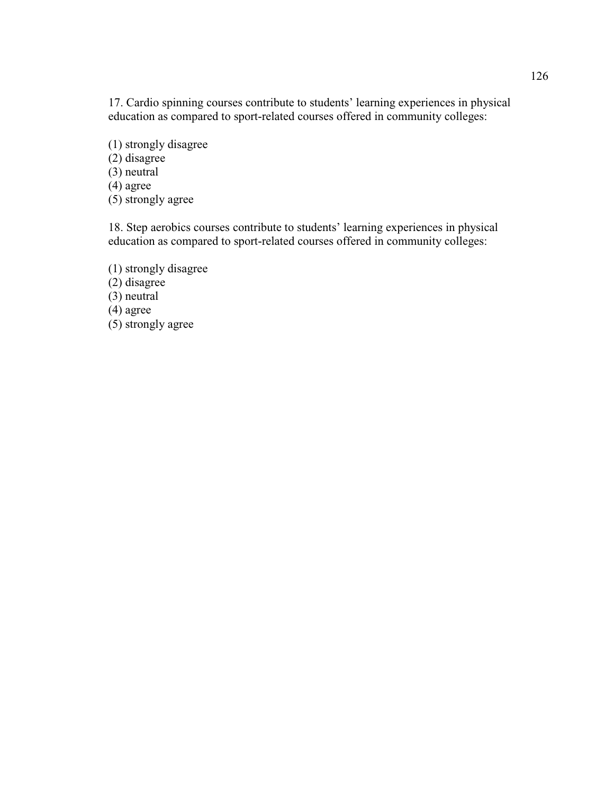17. Cardio spinning courses contribute to students' learning experiences in physical education as compared to sport-related courses offered in community colleges:

(1) strongly disagree

(2) disagree

(3) neutral

 $(4)$  agree

(5) strongly agree

18. Step aerobics courses contribute to students' learning experiences in physical education as compared to sport-related courses offered in community colleges:

(1) strongly disagree  $(2)$  disagree (3) neutral  $(4)$  agree (5) strongly agree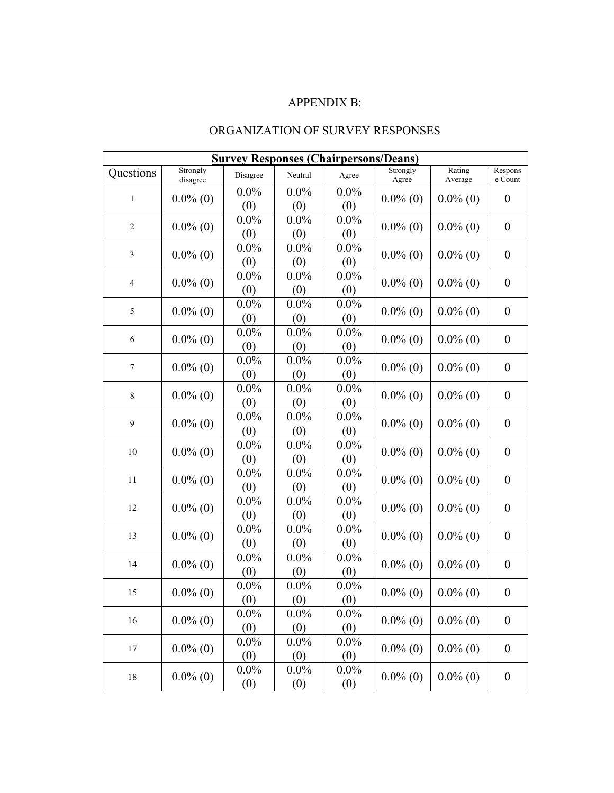# APPENDIX B:

# ORGANIZATION OF SURVEY RESPONSES

| <b>Survey Responses (Chairpersons/Deans)</b> |                      |                |                |                |                   |                   |                    |  |  |  |  |
|----------------------------------------------|----------------------|----------------|----------------|----------------|-------------------|-------------------|--------------------|--|--|--|--|
| Questions                                    | Strongly<br>disagree | Disagree       | Neutral        | Agree          | Strongly<br>Agree | Rating<br>Average | Respons<br>e Count |  |  |  |  |
| $\mathbf 1$                                  |                      | $0.0\%$        | $0.0\%$        | $0.0\%$        | $0.0\%$ (0)       | $0.0\%$ (0)       |                    |  |  |  |  |
|                                              | $0.0\%$ (0)          | (0)            | (0)            | (0)            |                   |                   | $\boldsymbol{0}$   |  |  |  |  |
| $\overline{2}$                               | $0.0\%$ (0)          | $0.0\%$        | $0.0\%$        | $0.0\%$        | $0.0\%$ (0)       | $0.0\%$ (0)       |                    |  |  |  |  |
|                                              |                      | (0)            | (0)            | (0)            |                   |                   | $\boldsymbol{0}$   |  |  |  |  |
| 3                                            | $0.0\%$ (0)          | $0.0\%$        | $0.0\%$        | $0.0\%$        |                   | $0.0\%$ (0)       |                    |  |  |  |  |
|                                              |                      | (0)            | (0)            | (0)            | $0.0\%$ (0)       |                   | $\boldsymbol{0}$   |  |  |  |  |
| $\overline{\mathbf{4}}$                      | $0.0\%$ (0)          | $0.0\%$        | $0.0\%$        | $0.0\%$        | $0.0\%$ (0)       | $0.0\%$ (0)       | $\boldsymbol{0}$   |  |  |  |  |
|                                              |                      | (0)            | (0)            | (0)            |                   |                   |                    |  |  |  |  |
| 5                                            | $0.0\%$ (0)          | $0.0\%$        | $0.0\%$        | $0.0\%$        | $0.0\%$ (0)       | $0.0\%$ (0)       | $\boldsymbol{0}$   |  |  |  |  |
|                                              |                      | (0)            | (0)            | (0)            |                   |                   |                    |  |  |  |  |
| 6                                            | $0.0\%$ (0)          | $0.0\%$        | $0.0\%$        | $0.0\%$        | $0.0\%$ (0)       | $0.0\%$ (0)       | $\boldsymbol{0}$   |  |  |  |  |
|                                              |                      | (0)            | (0)            | (0)            |                   |                   |                    |  |  |  |  |
| $\boldsymbol{7}$                             | $0.0\%$ (0)          | $0.0\%$        | $0.0\%$        | $0.0\%$        | $0.0\%$ (0)       | $0.0\%$ (0)       | $\boldsymbol{0}$   |  |  |  |  |
|                                              |                      | (0)            | (0)            | (0)            |                   |                   |                    |  |  |  |  |
| $\,$ 8 $\,$                                  | $0.0\%$ (0)          | $0.0\%$        | $0.0\%$        | $0.0\%$        | $0.0\%$ (0)       | $0.0\%$ (0)       | $\boldsymbol{0}$   |  |  |  |  |
|                                              |                      | (0)            | (0)            | (0)            |                   |                   |                    |  |  |  |  |
| 9                                            | $0.0\%$ (0)          | $0.0\%$        | $0.0\%$        | $0.0\%$        | $0.0\%$ (0)       | $0.0\%$ (0)       | $\boldsymbol{0}$   |  |  |  |  |
|                                              | $0.0\%$ (0)          | (0)            | (0)            | (0)            | $0.0\%$ (0)       |                   |                    |  |  |  |  |
| 10                                           |                      | $0.0\%$<br>(0) | $0.0\%$<br>(0) | $0.0\%$<br>(0) |                   | $0.0\%$ (0)       | $\boldsymbol{0}$   |  |  |  |  |
|                                              |                      | $0.0\%$        | $0.0\%$        | $0.0\%$        |                   |                   |                    |  |  |  |  |
| 11                                           | $0.0\%$ (0)          | (0)            | (0)            | (0)            | $0.0\%$ (0)       | $0.0\%$ (0)       | $\boldsymbol{0}$   |  |  |  |  |
|                                              |                      | $0.0\%$        | $0.0\%$        | $0.0\%$        |                   |                   |                    |  |  |  |  |
| 12                                           | $0.0\%$ (0)          | (0)            | (0)            | (0)            | $0.0\%$ (0)       | $0.0\%$ (0)       | $\boldsymbol{0}$   |  |  |  |  |
| 13                                           | $0.0\%$ (0)          | $0.0\%$        | $0.0\%$        | $0.0\%$        | $0.0\%$ (0)       |                   |                    |  |  |  |  |
|                                              |                      | (0)            | (0)            | (0)            |                   | $0.0\%$ (0)       | $\boldsymbol{0}$   |  |  |  |  |
| 14                                           | $0.0\%$ (0)          | $0.0\%$        | $0.0\%$        | $0.0\%$        | $0.0\%$ (0)       | $0.0\%$ (0)       |                    |  |  |  |  |
|                                              |                      | (0)            | (0)            | (0)            |                   |                   | $\boldsymbol{0}$   |  |  |  |  |
| 15                                           | $0.0\%$ (0)          | $0.0\%$        | $0.0\%$        | $0.0\%$        | $0.0\%$ (0)       | $0.0\%$ (0)       |                    |  |  |  |  |
|                                              |                      | (0)            | (0)            | (0)            |                   |                   | $\boldsymbol{0}$   |  |  |  |  |
| 16                                           | $0.0\%$ (0)          | $0.0\%$        | $0.0\%$        | $0.0\%$        | $0.0\%$ (0)       |                   |                    |  |  |  |  |
|                                              |                      | (0)            | (0)            | (0)            |                   | $0.0\%$ (0)       | $\boldsymbol{0}$   |  |  |  |  |
| 17                                           | $0.0\%$ (0)          | $0.0\%$        | $0.0\%$        | $0.0\%$        | $0.0\%$ (0)       | $0.0\%$ (0)       | $\boldsymbol{0}$   |  |  |  |  |
|                                              |                      | (0)            | (0)            | (0)            |                   |                   |                    |  |  |  |  |
| $18\,$                                       | $0.0\%$ (0)          | $0.0\%$        | $0.0\%$        | $0.0\%$        | $0.0\%$ (0)       | $0.0\%$ (0)       | $\boldsymbol{0}$   |  |  |  |  |
|                                              |                      | (0)            | (0)            | (0)            |                   |                   |                    |  |  |  |  |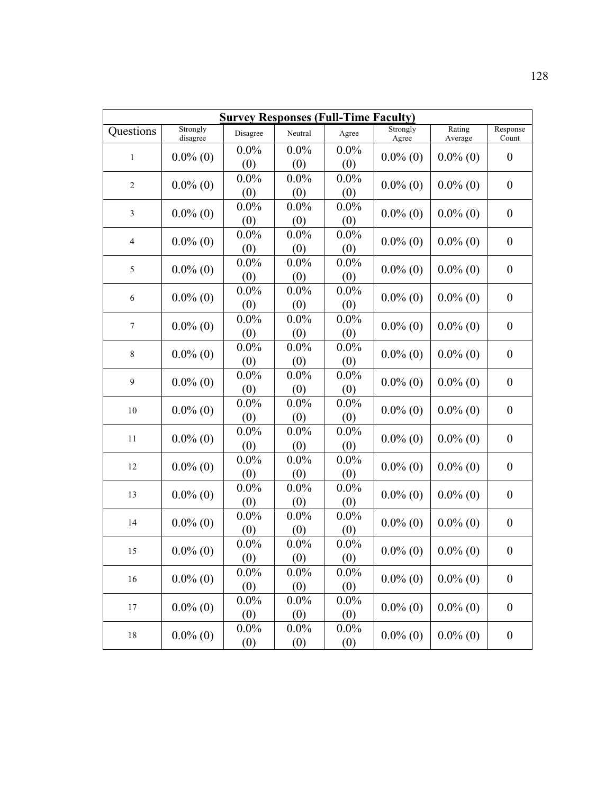| Strongly<br>Response<br>Strongly<br>Questions<br>Neutral<br>Disagree<br>Agree<br>disagree<br>Agree<br>Average<br>Count<br>$0.0\%$<br>$0.0\%$<br>$0.0\%$<br>$0.0\%$ (0)<br>$0.0\%$ (0)<br>$0.0\%$ (0)<br>$\boldsymbol{0}$<br>$\mathbf 1$<br>(0)<br>(0)<br>(0)<br>$0.0\%$<br>$0.0\%$<br>$0.0\%$<br>$0.0\%$ (0)<br>$0.0\%$ (0)<br>$0.0\%$ (0)<br>$\overline{2}$<br>$\boldsymbol{0}$<br>(0)<br>(0)<br>(0)<br>$0.0\%$<br>$0.0\%$<br>$0.0\%$<br>$0.0\%$ (0)<br>$0.0\%$ (0)<br>$0.0\%$ (0)<br>$\boldsymbol{0}$<br>3<br>(0)<br>(0)<br>(0)<br>$0.0\%$<br>$0.0\%$<br>$0.0\%$<br>$0.0\%$ (0)<br>$0.0\%$ (0)<br>$0.0\%$ (0)<br>$\boldsymbol{0}$<br>$\overline{4}$<br>(0)<br>(0)<br>(0)<br>$0.0\%$<br>$0.0\%$<br>$0.0\%$<br>5<br>$0.0\%$ (0)<br>$0.0\%$ (0)<br>$0.0\%$ (0)<br>$\boldsymbol{0}$<br>(0)<br>(0)<br>(0)<br>$0.0\%$<br>$0.0\%$<br>$0.0\%$<br>$0.0\%$ (0)<br>$0.0\%$ (0)<br>$0.0\%$ (0)<br>6<br>$\boldsymbol{0}$<br>(0)<br>(0)<br>(0)<br>$0.0\%$<br>$0.0\%$<br>$0.0\%$<br>$0.0\%$ (0)<br>$0.0\%$ (0)<br>$0.0\%$ (0)<br>$\boldsymbol{7}$<br>$\boldsymbol{0}$<br>(0)<br>(0)<br>(0)<br>$0.0\%$<br>$0.0\%$<br>$0.0\%$<br>$0.0\%$ (0)<br>$0.0\%$ (0)<br>$0.0\%$ (0)<br>$\boldsymbol{0}$<br>$\,$ 8 $\,$<br>(0)<br>(0)<br>(0)<br>$0.0\%$<br>$0.0\%$<br>$0.0\%$<br>$0.0\%$ (0)<br>$0.0\%$ (0)<br>$0.0\%$ (0)<br>9<br>$\boldsymbol{0}$<br>(0)<br>(0)<br>(0)<br>$0.0\%$<br>$0.0\%$<br>$0.0\%$<br>$0.0\%$ (0)<br>$0.0\%$ (0)<br>$0.0\%$ (0)<br>10<br>$\boldsymbol{0}$<br>(0)<br>(0)<br>(0)<br>$0.0\%$<br>$0.0\%$<br>$0.0\%$<br>$0.0\%$ (0)<br>$0.0\%$ (0)<br>$0.0\%$ (0)<br>$\boldsymbol{0}$<br>11<br>(0)<br>(0)<br>(0)<br>$0.0\%$<br>$0.0\%$<br>$0.0\%$<br>$0.0\%$ (0)<br>$0.0\%$ (0)<br>$0.0\%$ (0)<br>$\boldsymbol{0}$<br>12<br>(0)<br>(0)<br>(0)<br>$0.0\%$<br>$0.0\%$<br>$0.0\%$<br>$0.0\%$ (0)<br>$0.0\%$ (0)<br>$0.0\%$ (0)<br>$\boldsymbol{0}$<br>13<br>(0)<br>(0)<br>(0)<br>$0.0\%$<br>$0.0\%$<br>$0.0\%$<br>$0.0\%$ (0)<br>$0.0\%$ (0)<br>$0.0\%$ (0)<br>$\boldsymbol{0}$<br>14<br>(0)<br>(0)<br>(0)<br>$0.0\%$<br>$0.0\%$<br>$0.0\%$<br>$0.0\%$ (0)<br>$0.0\%$ (0)<br>$\boldsymbol{0}$<br>$0.0\%$ (0)<br>15<br>(0)<br>(0)<br>(0)<br>$0.0\%$<br>$0.0\%$<br>$0.0\%$<br>$0.0\%$ (0)<br>$0.0\%$ (0)<br>$0.0\%$ (0)<br>$\boldsymbol{0}$<br>16<br>(0)<br>(0)<br>(0) | <b>Survey Responses (Full-Time Faculty)</b> |             |         |         |         |             |             |                  |  |  |  |  |
|------------------------------------------------------------------------------------------------------------------------------------------------------------------------------------------------------------------------------------------------------------------------------------------------------------------------------------------------------------------------------------------------------------------------------------------------------------------------------------------------------------------------------------------------------------------------------------------------------------------------------------------------------------------------------------------------------------------------------------------------------------------------------------------------------------------------------------------------------------------------------------------------------------------------------------------------------------------------------------------------------------------------------------------------------------------------------------------------------------------------------------------------------------------------------------------------------------------------------------------------------------------------------------------------------------------------------------------------------------------------------------------------------------------------------------------------------------------------------------------------------------------------------------------------------------------------------------------------------------------------------------------------------------------------------------------------------------------------------------------------------------------------------------------------------------------------------------------------------------------------------------------------------------------------------------------------------------------------------------------------------------------------------------------------------------------------------------------------------------------------------------------------------------------------------------------------------------------------------------------------------------|---------------------------------------------|-------------|---------|---------|---------|-------------|-------------|------------------|--|--|--|--|
|                                                                                                                                                                                                                                                                                                                                                                                                                                                                                                                                                                                                                                                                                                                                                                                                                                                                                                                                                                                                                                                                                                                                                                                                                                                                                                                                                                                                                                                                                                                                                                                                                                                                                                                                                                                                                                                                                                                                                                                                                                                                                                                                                                                                                                                            |                                             |             |         |         |         |             | Rating      |                  |  |  |  |  |
|                                                                                                                                                                                                                                                                                                                                                                                                                                                                                                                                                                                                                                                                                                                                                                                                                                                                                                                                                                                                                                                                                                                                                                                                                                                                                                                                                                                                                                                                                                                                                                                                                                                                                                                                                                                                                                                                                                                                                                                                                                                                                                                                                                                                                                                            |                                             |             |         |         |         |             |             |                  |  |  |  |  |
|                                                                                                                                                                                                                                                                                                                                                                                                                                                                                                                                                                                                                                                                                                                                                                                                                                                                                                                                                                                                                                                                                                                                                                                                                                                                                                                                                                                                                                                                                                                                                                                                                                                                                                                                                                                                                                                                                                                                                                                                                                                                                                                                                                                                                                                            |                                             |             |         |         |         |             |             |                  |  |  |  |  |
|                                                                                                                                                                                                                                                                                                                                                                                                                                                                                                                                                                                                                                                                                                                                                                                                                                                                                                                                                                                                                                                                                                                                                                                                                                                                                                                                                                                                                                                                                                                                                                                                                                                                                                                                                                                                                                                                                                                                                                                                                                                                                                                                                                                                                                                            |                                             |             |         |         |         |             |             |                  |  |  |  |  |
|                                                                                                                                                                                                                                                                                                                                                                                                                                                                                                                                                                                                                                                                                                                                                                                                                                                                                                                                                                                                                                                                                                                                                                                                                                                                                                                                                                                                                                                                                                                                                                                                                                                                                                                                                                                                                                                                                                                                                                                                                                                                                                                                                                                                                                                            |                                             |             |         |         |         |             |             |                  |  |  |  |  |
|                                                                                                                                                                                                                                                                                                                                                                                                                                                                                                                                                                                                                                                                                                                                                                                                                                                                                                                                                                                                                                                                                                                                                                                                                                                                                                                                                                                                                                                                                                                                                                                                                                                                                                                                                                                                                                                                                                                                                                                                                                                                                                                                                                                                                                                            |                                             |             |         |         |         |             |             |                  |  |  |  |  |
|                                                                                                                                                                                                                                                                                                                                                                                                                                                                                                                                                                                                                                                                                                                                                                                                                                                                                                                                                                                                                                                                                                                                                                                                                                                                                                                                                                                                                                                                                                                                                                                                                                                                                                                                                                                                                                                                                                                                                                                                                                                                                                                                                                                                                                                            |                                             |             |         |         |         |             |             |                  |  |  |  |  |
|                                                                                                                                                                                                                                                                                                                                                                                                                                                                                                                                                                                                                                                                                                                                                                                                                                                                                                                                                                                                                                                                                                                                                                                                                                                                                                                                                                                                                                                                                                                                                                                                                                                                                                                                                                                                                                                                                                                                                                                                                                                                                                                                                                                                                                                            |                                             |             |         |         |         |             |             |                  |  |  |  |  |
|                                                                                                                                                                                                                                                                                                                                                                                                                                                                                                                                                                                                                                                                                                                                                                                                                                                                                                                                                                                                                                                                                                                                                                                                                                                                                                                                                                                                                                                                                                                                                                                                                                                                                                                                                                                                                                                                                                                                                                                                                                                                                                                                                                                                                                                            |                                             |             |         |         |         |             |             |                  |  |  |  |  |
|                                                                                                                                                                                                                                                                                                                                                                                                                                                                                                                                                                                                                                                                                                                                                                                                                                                                                                                                                                                                                                                                                                                                                                                                                                                                                                                                                                                                                                                                                                                                                                                                                                                                                                                                                                                                                                                                                                                                                                                                                                                                                                                                                                                                                                                            |                                             |             |         |         |         |             |             |                  |  |  |  |  |
|                                                                                                                                                                                                                                                                                                                                                                                                                                                                                                                                                                                                                                                                                                                                                                                                                                                                                                                                                                                                                                                                                                                                                                                                                                                                                                                                                                                                                                                                                                                                                                                                                                                                                                                                                                                                                                                                                                                                                                                                                                                                                                                                                                                                                                                            |                                             |             |         |         |         |             |             |                  |  |  |  |  |
|                                                                                                                                                                                                                                                                                                                                                                                                                                                                                                                                                                                                                                                                                                                                                                                                                                                                                                                                                                                                                                                                                                                                                                                                                                                                                                                                                                                                                                                                                                                                                                                                                                                                                                                                                                                                                                                                                                                                                                                                                                                                                                                                                                                                                                                            |                                             |             |         |         |         |             |             |                  |  |  |  |  |
|                                                                                                                                                                                                                                                                                                                                                                                                                                                                                                                                                                                                                                                                                                                                                                                                                                                                                                                                                                                                                                                                                                                                                                                                                                                                                                                                                                                                                                                                                                                                                                                                                                                                                                                                                                                                                                                                                                                                                                                                                                                                                                                                                                                                                                                            |                                             |             |         |         |         |             |             |                  |  |  |  |  |
|                                                                                                                                                                                                                                                                                                                                                                                                                                                                                                                                                                                                                                                                                                                                                                                                                                                                                                                                                                                                                                                                                                                                                                                                                                                                                                                                                                                                                                                                                                                                                                                                                                                                                                                                                                                                                                                                                                                                                                                                                                                                                                                                                                                                                                                            |                                             |             |         |         |         |             |             |                  |  |  |  |  |
|                                                                                                                                                                                                                                                                                                                                                                                                                                                                                                                                                                                                                                                                                                                                                                                                                                                                                                                                                                                                                                                                                                                                                                                                                                                                                                                                                                                                                                                                                                                                                                                                                                                                                                                                                                                                                                                                                                                                                                                                                                                                                                                                                                                                                                                            |                                             |             |         |         |         |             |             |                  |  |  |  |  |
|                                                                                                                                                                                                                                                                                                                                                                                                                                                                                                                                                                                                                                                                                                                                                                                                                                                                                                                                                                                                                                                                                                                                                                                                                                                                                                                                                                                                                                                                                                                                                                                                                                                                                                                                                                                                                                                                                                                                                                                                                                                                                                                                                                                                                                                            |                                             |             |         |         |         |             |             |                  |  |  |  |  |
|                                                                                                                                                                                                                                                                                                                                                                                                                                                                                                                                                                                                                                                                                                                                                                                                                                                                                                                                                                                                                                                                                                                                                                                                                                                                                                                                                                                                                                                                                                                                                                                                                                                                                                                                                                                                                                                                                                                                                                                                                                                                                                                                                                                                                                                            |                                             |             |         |         |         |             |             |                  |  |  |  |  |
|                                                                                                                                                                                                                                                                                                                                                                                                                                                                                                                                                                                                                                                                                                                                                                                                                                                                                                                                                                                                                                                                                                                                                                                                                                                                                                                                                                                                                                                                                                                                                                                                                                                                                                                                                                                                                                                                                                                                                                                                                                                                                                                                                                                                                                                            |                                             |             |         |         |         |             |             |                  |  |  |  |  |
|                                                                                                                                                                                                                                                                                                                                                                                                                                                                                                                                                                                                                                                                                                                                                                                                                                                                                                                                                                                                                                                                                                                                                                                                                                                                                                                                                                                                                                                                                                                                                                                                                                                                                                                                                                                                                                                                                                                                                                                                                                                                                                                                                                                                                                                            |                                             |             |         |         |         |             |             |                  |  |  |  |  |
|                                                                                                                                                                                                                                                                                                                                                                                                                                                                                                                                                                                                                                                                                                                                                                                                                                                                                                                                                                                                                                                                                                                                                                                                                                                                                                                                                                                                                                                                                                                                                                                                                                                                                                                                                                                                                                                                                                                                                                                                                                                                                                                                                                                                                                                            |                                             |             |         |         |         |             |             |                  |  |  |  |  |
|                                                                                                                                                                                                                                                                                                                                                                                                                                                                                                                                                                                                                                                                                                                                                                                                                                                                                                                                                                                                                                                                                                                                                                                                                                                                                                                                                                                                                                                                                                                                                                                                                                                                                                                                                                                                                                                                                                                                                                                                                                                                                                                                                                                                                                                            |                                             |             |         |         |         |             |             |                  |  |  |  |  |
|                                                                                                                                                                                                                                                                                                                                                                                                                                                                                                                                                                                                                                                                                                                                                                                                                                                                                                                                                                                                                                                                                                                                                                                                                                                                                                                                                                                                                                                                                                                                                                                                                                                                                                                                                                                                                                                                                                                                                                                                                                                                                                                                                                                                                                                            |                                             |             |         |         |         |             |             |                  |  |  |  |  |
|                                                                                                                                                                                                                                                                                                                                                                                                                                                                                                                                                                                                                                                                                                                                                                                                                                                                                                                                                                                                                                                                                                                                                                                                                                                                                                                                                                                                                                                                                                                                                                                                                                                                                                                                                                                                                                                                                                                                                                                                                                                                                                                                                                                                                                                            |                                             |             |         |         |         |             |             |                  |  |  |  |  |
|                                                                                                                                                                                                                                                                                                                                                                                                                                                                                                                                                                                                                                                                                                                                                                                                                                                                                                                                                                                                                                                                                                                                                                                                                                                                                                                                                                                                                                                                                                                                                                                                                                                                                                                                                                                                                                                                                                                                                                                                                                                                                                                                                                                                                                                            |                                             |             |         |         |         |             |             |                  |  |  |  |  |
|                                                                                                                                                                                                                                                                                                                                                                                                                                                                                                                                                                                                                                                                                                                                                                                                                                                                                                                                                                                                                                                                                                                                                                                                                                                                                                                                                                                                                                                                                                                                                                                                                                                                                                                                                                                                                                                                                                                                                                                                                                                                                                                                                                                                                                                            |                                             |             |         |         |         |             |             |                  |  |  |  |  |
|                                                                                                                                                                                                                                                                                                                                                                                                                                                                                                                                                                                                                                                                                                                                                                                                                                                                                                                                                                                                                                                                                                                                                                                                                                                                                                                                                                                                                                                                                                                                                                                                                                                                                                                                                                                                                                                                                                                                                                                                                                                                                                                                                                                                                                                            |                                             |             |         |         |         |             |             |                  |  |  |  |  |
|                                                                                                                                                                                                                                                                                                                                                                                                                                                                                                                                                                                                                                                                                                                                                                                                                                                                                                                                                                                                                                                                                                                                                                                                                                                                                                                                                                                                                                                                                                                                                                                                                                                                                                                                                                                                                                                                                                                                                                                                                                                                                                                                                                                                                                                            |                                             |             |         |         |         |             |             |                  |  |  |  |  |
|                                                                                                                                                                                                                                                                                                                                                                                                                                                                                                                                                                                                                                                                                                                                                                                                                                                                                                                                                                                                                                                                                                                                                                                                                                                                                                                                                                                                                                                                                                                                                                                                                                                                                                                                                                                                                                                                                                                                                                                                                                                                                                                                                                                                                                                            |                                             |             |         |         |         |             |             |                  |  |  |  |  |
|                                                                                                                                                                                                                                                                                                                                                                                                                                                                                                                                                                                                                                                                                                                                                                                                                                                                                                                                                                                                                                                                                                                                                                                                                                                                                                                                                                                                                                                                                                                                                                                                                                                                                                                                                                                                                                                                                                                                                                                                                                                                                                                                                                                                                                                            |                                             |             |         |         |         |             |             |                  |  |  |  |  |
|                                                                                                                                                                                                                                                                                                                                                                                                                                                                                                                                                                                                                                                                                                                                                                                                                                                                                                                                                                                                                                                                                                                                                                                                                                                                                                                                                                                                                                                                                                                                                                                                                                                                                                                                                                                                                                                                                                                                                                                                                                                                                                                                                                                                                                                            |                                             |             |         |         |         |             |             |                  |  |  |  |  |
|                                                                                                                                                                                                                                                                                                                                                                                                                                                                                                                                                                                                                                                                                                                                                                                                                                                                                                                                                                                                                                                                                                                                                                                                                                                                                                                                                                                                                                                                                                                                                                                                                                                                                                                                                                                                                                                                                                                                                                                                                                                                                                                                                                                                                                                            |                                             |             |         |         |         |             |             |                  |  |  |  |  |
|                                                                                                                                                                                                                                                                                                                                                                                                                                                                                                                                                                                                                                                                                                                                                                                                                                                                                                                                                                                                                                                                                                                                                                                                                                                                                                                                                                                                                                                                                                                                                                                                                                                                                                                                                                                                                                                                                                                                                                                                                                                                                                                                                                                                                                                            |                                             |             |         |         |         |             |             |                  |  |  |  |  |
|                                                                                                                                                                                                                                                                                                                                                                                                                                                                                                                                                                                                                                                                                                                                                                                                                                                                                                                                                                                                                                                                                                                                                                                                                                                                                                                                                                                                                                                                                                                                                                                                                                                                                                                                                                                                                                                                                                                                                                                                                                                                                                                                                                                                                                                            | 17                                          | $0.0\%$ (0) | $0.0\%$ | $0.0\%$ | $0.0\%$ | $0.0\%$ (0) |             |                  |  |  |  |  |
| $0.0\%$ (0)<br>$\boldsymbol{0}$<br>(0)<br>(0)<br>(0)                                                                                                                                                                                                                                                                                                                                                                                                                                                                                                                                                                                                                                                                                                                                                                                                                                                                                                                                                                                                                                                                                                                                                                                                                                                                                                                                                                                                                                                                                                                                                                                                                                                                                                                                                                                                                                                                                                                                                                                                                                                                                                                                                                                                       |                                             |             |         |         |         |             |             |                  |  |  |  |  |
| $0.0\%$<br>$0.0\%$<br>$0.0\%$                                                                                                                                                                                                                                                                                                                                                                                                                                                                                                                                                                                                                                                                                                                                                                                                                                                                                                                                                                                                                                                                                                                                                                                                                                                                                                                                                                                                                                                                                                                                                                                                                                                                                                                                                                                                                                                                                                                                                                                                                                                                                                                                                                                                                              | $18\,$                                      | $0.0\%$ (0) |         |         |         | $0.0\%$ (0) | $0.0\%$ (0) | $\boldsymbol{0}$ |  |  |  |  |
| (0)<br>(0)<br>(0)                                                                                                                                                                                                                                                                                                                                                                                                                                                                                                                                                                                                                                                                                                                                                                                                                                                                                                                                                                                                                                                                                                                                                                                                                                                                                                                                                                                                                                                                                                                                                                                                                                                                                                                                                                                                                                                                                                                                                                                                                                                                                                                                                                                                                                          |                                             |             |         |         |         |             |             |                  |  |  |  |  |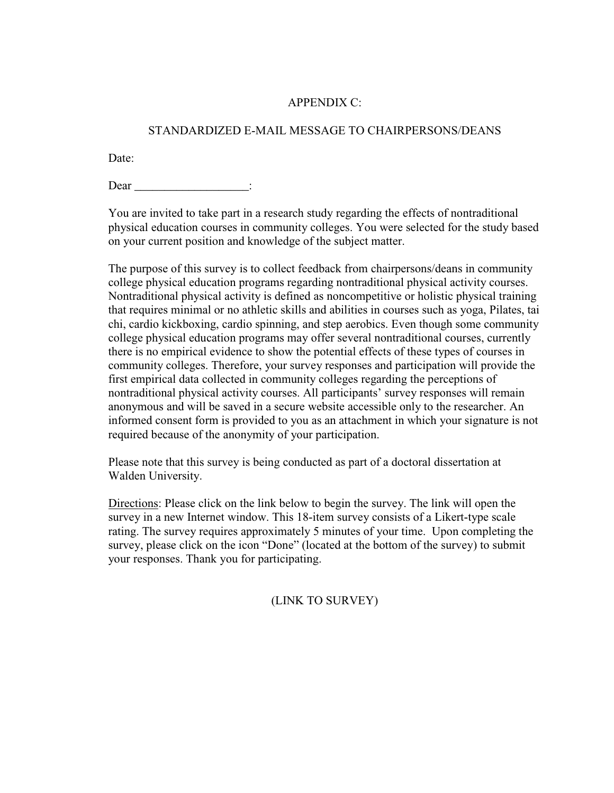# APPENDIX C:

# STANDARDIZED E-MAIL MESSAGE TO CHAIRPERSONS/DEANS

Date:

Dear :

You are invited to take part in a research study regarding the effects of nontraditional physical education courses in community colleges. You were selected for the study based on your current position and knowledge of the subject matter.

The purpose of this survey is to collect feedback from chairpersons/deans in community college physical education programs regarding nontraditional physical activity courses. Nontraditional physical activity is defined as noncompetitive or holistic physical training that requires minimal or no athletic skills and abilities in courses such as yoga, Pilates, tai chi, cardio kickboxing, cardio spinning, and step aerobics. Even though some community college physical education programs may offer several nontraditional courses, currently there is no empirical evidence to show the potential effects of these types of courses in community colleges. Therefore, your survey responses and participation will provide the first empirical data collected in community colleges regarding the perceptions of nontraditional physical activity courses. All participants' survey responses will remain anonymous and will be saved in a secure website accessible only to the researcher. An informed consent form is provided to you as an attachment in which your signature is not required because of the anonymity of your participation.

Please note that this survey is being conducted as part of a doctoral dissertation at Walden University.

Directions: Please click on the link below to begin the survey. The link will open the survey in a new Internet window. This 18-item survey consists of a Likert-type scale rating. The survey requires approximately 5 minutes of your time. Upon completing the survey, please click on the icon "Done" (located at the bottom of the survey) to submit your responses. Thank you for participating.

(LINK TO SURVEY)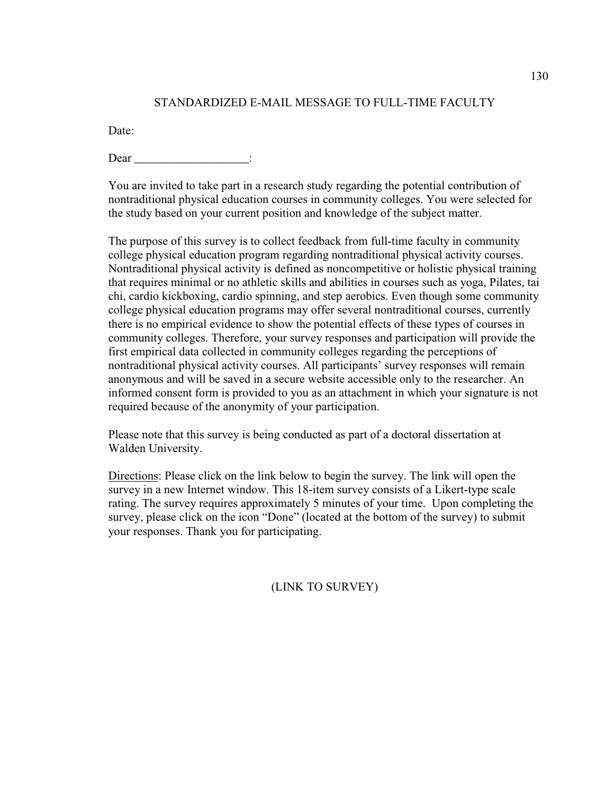# STANDARDIZED E-MAIL MESSAGE TO FULL-TIME FACULTY

Date:

Dear \_\_\_\_\_\_\_\_\_\_\_\_\_\_\_\_\_\_\_\_\_\_\_\_\_:

You are invited to take part in a research study regarding the potential contribution of nontraditional physical education courses in community colleges. You were selected for the study based on your current position and knowledge of the subject matter.

The purpose of this survey is to collect feedback from full-time faculty in community college physical education program regarding nontraditional physical activity courses. Nontraditional physical activity is defined as noncompetitive or holistic physical training that requires minimal or no athletic skills and abilities in courses such as yoga, Pilates, tai chi, cardio kickboxing, cardio spinning, and step aerobics. Even though some community college physical education programs may offer several nontraditional courses, currently there is no empirical evidence to show the potential effects of these types of courses in community colleges. Therefore, your survey responses and participation will provide the first empirical data collected in community colleges regarding the perceptions of nontraditional physical activity courses. All participants' survey responses will remain anonymous and will be saved in a secure website accessible only to the researcher. An informed consent form is provided to you as an attachment in which your signature is not required because of the anonymity of your participation.

Please note that this survey is being conducted as part of a doctoral dissertation at Walden University.

Directions: Please click on the link below to begin the survey. The link will open the survey in a new Internet window. This 18-item survey consists of a Likert-type scale rating. The survey requires approximately 5 minutes of your time. Upon completing the survey, please click on the icon "Done" (located at the bottom of the survey) to submit your responses. Thank you for participating.

(LINK TO SURVEY)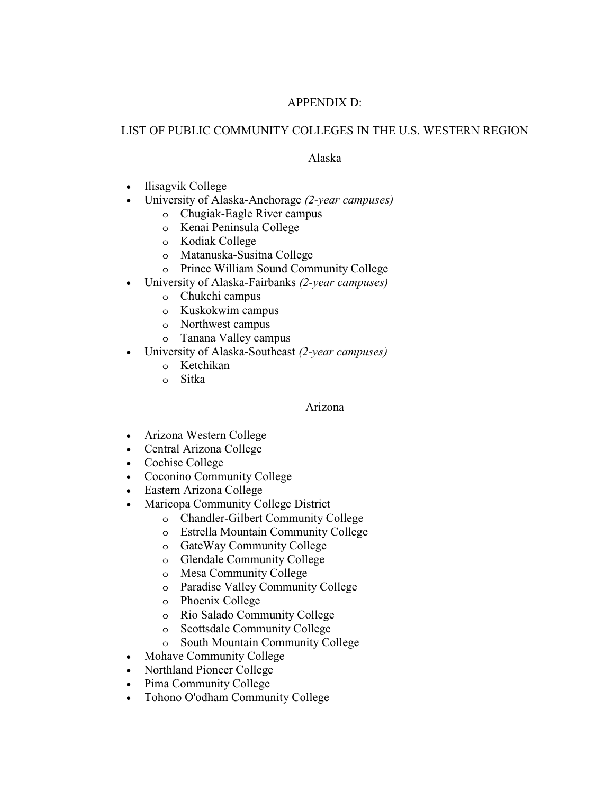# APPENDIX D:

# LIST OF PUBLIC COMMUNITY COLLEGES IN THE U.S. WESTERN REGION

# Alaska

- Ilisagvik College
- University of Alaska-Anchorage *(2-year campuses)*
	- o Chugiak-Eagle River campus
	- o Kenai Peninsula College
	- o Kodiak College
	- o Matanuska-Susitna College
	- o Prince William Sound Community College
- University of Alaska-Fairbanks *(2-year campuses)*
	- o Chukchi campus
	- o Kuskokwim campus
	- o Northwest campus
	- o Tanana Valley campus
- University of Alaska-Southeast *(2-year campuses)*
	- o Ketchikan
	- o Sitka

# Arizona

- Arizona Western College
- Central Arizona College
- Cochise College
- Coconino Community College
- Eastern Arizona College
- Maricopa Community College District
	- o Chandler-Gilbert Community College
	- o Estrella Mountain Community College
	- o GateWay Community College
	- o Glendale Community College
	- o Mesa Community College
	- o Paradise Valley Community College
	- o Phoenix College
	- o Rio Salado Community College
	- o Scottsdale Community College
	- o South Mountain Community College
- Mohave Community College
- Northland Pioneer College
- Pima Community College
- Tohono O'odham Community College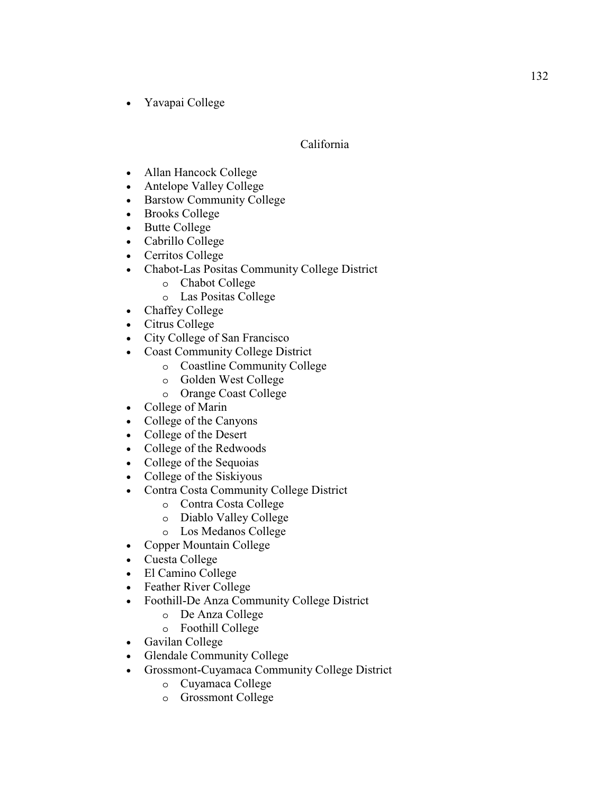• Yavapai College

## California

- Allan Hancock College
- Antelope Valley College
- Barstow Community College
- Brooks College
- Butte College
- Cabrillo College
- Cerritos College
- Chabot-Las Positas Community College District
	- o Chabot College
	- o Las Positas College
- Chaffey College
- Citrus College
- City College of San Francisco
- Coast Community College District
	- o Coastline Community College
	- o Golden West College
	- o Orange Coast College
- College of Marin
- College of the Canyons
- College of the Desert
- College of the Redwoods
- College of the Sequoias
- College of the Siskiyous
- Contra Costa Community College District
	- o Contra Costa College
	- o Diablo Valley College
	- o Los Medanos College
- Copper Mountain College
- Cuesta College
- El Camino College
- Feather River College
- Foothill-De Anza Community College District
	- o De Anza College
	- o Foothill College
- Gavilan College
- Glendale Community College
- Grossmont-Cuyamaca Community College District
	- o Cuyamaca College
	- o Grossmont College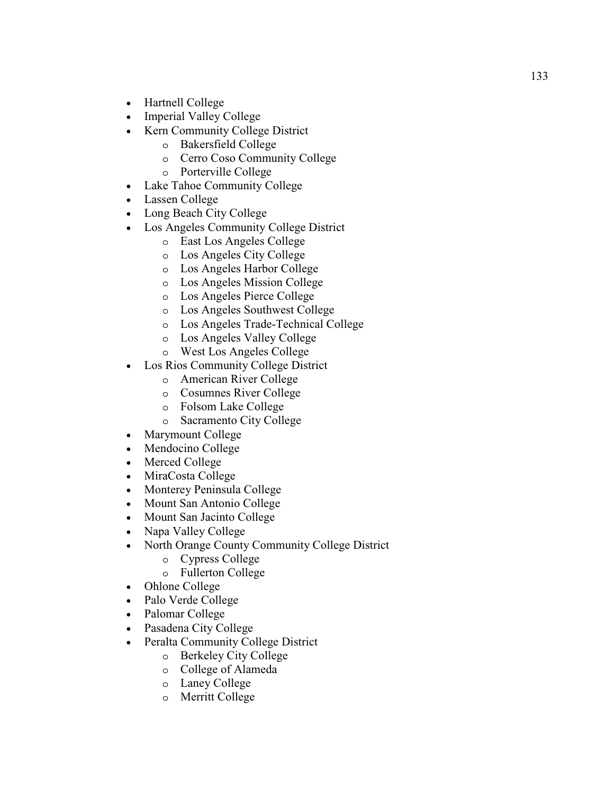- Hartnell College
- Imperial Valley College
- Kern Community College District
	- o Bakersfield College
	- o Cerro Coso Community College
	- o Porterville College
- Lake Tahoe Community College
- Lassen College
- Long Beach City College
- Los Angeles Community College District
	- o East Los Angeles College
	- o Los Angeles City College
	- o Los Angeles Harbor College
	- o Los Angeles Mission College
	- o Los Angeles Pierce College
	- o Los Angeles Southwest College
	- o Los Angeles Trade-Technical College
	- o Los Angeles Valley College
	- o West Los Angeles College
- Los Rios Community College District
	- o American River College
	- o Cosumnes River College
	- o Folsom Lake College
	- o Sacramento City College
- Marymount College
- Mendocino College
- Merced College
- MiraCosta College
- Monterey Peninsula College
- Mount San Antonio College
- Mount San Jacinto College
- Napa Valley College
- North Orange County Community College District
	- o Cypress College
	- o Fullerton College
- Ohlone College
- Palo Verde College
- Palomar College
- Pasadena City College
- Peralta Community College District
	- o Berkeley City College
	- o College of Alameda
	- o Laney College
	- o Merritt College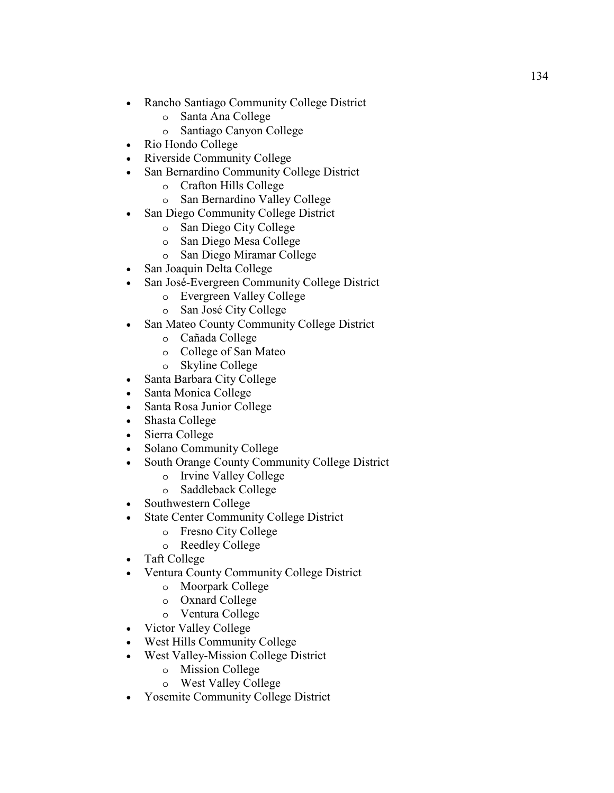- Rancho Santiago Community College District
	- o Santa Ana College
	- o Santiago Canyon College
- Rio Hondo College
- Riverside Community College
- San Bernardino Community College District
	- o Crafton Hills College
	- o San Bernardino Valley College
- San Diego Community College District
	- o San Diego City College
	- o San Diego Mesa College
	- o San Diego Miramar College
- San Joaquin Delta College
- San José-Evergreen Community College District
	- o Evergreen Valley College
	- o San José City College
- San Mateo County Community College District
	- o Cañada College
	- o College of San Mateo
	- o Skyline College
- Santa Barbara City College
- Santa Monica College
- Santa Rosa Junior College
- Shasta College
- Sierra College
- Solano Community College
- South Orange County Community College District
	- o Irvine Valley College
	- o Saddleback College
- Southwestern College
- State Center Community College District
	- o Fresno City College
	- o Reedley College
- Taft College
- Ventura County Community College District
	- o Moorpark College
	- o Oxnard College
	- o Ventura College
- Victor Valley College
- West Hills Community College
- West Valley-Mission College District
	- o Mission College
	- o West Valley College
- Yosemite Community College District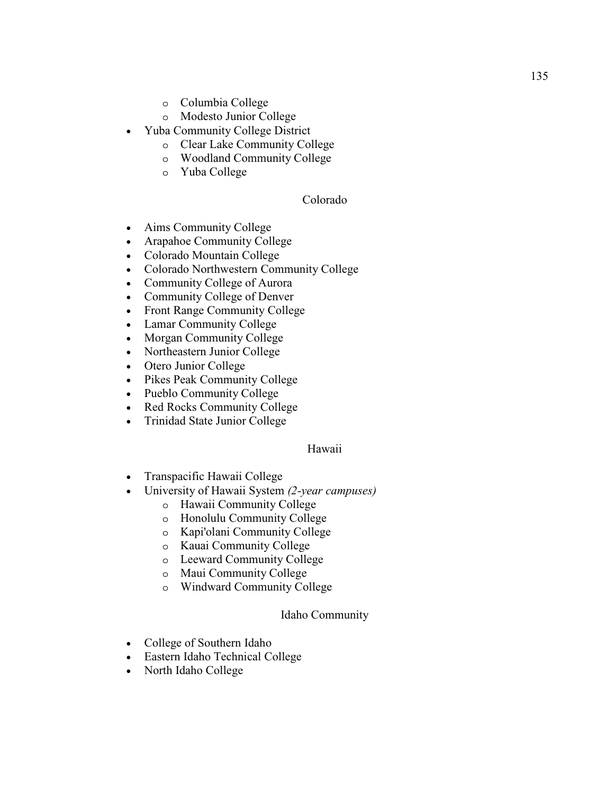- o Columbia College
- o Modesto Junior College
- Yuba Community College District
	- o Clear Lake Community College
	- o Woodland Community College
	- o Yuba College

## Colorado

- Aims Community College
- Arapahoe Community College
- Colorado Mountain College
- Colorado Northwestern Community College
- Community College of Aurora
- Community College of Denver
- Front Range Community College
- Lamar Community College
- Morgan Community College
- Northeastern Junior College
- Otero Junior College
- Pikes Peak Community College
- Pueblo Community College
- Red Rocks Community College
- Trinidad State Junior College

## Hawaii

- Transpacific Hawaii College
- University of Hawaii System *(2-year campuses)*
	- o Hawaii Community College
	- o Honolulu Community College
	- o Kapi'olani Community College
	- o Kauai Community College
	- o Leeward Community College
	- o Maui Community College
	- o Windward Community College

## Idaho Community

- College of Southern Idaho
- Eastern Idaho Technical College
- North Idaho College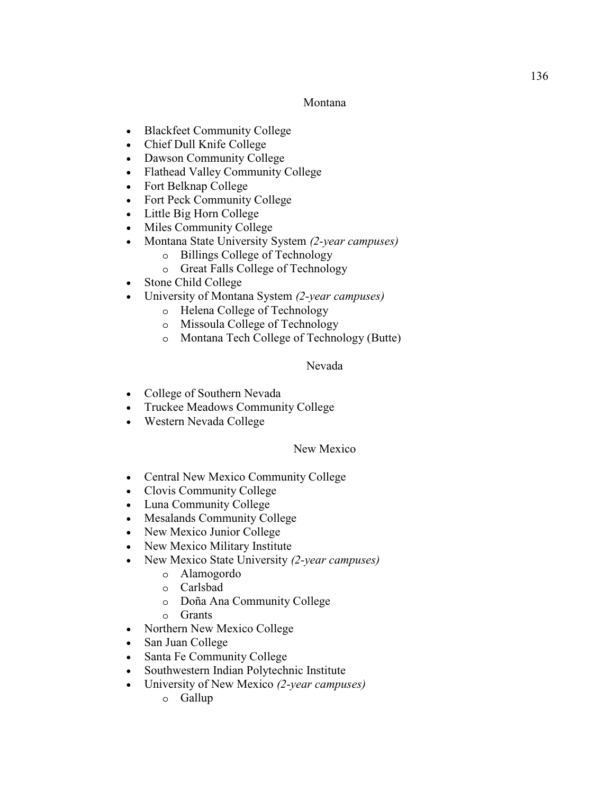### Montana

- Blackfeet Community College
- Chief Dull Knife College
- Dawson Community College
- Flathead Valley Community College
- Fort Belknap College
- Fort Peck Community College
- Little Big Horn College
- Miles Community College
- Montana State University System *(2-year campuses)*
	- o Billings College of Technology
	- o Great Falls College of Technology
- Stone Child College
- University of Montana System *(2-year campuses)*
	- o Helena College of Technology
	- o Missoula College of Technology
	- o Montana Tech College of Technology (Butte)

### Nevada

- College of Southern Nevada
- Truckee Meadows Community College
- Western Nevada College

### New Mexico

- Central New Mexico Community College
- Clovis Community College
- Luna Community College
- Mesalands Community College
- New Mexico Junior College
- New Mexico Military Institute
- New Mexico State University *(2-year campuses)*
	- o Alamogordo
	- o Carlsbad
	- o Doña Ana Community College
	- o Grants
- Northern New Mexico College
- San Juan College
- Santa Fe Community College
- Southwestern Indian Polytechnic Institute
- University of New Mexico *(2-year campuses)*
	- o Gallup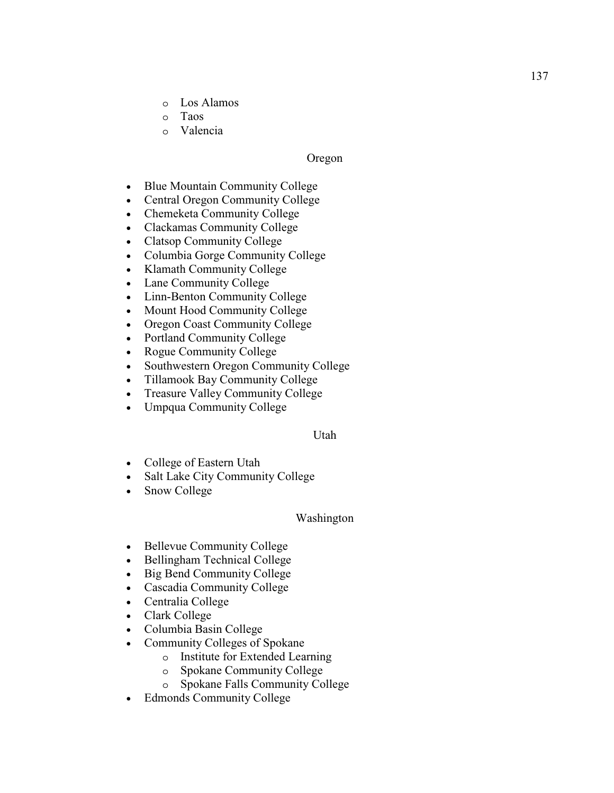- o Los Alamos
- o Taos
- o Valencia

### Oregon

- Blue Mountain Community College
- Central Oregon Community College
- Chemeketa Community College
- Clackamas Community College
- Clatsop Community College
- Columbia Gorge Community College
- Klamath Community College
- Lane Community College
- Linn-Benton Community College
- Mount Hood Community College
- Oregon Coast Community College
- Portland Community College
- Rogue Community College
- Southwestern Oregon Community College
- Tillamook Bay Community College
- Treasure Valley Community College
- Umpqua Community College

### Utah

- College of Eastern Utah
- Salt Lake City Community College
- Snow College

### Washington

- Bellevue Community College
- Bellingham Technical College
- Big Bend Community College
- Cascadia Community College
- Centralia College
- Clark College
- Columbia Basin College
- Community Colleges of Spokane
	- o Institute for Extended Learning
	- o Spokane Community College
	- o Spokane Falls Community College
- Edmonds Community College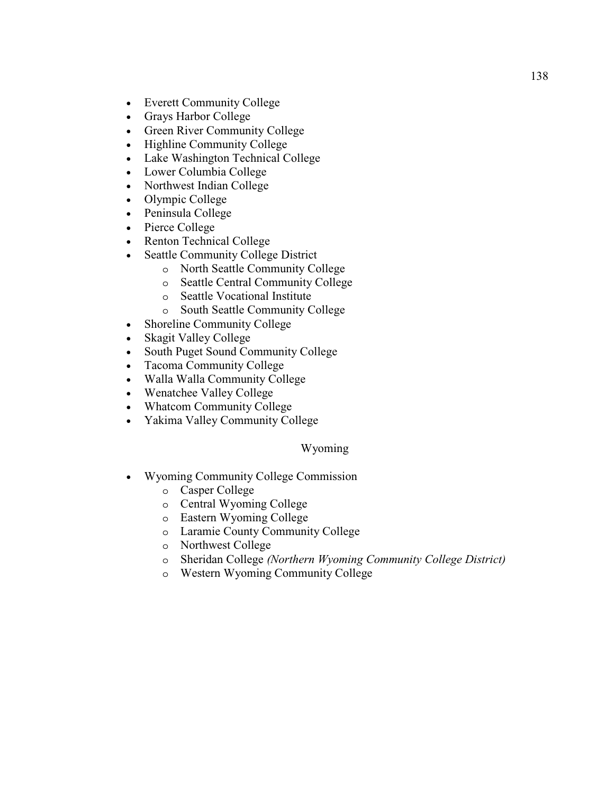- Everett Community College
- Grays Harbor College
- Green River Community College
- Highline Community College
- Lake Washington Technical College
- Lower Columbia College
- Northwest Indian College
- Olympic College
- Peninsula College
- Pierce College
- Renton Technical College
- Seattle Community College District
	- o North Seattle Community College
	- o Seattle Central Community College
	- o Seattle Vocational Institute
	- o South Seattle Community College
- Shoreline Community College
- Skagit Valley College
- South Puget Sound Community College
- Tacoma Community College
- Walla Walla Community College
- Wenatchee Valley College
- Whatcom Community College
- Yakima Valley Community College

### Wyoming

- Wyoming Community College Commission
	- o Casper College
	- o Central Wyoming College
	- o Eastern Wyoming College
	- o Laramie County Community College
	- o Northwest College
	- o Sheridan College *(Northern Wyoming Community College District)*
	- o Western Wyoming Community College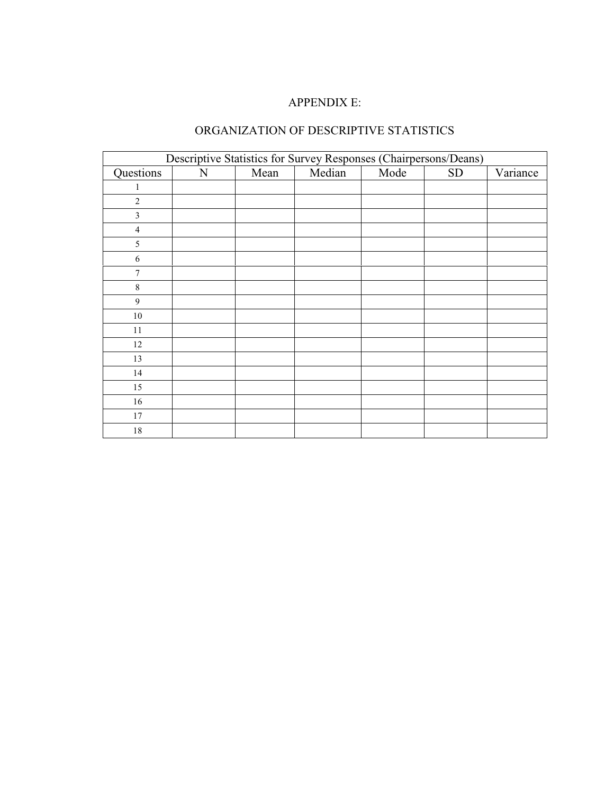## APPENDIX E:

## ORGANIZATION OF DESCRIPTIVE STATISTICS

|                | Descriptive Statistics for Survey Responses (Chairpersons/Deans) |      |        |      |           |          |  |  |  |  |
|----------------|------------------------------------------------------------------|------|--------|------|-----------|----------|--|--|--|--|
| Questions      | N                                                                | Mean | Median | Mode | <b>SD</b> | Variance |  |  |  |  |
| 1              |                                                                  |      |        |      |           |          |  |  |  |  |
| $\overline{2}$ |                                                                  |      |        |      |           |          |  |  |  |  |
| $\mathfrak{Z}$ |                                                                  |      |        |      |           |          |  |  |  |  |
| $\overline{4}$ |                                                                  |      |        |      |           |          |  |  |  |  |
| 5              |                                                                  |      |        |      |           |          |  |  |  |  |
| 6              |                                                                  |      |        |      |           |          |  |  |  |  |
| $\overline{7}$ |                                                                  |      |        |      |           |          |  |  |  |  |
| $\,8\,$        |                                                                  |      |        |      |           |          |  |  |  |  |
| $\overline{9}$ |                                                                  |      |        |      |           |          |  |  |  |  |
| $10\,$         |                                                                  |      |        |      |           |          |  |  |  |  |
| $11\,$         |                                                                  |      |        |      |           |          |  |  |  |  |
| 12             |                                                                  |      |        |      |           |          |  |  |  |  |
| 13             |                                                                  |      |        |      |           |          |  |  |  |  |
| 14             |                                                                  |      |        |      |           |          |  |  |  |  |
| 15             |                                                                  |      |        |      |           |          |  |  |  |  |
| 16             |                                                                  |      |        |      |           |          |  |  |  |  |
| 17             |                                                                  |      |        |      |           |          |  |  |  |  |
| $18\,$         |                                                                  |      |        |      |           |          |  |  |  |  |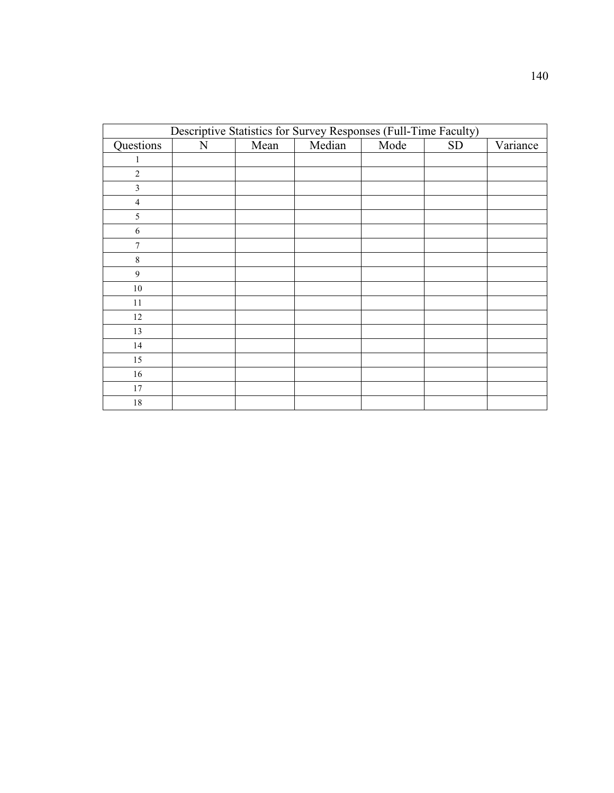|                | Descriptive Statistics for Survey Responses (Full-Time Faculty) |      |        |      |            |          |  |  |  |  |
|----------------|-----------------------------------------------------------------|------|--------|------|------------|----------|--|--|--|--|
| Questions      | $\mathbf N$                                                     | Mean | Median | Mode | ${\rm SD}$ | Variance |  |  |  |  |
|                |                                                                 |      |        |      |            |          |  |  |  |  |
| $\overline{2}$ |                                                                 |      |        |      |            |          |  |  |  |  |
| 3              |                                                                 |      |        |      |            |          |  |  |  |  |
| $\overline{4}$ |                                                                 |      |        |      |            |          |  |  |  |  |
| 5              |                                                                 |      |        |      |            |          |  |  |  |  |
| 6              |                                                                 |      |        |      |            |          |  |  |  |  |
| 7              |                                                                 |      |        |      |            |          |  |  |  |  |
| $\,$ 8 $\,$    |                                                                 |      |        |      |            |          |  |  |  |  |
| $\mathbf{9}$   |                                                                 |      |        |      |            |          |  |  |  |  |
| $10\,$         |                                                                 |      |        |      |            |          |  |  |  |  |
| $11\,$         |                                                                 |      |        |      |            |          |  |  |  |  |
| 12             |                                                                 |      |        |      |            |          |  |  |  |  |
| 13             |                                                                 |      |        |      |            |          |  |  |  |  |
| 14             |                                                                 |      |        |      |            |          |  |  |  |  |
| 15             |                                                                 |      |        |      |            |          |  |  |  |  |
| 16             |                                                                 |      |        |      |            |          |  |  |  |  |
| $17\,$         |                                                                 |      |        |      |            |          |  |  |  |  |
| $18\,$         |                                                                 |      |        |      |            |          |  |  |  |  |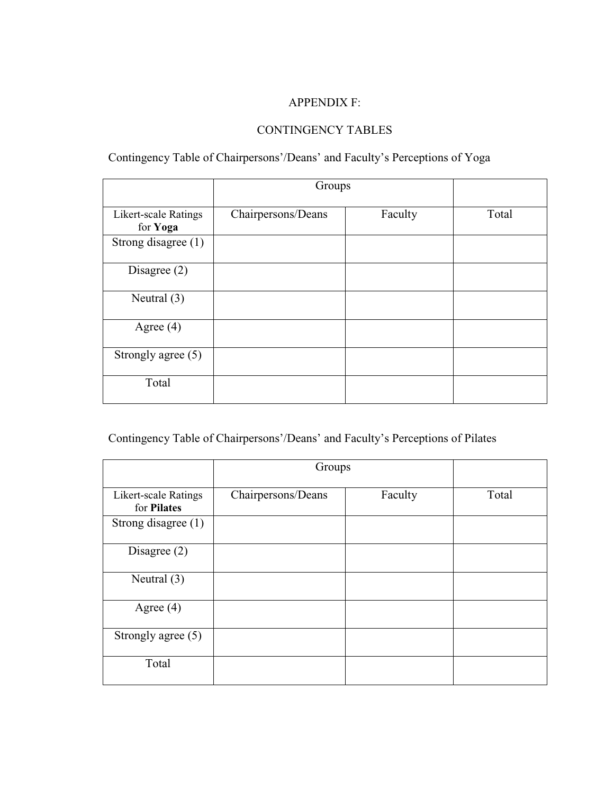## APPENDIX F:

## CONTINGENCY TABLES

## Contingency Table of Chairpersons'/Deans' and Faculty's Perceptions of Yoga

|                                         | Groups             |         |       |
|-----------------------------------------|--------------------|---------|-------|
| <b>Likert-scale Ratings</b><br>for Yoga | Chairpersons/Deans | Faculty | Total |
| Strong disagree (1)                     |                    |         |       |
| Disagree $(2)$                          |                    |         |       |
| Neutral $(3)$                           |                    |         |       |
| Agree $(4)$                             |                    |         |       |
| Strongly agree $(5)$                    |                    |         |       |
| Total                                   |                    |         |       |

# Contingency Table of Chairpersons'/Deans' and Faculty's Perceptions of Pilates

|                                     | Groups             |         |       |
|-------------------------------------|--------------------|---------|-------|
| Likert-scale Ratings<br>for Pilates | Chairpersons/Deans | Faculty | Total |
| Strong disagree (1)                 |                    |         |       |
| Disagree $(2)$                      |                    |         |       |
| Neutral $(3)$                       |                    |         |       |
| Agree $(4)$                         |                    |         |       |
| Strongly agree (5)                  |                    |         |       |
| Total                               |                    |         |       |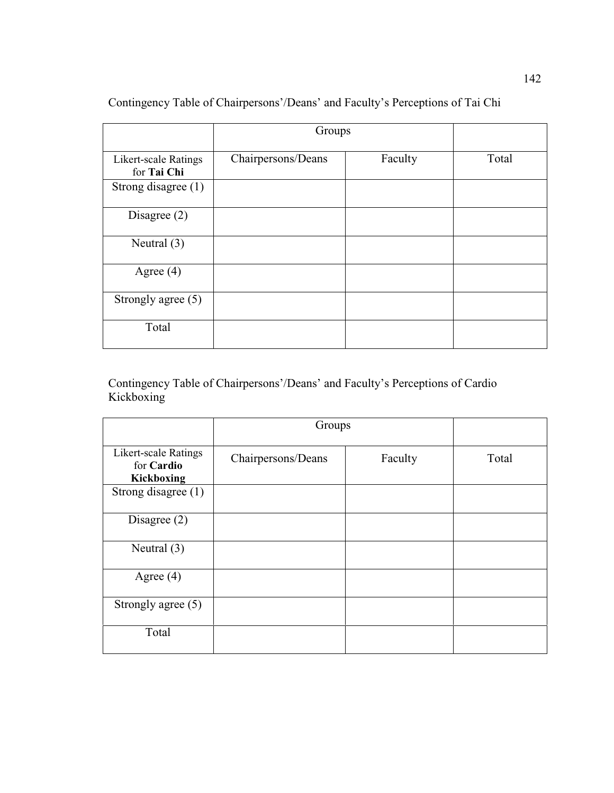|                                            | Groups             |         |       |
|--------------------------------------------|--------------------|---------|-------|
| <b>Likert-scale Ratings</b><br>for Tai Chi | Chairpersons/Deans | Faculty | Total |
| Strong disagree (1)                        |                    |         |       |
| Disagree $(2)$                             |                    |         |       |
| Neutral $(3)$                              |                    |         |       |
| Agree $(4)$                                |                    |         |       |
| Strongly agree (5)                         |                    |         |       |
| Total                                      |                    |         |       |

Contingency Table of Chairpersons'/Deans' and Faculty's Perceptions of Tai Chi

Contingency Table of Chairpersons'/Deans' and Faculty's Perceptions of Cardio Kickboxing

|                                                         | Groups             |         |       |
|---------------------------------------------------------|--------------------|---------|-------|
| <b>Likert-scale Ratings</b><br>for Cardio<br>Kickboxing | Chairpersons/Deans | Faculty | Total |
| Strong disagree (1)                                     |                    |         |       |
| Disagree $(2)$                                          |                    |         |       |
| Neutral $(3)$                                           |                    |         |       |
| Agree $(4)$                                             |                    |         |       |
| Strongly agree (5)                                      |                    |         |       |
| Total                                                   |                    |         |       |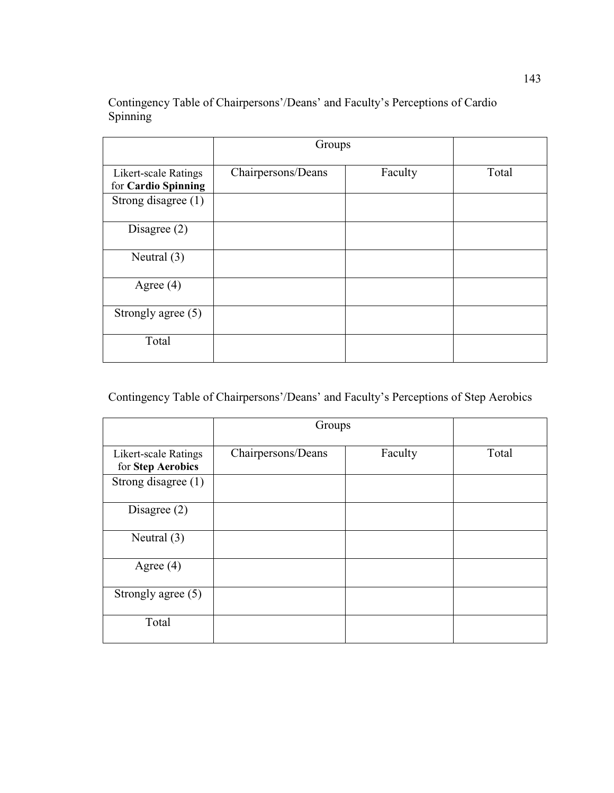Contingency Table of Chairpersons'/Deans' and Faculty's Perceptions of Cardio Spinning

|                                                    | Groups             |         |       |
|----------------------------------------------------|--------------------|---------|-------|
| <b>Likert-scale Ratings</b><br>for Cardio Spinning | Chairpersons/Deans | Faculty | Total |
| Strong disagree (1)                                |                    |         |       |
| Disagree $(2)$                                     |                    |         |       |
| Neutral $(3)$                                      |                    |         |       |
| Agree $(4)$                                        |                    |         |       |
| Strongly agree (5)                                 |                    |         |       |
| Total                                              |                    |         |       |

Contingency Table of Chairpersons'/Deans' and Faculty's Perceptions of Step Aerobics

|                                           | Groups             |         |       |
|-------------------------------------------|--------------------|---------|-------|
| Likert-scale Ratings<br>for Step Aerobics | Chairpersons/Deans | Faculty | Total |
| Strong disagree $(1)$                     |                    |         |       |
| Disagree $(2)$                            |                    |         |       |
| Neutral $(3)$                             |                    |         |       |
| Agree $(4)$                               |                    |         |       |
| Strongly agree $(5)$                      |                    |         |       |
| Total                                     |                    |         |       |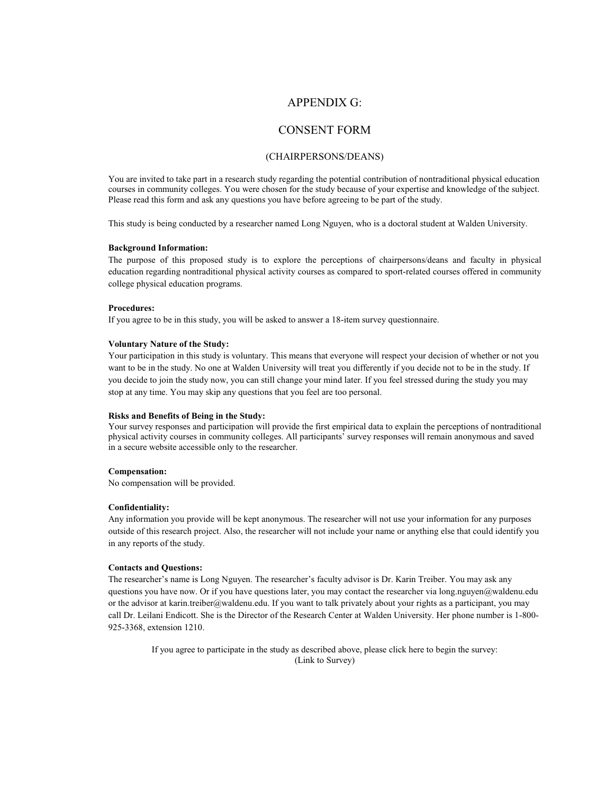### APPENDIX G:

### CONSENT FORM

#### (CHAIRPERSONS/DEANS)

You are invited to take part in a research study regarding the potential contribution of nontraditional physical education courses in community colleges. You were chosen for the study because of your expertise and knowledge of the subject. Please read this form and ask any questions you have before agreeing to be part of the study.

This study is being conducted by a researcher named Long Nguyen, who is a doctoral student at Walden University.

#### **Background Information:**

The purpose of this proposed study is to explore the perceptions of chairpersons/deans and faculty in physical education regarding nontraditional physical activity courses as compared to sport-related courses offered in community college physical education programs.

#### **Procedures:**

If you agree to be in this study, you will be asked to answer a 18-item survey questionnaire.

#### **Voluntary Nature of the Study:**

Your participation in this study is voluntary. This means that everyone will respect your decision of whether or not you want to be in the study. No one at Walden University will treat you differently if you decide not to be in the study. If you decide to join the study now, you can still change your mind later. If you feel stressed during the study you may stop at any time. You may skip any questions that you feel are too personal.

#### **Risks and Benefits of Being in the Study:**

Your survey responses and participation will provide the first empirical data to explain the perceptions of nontraditional physical activity courses in community colleges. All participants' survey responses will remain anonymous and saved in a secure website accessible only to the researcher.

#### **Compensation:**

No compensation will be provided.

#### **Confidentiality:**

Any information you provide will be kept anonymous. The researcher will not use your information for any purposes outside of this research project. Also, the researcher will not include your name or anything else that could identify you in any reports of the study.

#### **Contacts and Questions:**

The researcher's name is Long Nguyen. The researcher's faculty advisor is Dr. Karin Treiber. You may ask any questions you have now. Or if you have questions later, you may contact the researcher via long.nguyen@waldenu.edu or the advisor at karin.treiber@waldenu.edu. If you want to talk privately about your rights as a participant, you may call Dr. Leilani Endicott. She is the Director of the Research Center at Walden University. Her phone number is 1-800- 925-3368, extension 1210.

If you agree to participate in the study as described above, please click here to begin the survey: (Link to Survey)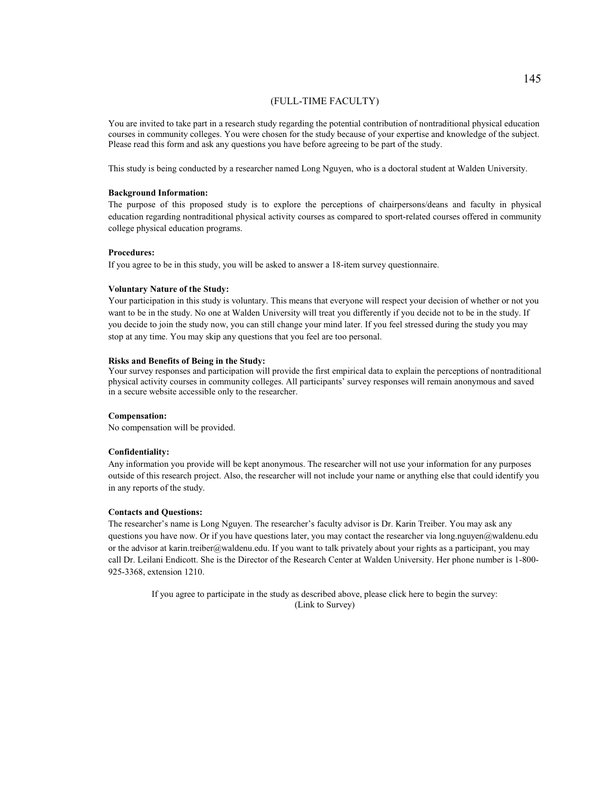#### (FULL-TIME FACULTY)

You are invited to take part in a research study regarding the potential contribution of nontraditional physical education courses in community colleges. You were chosen for the study because of your expertise and knowledge of the subject. Please read this form and ask any questions you have before agreeing to be part of the study.

This study is being conducted by a researcher named Long Nguyen, who is a doctoral student at Walden University.

#### **Background Information:**

The purpose of this proposed study is to explore the perceptions of chairpersons/deans and faculty in physical education regarding nontraditional physical activity courses as compared to sport-related courses offered in community college physical education programs.

#### **Procedures:**

If you agree to be in this study, you will be asked to answer a 18-item survey questionnaire.

#### **Voluntary Nature of the Study:**

Your participation in this study is voluntary. This means that everyone will respect your decision of whether or not you want to be in the study. No one at Walden University will treat you differently if you decide not to be in the study. If you decide to join the study now, you can still change your mind later. If you feel stressed during the study you may stop at any time. You may skip any questions that you feel are too personal.

#### **Risks and Benefits of Being in the Study:**

Your survey responses and participation will provide the first empirical data to explain the perceptions of nontraditional physical activity courses in community colleges. All participants' survey responses will remain anonymous and saved in a secure website accessible only to the researcher.

#### **Compensation:**

No compensation will be provided.

#### **Confidentiality:**

Any information you provide will be kept anonymous. The researcher will not use your information for any purposes outside of this research project. Also, the researcher will not include your name or anything else that could identify you in any reports of the study.

#### **Contacts and Questions:**

The researcher's name is Long Nguyen. The researcher's faculty advisor is Dr. Karin Treiber. You may ask any questions you have now. Or if you have questions later, you may contact the researcher via long.nguyen@waldenu.edu or the advisor at karin.treiber@waldenu.edu. If you want to talk privately about your rights as a participant, you may call Dr. Leilani Endicott. She is the Director of the Research Center at Walden University. Her phone number is 1-800- 925-3368, extension 1210.

> If you agree to participate in the study as described above, please click here to begin the survey: (Link to Survey)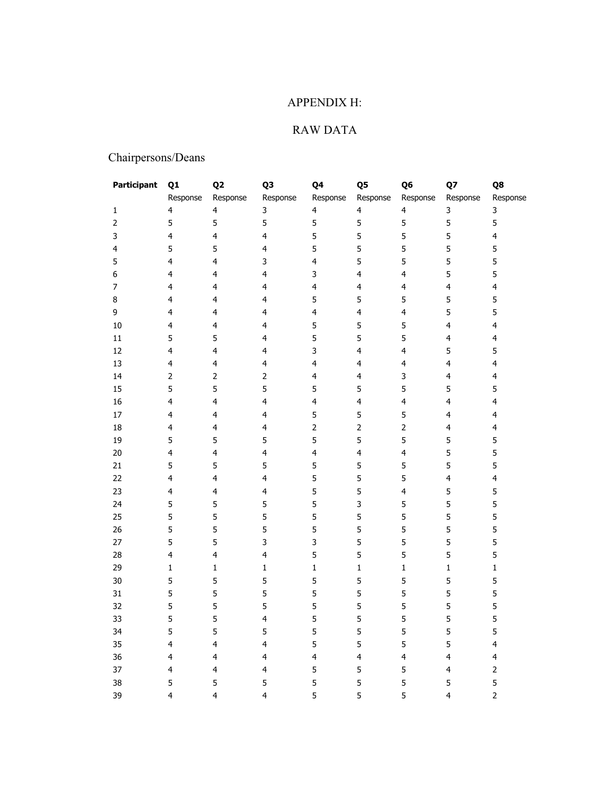## APPENDIX H:

## RAW DATA

# Chairpersons/Deans

| Participant             | Q1                      | Q <sub>2</sub>          | Q3                      | Q4                      | Q5                      | Q6                      | Q7                      | Q8                      |
|-------------------------|-------------------------|-------------------------|-------------------------|-------------------------|-------------------------|-------------------------|-------------------------|-------------------------|
|                         | Response                | Response                | Response                | Response                | Response                | Response                | Response                | Response                |
| 1                       | 4                       | $\overline{\mathbf{4}}$ | 3                       | 4                       | $\overline{4}$          | 4                       | 3                       | $\mathbf{3}$            |
|                         | 5                       | 5                       | 5                       | 5                       | 5                       | 5                       | 5                       | $\sqrt{5}$              |
| 3                       | $\overline{\mathbf{4}}$ | $\overline{\mathbf{4}}$ | $\overline{\mathbf{4}}$ | 5                       | 5                       | 5                       | 5                       | $\overline{\mathbf{4}}$ |
| $\overline{\mathbf{4}}$ | 5                       | 5                       | $\overline{\mathbf{4}}$ | 5                       | 5                       | 5                       | 5                       | 5                       |
| 5                       | 4                       | $\overline{4}$          | 3                       | $\overline{\mathbf{4}}$ | 5                       | 5                       | 5                       | 5                       |
| 6                       | 4                       | 4                       | $\overline{\mathbf{4}}$ | 3                       | $\overline{\mathbf{4}}$ | $\overline{\mathbf{4}}$ | 5                       | 5                       |
| 7                       | 4                       | 4                       | $\overline{\mathbf{4}}$ | $\overline{\mathbf{4}}$ | $\overline{\mathbf{4}}$ | $\overline{\mathbf{4}}$ | $\overline{4}$          | $\overline{\mathbf{4}}$ |
| 8                       | 4                       | 4                       | 4                       | 5                       | 5                       | 5                       | 5                       | 5                       |
| 9                       | $\overline{\mathbf{4}}$ | $\overline{\mathbf{4}}$ | $\overline{\mathbf{4}}$ | $\overline{\mathbf{4}}$ | $\overline{4}$          | $\overline{\mathbf{4}}$ | 5                       | 5                       |
| $10\,$                  | $\overline{\mathbf{4}}$ | 4                       | $\overline{\mathbf{4}}$ | 5                       | $\sqrt{5}$              | 5                       | $\overline{4}$          | $\overline{4}$          |
| $11\,$                  | 5                       | 5                       | $\overline{\mathbf{4}}$ | 5                       | 5                       | 5                       | $\overline{\mathbf{4}}$ | $\overline{\mathbf{4}}$ |
| 12                      | $\overline{\mathbf{4}}$ | $\overline{4}$          | $\overline{\mathbf{4}}$ | 3                       | $\overline{\mathbf{4}}$ | 4                       | 5                       | 5                       |
| 13                      | 4                       | 4                       | $\overline{4}$          | 4                       | 4                       | 4                       | $\overline{\mathbf{4}}$ | $\overline{\mathbf{4}}$ |
| 14                      | $\overline{2}$          | $\mathsf{2}\,$          | $\overline{2}$          | 4                       | $\overline{\mathbf{4}}$ | 3                       | $\overline{\mathbf{4}}$ | $\overline{4}$          |
| 15                      | 5                       | 5                       | 5                       | 5                       | 5                       | 5                       | 5                       | 5                       |
| 16                      | $\overline{\mathbf{4}}$ | $\overline{\mathbf{4}}$ | $\overline{\mathbf{4}}$ | $\overline{\mathbf{4}}$ | $\overline{\mathbf{4}}$ | $\overline{\mathbf{4}}$ | $\overline{\mathbf{4}}$ | $\overline{\mathbf{4}}$ |
| $17\,$                  | $\overline{\mathbf{4}}$ | $\overline{\mathbf{4}}$ | $\overline{4}$          | 5                       | 5                       | 5                       | $\overline{\mathbf{4}}$ | $\overline{\mathbf{4}}$ |
| 18                      | 4                       | 4                       | $\overline{\mathbf{4}}$ | $\overline{2}$          | $\mathbf{2}$            | $\overline{2}$          | $\overline{\mathbf{4}}$ | $\overline{\mathbf{4}}$ |
| 19                      | 5                       | 5                       | 5                       | 5                       | 5                       | 5                       | 5                       | 5                       |
| 20                      | $\overline{\mathbf{4}}$ | $\overline{\mathbf{4}}$ | $\overline{4}$          | 4                       | $\overline{4}$          | $\overline{\mathbf{4}}$ | 5                       | 5                       |
| 21                      | 5                       | 5                       | 5                       | 5                       | 5                       | 5                       | 5                       | 5                       |
| 22                      | $\overline{\mathbf{4}}$ | $\overline{\mathbf{4}}$ | $\overline{4}$          | 5                       | 5                       | 5                       | $\overline{\mathbf{4}}$ | $\overline{\mathbf{4}}$ |
| 23                      | $\overline{\mathbf{4}}$ | $\overline{\mathbf{4}}$ | $\overline{4}$          | 5                       | 5                       | $\overline{\mathbf{4}}$ | 5                       | 5                       |
| 24                      | 5                       | 5                       | 5                       | 5                       | $\mathbf{3}$            | 5                       | 5                       | 5                       |
| 25                      | 5                       | 5                       | 5                       | 5                       | 5                       | 5                       | 5                       | 5                       |
| 26                      | 5                       | 5                       | 5                       | 5                       | 5                       | 5                       | 5                       | 5                       |
| 27                      | 5                       | 5                       | $\mathsf{3}$            | 3                       | 5                       | 5                       | 5                       | 5                       |
| 28                      | $\overline{\mathbf{4}}$ | $\overline{\mathbf{4}}$ | $\overline{4}$          | 5                       | 5                       | 5                       | 5                       | 5                       |
| 29                      | $\mathbf 1$             | $\mathbf 1$             | $\mathbf 1$             | $\mathbf 1$             | $\mathbf 1$             | $\mathbf 1$             | $\mathbf 1$             | $\mathbf 1$             |
| 30                      | 5                       | 5                       | 5                       | 5                       | 5                       | 5                       | 5                       | 5                       |
| 31                      | 5                       | 5                       | 5                       | 5                       | 5                       | 5                       | 5                       | 5                       |
| 32                      | 5                       | 5                       | 5                       | 5                       | 5                       | 5                       | 5                       | 5                       |
| 33                      | 5                       | 5                       | $\overline{\mathbf{4}}$ | 5                       | 5                       | 5                       | 5                       | 5                       |
| 34                      | 5                       | 5                       | 5                       | 5                       | 5                       | 5                       | 5                       | 5                       |
| 35                      | 4                       | 4                       | $\overline{\mathbf{4}}$ | 5                       | 5                       | 5                       | 5                       | $\overline{\mathbf{4}}$ |
| 36                      | 4                       | $\overline{4}$          | $\overline{\mathbf{4}}$ | 4                       | $\overline{\mathbf{4}}$ | 4                       | $\overline{\mathbf{4}}$ | $\overline{\mathbf{4}}$ |
| 37                      | 4                       | 4                       | $\overline{\mathbf{4}}$ | 5                       | 5                       | 5                       | 4                       | $\mathsf{2}\,$          |
| 38                      | 5                       | 5                       | 5                       | 5                       | 5                       | 5                       | 5                       | 5                       |
| 39                      | 4                       | $\overline{4}$          | $\overline{\mathbf{4}}$ | 5                       | 5                       | 5                       | 4                       | $\overline{2}$          |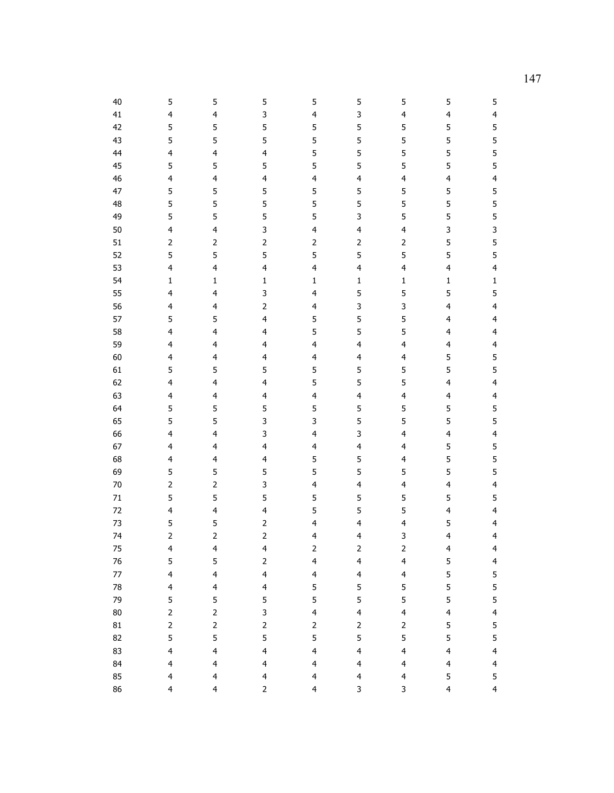| 40      | 5                       | 5                        | 5                       | 5                                                                                                                | 5                       | 5                       | 5                       | 5                       |
|---------|-------------------------|--------------------------|-------------------------|------------------------------------------------------------------------------------------------------------------|-------------------------|-------------------------|-------------------------|-------------------------|
| 41      | $\overline{\mathbf{4}}$ | 4                        | 3                       | $\overline{\mathbf{4}}$                                                                                          | 3                       | 4                       | $\overline{\mathbf{4}}$ | $\overline{\mathbf{4}}$ |
| 42      | 5                       | 5                        | 5                       | 5                                                                                                                | 5                       | 5                       | 5                       | 5                       |
| 43      | 5                       | 5                        | 5                       | 5                                                                                                                | 5                       | 5                       | 5                       | 5                       |
| 44      | $\overline{\mathbf{4}}$ | $\overline{\mathbf{4}}$  | $\overline{\mathbf{4}}$ | 5                                                                                                                | 5                       | 5                       | 5                       | 5                       |
| 45      | 5                       | 5                        | 5                       | 5                                                                                                                | 5                       | 5                       | 5                       | 5                       |
| 46      | $\overline{\mathbf{4}}$ | $\overline{\mathbf{4}}$  | $\overline{\mathbf{4}}$ | $\overline{\mathbf{4}}$                                                                                          | $\overline{\mathbf{4}}$ | $\overline{\mathbf{4}}$ | $\overline{\mathbf{4}}$ | $\overline{\mathbf{4}}$ |
| 47      | 5                       | 5                        | 5                       | 5                                                                                                                | 5                       | 5                       | 5                       | 5                       |
| 48      | 5                       | 5                        | 5                       | 5                                                                                                                | 5                       | 5                       | 5                       | 5                       |
| 49      | 5                       | 5                        | 5                       | 5                                                                                                                | 3                       | 5                       | 5                       | 5                       |
| 50      | 4                       | $\overline{\mathcal{L}}$ | 3                       | 4                                                                                                                | 4                       | 4                       | 3                       | 3                       |
| 51      | $\mathbf{2}$            | $\overline{c}$           | $\mathbf{2}$            | $\mathsf{2}\!\!\:\mathsf{1}\!\!\:\mathsf{2}\!\!\:\mathsf{1}\!\!\:\mathsf{3}\mathsf{2}\!\!\:\mathsf{4}\mathsf{3}$ | $\mathbf{2}$            | $\mathsf{2}$            | 5                       | 5                       |
| 52      | 5                       | 5                        | 5                       | 5                                                                                                                | 5                       | 5                       | 5                       | 5                       |
| 53      | $\overline{\mathbf{4}}$ | 4                        | $\overline{\mathbf{4}}$ | $\overline{\mathbf{4}}$                                                                                          | $\overline{\mathbf{4}}$ | 4                       | $\overline{\mathbf{4}}$ | $\overline{\mathbf{4}}$ |
| 54      | $\mathbf 1$             | $\mathbf 1$              | $\mathbf{1}$            | $\mathbf{1}$                                                                                                     | $\mathbf{1}$            | $\mathbf 1$             | $\mathbf 1$             | $\mathbf 1$             |
| 55      | $\overline{\mathbf{4}}$ | $\overline{\mathbf{4}}$  | 3                       | $\overline{\mathbf{4}}$                                                                                          | 5                       | 5                       | 5                       | 5                       |
| 56      | $\overline{\mathbf{4}}$ | $\overline{\mathbf{4}}$  | $\overline{2}$          | $\overline{\mathbf{4}}$                                                                                          | 3                       | 3                       | $\overline{\mathbf{4}}$ | $\overline{\mathbf{4}}$ |
| 57      | 5                       | 5                        | 4                       | 5                                                                                                                | 5                       | 5                       | $\overline{4}$          | $\overline{\mathbf{4}}$ |
| 58      | $\overline{\mathbf{4}}$ | $\overline{\mathbf{4}}$  | $\overline{\mathbf{4}}$ | 5                                                                                                                | 5                       | 5                       | $\overline{\mathbf{4}}$ | $\overline{\mathbf{4}}$ |
| 59      | $\overline{\mathbf{4}}$ | 4                        | $\overline{\mathbf{4}}$ | $\overline{\mathbf{4}}$                                                                                          | 4                       | 4                       | $\overline{\mathbf{4}}$ | $\overline{\mathbf{4}}$ |
| 60      | $\overline{\mathbf{4}}$ | $\overline{\mathbf{4}}$  | $\overline{\mathbf{4}}$ | $\overline{\mathbf{4}}$                                                                                          | $\overline{\mathbf{4}}$ | 4                       | 5                       | 5                       |
| 61      | 5                       | 5                        | 5                       | 5                                                                                                                | 5                       | 5                       | 5                       | 5                       |
| 62      | $\overline{\mathbf{4}}$ | $\overline{\mathcal{L}}$ | $\overline{\mathbf{4}}$ | 5                                                                                                                | 5                       | 5                       | $\overline{\mathbf{4}}$ | $\overline{\mathbf{4}}$ |
| 63      | $\overline{\mathbf{4}}$ | $\overline{\mathbf{4}}$  | $\overline{\mathbf{4}}$ | $\overline{\mathbf{4}}$                                                                                          | $\overline{\mathbf{4}}$ | 4                       | $\overline{\mathbf{4}}$ | $\overline{\mathbf{4}}$ |
| 64      | 5                       | 5                        | 5                       | 5                                                                                                                | 5                       | 5                       | 5                       | 5                       |
| 65      | 5                       | 5                        | 3                       | 3                                                                                                                | 5                       | 5                       | 5                       | 5                       |
| 66      | $\overline{\mathbf{4}}$ | 4                        | 3                       | 4                                                                                                                | 3                       | 4                       | $\overline{\mathbf{4}}$ | $\overline{\mathbf{4}}$ |
| 67      | $\overline{\mathbf{4}}$ | 4                        | $\overline{\mathbf{4}}$ | $\overline{\mathbf{4}}$                                                                                          | 4                       | 4                       | 5                       | 5                       |
| 68      | $\overline{\mathbf{4}}$ | $\overline{\mathbf{4}}$  | $\overline{\mathbf{4}}$ | 5                                                                                                                | 5                       | 4                       | 5                       | 5                       |
| 69      | 5                       | 5                        | 5                       | 5                                                                                                                | 5                       | 5                       | 5                       | 5                       |
| 70      | $\overline{2}$          | $\overline{2}$           | 3                       | 4                                                                                                                | $\overline{\mathbf{4}}$ | 4                       | $\overline{\mathbf{4}}$ | $\overline{\mathbf{4}}$ |
| 71      | 5                       | 5                        | 5                       | 5                                                                                                                | 5                       | 5                       | 5                       | 5                       |
| 72      | $\overline{\mathbf{4}}$ | $\overline{\mathbf{4}}$  | $\overline{\mathbf{4}}$ | 5                                                                                                                | 5                       | 5                       | $\overline{\mathbf{4}}$ | $\overline{\mathbf{4}}$ |
| 73      | 5                       | 5                        | $\overline{2}$          | 4                                                                                                                | 4                       | 4                       | 5                       | 4                       |
| 74      | $\overline{2}$          | $\overline{2}$           | $\overline{2}$          | 4                                                                                                                | 4                       | 3                       | 4                       | 4                       |
| 75      | $\overline{\mathbf{4}}$ | $\overline{\mathcal{A}}$ | $\overline{\mathbf{4}}$ | $\overline{c}$                                                                                                   | $\mathsf{2}$            | $\mathbf{2}$            | $\overline{\mathbf{4}}$ | 4                       |
| 76      | 5                       | 5                        | $\overline{2}$          | $\overline{\mathbf{4}}$                                                                                          | $\overline{\mathbf{4}}$ | $\overline{\mathbf{4}}$ | 5                       | $\overline{\mathbf{4}}$ |
| $77 \,$ | $\overline{\mathbf{4}}$ | $\overline{\mathbf{4}}$  | $\overline{4}$          | $\overline{4}$                                                                                                   | $\overline{4}$          | $\overline{\mathbf{4}}$ | 5                       | 5                       |
| 78      | $\overline{\mathbf{4}}$ | $\overline{\mathbf{4}}$  | $\overline{\mathbf{4}}$ | 5                                                                                                                | 5                       | 5                       | 5                       | 5                       |
| 79      | 5                       | 5                        | 5                       | 5                                                                                                                | 5                       | 5                       | 5                       | 5                       |
| 80      | $\mathbf{2}$            | $\overline{c}$           | 3                       | $\overline{\mathbf{4}}$                                                                                          | $\overline{\mathbf{4}}$ | $\overline{\mathbf{4}}$ | $\overline{\mathbf{4}}$ | $\overline{\mathbf{4}}$ |
| 81      | $\mathbf{2}$            | $\mathsf{2}$             | $\overline{2}$          | $\overline{2}$                                                                                                   | $\overline{2}$          | $\overline{2}$          | 5                       | 5                       |
| 82      | 5                       | 5                        | 5                       | 5                                                                                                                | 5                       | 5                       | 5                       | 5                       |
| 83      | $\overline{\mathbf{4}}$ | 4                        | $\overline{\mathbf{4}}$ | $\overline{\mathbf{4}}$                                                                                          | $\overline{\mathbf{4}}$ | 4                       | $\overline{\mathbf{4}}$ | $\overline{\mathbf{4}}$ |
| 84      | $\overline{\mathbf{4}}$ | $\overline{\mathbf{4}}$  | $\overline{\mathbf{4}}$ | $\overline{\mathbf{4}}$                                                                                          | $\overline{4}$          | 4                       | $\overline{\mathbf{4}}$ | $\overline{\mathbf{4}}$ |
| 85      | $\overline{\mathbf{4}}$ | $\overline{\mathbf{4}}$  | $\overline{\mathbf{4}}$ | $\overline{\mathbf{4}}$                                                                                          | $\overline{\mathbf{4}}$ | $\overline{\mathbf{4}}$ | 5                       | 5                       |
| 86      | 4                       | $\overline{\mathbf{4}}$  | $\overline{2}$          | $\overline{4}$                                                                                                   | 3                       | 3                       | $\overline{\mathbf{4}}$ | $\overline{4}$          |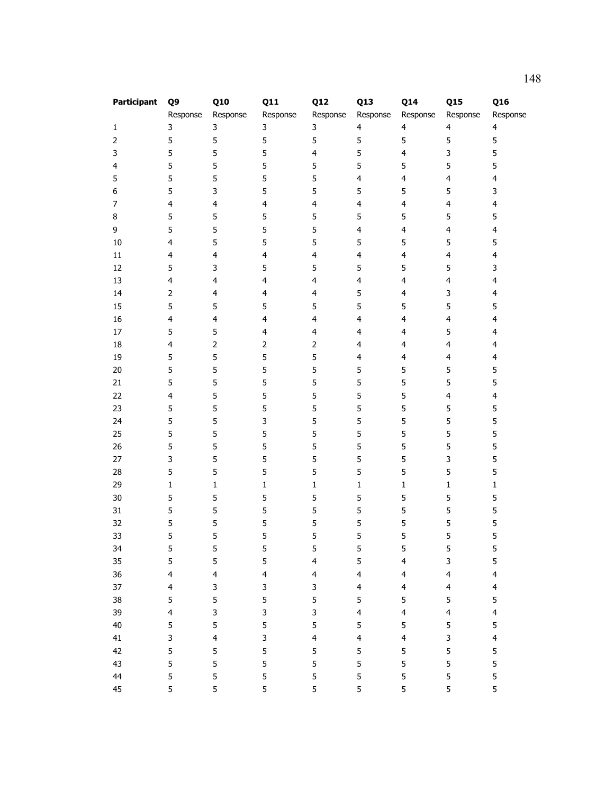| Participant | Q9                      | Q10                     | <b>Q11</b>              | <b>Q12</b>              | Q13                     | Q14            | <b>Q15</b>              | Q16                     |
|-------------|-------------------------|-------------------------|-------------------------|-------------------------|-------------------------|----------------|-------------------------|-------------------------|
|             | Response                | Response                | Response                | Response                | Response                | Response       | Response                | Response                |
| 1           | 3                       | 3                       | 3                       | 3                       | $\overline{4}$          | $\overline{4}$ | $\overline{4}$          | $\overline{\mathbf{4}}$ |
| 2           | 5                       | 5                       | 5                       | 5                       | 5                       | 5              | 5                       | 5                       |
| 3           | 5                       | 5                       | 5                       | $\overline{\mathbf{4}}$ | 5                       | $\overline{4}$ | 3                       | 5                       |
| 4           | 5                       | 5                       | 5                       | 5                       | 5                       | 5              | 5                       | 5                       |
| 5           | 5                       | 5                       | 5                       | 5                       | $\overline{4}$          | $\overline{4}$ | $\overline{4}$          | $\overline{4}$          |
| 6           | 5                       | 3                       | 5                       | 5                       | 5                       | 5              | 5                       | 3                       |
| 7           | $\overline{\mathbf{4}}$ | $\overline{\mathbf{4}}$ | $\overline{\mathbf{4}}$ | $\overline{\mathbf{4}}$ | $\overline{4}$          | $\overline{4}$ | $\overline{4}$          | $\overline{4}$          |
| 8           | 5                       | 5                       | 5                       | 5                       | 5                       | 5              | 5                       | 5                       |
| 9           | 5                       | 5                       | 5                       | 5                       | $\overline{4}$          | $\overline{4}$ | $\overline{4}$          | $\overline{\mathbf{4}}$ |
| $10\,$      | $\overline{\mathbf{4}}$ | 5                       | 5                       | 5                       | 5                       | 5              | 5                       | 5                       |
| $11\,$      | $\overline{\mathbf{4}}$ | 4                       | 4                       | $\overline{\mathbf{4}}$ | $\overline{\mathbf{4}}$ | $\overline{4}$ | $\overline{\mathbf{4}}$ | $\overline{\mathbf{4}}$ |
| 12          | 5                       | 3                       | 5                       | 5                       | 5                       | 5              | 5                       | 3                       |
| 13          | 4                       | 4                       | $\overline{\mathbf{4}}$ | $\overline{\mathbf{4}}$ | $\overline{\mathbf{4}}$ | $\overline{4}$ | $\overline{\mathbf{4}}$ | $\overline{4}$          |
| 14          | $\overline{2}$          | $\overline{\mathbf{4}}$ | $\overline{\mathbf{4}}$ | $\overline{4}$          | 5                       | $\overline{4}$ | 3                       | $\overline{4}$          |
| 15          | 5                       | 5                       | 5                       | 5                       | 5                       | 5              | 5                       | 5                       |
| 16          | $\overline{\mathbf{4}}$ | $\overline{\mathbf{4}}$ | $\overline{4}$          | $\overline{\mathbf{4}}$ | $\overline{4}$          | $\overline{4}$ | $\overline{\mathbf{4}}$ | $\overline{\mathbf{4}}$ |
| $17\,$      | 5                       | 5                       | $\overline{\mathbf{4}}$ | $\overline{\mathbf{4}}$ | $\overline{\mathbf{4}}$ | $\overline{4}$ | 5                       | $\overline{4}$          |
| 18          | $\overline{\mathbf{4}}$ | $\overline{2}$          | $\overline{2}$          | $\overline{2}$          | $\overline{\mathbf{4}}$ | $\overline{4}$ | $\overline{4}$          | $\overline{4}$          |
| 19          | 5                       | 5                       | 5                       | 5                       | $\overline{\mathbf{4}}$ | $\overline{4}$ | $\overline{\mathbf{4}}$ | $\overline{\mathbf{4}}$ |
| $20\,$      | 5                       | 5                       | 5                       | 5                       | 5                       | 5              | 5                       | 5                       |
| 21          | 5                       | 5                       | 5                       | 5                       | 5                       | 5              | 5                       | 5                       |
| 22          | $\overline{\mathbf{4}}$ | 5                       | 5                       | 5                       | 5                       | 5              | $\overline{4}$          | $\overline{4}$          |
| 23          | 5                       | 5                       | 5                       | 5                       | 5                       | 5              | 5                       | 5                       |
| 24          | 5                       | 5                       | 3                       | 5                       | 5                       | 5              | 5                       | 5                       |
| 25          | 5                       | 5                       | 5                       | 5                       | 5                       | 5              | 5                       | 5                       |
| 26          | 5                       | 5                       | 5                       | 5                       | 5                       | 5              | 5                       | 5                       |
| 27          | 3                       | 5                       | 5                       | 5                       | 5                       | 5              | 3                       | 5                       |
| 28          | 5                       | 5                       | 5                       | 5                       | 5                       | 5              | 5                       | 5                       |
| 29          | $\mathbf 1$             | $\mathbf 1$             | $\mathbf 1$             | $\mathbf 1$             | $\mathbf 1$             | $\mathbf 1$    | $\mathbf 1$             | $\mathbf 1$             |
| $30\,$      | 5                       | 5                       | 5                       | 5                       | 5                       | 5              | 5                       | 5                       |
| 31          | 5                       | 5                       | 5                       | 5                       | 5                       | 5              | 5                       | 5                       |
| 32          | 5                       | 5                       | 5                       | 5                       | 5                       | 5              | 5                       | 5                       |
| 33          | 5                       | 5                       | 5                       | 5                       | 5                       | 5              | 5                       | 5                       |
| 34          | 5                       | 5                       | 5                       | 5                       | 5                       | 5              | 5                       | 5                       |
| 35          | 5                       | 5                       | 5                       | $\overline{4}$          | 5                       | $\overline{4}$ | 3                       | 5                       |
| 36          | $\overline{\mathbf{4}}$ | $\overline{4}$          | $\overline{\mathbf{4}}$ | $\overline{4}$          | $\overline{4}$          | $\overline{4}$ | $\overline{\mathbf{4}}$ | $\overline{4}$          |
| 37          | $\overline{4}$          | 3                       | 3                       | 3                       | $\overline{4}$          | $\overline{4}$ | $\overline{4}$          | $\overline{4}$          |
| 38          | 5                       | 5                       | 5                       | 5                       | 5                       | 5              | 5                       | 5                       |
| 39          | $\overline{\mathbf{4}}$ | 3                       | 3                       | 3                       | $\overline{4}$          | $\overline{4}$ | $\overline{4}$          | $\overline{4}$          |
| 40          | 5                       | 5                       | 5                       | 5                       | 5                       | 5              | 5                       | 5                       |
| 41          | 3                       | $\overline{\mathbf{4}}$ | 3                       | $\overline{4}$          | $\overline{4}$          | $\overline{4}$ | 3                       | $\overline{4}$          |
| 42          | 5                       | 5                       | 5                       | 5                       | 5                       | 5              | 5                       | 5                       |
| 43          | 5                       | 5                       | 5                       | 5                       | 5                       | 5              | 5                       | 5                       |
| 44          | 5                       | 5                       | 5                       | 5                       | 5                       | 5              | 5                       | 5                       |
| 45          | 5                       | 5                       | 5                       | 5                       | 5                       | 5              | 5                       | 5                       |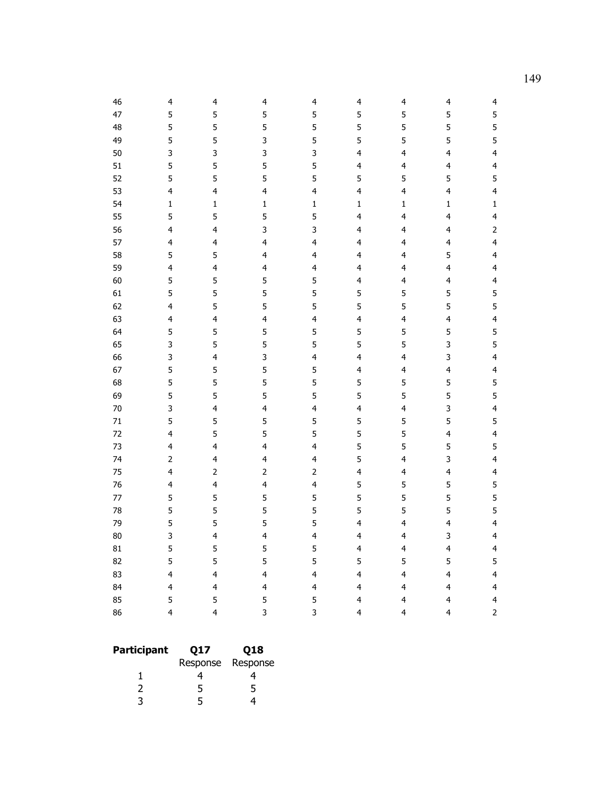| 46     | 4                       | 4                        | 4                       | 4                       | 4                       | 4                        | 4                       | 4                       |
|--------|-------------------------|--------------------------|-------------------------|-------------------------|-------------------------|--------------------------|-------------------------|-------------------------|
| 47     | 5                       | 5                        | 5                       | 5                       | 5                       | 5                        | 5                       | 5                       |
| 48     | 5                       | 5                        | 5                       | 5                       | 5                       | 5                        | 5                       | 5                       |
| 49     | 5                       | 5                        | 3                       | 5                       | 5                       | 5                        | 5                       | 5                       |
| 50     | 3                       | 3                        | 3                       | 3                       | $\overline{\mathbf{4}}$ | 4                        | $\overline{\mathbf{4}}$ | $\overline{\mathbf{4}}$ |
| 51     | 5                       | 5                        | 5                       | 5                       | $\overline{\mathbf{4}}$ | $\overline{\mathbf{4}}$  | $\overline{4}$          | $\overline{\mathbf{4}}$ |
| 52     | 5                       | 5                        | 5                       | 5                       | 5                       | 5                        | 5                       | 5                       |
| 53     | 4                       | $\overline{\mathbf{4}}$  | $\overline{\mathbf{4}}$ | $\overline{\mathbf{4}}$ | $\overline{\mathbf{4}}$ | $\overline{\mathbf{4}}$  | $\overline{\mathbf{4}}$ | $\overline{\mathbf{4}}$ |
| 54     | $\mathbf 1$             | $\mathbf 1$              | $\mathbf 1$             | $\mathbf 1$             | $\mathbf 1$             | $\mathbf 1$              | $\mathbf{1}$            | $\mathbf 1$             |
| 55     | 5                       | 5                        | 5                       | 5                       | $\overline{\mathbf{4}}$ | $\overline{\mathbf{4}}$  | $\overline{4}$          | $\overline{\mathbf{4}}$ |
| 56     | $\overline{\mathbf{4}}$ | $\overline{\mathbf{4}}$  | 3                       | 3                       | 4                       | 4                        | $\overline{\mathbf{4}}$ | $\mathsf{2}$            |
| 57     | 4                       | $\overline{\mathbf{4}}$  | $\overline{\mathbf{4}}$ | $\overline{\mathbf{4}}$ | $\overline{\mathbf{4}}$ | 4                        | $\overline{\mathbf{4}}$ | $\overline{\mathbf{4}}$ |
| 58     | 5                       | 5                        | $\overline{\mathbf{4}}$ | $\overline{\mathbf{4}}$ | $\overline{\mathbf{4}}$ | $\overline{\mathbf{4}}$  | 5                       | $\overline{\mathbf{4}}$ |
| 59     | $\overline{\mathbf{4}}$ | $\overline{\mathbf{4}}$  | $\overline{\mathbf{4}}$ | $\overline{\mathbf{4}}$ | $\overline{\mathbf{4}}$ | 4                        | $\overline{\mathbf{4}}$ | $\overline{\mathbf{4}}$ |
| 60     | 5                       | 5                        | 5                       | 5                       | $\overline{\mathbf{4}}$ | 4                        | $\overline{\mathbf{4}}$ | $\overline{\mathbf{4}}$ |
| 61     | 5                       | 5                        | 5                       | 5                       | 5                       | 5                        | 5                       | 5                       |
| 62     | $\overline{\mathbf{4}}$ | 5                        | 5                       | 5                       | 5                       | 5                        | 5                       | 5                       |
| 63     | 4                       | $\overline{\mathbf{4}}$  | $\overline{4}$          | $\overline{\mathbf{4}}$ | $\overline{\mathbf{4}}$ | 4                        | $\overline{\mathbf{4}}$ | $\overline{\mathbf{4}}$ |
| 64     | 5                       | 5                        | 5                       | 5                       | 5                       | 5                        | 5                       | 5                       |
| 65     | 3                       | 5                        | 5                       | 5                       | 5                       | 5                        | 3                       | 5                       |
| 66     | 3                       | $\overline{\mathbf{4}}$  | 3                       | $\overline{\mathbf{4}}$ | $\overline{\mathbf{4}}$ | $\overline{\mathbf{4}}$  | 3                       | $\overline{\mathbf{4}}$ |
| 67     | 5                       | 5                        | 5                       | 5                       | $\overline{\mathbf{4}}$ | 4                        | $\overline{\mathbf{4}}$ | $\overline{\mathbf{4}}$ |
| 68     | 5                       | 5                        | 5                       | 5                       | 5                       | 5                        | 5                       | 5                       |
| 69     | 5                       | 5                        | 5                       | 5                       | 5                       | 5                        | 5                       | 5                       |
| 70     | 3                       | $\overline{\mathbf{4}}$  | $\overline{\mathbf{4}}$ | $\overline{\mathbf{4}}$ | $\overline{\mathbf{4}}$ | $\overline{\mathbf{4}}$  | 3                       | $\overline{\mathbf{4}}$ |
| $71\,$ | 5                       | 5                        | 5                       | 5                       | 5                       | 5                        | 5                       | 5                       |
| 72     | 4                       | 5                        | 5                       | 5                       | 5                       | 5                        | $\overline{\mathbf{4}}$ | $\overline{\mathbf{4}}$ |
| 73     | 4                       | $\overline{\mathbf{4}}$  | $\overline{\mathbf{4}}$ | $\overline{\mathbf{4}}$ | 5                       | 5                        | 5                       | 5                       |
| 74     | $\overline{2}$          | $\overline{\mathbf{4}}$  | $\overline{\mathbf{4}}$ | $\overline{\mathbf{4}}$ | 5                       | $\overline{\mathbf{4}}$  | 3                       | $\overline{\mathbf{4}}$ |
| 75     | 4                       | $\mathbf 2$              | $\mathsf{2}$            | $\mathsf{2}$            | $\overline{\mathbf{4}}$ | 4                        | $\overline{\mathbf{4}}$ | $\overline{\mathbf{4}}$ |
| 76     | 4                       | $\overline{4}$           | $\overline{4}$          | $\overline{\mathbf{4}}$ | 5                       | 5                        | 5                       | 5                       |
| 77     | 5                       | 5                        | 5                       | 5                       | 5                       | 5                        | 5                       | 5                       |
| 78     | 5                       | 5                        | 5                       | 5                       | 5                       | 5                        | 5                       | 5                       |
| 79     | 5                       | 5                        | 5                       | 5                       | $\overline{\mathbf{4}}$ | 4                        | $\overline{\mathbf{4}}$ | $\overline{\mathbf{4}}$ |
| 80     | 3                       | $\overline{4}$           | $\overline{4}$          | $\overline{\mathbf{4}}$ | 4                       | 4                        | 3                       | $\overline{\mathbf{4}}$ |
| 81     | 5                       | 5                        | 5                       | 5                       | $\overline{\mathbf{4}}$ | $\overline{\mathcal{L}}$ | $\overline{\mathbf{4}}$ | $\overline{\mathbf{4}}$ |
| 82     | 5                       | 5                        | 5                       | 5                       | 5                       | 5                        | 5                       | 5                       |
| 83     | 4                       | $\overline{\mathbf{4}}$  | $\overline{\mathbf{4}}$ | 4                       | $\overline{\mathbf{4}}$ | 4                        | 4                       | $\overline{\mathbf{4}}$ |
| 84     | $\overline{\mathbf{r}}$ | $\overline{\mathcal{L}}$ | $\overline{\mathbf{4}}$ | $\overline{\mathbf{4}}$ | 4                       | 4                        | $\overline{\mathbf{4}}$ | 4                       |
| 85     | 5                       | 5                        | 5                       | 5                       | $\overline{\mathbf{4}}$ | $\overline{\mathbf{4}}$  | $\overline{4}$          | $\overline{\mathbf{4}}$ |
| 86     | $\overline{4}$          | $\overline{\mathbf{4}}$  | $\overline{3}$          | 3                       | 4                       | 4                        | 4                       | $\overline{2}$          |

| <b>Participant</b> | Q17 | Q18               |  |  |
|--------------------|-----|-------------------|--|--|
|                    |     | Response Response |  |  |
|                    |     |                   |  |  |
|                    | 5   | 5                 |  |  |
| ิว                 | 5   |                   |  |  |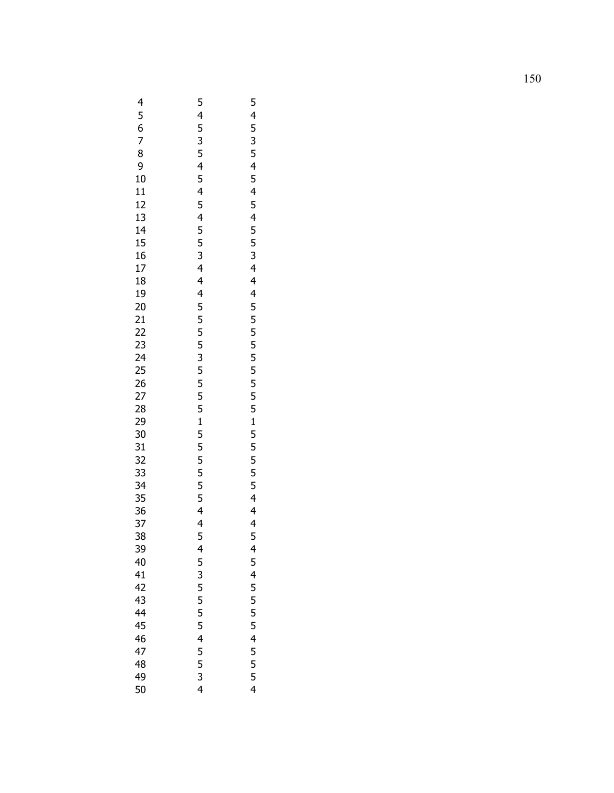|                            |                                   | 5                                |
|----------------------------|-----------------------------------|----------------------------------|
| 456789                     |                                   |                                  |
|                            |                                   |                                  |
|                            |                                   |                                  |
|                            |                                   |                                  |
|                            |                                   |                                  |
|                            |                                   |                                  |
|                            |                                   |                                  |
|                            |                                   |                                  |
|                            |                                   |                                  |
|                            |                                   |                                  |
|                            |                                   |                                  |
|                            |                                   |                                  |
|                            |                                   |                                  |
|                            |                                   |                                  |
|                            |                                   |                                  |
|                            |                                   |                                  |
|                            |                                   |                                  |
|                            |                                   |                                  |
|                            |                                   |                                  |
|                            |                                   |                                  |
|                            |                                   |                                  |
|                            |                                   |                                  |
|                            | 545354545455344455555555555555445 | 45354545455344455555555555554445 |
|                            |                                   |                                  |
|                            |                                   |                                  |
|                            |                                   |                                  |
|                            |                                   |                                  |
|                            |                                   |                                  |
|                            |                                   |                                  |
|                            |                                   |                                  |
|                            |                                   |                                  |
|                            |                                   |                                  |
|                            |                                   |                                  |
| 39                         | $\overline{\mathbf{r}}$           | 4                                |
| 40                         |                                   |                                  |
| 41                         |                                   |                                  |
| 42                         |                                   |                                  |
|                            |                                   |                                  |
|                            |                                   |                                  |
|                            |                                   |                                  |
| 43<br>44<br>45<br>46<br>47 | 5355545534                        | 5455554555                       |
|                            |                                   |                                  |
| 48                         |                                   |                                  |
| 49                         |                                   |                                  |
| 50                         |                                   | 4                                |
|                            |                                   |                                  |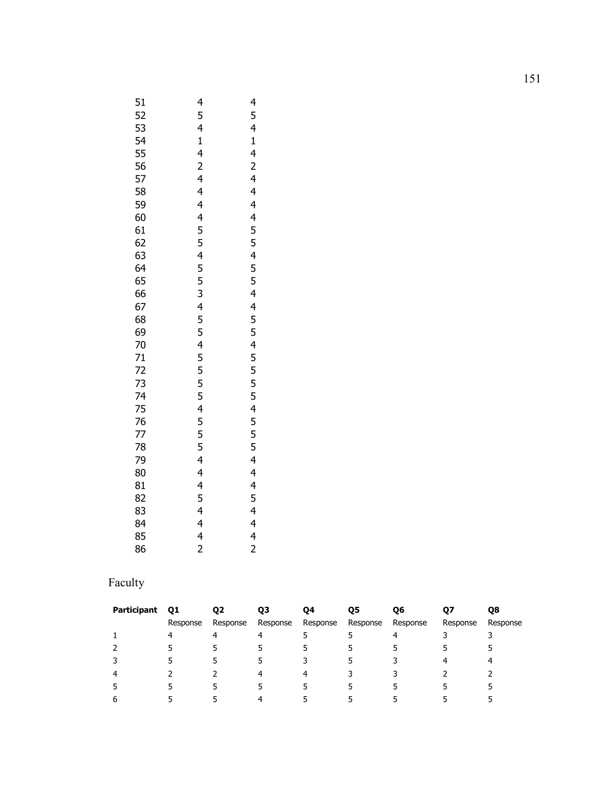| 51                                                           | 4                                | 4                                |
|--------------------------------------------------------------|----------------------------------|----------------------------------|
|                                                              |                                  |                                  |
|                                                              |                                  |                                  |
|                                                              |                                  |                                  |
|                                                              |                                  |                                  |
|                                                              |                                  |                                  |
|                                                              |                                  |                                  |
|                                                              |                                  |                                  |
|                                                              |                                  |                                  |
|                                                              |                                  |                                  |
|                                                              |                                  |                                  |
|                                                              |                                  |                                  |
|                                                              |                                  |                                  |
|                                                              |                                  |                                  |
|                                                              |                                  |                                  |
|                                                              |                                  |                                  |
|                                                              |                                  |                                  |
|                                                              |                                  |                                  |
|                                                              |                                  |                                  |
|                                                              |                                  |                                  |
|                                                              |                                  |                                  |
|                                                              |                                  |                                  |
|                                                              |                                  |                                  |
|                                                              |                                  |                                  |
|                                                              |                                  |                                  |
|                                                              |                                  |                                  |
|                                                              |                                  |                                  |
|                                                              |                                  |                                  |
|                                                              |                                  |                                  |
|                                                              |                                  |                                  |
|                                                              |                                  |                                  |
|                                                              |                                  |                                  |
|                                                              |                                  |                                  |
| 555555590666666600127777778901234567890123456789012345678001 | 54142444455455345545554555444442 | 54142444455455445555555554444442 |
|                                                              |                                  |                                  |
| 86                                                           |                                  |                                  |

# Faculty

| Participant | Q1       | Q <sub>2</sub> | Q3       | 04       | Q5       | Q6       | Q7       | Q8       |
|-------------|----------|----------------|----------|----------|----------|----------|----------|----------|
|             | Response | Response       | Response | Response | Response | Response | Response | Response |
|             | 4        | 4              | 4        |          |          | 4        |          |          |
|             |          | 5              |          |          |          |          |          |          |
| 3           |          |                | ь        |          |          |          |          | 4        |
| 4           |          |                | 4        | 4        |          |          |          |          |
| 5           |          |                |          |          |          |          |          |          |
| 6           |          |                | 4        |          |          |          |          |          |
|             |          |                |          |          |          |          |          |          |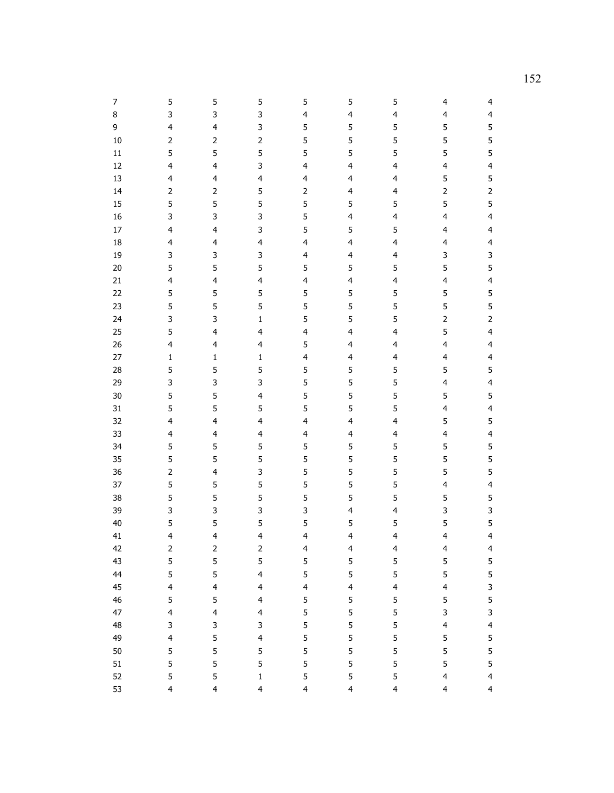| 7  | 5                        | 5                       | 5                       | 5                       | 5                        | 5                       | $\overline{4}$          | 4                       |
|----|--------------------------|-------------------------|-------------------------|-------------------------|--------------------------|-------------------------|-------------------------|-------------------------|
| 8  | 3                        | 3                       | 3                       | $\overline{\mathbf{4}}$ | 4                        | $\overline{\mathbf{4}}$ | 4                       | 4                       |
| 9  | 4                        | 4                       | 3                       | 5                       | 5                        | 5                       | 5                       | 5                       |
| 10 | $\overline{c}$           | $\overline{c}$          | $\overline{2}$          | 5                       | 5                        | 5                       | 5                       | 5                       |
| 11 | 5                        | 5                       | 5                       | 5                       | 5                        | 5                       | 5                       | 5                       |
| 12 | 4                        | 4                       | 3                       | $\overline{\mathbf{4}}$ | $\overline{\mathbf{4}}$  | $\overline{\mathbf{4}}$ | 4                       | $\overline{\mathbf{4}}$ |
| 13 | 4                        | 4                       | 4                       | 4                       | 4                        | $\overline{\mathbf{4}}$ | 5                       | 5                       |
| 14 | $\overline{c}$           | $\overline{c}$          | 5                       | $\mathsf{2}$            | $\overline{\mathcal{L}}$ | $\overline{\mathbf{4}}$ | $\overline{2}$          | $\overline{c}$          |
| 15 | 5                        | 5                       | 5                       | 5                       | 5                        | 5                       | 5                       | 5                       |
| 16 | 3                        | 3                       | 3                       | 5                       | $\overline{\mathbf{4}}$  | $\overline{\mathbf{4}}$ | 4                       | $\overline{\mathbf{4}}$ |
| 17 | 4                        | 4                       | 3                       | 5                       | 5                        | 5                       | 4                       | $\overline{\mathbf{4}}$ |
| 18 | 4                        | 4                       | 4                       | 4                       | $\overline{\mathbf{r}}$  | $\overline{\mathbf{4}}$ | 4                       | $\overline{\mathbf{4}}$ |
| 19 | 3                        | 3                       | 3                       | 4                       | $\overline{\mathbf{4}}$  | $\overline{\mathbf{4}}$ | 3                       | 3                       |
| 20 | 5                        | 5                       | 5                       | 5                       | 5                        | 5                       | 5                       | 5                       |
| 21 | 4                        | 4                       | 4                       | 4                       | 4                        | $\overline{\mathbf{4}}$ | 4                       | 4                       |
| 22 | 5                        | 5                       | 5                       | 5                       | 5                        | 5                       | 5                       | 5                       |
| 23 | 5                        | 5                       | 5                       | 5                       | 5                        | 5                       | 5                       | 5                       |
| 24 | 3                        | 3                       | $\mathbf 1$             | 5                       | 5                        | 5                       | $\overline{2}$          | $\overline{2}$          |
| 25 | 5                        | 4                       | 4                       | 4                       | 4                        | 4                       | 5                       | $\overline{\mathbf{4}}$ |
| 26 | 4                        | 4                       | 4                       | 5                       | $\overline{\mathcal{L}}$ | $\overline{\mathbf{4}}$ | 4                       | $\overline{\mathbf{4}}$ |
| 27 | $\mathbf 1$              | $\mathbf{1}$            | $\mathbf 1$             | 4                       | $\overline{\mathbf{4}}$  | 4                       | 4                       | $\overline{\mathbf{4}}$ |
| 28 | 5                        | 5                       | 5                       | 5                       | 5                        | 5                       | 5                       | 5                       |
| 29 | 3                        | 3                       | 3                       | 5                       | 5                        | 5                       | 4                       | 4                       |
| 30 | 5                        | 5                       | 4                       | 5                       | 5                        | 5                       | 5                       | 5                       |
| 31 | 5                        | 5                       | 5                       | 5                       | 5                        | 5                       | 4                       | $\overline{\mathbf{4}}$ |
| 32 | 4                        | 4                       | 4                       | 4                       | $\overline{\mathbf{4}}$  | $\overline{\mathbf{4}}$ | 5                       | 5                       |
| 33 | 4                        | 4                       | 4                       | 4                       | $\overline{\mathbf{4}}$  | $\overline{\mathbf{4}}$ | 4                       | 4                       |
| 34 | 5                        | 5                       | 5                       | 5                       | 5                        | 5                       | 5                       | 5                       |
| 35 | 5                        | 5                       | 5                       | 5                       | 5                        | 5                       | 5                       | 5                       |
| 36 | $\overline{c}$           | 4                       | 3                       | 5                       | 5                        | 5                       | 5                       | 5                       |
| 37 | 5                        | 5                       | 5                       | 5                       | 5                        | 5                       | 4                       | 4                       |
| 38 | 5                        | 5                       | 5                       | 5                       | 5                        | 5                       | 5                       | 5                       |
| 39 | 3                        | 3                       | 3                       | 3                       | 4                        | $\overline{\mathbf{4}}$ | 3                       | 3                       |
| 40 | 5                        | 5                       | 5                       | 5                       | 5                        | 5                       | 5                       | 5                       |
| 41 | $\overline{\mathbf{4}}$  | 4                       | 4                       | 4                       | $\overline{\mathbf{4}}$  | 4                       | 4                       | $\overline{\mathbf{4}}$ |
| 42 | $\mathsf 2$              | $\mathsf 2$             | $\overline{c}$          | $\overline{\mathbf{4}}$ | 4                        | $\overline{\mathbf{4}}$ | $\overline{\mathbf{4}}$ | 4                       |
| 43 | 5                        | 5                       | 5                       | 5                       | 5                        | 5                       | 5                       | 5                       |
| 44 | 5                        | 5                       | $\overline{\mathbf{4}}$ | 5                       | 5                        | 5                       | 5                       | 5                       |
| 45 | $\overline{\mathbf{4}}$  | $\overline{\mathbf{4}}$ | $\overline{\mathbf{4}}$ | $\overline{\mathbf{4}}$ | $\overline{\mathbf{4}}$  | $\overline{4}$          | 4                       | 3                       |
| 46 | 5                        | 5                       | $\overline{4}$          | 5                       | 5                        | 5                       | 5                       | 5                       |
| 47 | $\overline{\mathbf{4}}$  | 4                       | $\overline{4}$          | 5                       | 5                        | 5                       | 3                       | 3                       |
| 48 | 3                        | 3                       | 3                       | 5                       | 5                        | 5                       | 4                       | $\overline{4}$          |
| 49 | $\overline{\mathcal{L}}$ | 5                       | $\overline{\mathbf{4}}$ | 5                       | 5                        | 5                       | 5                       | 5                       |
| 50 | 5                        | 5                       | 5                       | 5                       | 5                        | 5                       | 5                       | 5                       |
| 51 | 5                        | 5                       | 5                       | 5                       | 5                        | 5                       | 5                       | 5                       |
| 52 | 5                        | 5                       | $\mathbf 1$             | 5                       | 5                        | 5                       | $\overline{\mathbf{4}}$ | $\overline{\mathbf{4}}$ |
| 53 | $\overline{4}$           | $\overline{4}$          | 4                       | $\overline{\mathbf{4}}$ | $\overline{4}$           | $\overline{4}$          | $\overline{\mathbf{4}}$ | $\overline{4}$          |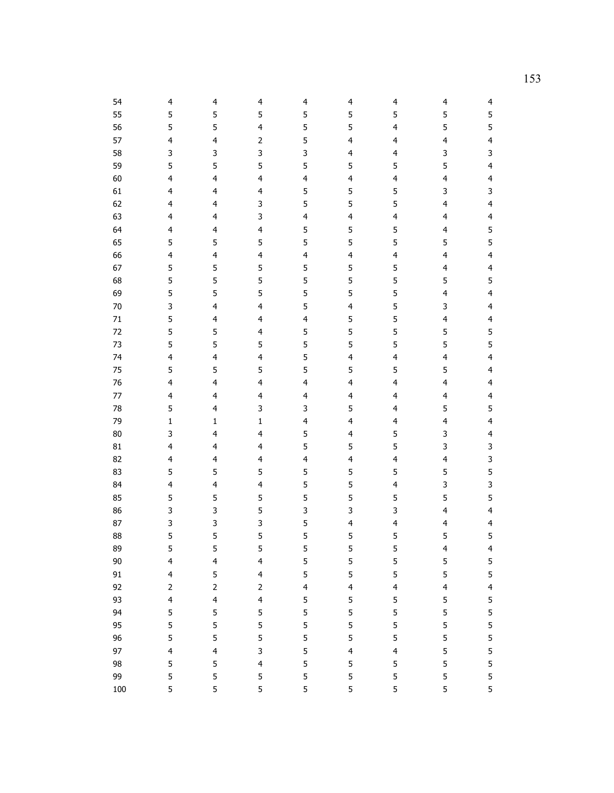| 54     | 4                       | 4                       | 4                       | 4                       | 4                        | 4                       | 4                       | 4                       |
|--------|-------------------------|-------------------------|-------------------------|-------------------------|--------------------------|-------------------------|-------------------------|-------------------------|
| 55     | 5                       | 5                       | 5                       | 5                       | 5                        | 5                       | 5                       | 5                       |
| 56     | 5                       | 5                       | 4                       | 5                       | 5                        | $\overline{\mathbf{4}}$ | 5                       | 5                       |
| 57     | 4                       | 4                       | $\overline{2}$          | 5                       | 4                        | $\overline{\mathbf{4}}$ | 4                       | 4                       |
| 58     | 3                       | 3                       | 3                       | 3                       | 4                        | $\overline{\mathbf{4}}$ | 3                       | 3                       |
| 59     | 5                       | 5                       | 5                       | 5                       | 5                        | 5                       | 5                       | $\overline{\mathbf{4}}$ |
| 60     | 4                       | 4                       | 4                       | 4                       | $\overline{\mathbf{4}}$  | $\overline{\mathbf{4}}$ | 4                       | 4                       |
| 61     | $\overline{\mathbf{4}}$ | 4                       | 4                       | 5                       | 5                        | 5                       | 3                       | 3                       |
| 62     | $\overline{\mathbf{4}}$ | $\overline{\mathbf{4}}$ | 3                       | 5                       | 5                        | 5                       | 4                       | $\overline{\mathbf{4}}$ |
| 63     | $\overline{\mathbf{4}}$ | $\overline{\mathbf{4}}$ | 3                       | 4                       | 4                        | $\overline{\mathbf{4}}$ | 4                       | $\overline{\mathbf{4}}$ |
| 64     | $\overline{\mathbf{4}}$ | 4                       | 4                       | 5                       | 5                        | 5                       | 4                       | 5                       |
| 65     | 5                       | 5                       | 5                       | 5                       | 5                        | 5                       | 5                       | 5                       |
| 66     | 4                       | $\overline{\mathbf{r}}$ | 4                       | $\overline{\mathbf{4}}$ | $\overline{\mathbf{r}}$  | 4                       | $\overline{\mathbf{4}}$ | 4                       |
| 67     | 5                       | 5                       | 5                       | 5                       | 5                        | 5                       | 4                       | 4                       |
| 68     | 5                       | 5                       | 5                       | 5                       | 5                        | 5                       | 5                       | 5                       |
| 69     | 5                       | 5                       | 5                       | 5                       | 5                        | 5                       | 4                       | $\overline{\mathbf{4}}$ |
| 70     | 3                       | 4                       | 4                       | 5                       | 4                        | 5                       | 3                       | $\overline{\mathbf{4}}$ |
| 71     | 5                       | 4                       | 4                       | 4                       | 5                        | 5                       | 4                       | $\overline{\mathbf{4}}$ |
| 72     | 5                       | 5                       | 4                       | 5                       | 5                        | 5                       | 5                       | 5                       |
| 73     | 5                       | 5                       | 5                       | 5                       | 5                        | 5                       | 5                       | 5                       |
| 74     | 4                       | $\overline{\mathbf{r}}$ | 4                       | 5                       | $\overline{\mathbf{r}}$  | 4                       | $\overline{\mathbf{4}}$ | $\overline{\mathbf{4}}$ |
| 75     | 5                       | 5                       | 5                       | 5                       | 5                        | 5                       | 5                       | $\overline{\mathbf{4}}$ |
| 76     | 4                       | 4                       | 4                       | 4                       | $\overline{\mathbf{4}}$  | $\overline{\mathbf{4}}$ | 4                       | $\overline{\mathbf{4}}$ |
| 77     | 4                       | 4                       | 4                       | 4                       | $\overline{\mathbf{r}}$  | $\overline{\mathbf{4}}$ | 4                       | $\overline{\mathbf{4}}$ |
| 78     | 5                       | $\overline{\mathbf{r}}$ | 3                       | 3                       | 5                        | $\overline{\mathbf{4}}$ | 5                       | 5                       |
| 79     | $\mathbf 1$             | 1                       | $\mathbf 1$             | 4                       | 4                        | $\overline{4}$          | 4                       | $\overline{\mathbf{4}}$ |
| 80     | 3                       | 4                       | 4                       | 5                       | $\overline{\mathbf{4}}$  | 5                       | 3                       | $\overline{\mathbf{4}}$ |
| 81     | 4                       | 4                       | 4                       | 5                       | 5                        | 5                       | 3                       | 3                       |
| 82     | $\overline{\mathbf{4}}$ | $\overline{\mathbf{r}}$ | 4                       | $\overline{\mathbf{4}}$ | $\overline{\mathbf{r}}$  | 4                       | 4                       | 3                       |
| 83     | 5                       | 5                       | 5                       | 5                       | 5                        | 5                       | 5                       | 5                       |
| 84     | 4                       | 4                       | 4                       | 5                       | 5                        | $\overline{\mathbf{4}}$ | 3                       | 3                       |
| 85     | 5                       | 5                       | 5                       | 5                       | 5                        | 5                       | 5                       | 5                       |
| 86     | 3                       | 3                       | 5                       | 3                       | 3                        | 3                       | 4                       | $\overline{\mathbf{4}}$ |
| 87     | 3                       | 3                       | 3                       | 5                       | 4                        | $\overline{\mathbf{4}}$ | 4                       | $\overline{\mathbf{4}}$ |
| 88     | 5                       | 5                       | 5                       | 5                       | 5                        | 5                       | 5                       | 5                       |
| 89     | 5                       | 5                       | 5                       | 5                       | 5                        | 5                       | 4                       | 4                       |
| $90\,$ | $\overline{\mathbf{4}}$ | $\overline{\mathbf{4}}$ | $\overline{\mathbf{4}}$ | 5                       | 5                        | 5                       | 5                       | 5                       |
| 91     | $\overline{\mathbf{4}}$ | 5                       | $\overline{\mathbf{4}}$ | 5                       | 5                        | 5                       | 5                       | 5                       |
| 92     | $\mathbf{2}$            | $\overline{2}$          | $\overline{2}$          | $\overline{\mathbf{4}}$ | $\overline{\mathbf{4}}$  | $\overline{\mathbf{4}}$ | $\overline{\mathbf{4}}$ | $\overline{\mathbf{4}}$ |
| 93     | $\overline{\mathbf{4}}$ | $\overline{\mathbf{4}}$ | $\overline{\mathbf{4}}$ | 5                       | 5                        | 5                       | 5                       | 5                       |
| 94     | 5                       | 5                       | 5                       | 5                       | 5                        | 5                       | 5                       | 5                       |
| 95     | 5                       | 5                       | 5                       | 5                       | 5                        | 5                       | 5                       | 5                       |
| 96     | 5                       | 5                       | 5                       | 5                       | 5                        | 5                       | 5                       | 5                       |
| 97     | $\overline{\mathbf{4}}$ | 4                       | 3                       | 5                       | $\overline{\mathcal{L}}$ | $\overline{\mathbf{4}}$ | 5                       | 5                       |
| 98     | 5                       | 5                       | $\overline{\mathbf{4}}$ | 5                       | 5                        | 5                       | 5                       | 5                       |
| 99     | 5                       | 5                       | 5                       | 5                       | 5                        | 5                       | 5                       | 5                       |
| 100    | 5                       | 5                       | 5                       | 5                       | 5                        | 5                       | 5                       | 5                       |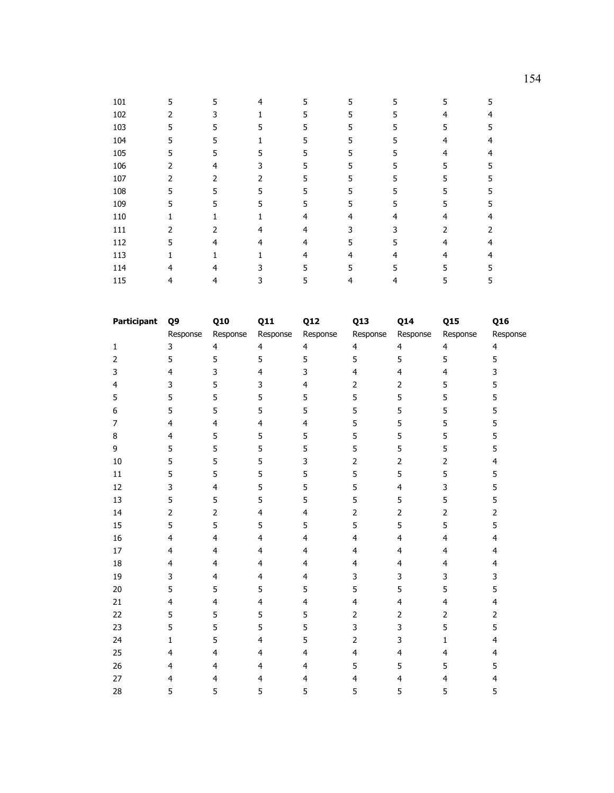| 101 | 5 | 5             | 4 | 5 | 5 | 5  | 5 | 5 |
|-----|---|---------------|---|---|---|----|---|---|
| 102 | 2 |               |   | 5 | 5 |    | 4 |   |
| 103 | 5 | 5             | 5 | 5 | 5 | 5  | 5 |   |
| 104 | 5 | 5             |   | 5 | 5 |    | 4 |   |
| 105 | 5 | 5             |   | 5 | 5 | 5  | 4 |   |
| 106 | 2 |               |   | 5 | 5 | 5. | 5 |   |
| 107 | 2 | 2             |   | 5 | 5 | 5  | 5 |   |
| 108 | 5 | 5             | 5 | 5 | 5 | 5. | 5 |   |
| 109 | 5 | 5             |   | 5 | 5 | 5. | 5 |   |
| 110 |   |               |   |   | 4 |    | 4 |   |
| 111 | 2 | $\mathcal{P}$ |   | 4 | 3 |    |   |   |
| 112 | 5 |               |   |   | 5 | 5  |   |   |
| 113 |   |               |   | 4 | 4 |    |   |   |
| 114 |   |               |   | 5 |   |    |   |   |
| 115 |   |               |   | 5 | 4 |    | 5 |   |

| <b>Participant</b> | Q9                      | Q10                     | Q11            | Q12                     | Q13                     | Q14            | Q15            | Q16            |
|--------------------|-------------------------|-------------------------|----------------|-------------------------|-------------------------|----------------|----------------|----------------|
|                    | Response                | Response                | Response       | Response                | Response                | Response       | Response       | Response       |
| 1                  | 3                       | 4                       | 4              | $\overline{4}$          | $\overline{4}$          | $\overline{4}$ | $\overline{4}$ | 4              |
| 2                  | 5                       | 5                       | 5              | 5                       | 5                       | 5              | 5              | 5              |
| 3                  | $\overline{4}$          | 3                       | $\overline{4}$ | 3                       | $\overline{4}$          | $\overline{4}$ | 4              | 3              |
| 4                  | 3                       | 5                       | 3              | $\overline{\mathbf{4}}$ | $\overline{2}$          | $\overline{2}$ | 5              | 5              |
| 5                  | 5                       | 5                       | 5              | 5                       | 5                       | 5              | 5              | 5              |
| 6                  | 5                       | 5                       | 5              | 5                       | 5                       | 5              | 5              | 5              |
| 7                  | $\overline{4}$          | $\overline{\mathbf{4}}$ | $\overline{4}$ | $\overline{\mathbf{4}}$ | 5                       | 5              | 5              | 5              |
| 8                  | $\overline{\mathbf{4}}$ | 5                       | 5              | 5                       | 5                       | 5              | 5              | 5              |
| 9                  | 5                       | 5                       | 5              | 5                       | 5                       | 5              | 5              | 5              |
| 10                 | 5                       | 5                       | 5              | 3                       | $\overline{2}$          | $\overline{2}$ | $\overline{2}$ | $\overline{4}$ |
| 11                 | 5                       | 5                       | 5              | 5                       | 5                       | 5              | 5              | 5              |
| 12                 | 3                       | $\overline{4}$          | 5              | 5                       | 5                       | $\overline{4}$ | 3              | 5              |
| 13                 | 5                       | 5                       | 5              | 5                       | 5                       | 5              | 5              | 5              |
| 14                 | $\overline{2}$          | $\overline{2}$          | $\overline{4}$ | $\overline{4}$          | $\overline{2}$          | $\overline{2}$ | $\overline{2}$ | $\overline{2}$ |
| 15                 | 5                       | 5                       | 5              | 5                       | 5                       | 5              | 5              | 5              |
| 16                 | $\overline{4}$          | $\overline{4}$          | $\overline{4}$ | $\overline{4}$          | $\overline{4}$          | $\overline{4}$ | 4              | 4              |
| 17                 | $\overline{4}$          | 4                       | 4              | 4                       | $\overline{4}$          | $\overline{4}$ | 4              | $\overline{4}$ |
| 18                 | $\overline{4}$          | $\overline{4}$          | 4              | $\overline{4}$          | $\overline{4}$          | $\overline{4}$ | $\overline{4}$ | 4              |
| 19                 | 3                       | 4                       | $\overline{4}$ | $\overline{4}$          | 3                       | 3              | 3              | 3              |
| 20                 | 5                       | 5                       | 5              | 5                       | 5                       | 5              | 5              | 5              |
| 21                 | $\overline{4}$          | $\overline{4}$          | $\overline{4}$ | $\overline{4}$          | $\overline{\mathbf{4}}$ | $\overline{4}$ | $\overline{4}$ | $\overline{4}$ |
| 22                 | 5                       | 5                       | 5              | 5                       | $\overline{2}$          | $\overline{2}$ | $\overline{2}$ | $\overline{2}$ |
| 23                 | 5                       | 5                       | 5              | 5                       | 3                       | 3              | 5              | 5              |
| 24                 | $\mathbf{1}$            | 5                       | $\overline{4}$ | 5                       | $\overline{2}$          | 3              | $\mathbf{1}$   | $\overline{4}$ |
| 25                 | $\overline{4}$          | 4                       | 4              | 4                       | 4                       | $\overline{4}$ | 4              | $\overline{4}$ |
| 26                 | $\overline{4}$          | 4                       | 4              | 4                       | 5                       | 5              | 5              | 5              |
| 27                 | $\overline{4}$          | 4                       | 4              | 4                       | 4                       | 4              | 4              | 4              |
| 28                 | 5                       | 5                       | 5              | 5                       | 5                       | 5              | 5              | 5              |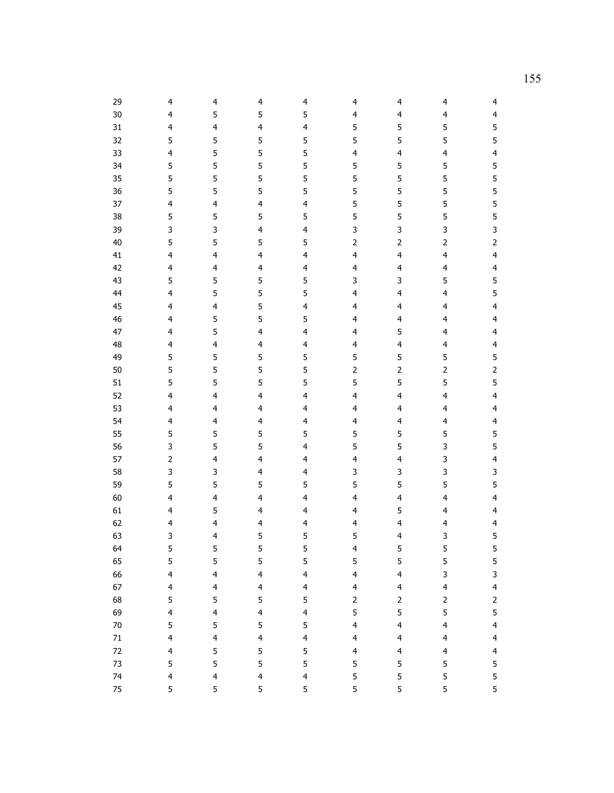| 29               | $\overline{4}$               | 4                            | $\overline{4}$               | 4                            | $\overline{4}$          | $\overline{4}$               | 4                                                  | $\overline{4}$                   |
|------------------|------------------------------|------------------------------|------------------------------|------------------------------|-------------------------|------------------------------|----------------------------------------------------|----------------------------------|
| 30               | 4                            | 5                            | 5                            | 5                            | $\overline{4}$          | $\overline{4}$               | $\overline{\mathbf{4}}$                            | $\overline{\mathbf{4}}$          |
| 31               | 4                            | 4                            | $\overline{\mathbf{4}}$      | $\overline{\mathbf{4}}$      | 5                       | 5                            | 5                                                  | 5                                |
| 32               | 5                            | 5                            | 5                            | 5                            | 5                       | 5                            | 5                                                  | 5                                |
| 33               | 4                            | 5                            | 5                            | 5                            | $\overline{\mathbf{4}}$ | $\overline{\mathbf{4}}$      | 4                                                  | $\overline{\mathbf{4}}$          |
| 34               | 5                            | 5                            | 5                            | 5                            | 5                       | 5                            | 5                                                  | 5                                |
| 35               | 5                            | 5                            | 5                            | 5                            | 5                       | 5                            | 5                                                  | 5                                |
| 36               | 5                            | 5                            | 5                            | 5                            | 5                       | 5                            | 5                                                  | 5                                |
| 37               | 4                            | $\overline{\mathbf{4}}$      | $\overline{\mathbf{4}}$      | $\overline{\mathbf{4}}$      | 5                       | 5                            | 5                                                  | 5                                |
| 38               | 5                            | 5                            | 5                            | 5                            | 5                       | 5                            | 5                                                  | 5                                |
| 39               | 3                            | 3                            | $\overline{\mathbf{4}}$      | 4                            | 3                       | 3                            | 3                                                  | 3                                |
| 40               | 5                            | 5                            | 5                            | 5                            | $\mathsf{2}\,$          | $\overline{2}$               | $\mathbf{2}$                                       | $\mathsf{2}$                     |
| 41               | 4                            | 4                            | $\overline{\mathbf{4}}$      | $\overline{4}$               | $\overline{\mathbf{4}}$ | $\overline{4}$               | $\overline{\mathbf{4}}$                            | $\overline{\mathbf{4}}$          |
| 42               | 4                            | 4                            | $\overline{\mathbf{4}}$      | $\overline{\mathbf{4}}$      | $\overline{\mathbf{4}}$ | $\overline{\mathbf{4}}$      | $\overline{\mathbf{4}}$                            | $\overline{\mathbf{4}}$          |
| 43               | 5                            | 5                            | 5                            | 5                            | 3                       | 3                            | 5                                                  | 5                                |
| 44               | 4                            | 5                            | 5                            | 5                            | $\overline{\mathbf{4}}$ | $\overline{\mathbf{4}}$      | $\overline{\mathbf{4}}$                            | 5                                |
| 45               | $\overline{4}$               | 4                            | 5                            | $\overline{\mathbf{4}}$      | 4                       | $\overline{4}$               | $\overline{\mathbf{4}}$                            | $\overline{\mathbf{4}}$          |
| 46               | 4                            | 5                            | 5                            | 5                            | 4                       | $\overline{4}$               | $\overline{\mathbf{4}}$                            | $\overline{\mathbf{4}}$          |
| 47               | 4                            | 5                            | $\overline{\mathbf{4}}$      | $\overline{\mathbf{4}}$      | 4                       | 5                            | $\overline{\mathbf{4}}$                            | $\overline{\mathbf{4}}$          |
| 48               | 4                            | 4                            | 4                            | $\overline{\mathbf{4}}$      | $\overline{\mathbf{4}}$ | $\overline{\mathbf{4}}$      | 4                                                  | $\overline{\mathbf{4}}$          |
| 49               | 5                            | 5                            | 5                            | 5                            | 5                       | 5                            | 5                                                  | 5                                |
| 50               | 5                            | 5                            | 5                            | 5                            | $\overline{2}$          | $\overline{2}$               | $\overline{c}$                                     | $\mathsf{2}$                     |
| 51               | 5                            | 5                            | 5                            | 5                            | 5                       | 5                            | 5                                                  | 5                                |
| 52               | 4                            | $\overline{\mathbf{4}}$      | $\overline{\mathbf{4}}$      | $\overline{\mathbf{4}}$      | $\overline{\mathbf{4}}$ | $\overline{4}$               | $\overline{\mathbf{4}}$                            | $\overline{\mathbf{4}}$          |
| 53               | 4                            | $\overline{4}$               | $\overline{4}$               | $\overline{4}$               | 4                       | $\overline{\mathbf{4}}$      | $\overline{\mathbf{4}}$                            | $\overline{\mathbf{4}}$          |
| 54               | 4                            | $\overline{\mathbf{4}}$      | $\overline{4}$               | $\overline{\mathbf{4}}$      | $\overline{\mathbf{4}}$ | $\overline{\mathbf{4}}$      | 4                                                  | $\overline{\mathbf{4}}$          |
| 55               | 5                            | 5                            | 5                            | 5                            | 5                       | 5                            | 5                                                  | 5                                |
| 56               | 3                            | 5                            | 5                            | $\overline{\mathbf{4}}$      | 5                       | 5                            | 3                                                  | 5                                |
| 57               | $\overline{c}$               | 4                            | $\overline{\mathbf{4}}$      | $\overline{\mathbf{4}}$      | 4                       | $\overline{\mathbf{4}}$      | 3                                                  | $\overline{\mathbf{4}}$          |
| 58               | 3                            | 3                            | 4                            | $\overline{\mathbf{4}}$      | 3                       | 3                            | 3                                                  | 3                                |
| 59               | 5                            | 5                            | 5                            | 5                            | 5                       | 5                            | 5                                                  | 5                                |
| 60               | 4                            | $\overline{\mathbf{r}}$      | $\overline{\mathbf{4}}$      | $\overline{\mathbf{4}}$      | $\overline{\mathbf{4}}$ | $\overline{4}$               | $\overline{\mathbf{4}}$                            | $\overline{\mathbf{4}}$          |
| 61               | $\overline{\mathbf{4}}$      | 5                            | $\overline{4}$               | $\overline{4}$               | $\overline{\mathbf{4}}$ | 5                            | $\overline{\mathbf{4}}$                            | $\overline{\mathbf{4}}$          |
| 62               | $\overline{\mathbf{4}}$      | 4                            | $\overline{4}$               | $\overline{\mathbf{4}}$      | $\overline{\mathbf{4}}$ | $\overline{\mathbf{4}}$      | 4                                                  | $\overline{\mathbf{4}}$          |
| 63               | 3                            | $\overline{4}$               | 5                            | 5                            | 5                       | 4                            | 3                                                  | 5                                |
| 64               | 5                            | 5                            | 5                            | 5                            | $\overline{\mathbf{4}}$ | 5                            | 5                                                  | 5                                |
| 65               | 5                            | 5                            | 5<br>$\overline{4}$          | 5<br>$\overline{\mathbf{4}}$ | 5<br>$\overline{4}$     | 5<br>$\overline{\mathbf{4}}$ | 5                                                  | 5                                |
| 66               | $\overline{\mathbf{4}}$      | $\overline{\mathbf{4}}$      | $\overline{\mathbf{4}}$      |                              | $\overline{4}$          | $\overline{4}$               | 3<br>$\overline{\mathbf{4}}$                       | 3<br>$\overline{\mathbf{4}}$     |
| 67<br>68         | $\overline{\mathbf{4}}$<br>5 | $\overline{\mathbf{4}}$      |                              | $\overline{\mathbf{4}}$<br>5 |                         |                              |                                                    |                                  |
| 69               | $\overline{\mathbf{4}}$      | 5<br>$\overline{\mathbf{4}}$ | 5<br>$\overline{\mathbf{4}}$ | $\overline{\mathbf{4}}$      | $\mathbf{2}$<br>5       | $\overline{2}$<br>5          | $\mathsf{2}\,$                                     | $\overline{2}$<br>5              |
| $70\,$           | 5                            | 5                            | 5                            | 5                            | $\overline{4}$          | $\overline{4}$               | 5<br>$\overline{\mathbf{4}}$                       | $\overline{\mathbf{4}}$          |
|                  | 4                            | 4                            | $\overline{\mathbf{4}}$      | $\overline{4}$               | $\overline{\mathbf{4}}$ | $\overline{4}$               |                                                    |                                  |
| $71\,$<br>$72\,$ | 4                            | 5                            | 5                            | 5                            | $\overline{\mathbf{4}}$ | $\overline{4}$               | $\overline{\mathbf{4}}$<br>$\overline{\mathbf{4}}$ | $\overline{4}$<br>$\overline{4}$ |
| 73               | 5                            | 5                            | 5                            | 5                            | 5                       | $\sqrt{5}$                   | 5                                                  | 5                                |
| 74               | $\overline{\mathbf{4}}$      | $\overline{\mathcal{L}}$     | $\overline{\mathbf{4}}$      | $\overline{\mathbf{4}}$      | 5                       | 5                            | 5                                                  | 5                                |
| 75               | 5                            | 5                            | 5                            | 5                            | 5                       | 5                            | 5                                                  | 5                                |
|                  |                              |                              |                              |                              |                         |                              |                                                    |                                  |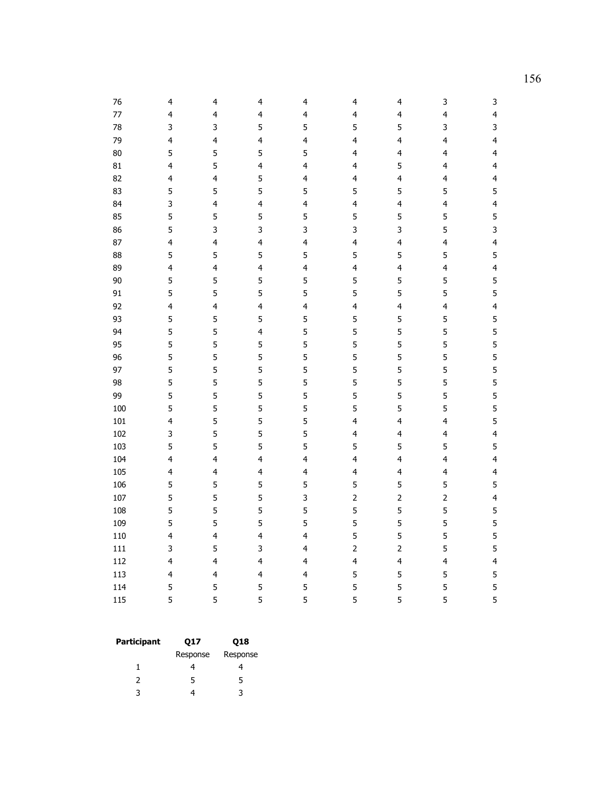| 76  | 4                       | 4                       | 4                       | 4                       | 4                       | 4                       | 3                       | 3                       |
|-----|-------------------------|-------------------------|-------------------------|-------------------------|-------------------------|-------------------------|-------------------------|-------------------------|
| 77  | $\overline{\mathbf{4}}$ | $\overline{4}$          | $\overline{\mathbf{4}}$ | $\overline{\mathbf{4}}$ | $\overline{\mathbf{4}}$ | $\overline{\mathbf{4}}$ | 4                       | $\overline{\mathbf{4}}$ |
| 78  | 3                       | 3                       | 5                       | 5                       | 5                       | 5                       | 3                       | 3                       |
| 79  | $\overline{\mathbf{4}}$ | $\overline{\mathbf{4}}$ | $\overline{\mathbf{4}}$ | $\overline{\mathbf{4}}$ | 4                       | $\overline{\mathbf{4}}$ | 4                       | $\overline{\mathbf{4}}$ |
| 80  | 5                       | 5                       | 5                       | 5                       | 4                       | $\overline{\mathbf{4}}$ | $\overline{\mathbf{4}}$ | $\overline{\mathbf{4}}$ |
| 81  | $\overline{\mathbf{4}}$ | 5                       | $\overline{4}$          | 4                       | 4                       | 5                       | 4                       | $\overline{\mathbf{4}}$ |
| 82  | 4                       | $\overline{4}$          | 5                       | 4                       | 4                       | $\overline{\mathbf{4}}$ | 4                       | $\overline{\mathbf{4}}$ |
| 83  | 5                       | 5                       | 5                       | 5                       | 5                       | 5                       | 5                       | 5                       |
| 84  | 3                       | $\overline{4}$          | $\overline{\mathbf{4}}$ | $\overline{\mathbf{4}}$ | 4                       | $\overline{\mathbf{4}}$ | 4                       | $\overline{\mathbf{4}}$ |
| 85  | 5                       | 5                       | 5                       | 5                       | 5                       | 5                       | 5                       | 5                       |
| 86  | 5                       | 3                       | 3                       | 3                       | 3                       | 3                       | 5                       | 3                       |
| 87  | 4                       | $\overline{4}$          | $\overline{\mathbf{4}}$ | 4                       | $\overline{\mathbf{4}}$ | $\overline{\mathbf{4}}$ | 4                       | $\overline{\mathbf{4}}$ |
| 88  | 5                       | 5                       | 5                       | 5                       | 5                       | 5                       | 5                       | 5                       |
| 89  | $\overline{\mathbf{4}}$ | $\overline{4}$          | $\overline{\mathbf{4}}$ | $\overline{\mathbf{4}}$ | $\overline{\mathbf{4}}$ | $\overline{\mathbf{4}}$ | $\overline{\mathbf{4}}$ | $\overline{\mathbf{4}}$ |
| 90  | 5                       | 5                       | 5                       | 5                       | 5                       | 5                       | 5                       | 5                       |
| 91  | 5                       | 5                       | 5                       | 5                       | 5                       | 5                       | 5                       | 5                       |
| 92  | $\overline{\mathbf{4}}$ | $\overline{\mathbf{4}}$ | $\overline{\mathbf{4}}$ | $\overline{\mathbf{4}}$ | $\overline{\mathbf{4}}$ | $\overline{\mathbf{4}}$ | 4                       | $\overline{\mathbf{4}}$ |
| 93  | 5                       | 5                       | 5                       | 5                       | 5                       | 5                       | 5                       | 5                       |
| 94  | 5                       | 5                       | $\overline{\mathbf{4}}$ | 5                       | 5                       | 5                       | 5                       | 5                       |
| 95  | 5                       | 5                       | 5                       | 5                       | 5                       | 5                       | 5                       | 5                       |
| 96  | 5                       | 5                       | 5                       | 5                       | 5                       | 5                       | 5                       | 5                       |
| 97  | 5                       | 5                       | 5                       | 5                       | 5                       | 5                       | 5                       | 5                       |
| 98  | 5                       | 5                       | 5                       | 5                       | 5                       | 5                       | 5                       | 5                       |
| 99  | 5                       | 5                       | 5                       | 5                       | 5                       | 5                       | 5                       | 5                       |
| 100 | 5                       | 5                       | 5                       | 5                       | 5                       | 5                       | 5                       | 5                       |
| 101 | 4                       | 5                       | 5                       | 5                       | 4                       | $\overline{\mathbf{4}}$ | 4                       | 5                       |
| 102 | 3                       | 5                       | 5                       | 5                       | 4                       | $\overline{4}$          | 4                       | $\overline{\mathbf{4}}$ |
| 103 | 5                       | 5                       | 5                       | 5                       | 5                       | 5                       | 5                       | 5                       |
| 104 | $\overline{\mathbf{4}}$ | $\overline{4}$          | $\overline{\mathbf{4}}$ | $\overline{\mathbf{4}}$ | $\overline{\mathbf{4}}$ | $\overline{\mathbf{4}}$ | 4                       | $\overline{\mathbf{4}}$ |
| 105 | 4                       | $\overline{\mathbf{4}}$ | $\overline{\mathbf{4}}$ | $\overline{\mathbf{4}}$ | 4                       | $\overline{\mathbf{4}}$ | 4                       | $\overline{\mathbf{4}}$ |
| 106 | 5                       | 5                       | 5                       | 5                       | 5                       | 5                       | 5                       | 5                       |
| 107 | 5                       | 5                       | 5                       | 3                       | $\overline{2}$          | $\mathsf{2}$            | $\overline{c}$          | $\overline{\mathbf{4}}$ |
| 108 | 5                       | 5                       | 5                       | 5                       | 5                       | 5                       | 5                       | 5                       |
| 109 | 5                       | 5                       | 5                       | 5                       | 5                       | 5                       | 5                       | 5                       |
| 110 | 4                       | $\overline{4}$          | $\overline{\mathbf{4}}$ | 4                       | 5                       | 5                       | 5                       | 5                       |
| 111 | 3                       | 5                       | 3                       | 4                       | $\overline{2}$          | $\mathsf{2}$            | 5                       | 5                       |
| 112 | 4                       | $\overline{4}$          | $\overline{\mathbf{4}}$ | 4                       | $\overline{\mathbf{4}}$ | $\overline{\mathbf{4}}$ | 4                       | $\overline{\mathbf{4}}$ |
| 113 | $\overline{\mathbf{4}}$ | $\overline{4}$          | $\overline{\mathbf{4}}$ | $\overline{\mathbf{4}}$ | 5                       | 5                       | 5                       | 5                       |
| 114 | 5                       | 5                       | 5                       | 5                       | 5                       | 5                       | 5                       | 5                       |
| 115 | 5                       | 5                       | 5                       | 5                       | 5                       | 5                       | 5                       | 5                       |

| Participant | 017      | <b>Q18</b> |  |  |
|-------------|----------|------------|--|--|
|             | Response | Response   |  |  |
|             |          |            |  |  |
| 2           | 5        | 5          |  |  |
| 2           |          |            |  |  |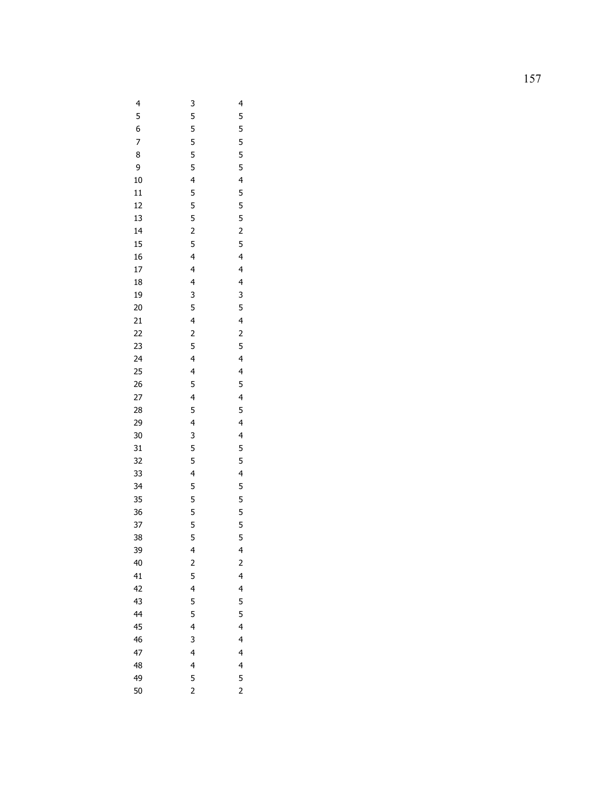| 4                                | 3                                          | $\overline{\mathcal{L}}$          |
|----------------------------------|--------------------------------------------|-----------------------------------|
| $\overline{\phantom{a}}$         | 5                                          | 5                                 |
|                                  |                                            |                                   |
| 6789                             | 5<br>5<br>5<br>5                           | 5<br>5<br>5<br>5<br>5             |
|                                  |                                            |                                   |
|                                  |                                            |                                   |
| 10                               |                                            |                                   |
| 11                               |                                            |                                   |
| 12                               |                                            |                                   |
| 13                               |                                            |                                   |
| 14                               |                                            |                                   |
| 15                               |                                            |                                   |
|                                  |                                            |                                   |
| 16<br>17                         | 4 5 5 5 2 5 4 4 4 3                        |                                   |
| 18                               |                                            |                                   |
| 19                               |                                            |                                   |
|                                  |                                            |                                   |
|                                  |                                            |                                   |
|                                  |                                            |                                   |
|                                  |                                            |                                   |
|                                  | 5 4 2 5 4 4 5                              | 4 5 5 5 2 5 4 4 4 3 5 4 2 5 4 4 5 |
|                                  |                                            |                                   |
|                                  |                                            |                                   |
|                                  |                                            |                                   |
| 20 21 22 33 24 25 26 27 28 29    | $\begin{array}{c} 4 \\ 5 \\ 4 \end{array}$ | 4 5 4 4 5 5 4 5 5 5 5 5           |
|                                  |                                            |                                   |
| 30<br>31<br>32                   | 3                                          |                                   |
|                                  | 5<br>5<br>4                                |                                   |
|                                  |                                            |                                   |
| 33                               |                                            |                                   |
|                                  | 5                                          |                                   |
|                                  | 5                                          |                                   |
| 34<br>35<br>36<br>37<br>38<br>39 | 5<br>5<br>5                                |                                   |
|                                  |                                            |                                   |
|                                  |                                            |                                   |
|                                  | 4                                          | 4                                 |
| 40                               | $\overline{c}$                             | $\overline{\mathbf{c}}$           |
| 41                               | 5                                          | 4                                 |
| 42                               | 4                                          | 4                                 |
| 43                               | 5                                          | 5                                 |
| 44                               | 5                                          | 5                                 |
| 45                               | 4                                          | 4                                 |
| 46                               | 3                                          | 4                                 |
| 47                               | 4                                          | 4                                 |
| 48                               | 4                                          | 4                                 |
| 49                               | 5                                          | $\frac{5}{2}$                     |
| 50                               | $\overline{c}$                             |                                   |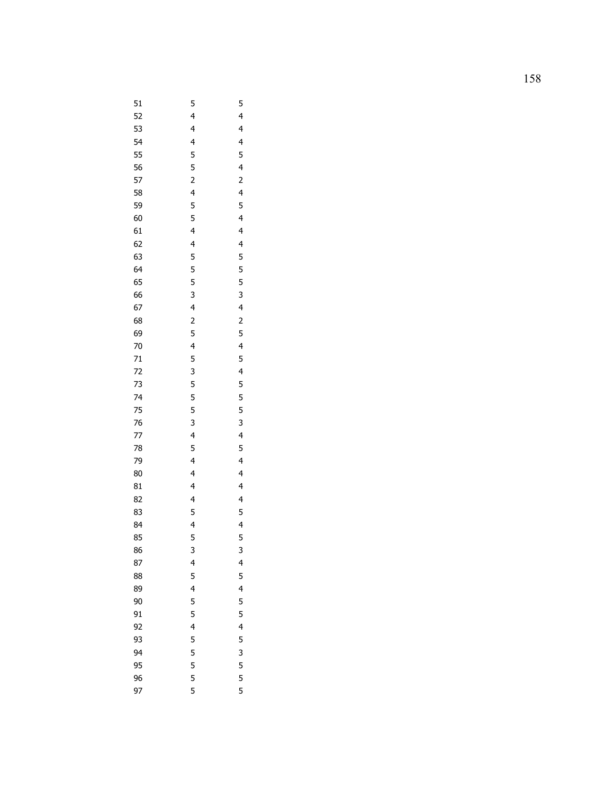| 51       | 5                        | 5                        |
|----------|--------------------------|--------------------------|
| 52       | $\overline{\mathcal{L}}$ | $\overline{\mathcal{L}}$ |
| 53       | $\overline{\mathcal{L}}$ | $\overline{\mathcal{L}}$ |
| 54       | 4<br>5<br>5              | $\overline{\mathcal{L}}$ |
| 55       |                          | 5                        |
| 56       |                          | $\overline{\mathbf{r}}$  |
| 57       |                          | $\overline{c}$           |
| 58       | 2<br>4<br>5<br>5         | $\overline{\mathbf{r}}$  |
| 59       |                          | 5                        |
| 60       |                          | $\overline{\mathcal{L}}$ |
| 61       | 4<br>4<br>5              | 4<br>4<br>5<br>5<br>5    |
| 62       |                          |                          |
| 63       |                          |                          |
| 64       | 5                        |                          |
| 65       | 5                        | 5                        |
| 66       | $\overline{3}$           | 3                        |
| 67       | $\overline{\mathbf{r}}$  | $\overline{\mathbf{r}}$  |
| 68       | $\frac{2}{5}$            | $\overline{c}$           |
| 69       |                          | 5                        |
| 70       | $rac{4}{5}$              | $\frac{4}{5}$            |
| 71       |                          |                          |
| 72       | 3                        | $\overline{\mathbf{r}}$  |
| 73       | 5                        | 5                        |
| 74       | 5                        | 5                        |
| 75       | 5                        | $\overline{5}$           |
| 76       | $\overline{\mathbf{3}}$  | $\overline{\mathbf{3}}$  |
| 77       | $\frac{4}{5}$            | $\frac{4}{5}$            |
| 78       |                          |                          |
| 79       | $\overline{\mathcal{L}}$ | $\overline{\mathbf{r}}$  |
| 80       | $\overline{\mathbf{r}}$  | $\overline{\mathcal{L}}$ |
| 81       | $\overline{\mathcal{L}}$ | $\overline{\mathcal{L}}$ |
| 82       | $\overline{\mathbf{r}}$  | $\overline{\mathbf{r}}$  |
| 83       | 5<br>4<br>5              | 5<br>4<br>5              |
| 84       |                          |                          |
| 85       |                          |                          |
| 86       | 3                        | 3                        |
| 87<br>88 | 4<br>5                   | $\frac{4}{5}$            |
| 89       | $\overline{4}$           | $\overline{4}$           |
| 90       | 5                        | 5                        |
| 91       | 5                        | 5                        |
| 92       | $\overline{\mathbf{r}}$  | 4                        |
| 93       | 5                        |                          |
| 94       | $\overline{5}$           | $\frac{5}{3}$            |
| 95       |                          | 5                        |
| 96       | 5<br>5                   | 5                        |
| 97       | 5                        | 5                        |
|          |                          |                          |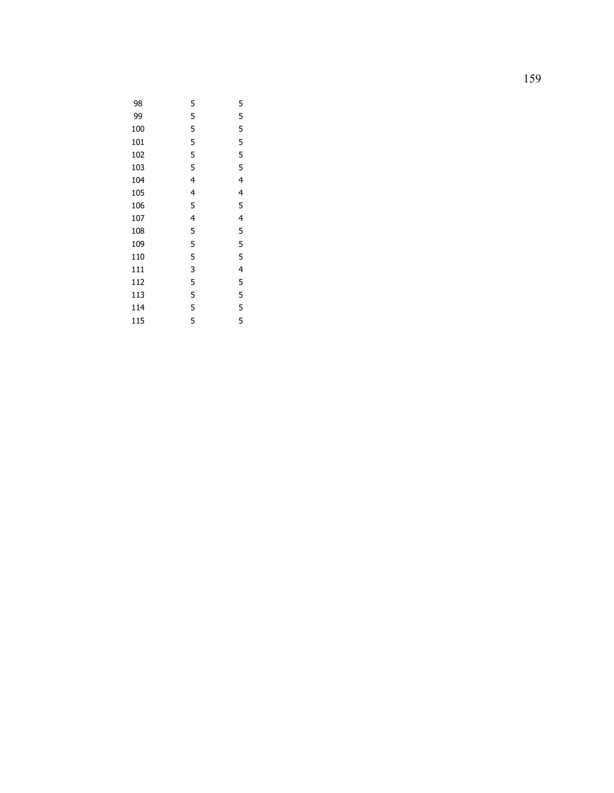| 98  | 5 | 5 |
|-----|---|---|
| 99  | 5 | 5 |
| 100 | 5 | 5 |
| 101 | 5 | 5 |
| 102 | 5 | 5 |
| 103 | 5 | 5 |
| 104 | 4 | 4 |
| 105 | 4 | 4 |
| 106 | 5 | 5 |
| 107 | 4 | 4 |
| 108 | 5 | 5 |
| 109 | 5 | 5 |
| 110 | 5 | 5 |
| 111 | 3 | 4 |
| 112 | 5 | 5 |
| 113 | 5 | 5 |
| 114 | 5 | 5 |
| 115 | 5 | 5 |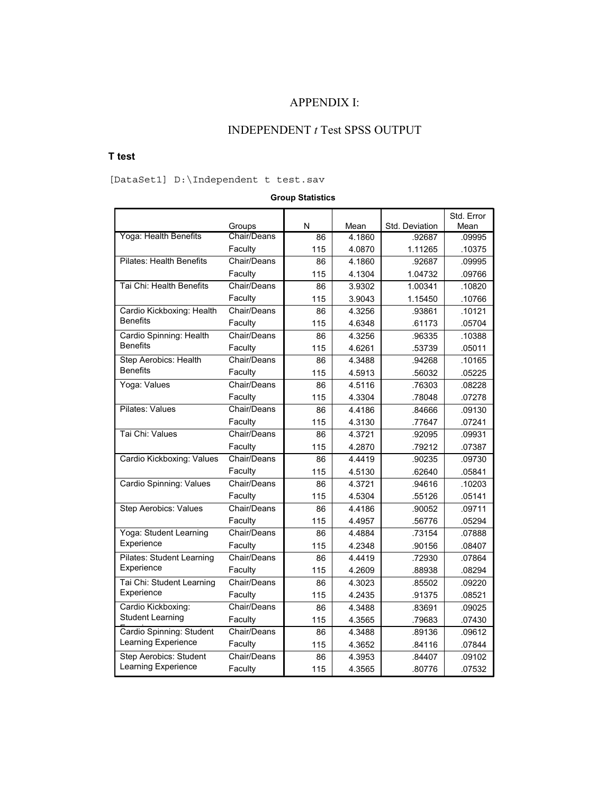## APPENDIX I:

## INDEPENDENT *t* Test SPSS OUTPUT

### **T test**

[DataSet1] D:\Independent t test.sav

### **Group Statistics**

|                                  |             |     |        |                | Std. Error |
|----------------------------------|-------------|-----|--------|----------------|------------|
|                                  | Groups      | N   | Mean   | Std. Deviation | Mean       |
| Yoga: Health Benefits            | Chair/Deans | 86  | 4.1860 | .92687         | .09995     |
|                                  | Faculty     | 115 | 4.0870 | 1.11265        | .10375     |
| <b>Pilates: Health Benefits</b>  | Chair/Deans | 86  | 4.1860 | .92687         | .09995     |
|                                  | Faculty     | 115 | 4.1304 | 1.04732        | .09766     |
| Tai Chi: Health Benefits         | Chair/Deans | 86  | 3.9302 | 1.00341        | .10820     |
|                                  | Faculty     | 115 | 3.9043 | 1.15450        | .10766     |
| Cardio Kickboxing: Health        | Chair/Deans | 86  | 4.3256 | .93861         | .10121     |
| <b>Benefits</b>                  | Faculty     | 115 | 4.6348 | .61173         | .05704     |
| Cardio Spinning: Health          | Chair/Deans | 86  | 4.3256 | .96335         | .10388     |
| <b>Benefits</b>                  | Faculty     | 115 | 4.6261 | .53739         | .05011     |
| Step Aerobics: Health            | Chair/Deans | 86  | 4.3488 | .94268         | .10165     |
| <b>Benefits</b>                  | Faculty     | 115 | 4.5913 | .56032         | .05225     |
| Yoga: Values                     | Chair/Deans | 86  | 4.5116 | .76303         | .08228     |
|                                  | Faculty     | 115 | 4.3304 | .78048         | .07278     |
| Pilates: Values                  | Chair/Deans | 86  | 4.4186 | .84666         | .09130     |
|                                  | Faculty     | 115 | 4.3130 | .77647         | .07241     |
| Tai Chi: Values                  | Chair/Deans | 86  | 4.3721 | .92095         | .09931     |
|                                  | Faculty     | 115 | 4.2870 | .79212         | .07387     |
| Cardio Kickboxing: Values        | Chair/Deans | 86  | 4.4419 | .90235         | .09730     |
|                                  | Faculty     | 115 | 4.5130 | .62640         | .05841     |
| Cardio Spinning: Values          | Chair/Deans | 86  | 4.3721 | .94616         | .10203     |
|                                  | Faculty     | 115 | 4.5304 | .55126         | .05141     |
| <b>Step Aerobics: Values</b>     | Chair/Deans | 86  | 4.4186 | .90052         | .09711     |
|                                  | Faculty     | 115 | 4.4957 | .56776         | .05294     |
| Yoga: Student Learning           | Chair/Deans | 86  | 4.4884 | .73154         | .07888     |
| Experience                       | Faculty     | 115 | 4.2348 | .90156         | .08407     |
| <b>Pilates: Student Learning</b> | Chair/Deans | 86  | 4.4419 | .72930         | .07864     |
| Experience                       | Faculty     | 115 | 4.2609 | .88938         | .08294     |
| Tai Chi: Student Learning        | Chair/Deans | 86  | 4.3023 | .85502         | .09220     |
| Experience                       | Faculty     | 115 | 4.2435 | .91375         | .08521     |
| Cardio Kickboxing:               | Chair/Deans | 86  | 4.3488 | .83691         | .09025     |
| <b>Student Learning</b>          | Faculty     | 115 | 4.3565 | .79683         | .07430     |
| Cardio Spinning: Student         | Chair/Deans | 86  | 4.3488 | .89136         | .09612     |
| Learning Experience              | Faculty     | 115 | 4.3652 | .84116         | .07844     |
| <b>Step Aerobics: Student</b>    | Chair/Deans | 86  | 4.3953 | .84407         | .09102     |
| Learning Experience              | Faculty     | 115 | 4.3565 | .80776         | .07532     |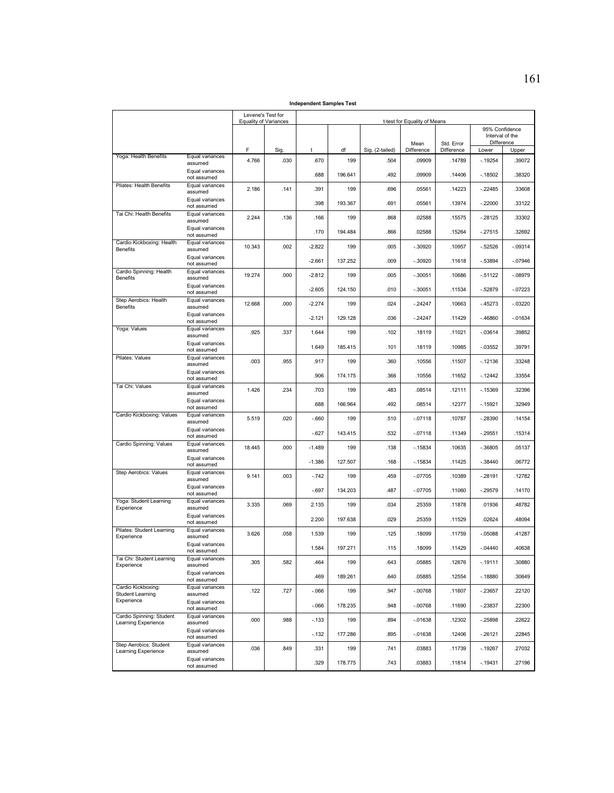**Independent Samples Test**

|                                                 |                                | Levene's Test for | <b>Equality of Variances</b> | t-test for Equality of Means |         |                 |            |            |                |                               |
|-------------------------------------------------|--------------------------------|-------------------|------------------------------|------------------------------|---------|-----------------|------------|------------|----------------|-------------------------------|
|                                                 |                                |                   |                              |                              |         |                 |            |            | 95% Confidence |                               |
|                                                 |                                |                   |                              |                              |         |                 | Mean       | Std. Error |                | Interval of the<br>Difference |
|                                                 |                                | F                 | Sig                          | t                            | df      | Sig. (2-tailed) | Difference | Difference | Lower          | Upper                         |
| Yoga: Health Benefits                           | Equal variances<br>assumed     | 4.766             | .030                         | .670                         | 199     | .504            | .09909     | .14789     | $-19254$       | 39072                         |
|                                                 | Equal variances<br>not assumed |                   |                              | .688                         | 196.641 | .492            | .09909     | .14406     | $-18502$       | .38320                        |
| Pilates: Health Benefits                        | Equal variances<br>assumed     | 2.186             | .141                         | .391                         | 199     | .696            | .05561     | .14223     | $-22485$       | .33608                        |
|                                                 | Equal variances<br>not assumed |                   |                              | .398                         | 193.367 | .691            | .05561     | .13974     | $-.22000$      | .33122                        |
| Tai Chi: Health Benefits                        | Equal variances<br>assumed     | 2.244             | .136                         | .166                         | 199     | .868            | .02588     | .15575     | $-28125$       | .33302                        |
|                                                 | Equal variances<br>not assumed |                   |                              | .170                         | 194.484 | .866            | .02588     | .15264     | $-.27515$      | .32692                        |
| Cardio Kickboxing: Health<br><b>Benefits</b>    | Equal variances<br>assumed     | 10.343            | .002                         | $-2.822$                     | 199     | .005            | $-.30920$  | .10957     | $-52526$       | $-.09314$                     |
|                                                 | Equal variances<br>not assumed |                   |                              | $-2.661$                     | 137.252 | .009            | -.30920    | .11618     | $-.53894$      | $-.07946$                     |
| Cardio Spinning: Health<br><b>Benefits</b>      | Equal variances<br>assumed     | 19.274            | .000                         | $-2.812$                     | 199     | .005            | $-.30051$  | .10686     | $-.51122$      | $-.08979$                     |
|                                                 | Equal variances<br>not assumed |                   |                              | $-2.605$                     | 124.150 | .010            | $-.30051$  | .11534     | $-.52879$      | $-07223$                      |
| Step Aerobics: Health<br><b>Benefits</b>        | Equal variances<br>assumed     | 12.668            | .000                         | $-2.274$                     | 199     | .024            | $-.24247$  | .10663     | $-.45273$      | $-0.03220$                    |
|                                                 | Equal variances<br>not assumed |                   |                              | $-2.121$                     | 129.128 | .036            | $-.24247$  | .11429     | $-46860$       | $-0.01634$                    |
| Yoga: Values                                    | Equal variances<br>assumed     | .925              | .337                         | 1.644                        | 199     | .102            | .18119     | .11021     | $-.03614$      | .39852                        |
|                                                 | Equal variances<br>not assumed |                   |                              | 1.649                        | 185.415 | .101            | .18119     | .10985     | $-0.03552$     | .39791                        |
| Pilates: Values                                 | Equal variances<br>assumed     | .003              | .955                         | .917                         | 199     | .360            | .10556     | .11507     | $-0.12136$     | .33248                        |
|                                                 | Equal variances<br>not assumed |                   |                              | .906                         | 174.175 | .366            | .10556     | .11652     | $-12442$       | .33554                        |
| Tai Chi: Values                                 | Equal variances<br>assumed     | 1.426             | .234                         | .703                         | 199     | .483            | .08514     | .12111     | $-15369$       | .32396                        |
|                                                 | Equal variances<br>not assumed |                   |                              | .688                         | 166.964 | .492            | .08514     | .12377     | $-15921$       | .32949                        |
| Cardio Kickboxing: Values                       | Equal variances<br>assumed     | 5.519             | .020                         | $-660$                       | 199     | .510            | $-.07118$  | .10787     | $-.28390$      | .14154                        |
|                                                 | Equal variances<br>not assumed |                   |                              | $-.627$                      | 143.415 | .532            | $-.07118$  | .11349     | $-.29551$      | .15314                        |
| Cardio Spinning: Values                         | Equal variances<br>assumed     | 18.445            | .000                         | $-1.489$                     | 199     | .138            | $-15834$   | .10635     | $-0.36805$     | .05137                        |
|                                                 | Equal variances<br>not assumed |                   |                              | $-1.386$                     | 127.507 | .168            | $-15834$   | .11425     | $-.38440$      | .06772                        |
| Step Aerobics: Values                           | Equal variances<br>assumed     | 9.141             | .003                         | $-.742$                      | 199     | .459            | $-.07705$  | .10389     | $-.28191$      | .12782                        |
|                                                 | Equal variances<br>not assumed |                   |                              | $-697$                       | 134.203 | .487            | $-.07705$  | .11060     | $-.29579$      | .14170                        |
| Yoga: Student Learning<br>Experience            | Equal variances<br>assumed     | 3.335             | .069                         | 2.135                        | 199     | .034            | .25359     | .11878     | .01936         | 48782                         |
|                                                 | Equal variances<br>not assumed |                   |                              | 2.200                        | 197.638 | .029            | .25359     | .11529     | .02624         | .48094                        |
| Pilates: Student Learning<br>Experience         | Equal variances<br>assumed     | 3.626             | .058                         | 1.539                        | 199     | .125            | .18099     | .11759     | $-.05088$      | 41287                         |
|                                                 | Equal variances<br>not assumed |                   |                              | 1.584                        | 197.271 | .115            | .18099     | .11429     | $-.04440$      | .40638                        |
| Tai Chi: Student Learning<br>Experience         | Equal variances<br>assumed     | 305               | .582                         | .464                         | 199     | 643             | .05885     | 12676      | $-.19111$      | .30880                        |
|                                                 | Equal variances<br>not assumed |                   |                              | .469                         | 189.261 | .640            | .05885     | .12554     | $-18880$       | .30649                        |
| Cardio Kickboxing:<br><b>Student Learning</b>   | Equal variances<br>assumed     | .122              | .727                         | $-066$                       | 199     | .947            | $-.00768$  | .11607     | $-.23657$      | .22120                        |
| Experience                                      | Equal variances<br>not assumed |                   |                              | $-066$                       | 178.235 | .948            | $-.00768$  | .11690     | $-.23837$      | .22300                        |
| Cardio Spinning: Student<br>Learning Experience | Equal variances<br>assumed     | .000              | .988                         | $-.133$                      | 199     | .894            | $-.01638$  | 12302      | $-.25898$      | .22622                        |
|                                                 | Equal variances<br>not assumed |                   |                              | $-.132$                      | 177.286 | .895            | $-.01638$  | .12406     | -.26121        | .22845                        |
| Step Aerobics: Student<br>Learning Experience   | Equal variances<br>assumed     | .036              | .849                         | .331                         | 199     | .741            | .03883     | .11739     | $-19267$       | .27032                        |
|                                                 | Equal variances<br>not assumed |                   |                              | .329                         | 178.775 | .743            | .03883     | .11814     | $-19431$       | .27196                        |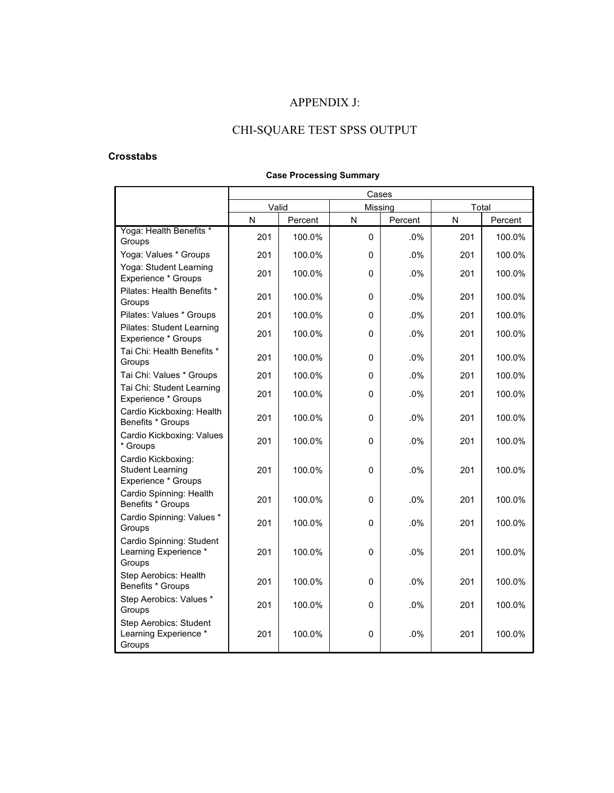## APPENDIX J:

# CHI-SQUARE TEST SPSS OUTPUT

### **Crosstabs**

|                                                                      |       |         | Cases        |         |           |         |
|----------------------------------------------------------------------|-------|---------|--------------|---------|-----------|---------|
|                                                                      | Valid |         | Missing      |         | Total     |         |
|                                                                      | N     | Percent | N            | Percent | ${\sf N}$ | Percent |
| Yoga: Health Benefits *<br>Groups                                    | 201   | 100.0%  | 0            | .0%     | 201       | 100.0%  |
| Yoga: Values * Groups                                                | 201   | 100.0%  | 0            | .0%     | 201       | 100.0%  |
| Yoga: Student Learning<br>Experience * Groups                        | 201   | 100.0%  | 0            | .0%     | 201       | 100.0%  |
| Pilates: Health Benefits *<br>Groups                                 | 201   | 100.0%  | $\Omega$     | .0%     | 201       | 100.0%  |
| Pilates: Values * Groups                                             | 201   | 100.0%  | 0            | .0%     | 201       | 100.0%  |
| <b>Pilates: Student Learning</b><br>Experience * Groups              | 201   | 100.0%  | 0            | .0%     | 201       | 100.0%  |
| Tai Chi: Health Benefits *<br>Groups                                 | 201   | 100.0%  | 0            | .0%     | 201       | 100.0%  |
| Tai Chi: Values * Groups                                             | 201   | 100.0%  | 0            | .0%     | 201       | 100.0%  |
| Tai Chi: Student Learning<br>Experience * Groups                     | 201   | 100.0%  | 0            | .0%     | 201       | 100.0%  |
| Cardio Kickboxing: Health<br>Benefits * Groups                       | 201   | 100.0%  | 0            | .0%     | 201       | 100.0%  |
| Cardio Kickboxing: Values<br>* Groups                                | 201   | 100.0%  | 0            | .0%     | 201       | 100.0%  |
| Cardio Kickboxing:<br><b>Student Learning</b><br>Experience * Groups | 201   | 100.0%  | 0            | .0%     | 201       | 100.0%  |
| Cardio Spinning: Health<br>Benefits * Groups                         | 201   | 100.0%  | 0            | .0%     | 201       | 100.0%  |
| Cardio Spinning: Values *<br>Groups                                  | 201   | 100.0%  | 0            | .0%     | 201       | 100.0%  |
| Cardio Spinning: Student<br>Learning Experience *<br>Groups          | 201   | 100.0%  | $\Omega$     | .0%     | 201       | 100.0%  |
| Step Aerobics: Health<br>Benefits * Groups                           | 201   | 100.0%  | $\mathbf{0}$ | .0%     | 201       | 100.0%  |
| Step Aerobics: Values *<br>Groups                                    | 201   | 100.0%  | 0            | .0%     | 201       | 100.0%  |
| Step Aerobics: Student<br>Learning Experience *<br>Groups            | 201   | 100.0%  | 0            | .0%     | 201       | 100.0%  |

### **Case Processing Summary**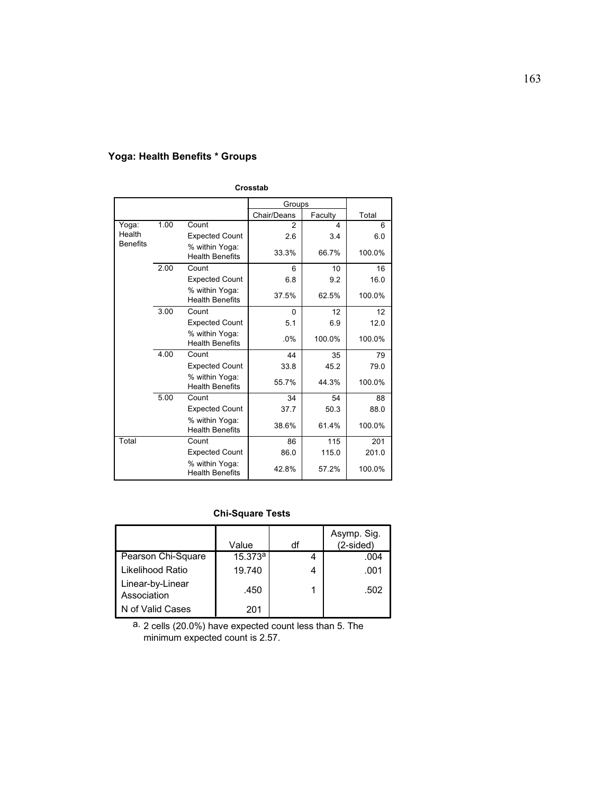## **Yoga: Health Benefits \* Groups**

|                 | Crosstab |                                          |                |         |        |  |  |  |
|-----------------|----------|------------------------------------------|----------------|---------|--------|--|--|--|
|                 |          |                                          | Groups         |         |        |  |  |  |
|                 |          |                                          | Chair/Deans    | Faculty | Total  |  |  |  |
| Yoga:           | 1.00     | Count                                    | $\overline{2}$ | 4       | 6      |  |  |  |
| Health          |          | <b>Expected Count</b>                    | 2.6            | 3.4     | 6.0    |  |  |  |
| <b>Benefits</b> |          | % within Yoga:<br><b>Health Benefits</b> | 33.3%          | 66.7%   | 100.0% |  |  |  |
|                 | 2.00     | Count                                    | 6              | 10      | 16     |  |  |  |
|                 |          | <b>Expected Count</b>                    | 6.8            | 9.2     | 16.0   |  |  |  |
|                 |          | % within Yoga:<br><b>Health Benefits</b> | 37.5%          | 62.5%   | 100.0% |  |  |  |
|                 | 3.00     | Count                                    | $\Omega$       | 12      | 12     |  |  |  |
|                 |          | <b>Expected Count</b>                    | 5.1            | 6.9     | 12.0   |  |  |  |
|                 |          | % within Yoga:<br><b>Health Benefits</b> | .0%            | 100.0%  | 100.0% |  |  |  |
|                 | 4.00     | Count                                    | 44             | 35      | 79     |  |  |  |
|                 |          | <b>Expected Count</b>                    | 33.8           | 45.2    | 79.0   |  |  |  |
|                 |          | % within Yoga:<br><b>Health Benefits</b> | 55.7%          | 44.3%   | 100.0% |  |  |  |
|                 | 5.00     | Count                                    | 34             | 54      | 88     |  |  |  |
|                 |          | <b>Expected Count</b>                    | 37.7           | 50.3    | 88.0   |  |  |  |
|                 |          | % within Yoga:<br><b>Health Benefits</b> | 38.6%          | 61.4%   | 100.0% |  |  |  |
| Total           |          | Count                                    | 86             | 115     | 201    |  |  |  |
|                 |          | <b>Expected Count</b>                    | 86.0           | 115.0   | 201.0  |  |  |  |
|                 |          | % within Yoga:<br><b>Health Benefits</b> | 42.8%          | 57.2%   | 100.0% |  |  |  |

## **Chi-Square Tests**

|                                 | Value   | df | Asymp. Sig.<br>$(2-sided)$ |
|---------------------------------|---------|----|----------------------------|
| Pearson Chi-Square              | 15.373a |    | .004                       |
| Likelihood Ratio                | 19.740  |    | .001                       |
| Linear-by-Linear<br>Association | .450    |    | .502                       |
| N of Valid Cases                | 201     |    |                            |

2 cells (20.0%) have expected count less than 5. The minimum expected count is 2.57. a.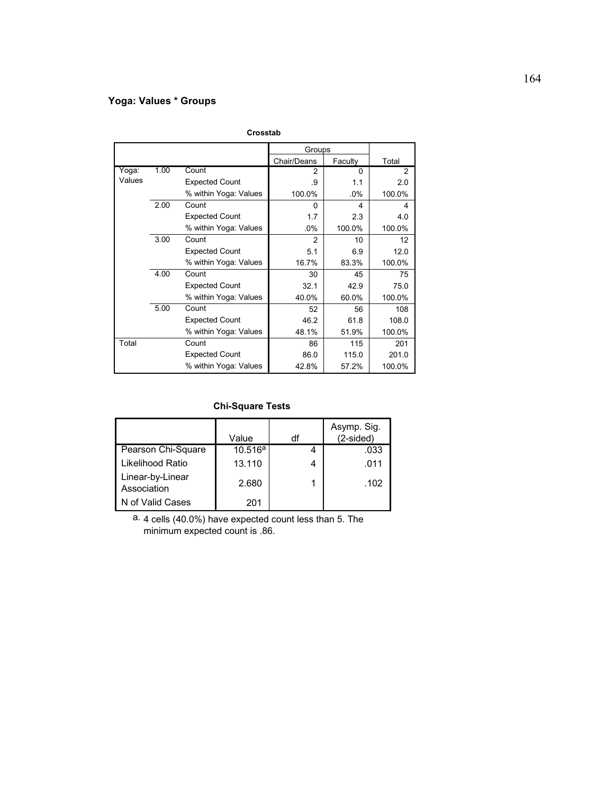## **Yoga: Values \* Groups**

|        |      |                       | Groups         |         |        |
|--------|------|-----------------------|----------------|---------|--------|
|        |      |                       | Chair/Deans    | Faculty | Total  |
| Yoga:  | 1.00 | Count                 | 2              | 0       | 2      |
| Values |      | <b>Expected Count</b> | .9             | 1.1     | 2.0    |
|        |      | % within Yoga: Values | 100.0%         | $.0\%$  | 100.0% |
|        | 2.00 | Count                 | $\Omega$       | 4       | 4      |
|        |      | <b>Expected Count</b> | 1.7            | 2.3     | 4.0    |
|        |      | % within Yoga: Values | $.0\%$         | 100.0%  | 100.0% |
|        | 3.00 | Count                 | $\overline{2}$ | 10      | 12     |
|        |      | <b>Expected Count</b> | 5.1            | 6.9     | 12.0   |
|        |      | % within Yoga: Values | 16.7%          | 83.3%   | 100.0% |
|        | 4.00 | Count                 | 30             | 45      | 75     |
|        |      | <b>Expected Count</b> | 32.1           | 42.9    | 75.0   |
|        |      | % within Yoga: Values | 40.0%          | 60.0%   | 100.0% |
|        | 5.00 | Count                 | 52             | 56      | 108    |
|        |      | <b>Expected Count</b> | 46.2           | 61.8    | 108.0  |
|        |      | % within Yoga: Values | 48.1%          | 51.9%   | 100.0% |
| Total  |      | Count                 | 86             | 115     | 201    |
|        |      | <b>Expected Count</b> | 86.0           | 115.0   | 201.0  |
|        |      | % within Yoga: Values | 42.8%          | 57.2%   | 100.0% |

**Crosstab**

## **Chi-Square Tests**

|                                 | Value               | df | Asymp. Sig.<br>$(2-sided)$ |
|---------------------------------|---------------------|----|----------------------------|
| Pearson Chi-Square              | 10.516 <sup>a</sup> |    | .033                       |
| Likelihood Ratio                | 13.110              | 4  | .011                       |
| Linear-by-Linear<br>Association | 2.680               |    | .102                       |
| N of Valid Cases                | 201                 |    |                            |

4 cells (40.0%) have expected count less than 5. The minimum expected count is .86. a.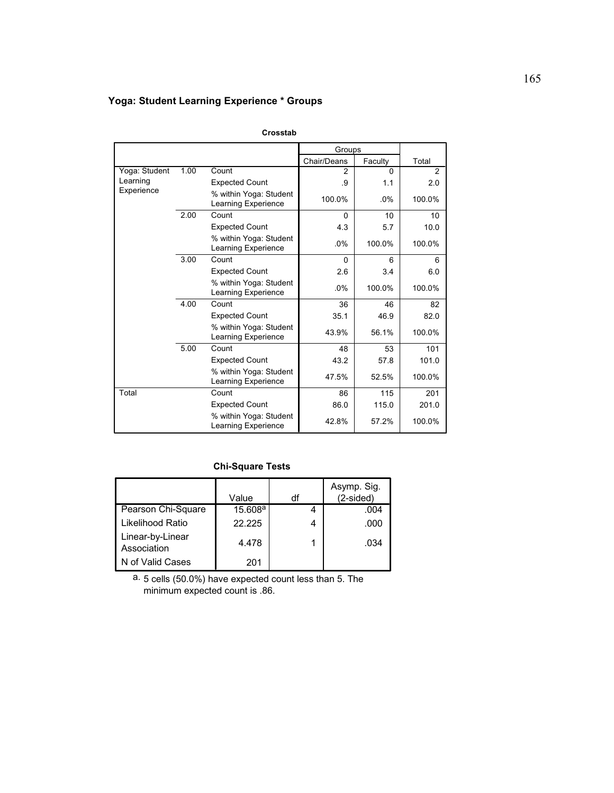## **Yoga: Student Learning Experience \* Groups**

|               |      |                                                      | Groups      |          |        |
|---------------|------|------------------------------------------------------|-------------|----------|--------|
|               |      |                                                      | Chair/Deans | Faculty  | Total  |
| Yoga: Student | 1.00 | Count                                                | 2           | $\Omega$ | 2      |
| Learning      |      | <b>Expected Count</b>                                | .9          | 1.1      | 2.0    |
| Experience    |      | % within Yoga: Student<br>Learning Experience        | 100.0%      | .0%      | 100.0% |
|               | 2.00 | Count                                                | 0           | 10       | 10     |
|               |      | <b>Expected Count</b>                                | 4.3         | 5.7      | 10.0   |
|               |      | % within Yoga: Student<br>Learning Experience        | .0%         | 100.0%   | 100.0% |
|               | 3.00 | Count                                                | $\Omega$    | 6        | 6      |
|               |      | <b>Expected Count</b>                                | 2.6         | 3.4      | 6.0    |
|               |      | % within Yoga: Student<br><b>Learning Experience</b> | .0%         | 100.0%   | 100.0% |
|               | 4.00 | Count                                                | 36          | 46       | 82     |
|               |      | <b>Expected Count</b>                                | 35.1        | 46.9     | 82.0   |
|               |      | % within Yoga: Student<br>Learning Experience        | 43.9%       | 56.1%    | 100.0% |
|               | 5.00 | Count                                                | 48          | 53       | 101    |
|               |      | <b>Expected Count</b>                                | 43.2        | 57.8     | 101.0  |
|               |      | % within Yoga: Student<br>Learning Experience        | 47.5%       | 52.5%    | 100.0% |
| Total         |      | Count                                                | 86          | 115      | 201    |
|               |      | <b>Expected Count</b>                                | 86.0        | 115.0    | 201.0  |
|               |      | % within Yoga: Student<br>Learning Experience        | 42.8%       | 57.2%    | 100.0% |

**Crosstab**

### **Chi-Square Tests**

|                                 | Value               | df | Asymp. Sig.<br>(2-sided) |
|---------------------------------|---------------------|----|--------------------------|
| Pearson Chi-Square              | 15.608 <sup>a</sup> |    | .004                     |
| Likelihood Ratio                | 22.225              | 4  | .000                     |
| Linear-by-Linear<br>Association | 4.478               |    | .034                     |
| N of Valid Cases                | 201                 |    |                          |

5 cells (50.0%) have expected count less than 5. The minimum expected count is .86. a.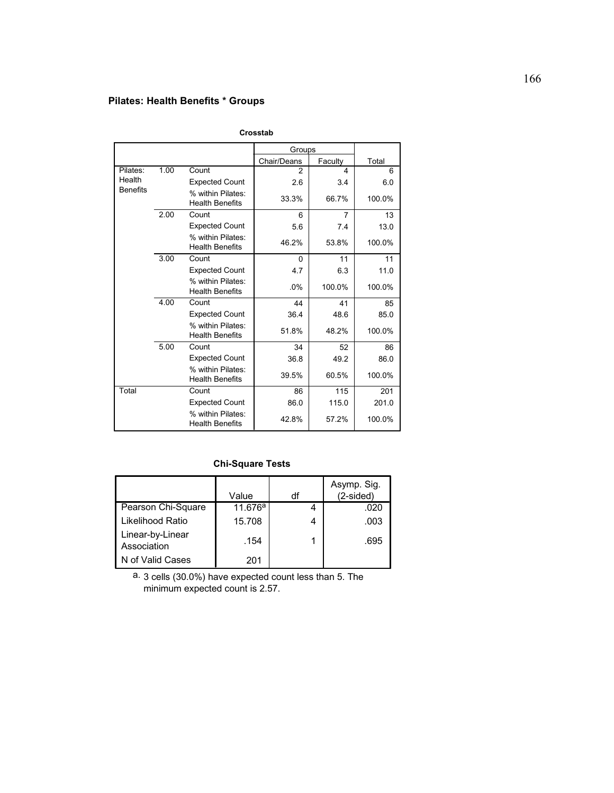## **Pilates: Health Benefits \* Groups**

|                 |      |                                             | Groups       |                |        |
|-----------------|------|---------------------------------------------|--------------|----------------|--------|
|                 |      |                                             | Chair/Deans  | Faculty        | Total  |
| Pilates:        | 1.00 | Count                                       | 2            | 4              | 6      |
| Health          |      | <b>Expected Count</b>                       | 2.6          | 3.4            | 6.0    |
| <b>Benefits</b> |      | % within Pilates:<br><b>Health Benefits</b> | 33.3%        | 66.7%          | 100.0% |
|                 | 2.00 | Count                                       | 6            | $\overline{7}$ | 13     |
|                 |      | <b>Expected Count</b>                       | 5.6          | 7.4            | 13.0   |
|                 |      | % within Pilates:<br><b>Health Benefits</b> | 46.2%        | 53.8%          | 100.0% |
|                 | 3.00 | Count                                       | $\mathbf{0}$ | 11             | 11     |
|                 |      | <b>Expected Count</b>                       | 4.7          | 6.3            | 11.0   |
|                 |      | % within Pilates:<br><b>Health Benefits</b> | .0%          | 100.0%         | 100.0% |
|                 | 4.00 | Count                                       | 44           | 41             | 85     |
|                 |      | <b>Expected Count</b>                       | 36.4         | 48.6           | 85.0   |
|                 |      | % within Pilates:<br><b>Health Benefits</b> | 51.8%        | 48.2%          | 100.0% |
|                 | 5.00 | Count                                       | 34           | 52             | 86     |
|                 |      | <b>Expected Count</b>                       | 36.8         | 49.2           | 86.0   |
|                 |      | % within Pilates:<br><b>Health Benefits</b> | 39.5%        | 60.5%          | 100.0% |
| Total           |      | Count                                       | 86           | 115            | 201    |
|                 |      | <b>Expected Count</b>                       | 86.0         | 115.0          | 201.0  |
|                 |      | % within Pilates:<br><b>Health Benefits</b> | 42.8%        | 57.2%          | 100.0% |

**Crosstab**

## **Chi-Square Tests**

|                                 | Value   | df | Asymp. Sig.<br>$(2-sided)$ |
|---------------------------------|---------|----|----------------------------|
| Pearson Chi-Square              | 11.676a |    | .020                       |
| Likelihood Ratio                | 15.708  | 4  | .003                       |
| Linear-by-Linear<br>Association | .154    |    | .695                       |
| N of Valid Cases                | 201     |    |                            |

a. 3 cells (30.0%) have expected count less than 5. The minimum expected count is 2.57.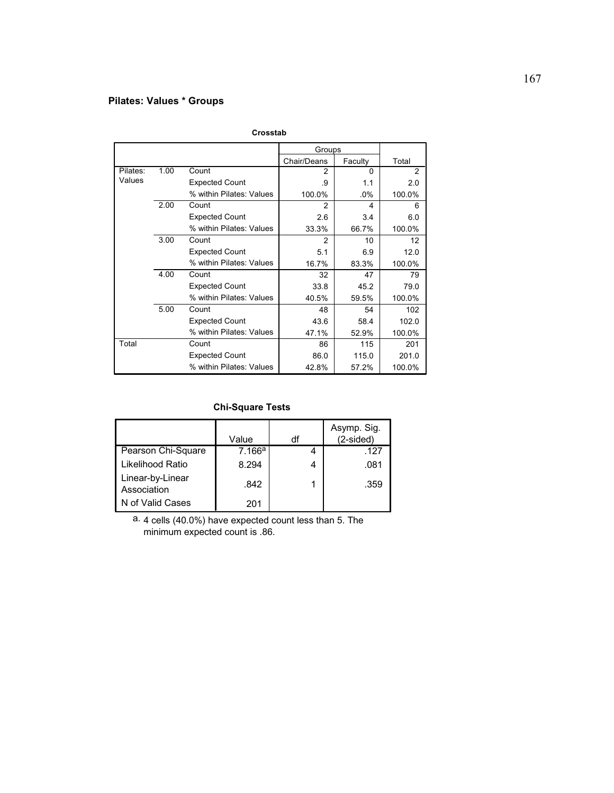## **Pilates: Values \* Groups**

|          |      |                          | Groups      |         |        |
|----------|------|--------------------------|-------------|---------|--------|
|          |      |                          | Chair/Deans | Faculty | Total  |
| Pilates: | 1.00 | Count                    | 2           | O       | 2      |
| Values   |      | <b>Expected Count</b>    | .9          | 1.1     | 2.0    |
|          |      | % within Pilates: Values | 100.0%      | $.0\%$  | 100.0% |
|          | 2.00 | Count                    | 2           | 4       | 6      |
|          |      | <b>Expected Count</b>    | 2.6         | 3.4     | 6.0    |
|          |      | % within Pilates: Values | 33.3%       | 66.7%   | 100.0% |
|          | 3.00 | Count                    | 2           | 10      | 12     |
|          |      | <b>Expected Count</b>    | 5.1         | 6.9     | 12.0   |
|          |      | % within Pilates: Values | 16.7%       | 83.3%   | 100.0% |
|          | 4.00 | Count                    | 32          | 47      | 79     |
|          |      | <b>Expected Count</b>    | 33.8        | 45.2    | 79.0   |
|          |      | % within Pilates: Values | 40.5%       | 59.5%   | 100.0% |
|          | 5.00 | Count                    | 48          | 54      | 102    |
|          |      | <b>Expected Count</b>    | 43.6        | 58.4    | 102.0  |
|          |      | % within Pilates: Values | 47.1%       | 52.9%   | 100.0% |
| Total    |      | Count                    | 86          | 115     | 201    |
|          |      | <b>Expected Count</b>    | 86.0        | 115.0   | 201.0  |
|          |      | % within Pilates: Values | 42.8%       | 57.2%   | 100.0% |

#### **Crosstab**

### **Chi-Square Tests**

|                                 | Value  | df | Asymp. Sig.<br>$(2-sided)$ |
|---------------------------------|--------|----|----------------------------|
| Pearson Chi-Square              | 7.166a |    | .127                       |
| Likelihood Ratio                | 8.294  |    | .081                       |
| Linear-by-Linear<br>Association | .842   |    | .359                       |
| N of Valid Cases                | 201    |    |                            |

4 cells (40.0%) have expected count less than 5. The minimum expected count is .86. a.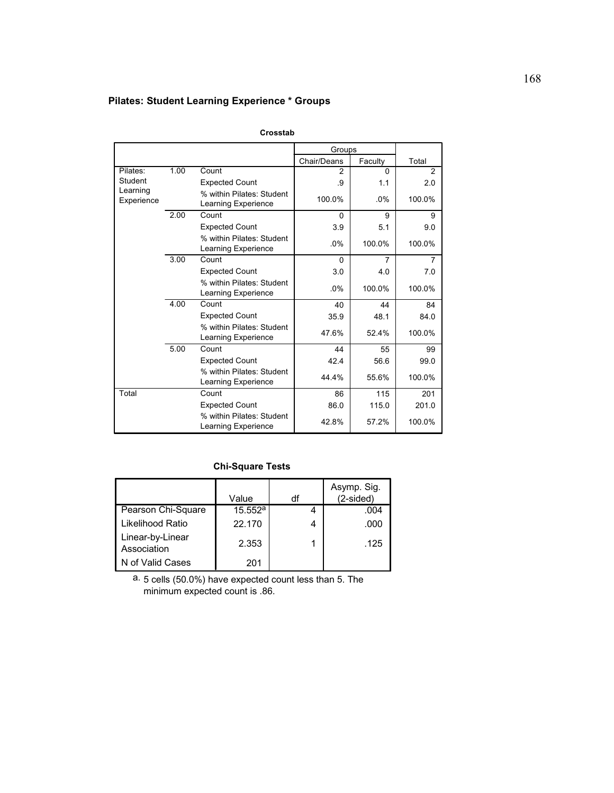# **Pilates: Student Learning Experience \* Groups**

|                        |      |                                                  | Groups      |          |        |
|------------------------|------|--------------------------------------------------|-------------|----------|--------|
|                        |      |                                                  | Chair/Deans | Faculty  | Total  |
| Pilates:               | 1.00 | Count                                            | 2           | $\Omega$ | 2      |
| Student                |      | <b>Expected Count</b>                            | .9          | 1.1      | 2.0    |
| Learning<br>Experience |      | % within Pilates: Student<br>Learning Experience | 100.0%      | .0%      | 100.0% |
|                        | 2.00 | Count                                            | $\Omega$    | 9        | 9      |
|                        |      | <b>Expected Count</b>                            | 3.9         | 5.1      | 9.0    |
|                        |      | % within Pilates: Student<br>Learning Experience | .0%         | 100.0%   | 100.0% |
|                        | 3.00 | Count                                            | 0           | 7        | 7      |
|                        |      | <b>Expected Count</b>                            | 3.0         | 4.0      | 7.0    |
|                        |      | % within Pilates: Student<br>Learning Experience | .0%         | 100.0%   | 100.0% |
|                        | 4.00 | Count                                            | 40          | 44       | 84     |
|                        |      | <b>Expected Count</b>                            | 35.9        | 48.1     | 84.0   |
|                        |      | % within Pilates: Student<br>Learning Experience | 47.6%       | 52.4%    | 100.0% |
|                        | 5.00 | Count                                            | 44          | 55       | 99     |
|                        |      | <b>Expected Count</b>                            | 42.4        | 56.6     | 99.0   |
|                        |      | % within Pilates: Student<br>Learning Experience | 44.4%       | 55.6%    | 100.0% |
| Total                  |      | Count                                            | 86          | 115      | 201    |
|                        |      | <b>Expected Count</b>                            | 86.0        | 115.0    | 201.0  |
|                        |      | % within Pilates: Student<br>Learning Experience | 42.8%       | 57.2%    | 100.0% |

**Crosstab**

#### **Chi-Square Tests**

|                                 | Value      | df | Asymp. Sig.<br>$(2-sided)$ |
|---------------------------------|------------|----|----------------------------|
| Pearson Chi-Square              | $15.552^a$ |    | .004                       |
| Likelihood Ratio                | 22.170     |    | .000                       |
| Linear-by-Linear<br>Association | 2.353      |    | .125                       |
| N of Valid Cases                | 201        |    |                            |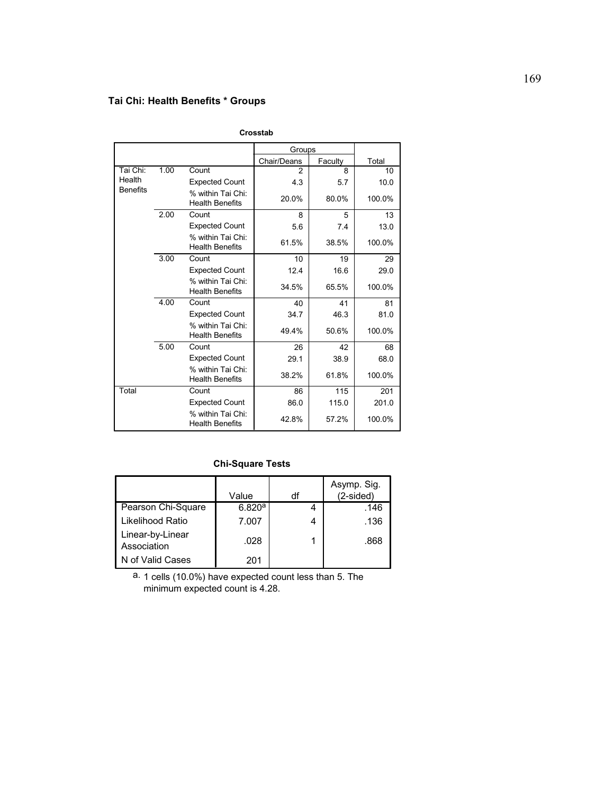# **Tai Chi: Health Benefits \* Groups**

|                 |      |                                             | Groups      |         |        |
|-----------------|------|---------------------------------------------|-------------|---------|--------|
|                 |      |                                             | Chair/Deans | Faculty | Total  |
| Tai Chi:        | 1.00 | Count                                       | 2           | 8       | 10     |
| Health          |      | <b>Expected Count</b>                       | 4.3         | 5.7     | 10.0   |
| <b>Benefits</b> |      | % within Tai Chi:<br><b>Health Benefits</b> | 20.0%       | 80.0%   | 100.0% |
|                 | 2.00 | Count                                       | 8           | 5       | 13     |
|                 |      | <b>Expected Count</b>                       | 5.6         | 7.4     | 13.0   |
|                 |      | % within Tai Chi:<br><b>Health Benefits</b> | 61.5%       | 38.5%   | 100.0% |
|                 | 3.00 | Count                                       | 10          | 19      | 29     |
|                 |      | <b>Expected Count</b>                       | 12.4        | 16.6    | 29.0   |
|                 |      | % within Tai Chi:<br><b>Health Benefits</b> | 34.5%       | 65.5%   | 100.0% |
|                 | 4.00 | Count                                       | 40          | 41      | 81     |
|                 |      | <b>Expected Count</b>                       | 34.7        | 46.3    | 81.0   |
|                 |      | % within Tai Chi:<br><b>Health Benefits</b> | 49.4%       | 50.6%   | 100.0% |
|                 | 5.00 | Count                                       | 26          | 42      | 68     |
|                 |      | <b>Expected Count</b>                       | 29.1        | 38.9    | 68.0   |
|                 |      | % within Tai Chi:<br><b>Health Benefits</b> | 38.2%       | 61.8%   | 100.0% |
| Total           |      | Count                                       | 86          | 115     | 201    |
|                 |      | <b>Expected Count</b>                       | 86.0        | 115.0   | 201.0  |
|                 |      | % within Tai Chi:<br><b>Health Benefits</b> | 42.8%       | 57.2%   | 100.0% |

**Crosstab**

## **Chi-Square Tests**

|                                 | Value  | df | Asymp. Sig.<br>$(2-sided)$ |
|---------------------------------|--------|----|----------------------------|
| Pearson Chi-Square              | 6.820a |    | .146                       |
| Likelihood Ratio                | 7.007  |    | .136                       |
| Linear-by-Linear<br>Association | .028   |    | .868                       |
| N of Valid Cases                | 201    |    |                            |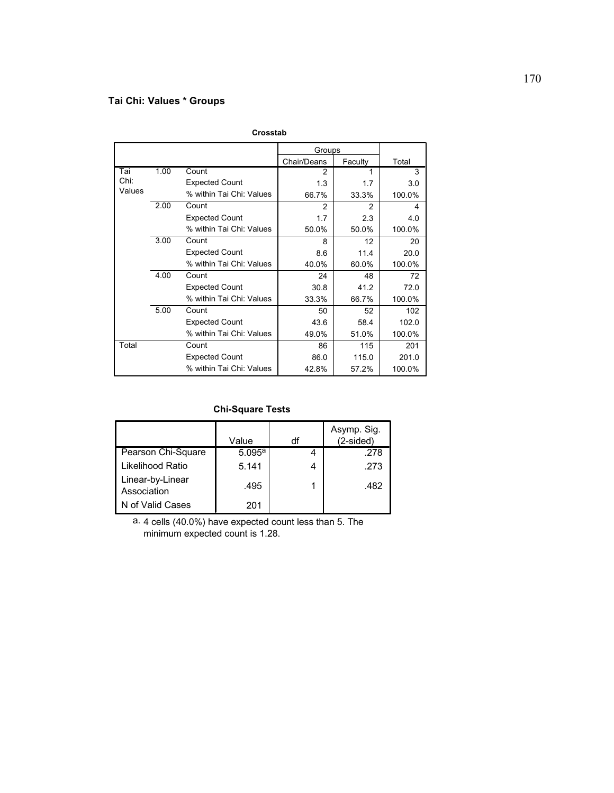# **Tai Chi: Values \* Groups**

|        |      |                          | Groups         |         |        |
|--------|------|--------------------------|----------------|---------|--------|
|        |      |                          | Chair/Deans    | Faculty | Total  |
| Tai    | 1.00 | Count                    | $\overline{2}$ |         | 3      |
| Chi:   |      | <b>Expected Count</b>    | 1.3            | 1.7     | 3.0    |
| Values |      | % within Tai Chi: Values | 66.7%          | 33.3%   | 100.0% |
|        | 2.00 | Count                    | 2              | 2       | 4      |
|        |      | <b>Expected Count</b>    | 1.7            | 2.3     | 4.0    |
|        |      | % within Tai Chi: Values | 50.0%          | 50.0%   | 100.0% |
|        | 3.00 | Count                    | 8              | 12      | 20     |
|        |      | <b>Expected Count</b>    | 8.6            | 11.4    | 20.0   |
|        |      | % within Tai Chi: Values | 40.0%          | 60.0%   | 100.0% |
|        | 4.00 | Count                    | 24             | 48      | 72     |
|        |      | <b>Expected Count</b>    | 30.8           | 41.2    | 72.0   |
|        |      | % within Tai Chi: Values | 33.3%          | 66.7%   | 100.0% |
|        | 5.00 | Count                    | 50             | 52      | 102    |
|        |      | <b>Expected Count</b>    | 43.6           | 58.4    | 102.0  |
|        |      | % within Tai Chi: Values | 49.0%          | 51.0%   | 100.0% |
| Total  |      | Count                    | 86             | 115     | 201    |
|        |      | <b>Expected Count</b>    | 86.0           | 115.0   | 201.0  |
|        |      | % within Tai Chi: Values | 42.8%          | 57.2%   | 100.0% |

#### **Crosstab**

## **Chi-Square Tests**

|                                 | Value  | df | Asymp. Sig.<br>$(2-sided)$ |
|---------------------------------|--------|----|----------------------------|
| Pearson Chi-Square              | 5.095a |    | .278                       |
| Likelihood Ratio                | 5.141  | 4  | .273                       |
| Linear-by-Linear<br>Association | .495   |    | .482                       |
| N of Valid Cases                | 201    |    |                            |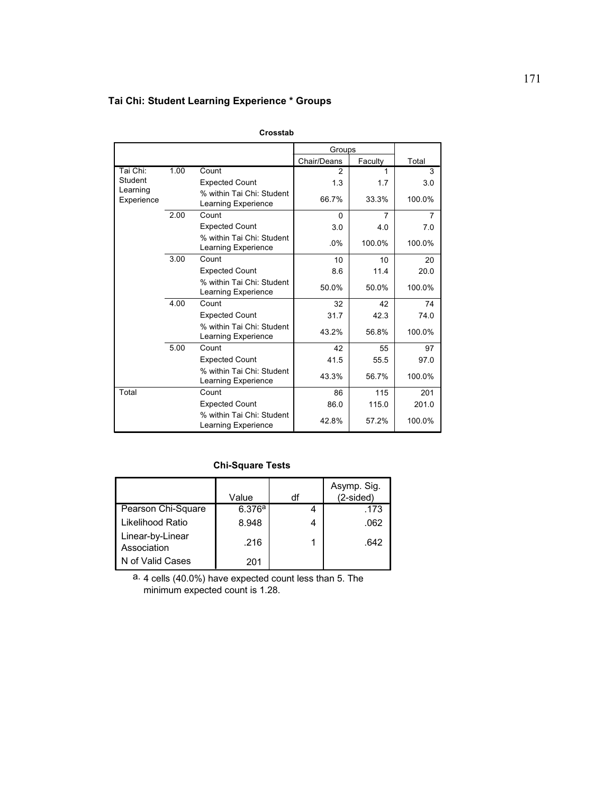# **Tai Chi: Student Learning Experience \* Groups**

|                        |      |                                                  | Groups      |         |                |
|------------------------|------|--------------------------------------------------|-------------|---------|----------------|
|                        |      |                                                  | Chair/Deans | Faculty | Total          |
| Tai Chi:               | 1.00 | Count                                            | 2           | 1       | 3              |
| Student                |      | <b>Expected Count</b>                            | 1.3         | 1.7     | 3.0            |
| Learning<br>Experience |      | % within Tai Chi: Student<br>Learning Experience | 66.7%       | 33.3%   | 100.0%         |
|                        | 2.00 | Count                                            | $\Omega$    | 7       | $\overline{7}$ |
|                        |      | <b>Expected Count</b>                            | 3.0         | 4.0     | 7.0            |
|                        |      | % within Tai Chi: Student<br>Learning Experience | .0%         | 100.0%  | 100.0%         |
|                        | 3.00 | Count                                            | 10          | 10      | 20             |
|                        |      | <b>Expected Count</b>                            | 8.6         | 11.4    | 20.0           |
|                        |      | % within Tai Chi: Student<br>Learning Experience | 50.0%       | 50.0%   | 100.0%         |
|                        | 4.00 | Count                                            | 32          | 42      | 74             |
|                        |      | <b>Expected Count</b>                            | 31.7        | 42.3    | 74.0           |
|                        |      | % within Tai Chi: Student<br>Learning Experience | 43.2%       | 56.8%   | 100.0%         |
|                        | 5.00 | Count                                            | 42          | 55      | 97             |
|                        |      | <b>Expected Count</b>                            | 41.5        | 55.5    | 97.0           |
|                        |      | % within Tai Chi: Student<br>Learning Experience | 43.3%       | 56.7%   | 100.0%         |
| Total                  |      | Count                                            | 86          | 115     | 201            |
|                        |      | <b>Expected Count</b>                            | 86.0        | 115.0   | 201.0          |
|                        |      | % within Tai Chi: Student<br>Learning Experience | 42.8%       | 57.2%   | 100.0%         |

**Crosstab**

## **Chi-Square Tests**

|                                 | Value  | df | Asymp. Sig.<br>$(2-sided)$ |
|---------------------------------|--------|----|----------------------------|
| Pearson Chi-Square              | 6.376a |    | .173                       |
| Likelihood Ratio                | 8.948  |    | .062                       |
| Linear-by-Linear<br>Association | .216   |    | .642                       |
| N of Valid Cases                | 201    |    |                            |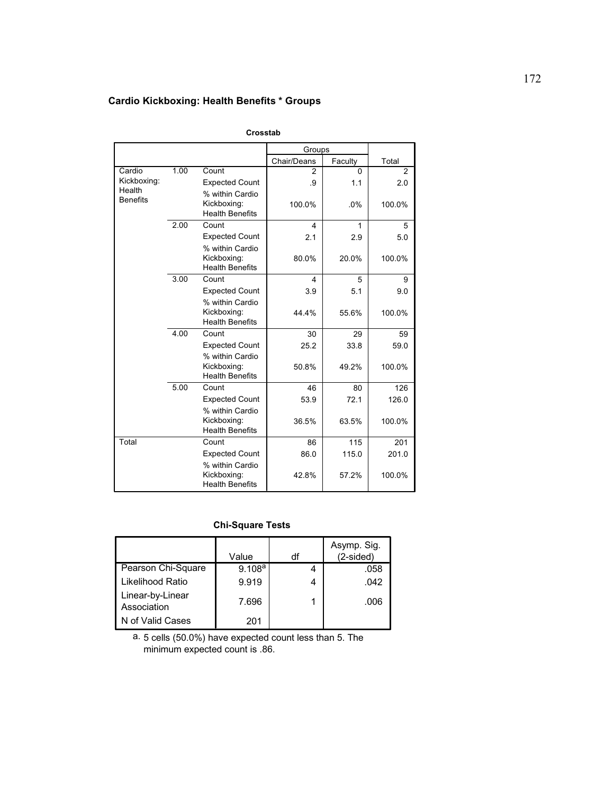# **Cardio Kickboxing: Health Benefits \* Groups**

|                           |      |                                                          | Groups      |         |                |
|---------------------------|------|----------------------------------------------------------|-------------|---------|----------------|
|                           |      |                                                          | Chair/Deans | Faculty | Total          |
| Cardio                    | 1.00 | Count                                                    | 2           | 0       | $\overline{2}$ |
| Kickboxing:               |      | <b>Expected Count</b>                                    | .9          | 1.1     | 2.0            |
| Health<br><b>Benefits</b> |      | % within Cardio                                          |             |         |                |
|                           |      | Kickboxing:                                              | 100.0%      | .0%     | 100.0%         |
|                           |      | <b>Health Benefits</b>                                   |             |         |                |
|                           | 2.00 | Count                                                    | 4           | 1       | 5              |
|                           |      | <b>Expected Count</b>                                    | 2.1         | 2.9     | 5.0            |
|                           |      | % within Cardio<br>Kickboxing:<br><b>Health Benefits</b> | 80.0%       | 20.0%   | 100.0%         |
|                           | 3.00 | Count                                                    | 4           | 5       | 9              |
|                           |      | <b>Expected Count</b>                                    | 3.9         | 5.1     | 9.0            |
|                           |      | % within Cardio                                          |             |         |                |
|                           |      | Kickboxing:<br><b>Health Benefits</b>                    | 44.4%       | 55.6%   | 100.0%         |
|                           | 4.00 | Count                                                    | 30          | 29      | 59             |
|                           |      | <b>Expected Count</b>                                    | 25.2        | 33.8    | 59.0           |
|                           |      | % within Cardio                                          |             |         |                |
|                           |      | Kickboxing:                                              | 50.8%       | 49.2%   | 100.0%         |
|                           |      | <b>Health Benefits</b>                                   |             |         |                |
|                           | 5.00 | Count                                                    | 46          | 80      | 126            |
|                           |      | <b>Expected Count</b>                                    | 53.9        | 72.1    | 126.0          |
|                           |      | % within Cardio<br>Kickboxing:                           | 36.5%       | 63.5%   | 100.0%         |
|                           |      | <b>Health Benefits</b>                                   |             |         |                |
| Total                     |      | Count                                                    | 86          | 115     | 201            |
|                           |      | <b>Expected Count</b>                                    | 86.0        | 115.0   | 201.0          |
|                           |      | % within Cardio                                          |             |         |                |
|                           |      | Kickboxing:                                              | 42.8%       | 57.2%   | 100.0%         |
|                           |      | <b>Health Benefits</b>                                   |             |         |                |

**Crosstab**

## **Chi-Square Tests**

|                                 | Value              | df | Asymp. Sig.<br>$(2-sided)$ |
|---------------------------------|--------------------|----|----------------------------|
| Pearson Chi-Square              | 9.108 <sup>a</sup> |    | .058                       |
| Likelihood Ratio                | 9.919              |    | .042                       |
| Linear-by-Linear<br>Association | 7.696              |    | .006                       |
| N of Valid Cases                | 201                |    |                            |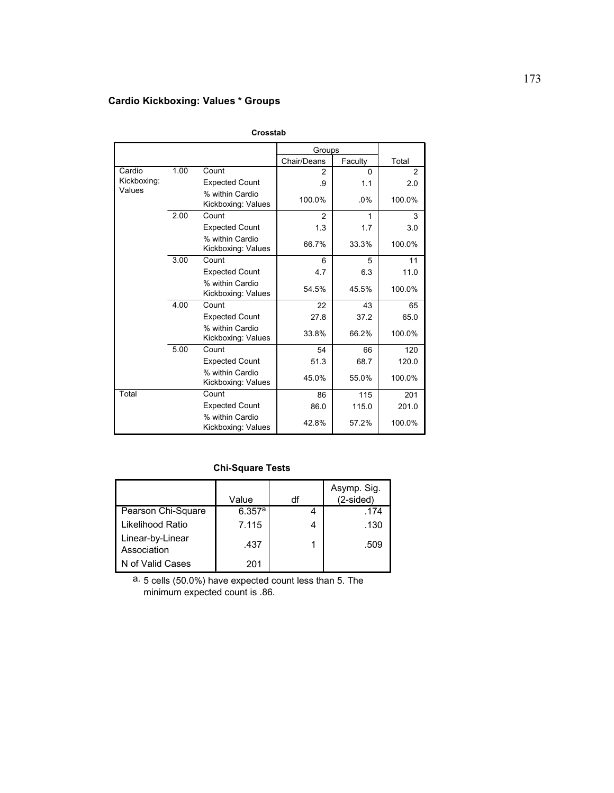# **Cardio Kickboxing: Values \* Groups**

|             |      |                                       | Groups      |          |        |
|-------------|------|---------------------------------------|-------------|----------|--------|
|             |      |                                       | Chair/Deans | Faculty  | Total  |
| Cardio      | 1.00 | Count                                 | 2           | $\Omega$ | 2      |
| Kickboxing: |      | <b>Expected Count</b>                 | .9          | 1.1      | 2.0    |
| Values      |      | % within Cardio<br>Kickboxing: Values | 100.0%      | .0%      | 100.0% |
|             | 2.00 | Count                                 | 2           | 1        | 3      |
|             |      | <b>Expected Count</b>                 | 1.3         | 1.7      | 3.0    |
|             |      | % within Cardio<br>Kickboxing: Values | 66.7%       | 33.3%    | 100.0% |
|             | 3.00 | Count                                 | 6           | 5        | 11     |
|             |      | <b>Expected Count</b>                 | 4.7         | 6.3      | 11.0   |
|             |      | % within Cardio<br>Kickboxing: Values | 54.5%       | 45.5%    | 100.0% |
|             | 4.00 | Count                                 | 22          | 43       | 65     |
|             |      | <b>Expected Count</b>                 | 27.8        | 37.2     | 65.0   |
|             |      | % within Cardio<br>Kickboxing: Values | 33.8%       | 66.2%    | 100.0% |
|             | 5.00 | Count                                 | 54          | 66       | 120    |
|             |      | <b>Expected Count</b>                 | 51.3        | 68.7     | 120.0  |
|             |      | % within Cardio<br>Kickboxing: Values | 45.0%       | 55.0%    | 100.0% |
| Total       |      | Count                                 | 86          | 115      | 201    |
|             |      | <b>Expected Count</b>                 | 86.0        | 115.0    | 201.0  |
|             |      | % within Cardio<br>Kickboxing: Values | 42.8%       | 57.2%    | 100.0% |

**Crosstab**

### **Chi-Square Tests**

|                                 | Value  | df | Asymp. Sig.<br>(2-sided) |
|---------------------------------|--------|----|--------------------------|
| Pearson Chi-Square              | 6.357a |    | .174                     |
| Likelihood Ratio                | 7.115  | 4  | .130                     |
| Linear-by-Linear<br>Association | .437   |    | .509                     |
| N of Valid Cases                | 201    |    |                          |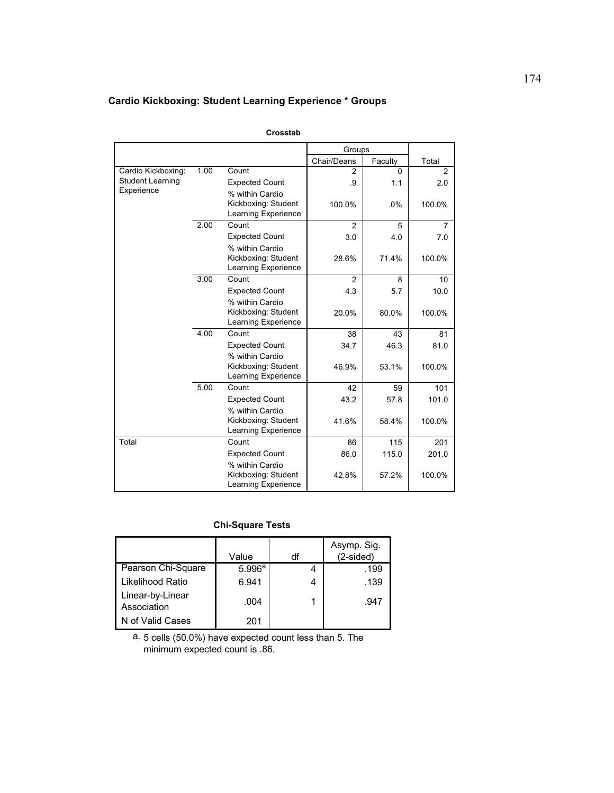# **Cardio Kickboxing: Student Learning Experience \* Groups**

|                         |      |                                            | Groups         |              |                |
|-------------------------|------|--------------------------------------------|----------------|--------------|----------------|
|                         |      |                                            | Chair/Deans    | Faculty      | Total          |
| Cardio Kickboxing:      | 1.00 | Count                                      | $\mathfrak{p}$ | <sup>0</sup> | 2              |
| <b>Student Learning</b> |      | <b>Expected Count</b>                      | .9             | 1.1          | 2.0            |
| Experience              |      | % within Cardio                            |                |              |                |
|                         |      | Kickboxing: Student                        | 100.0%         | .0%          | 100.0%         |
|                         |      | Learning Experience                        |                |              |                |
|                         | 2.00 | Count                                      | $\mathfrak{p}$ | 5            | $\overline{7}$ |
|                         |      | <b>Expected Count</b>                      | 3.0            | 4.0          | 7.0            |
|                         |      | % within Cardio                            |                |              |                |
|                         |      | Kickboxing: Student                        | 28.6%          | 71.4%        | 100.0%         |
|                         |      | Learning Experience                        |                |              |                |
|                         | 3.00 | Count                                      | 2              | 8            | 10             |
|                         |      | <b>Expected Count</b>                      | 4.3            | 5.7          | 10.0           |
|                         |      | % within Cardio                            |                |              |                |
|                         |      | Kickboxing: Student                        | 20.0%          | 80.0%        | 100.0%         |
|                         |      | Learning Experience                        |                |              |                |
|                         | 4.00 | Count                                      | 38             | 43           | 81             |
|                         |      | <b>Expected Count</b>                      | 34.7           | 46.3         | 81.0           |
|                         |      | % within Cardio                            |                |              |                |
|                         |      | Kickboxing: Student<br>Learning Experience | 46.9%          | 53.1%        | 100.0%         |
|                         | 5.00 | Count                                      | 42             | 59           | 101            |
|                         |      | <b>Expected Count</b>                      | 43.2           | 57.8         | 101.0          |
|                         |      | % within Cardio                            |                |              |                |
|                         |      | Kickboxing: Student                        | 41.6%          | 58.4%        | 100.0%         |
|                         |      | Learning Experience                        |                |              |                |
| Total                   |      | Count                                      | 86             | 115          | 201            |
|                         |      | <b>Expected Count</b>                      | 86.0           | 115.0        | 201.0          |
|                         |      | % within Cardio                            |                |              |                |
|                         |      | Kickboxing: Student                        | 42.8%          | 57.2%        | 100.0%         |
|                         |      | Learning Experience                        |                |              |                |

**Crosstab**

# **Chi-Square Tests**

|                                 | Value  | df | Asymp. Sig.<br>$(2-sided)$ |
|---------------------------------|--------|----|----------------------------|
| Pearson Chi-Square              | 5.996a |    | .199                       |
| Likelihood Ratio                | 6.941  |    | .139                       |
| Linear-by-Linear<br>Association | .004   |    | .947                       |
| N of Valid Cases                | 201    |    |                            |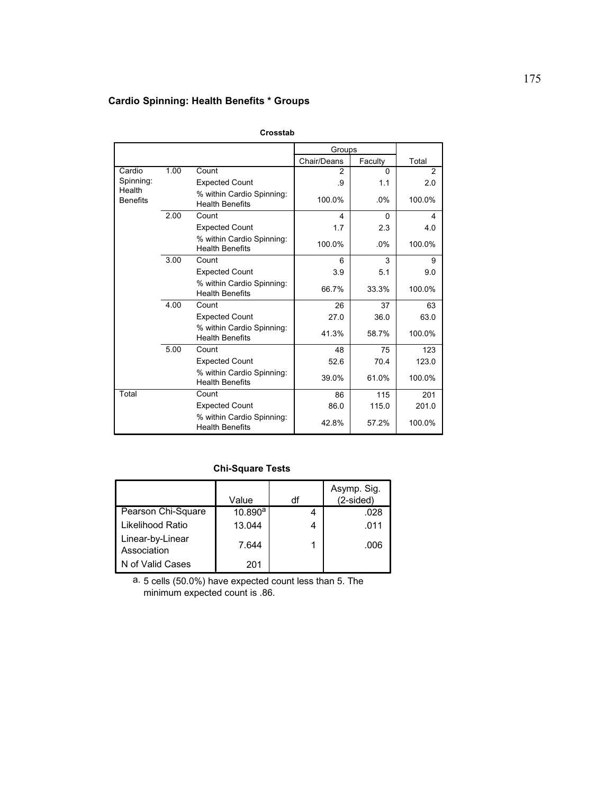# **Cardio Spinning: Health Benefits \* Groups**

|                           |      |                                                     | Groups      |          |                |
|---------------------------|------|-----------------------------------------------------|-------------|----------|----------------|
|                           |      |                                                     | Chair/Deans | Faculty  | Total          |
| Cardio                    | 1.00 | Count                                               | 2           | $\Omega$ | $\overline{2}$ |
| Spinning:                 |      | <b>Expected Count</b>                               | .9          | 1.1      | 2.0            |
| Health<br><b>Benefits</b> |      | % within Cardio Spinning:<br><b>Health Benefits</b> | 100.0%      | $.0\%$   | 100.0%         |
|                           | 2.00 | Count                                               | 4           | $\Omega$ | 4              |
|                           |      | <b>Expected Count</b>                               | 1.7         | 2.3      | 4.0            |
|                           |      | % within Cardio Spinning:<br><b>Health Benefits</b> | 100.0%      | .0%      | 100.0%         |
|                           | 3.00 | Count                                               | 6           | 3        | 9              |
|                           |      | <b>Expected Count</b>                               | 3.9         | 5.1      | 9.0            |
|                           |      | % within Cardio Spinning:<br><b>Health Benefits</b> | 66.7%       | 33.3%    | 100.0%         |
|                           | 4.00 | Count                                               | 26          | 37       | 63             |
|                           |      | <b>Expected Count</b>                               | 27.0        | 36.0     | 63.0           |
|                           |      | % within Cardio Spinning:<br><b>Health Benefits</b> | 41.3%       | 58.7%    | 100.0%         |
|                           | 5.00 | Count                                               | 48          | 75       | 123            |
|                           |      | <b>Expected Count</b>                               | 52.6        | 70.4     | 123.0          |
|                           |      | % within Cardio Spinning:<br><b>Health Benefits</b> | 39.0%       | 61.0%    | 100.0%         |
| Total                     |      | Count                                               | 86          | 115      | 201            |
|                           |      | <b>Expected Count</b>                               | 86.0        | 115.0    | 201.0          |
|                           |      | % within Cardio Spinning:<br><b>Health Benefits</b> | 42.8%       | 57.2%    | 100.0%         |

**Crosstab**

### **Chi-Square Tests**

|                                 | Value   | df | Asymp. Sig.<br>$(2-sided)$ |
|---------------------------------|---------|----|----------------------------|
| Pearson Chi-Square              | 10.890a |    | .028                       |
| Likelihood Ratio                | 13.044  |    | .011                       |
| Linear-by-Linear<br>Association | 7.644   |    | .006                       |
| N of Valid Cases                | 201     |    |                            |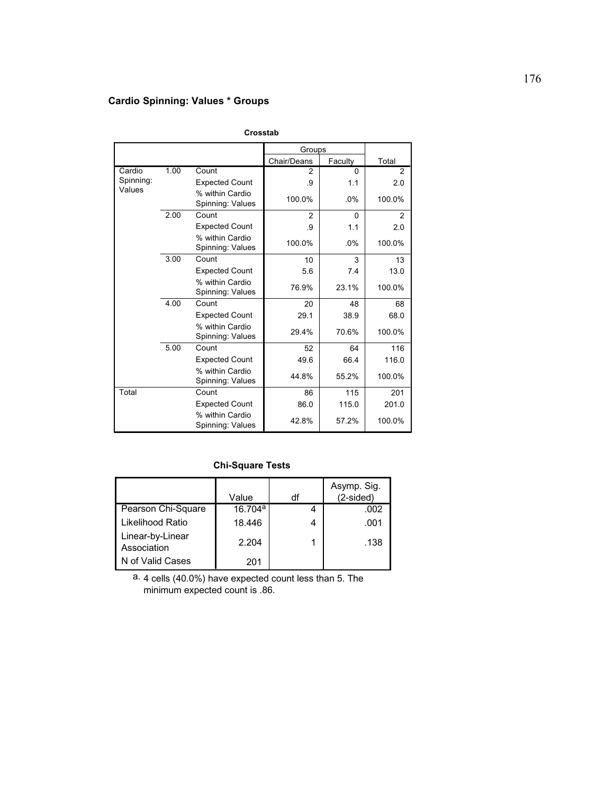# **Cardio Spinning: Values \* Groups**

|           |      |                                     | Groups      |          |        |
|-----------|------|-------------------------------------|-------------|----------|--------|
|           |      |                                     | Chair/Deans | Faculty  | Total  |
| Cardio    | 1.00 | Count                               | 2           | $\Omega$ | 2      |
| Spinning: |      | <b>Expected Count</b>               | .9          | 1.1      | 2.0    |
| Values    |      | % within Cardio<br>Spinning: Values | 100.0%      | $.0\%$   | 100.0% |
|           | 2.00 | Count                               | 2           | $\Omega$ | 2      |
|           |      | <b>Expected Count</b>               | .9          | 1.1      | 2.0    |
|           |      | % within Cardio<br>Spinning: Values | 100.0%      | $.0\%$   | 100.0% |
|           | 3.00 | Count                               | 10          | 3        | 13     |
|           |      | <b>Expected Count</b>               | 5.6         | 7.4      | 13.0   |
|           |      | % within Cardio<br>Spinning: Values | 76.9%       | 23.1%    | 100.0% |
|           | 4.00 | Count                               | 20          | 48       | 68     |
|           |      | <b>Expected Count</b>               | 29.1        | 38.9     | 68.0   |
|           |      | % within Cardio<br>Spinning: Values | 29.4%       | 70.6%    | 100.0% |
|           | 5.00 | Count                               | 52          | 64       | 116    |
|           |      | <b>Expected Count</b>               | 49.6        | 66.4     | 116.0  |
|           |      | % within Cardio<br>Spinning: Values | 44.8%       | 55.2%    | 100.0% |
| Total     |      | Count                               | 86          | 115      | 201    |
|           |      | <b>Expected Count</b>               | 86.0        | 115.0    | 201.0  |
|           |      | % within Cardio<br>Spinning: Values | 42.8%       | 57.2%    | 100.0% |

**Crosstab**

## **Chi-Square Tests**

|                                 | Value   | df | Asymp. Sig.<br>$(2-sided)$ |
|---------------------------------|---------|----|----------------------------|
| Pearson Chi-Square              | 16.704a |    | .002                       |
| Likelihood Ratio                | 18.446  | 4  | .001                       |
| Linear-by-Linear<br>Association | 2.204   |    | .138                       |
| N of Valid Cases                | 201     |    |                            |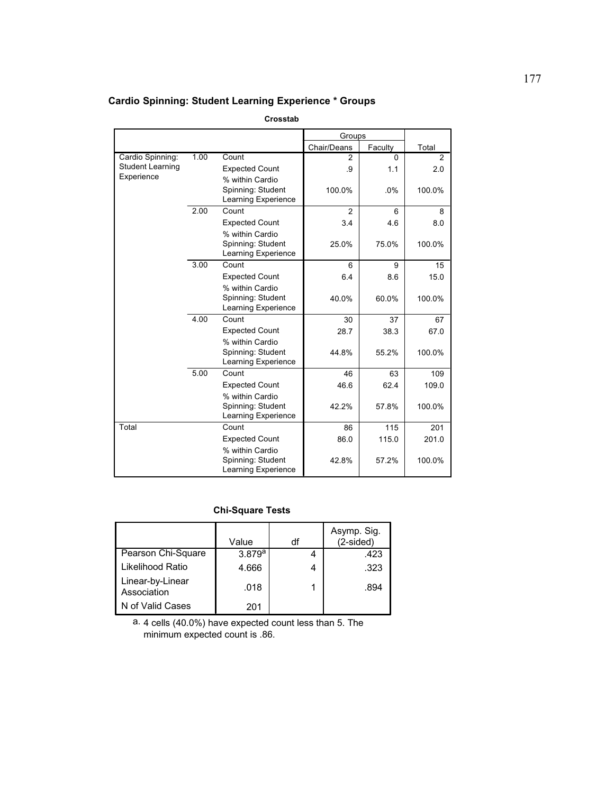# **Cardio Spinning: Student Learning Experience \* Groups**

#### **Crosstab**

|                         |      |                                                 | Groups      |          |                |
|-------------------------|------|-------------------------------------------------|-------------|----------|----------------|
|                         |      |                                                 | Chair/Deans | Faculty  | Total          |
| Cardio Spinning:        | 1.00 | Count                                           | 2           | $\Omega$ | $\mathfrak{p}$ |
| <b>Student Learning</b> |      | <b>Expected Count</b>                           | .9          | 1.1      | 2.0            |
| Experience              |      | % within Cardio                                 |             |          |                |
|                         |      | Spinning: Student                               | 100.0%      | .0%      | 100.0%         |
|                         |      | Learning Experience                             |             |          |                |
|                         | 2.00 | Count                                           | 2           | 6        | 8              |
|                         |      | <b>Expected Count</b>                           | 3.4         | 4.6      | 8.0            |
|                         |      | % within Cardio                                 |             |          |                |
|                         |      | Spinning: Student                               | 25.0%       | 75.0%    | 100.0%         |
|                         |      | Learning Experience                             |             |          |                |
|                         | 3.00 | Count                                           | 6           | 9        | 15             |
|                         |      | <b>Expected Count</b>                           | 6.4         | 8.6      | 15.0           |
|                         |      | % within Cardio                                 |             |          |                |
|                         |      | Spinning: Student                               | 40.0%       | 60.0%    | 100.0%         |
|                         |      | Learning Experience                             |             |          |                |
|                         | 4.00 | Count                                           | 30          | 37       | 67             |
|                         |      | <b>Expected Count</b>                           | 28.7        | 38.3     | 67.0           |
|                         |      | % within Cardio                                 |             |          |                |
|                         |      | Spinning: Student                               | 44.8%       | 55.2%    | 100.0%         |
|                         |      | Learning Experience                             |             |          |                |
|                         | 5.00 | Count                                           | 46          | 63       | 109            |
|                         |      | <b>Expected Count</b>                           | 46.6        | 62.4     | 109.0          |
|                         |      | % within Cardio                                 |             |          |                |
|                         |      | Spinning: Student<br>Learning Experience        | 42.2%       | 57.8%    | 100.0%         |
|                         |      | Count                                           |             |          |                |
| Total                   |      |                                                 | 86          | 115      | 201            |
|                         |      | <b>Expected Count</b>                           | 86.0        | 115.0    | 201.0          |
|                         |      | % within Cardio                                 |             |          |                |
|                         |      | Spinning: Student<br><b>Learning Experience</b> | 42.8%       | 57.2%    | 100.0%         |
|                         |      |                                                 |             |          |                |

## **Chi-Square Tests**

|                                 | Value  | df | Asymp. Sig.<br>$(2-sided)$ |
|---------------------------------|--------|----|----------------------------|
| Pearson Chi-Square              | 3.879a |    | .423                       |
| Likelihood Ratio                | 4.666  | 4  | .323                       |
| Linear-by-Linear<br>Association | .018   |    | .894                       |
| N of Valid Cases                | 201    |    |                            |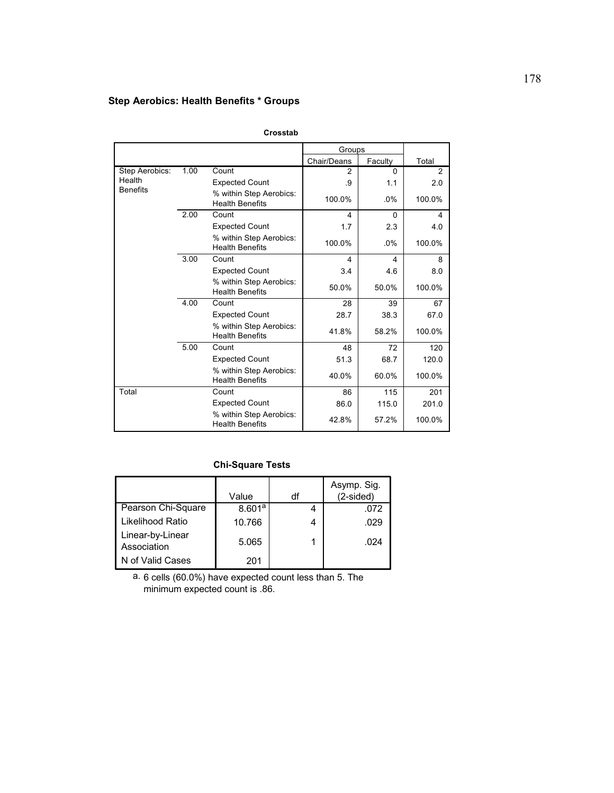# **Step Aerobics: Health Benefits \* Groups**

|                 |      |                                                   | Groups      |          |        |
|-----------------|------|---------------------------------------------------|-------------|----------|--------|
|                 |      |                                                   | Chair/Deans | Faculty  | Total  |
| Step Aerobics:  | 1.00 | Count                                             | 2           | $\Omega$ | 2      |
| Health          |      | <b>Expected Count</b>                             | .9          | 1.1      | 2.0    |
| <b>Benefits</b> |      | % within Step Aerobics:<br><b>Health Benefits</b> | 100.0%      | $.0\%$   | 100.0% |
|                 | 2.00 | Count                                             | 4           | $\Omega$ | 4      |
|                 |      | <b>Expected Count</b>                             | 1.7         | 2.3      | 4.0    |
|                 |      | % within Step Aerobics:<br><b>Health Benefits</b> | 100.0%      | .0%      | 100.0% |
|                 | 3.00 | Count                                             | 4           | 4        | 8      |
|                 |      | <b>Expected Count</b>                             | 3.4         | 4.6      | 8.0    |
|                 |      | % within Step Aerobics:<br><b>Health Benefits</b> | 50.0%       | 50.0%    | 100.0% |
|                 | 4.00 | Count                                             | 28          | 39       | 67     |
|                 |      | <b>Expected Count</b>                             | 28.7        | 38.3     | 67.0   |
|                 |      | % within Step Aerobics:<br><b>Health Benefits</b> | 41.8%       | 58.2%    | 100.0% |
|                 | 5.00 | Count                                             | 48          | 72       | 120    |
|                 |      | <b>Expected Count</b>                             | 51.3        | 68.7     | 120.0  |
|                 |      | % within Step Aerobics:<br><b>Health Benefits</b> | 40.0%       | 60.0%    | 100.0% |
| Total           |      | Count                                             | 86          | 115      | 201    |
|                 |      | <b>Expected Count</b>                             | 86.0        | 115.0    | 201.0  |
|                 |      | % within Step Aerobics:<br><b>Health Benefits</b> | 42.8%       | 57.2%    | 100.0% |

**Crosstab**

## **Chi-Square Tests**

|                                 | Value  | df | Asymp. Sig.<br>(2-sided) |
|---------------------------------|--------|----|--------------------------|
| Pearson Chi-Square              | 8.601a |    | .072                     |
| Likelihood Ratio                | 10.766 |    | .029                     |
| Linear-by-Linear<br>Association | 5.065  |    | .024                     |
| N of Valid Cases                | 201    |    |                          |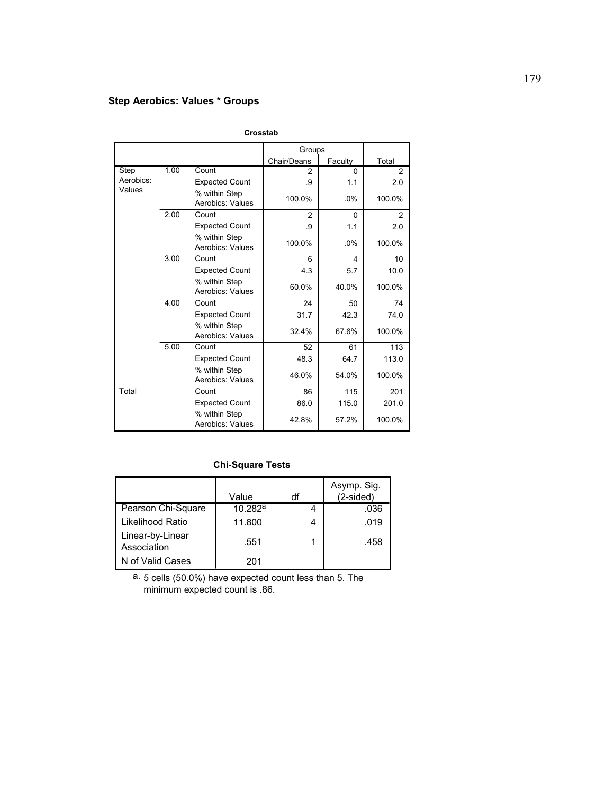# **Step Aerobics: Values \* Groups**

|           |      |                                   | Groups      |          |                |
|-----------|------|-----------------------------------|-------------|----------|----------------|
|           |      |                                   | Chair/Deans | Faculty  | Total          |
| Step      | 1.00 | Count                             | 2           | $\Omega$ | $\overline{2}$ |
| Aerobics: |      | <b>Expected Count</b>             | .9          | 1.1      | 2.0            |
| Values    |      | % within Step<br>Aerobics: Values | 100.0%      | $.0\%$   | 100.0%         |
|           | 2.00 | Count                             | 2           | $\Omega$ | 2              |
|           |      | <b>Expected Count</b>             | .9          | 1.1      | 2.0            |
|           |      | % within Step<br>Aerobics: Values | 100.0%      | $.0\%$   | 100.0%         |
|           | 3.00 | Count                             | 6           | 4        | 10             |
|           |      | <b>Expected Count</b>             | 4.3         | 5.7      | 10.0           |
|           |      | % within Step<br>Aerobics: Values | 60.0%       | 40.0%    | 100.0%         |
|           | 4.00 | Count                             | 24          | 50       | 74             |
|           |      | <b>Expected Count</b>             | 31.7        | 42.3     | 74.0           |
|           |      | % within Step<br>Aerobics: Values | 32.4%       | 67.6%    | 100.0%         |
|           | 5.00 | Count                             | 52          | 61       | 113            |
|           |      | <b>Expected Count</b>             | 48.3        | 64.7     | 113.0          |
|           |      | % within Step<br>Aerobics: Values | 46.0%       | 54.0%    | 100.0%         |
| Total     |      | Count                             | 86          | 115      | 201            |
|           |      | <b>Expected Count</b>             | 86.0        | 115.0    | 201.0          |
|           |      | % within Step<br>Aerobics: Values | 42.8%       | 57.2%    | 100.0%         |

**Crosstab**

## **Chi-Square Tests**

|                                 | Value   | df | Asymp. Sig.<br>$(2-sided)$ |
|---------------------------------|---------|----|----------------------------|
| Pearson Chi-Square              | 10.282a |    | .036                       |
| Likelihood Ratio                | 11.800  | 4  | .019                       |
| Linear-by-Linear<br>Association | .551    |    | .458                       |
| N of Valid Cases                | 201     |    |                            |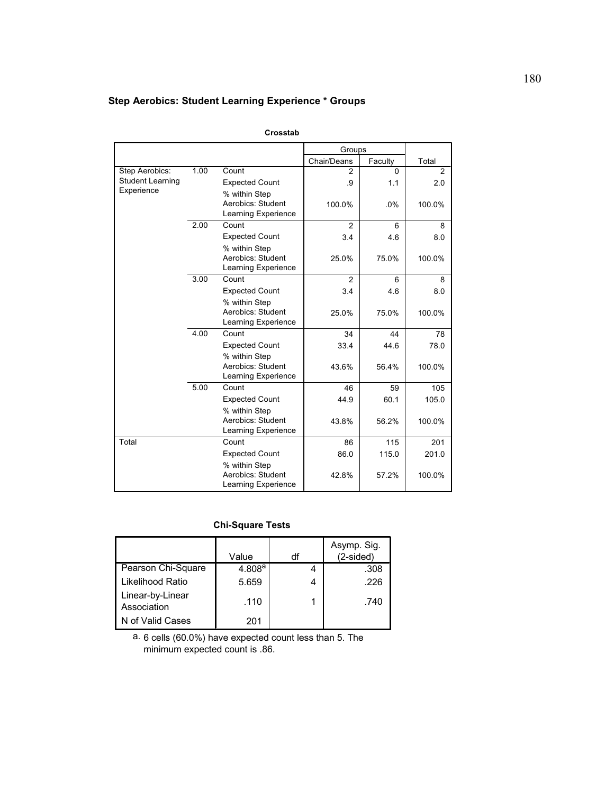# **Step Aerobics: Student Learning Experience \* Groups**

|                                       |      |                            | Groups         |         |        |
|---------------------------------------|------|----------------------------|----------------|---------|--------|
|                                       |      |                            | Chair/Deans    | Faculty | Total  |
| Step Aerobics:                        | 1.00 | Count                      | $\mathfrak{p}$ | 0       | 2      |
| <b>Student Learning</b><br>Experience |      | <b>Expected Count</b>      | .9             | 1.1     | 2.0    |
|                                       |      | % within Step              |                |         |        |
|                                       |      | Aerobics: Student          | 100.0%         | .0%     | 100.0% |
|                                       |      | Learning Experience        |                |         |        |
|                                       | 2.00 | Count                      | $\overline{2}$ | 6       | 8      |
|                                       |      | <b>Expected Count</b>      | 3.4            | 4.6     | 8.0    |
|                                       |      | % within Step              |                |         |        |
|                                       |      | Aerobics: Student          | 25.0%          | 75.0%   | 100.0% |
|                                       |      | <b>Learning Experience</b> |                |         |        |
|                                       | 3.00 | Count                      | $\overline{2}$ | 6       | 8      |
|                                       |      | <b>Expected Count</b>      | 3.4            | 4.6     | 8.0    |
|                                       |      | % within Step              |                |         |        |
|                                       |      | Aerobics: Student          | 25.0%          | 75.0%   | 100.0% |
|                                       |      | Learning Experience        |                |         |        |
|                                       | 4.00 | Count                      | 34             | 44      | 78     |
|                                       |      | <b>Expected Count</b>      | 33.4           | 44.6    | 78.0   |
|                                       |      | % within Step              |                |         |        |
|                                       |      | Aerobics: Student          | 43.6%          | 56.4%   | 100.0% |
|                                       |      | Learning Experience        |                |         |        |
|                                       | 5.00 | Count                      | 46             | 59      | 105    |
|                                       |      | <b>Expected Count</b>      | 44.9           | 60.1    | 105.0  |
|                                       |      | % within Step              |                |         |        |
|                                       |      | Aerobics: Student          | 43.8%          | 56.2%   | 100.0% |
|                                       |      | Learning Experience        |                |         |        |
| Total                                 |      | Count                      | 86             | 115     | 201    |
|                                       |      | <b>Expected Count</b>      | 86.0           | 115.0   | 201.0  |
|                                       |      | % within Step              |                |         |        |
|                                       |      | Aerobics: Student          | 42.8%          | 57.2%   | 100.0% |
|                                       |      | Learning Experience        |                |         |        |

**Crosstab**

# **Chi-Square Tests**

|                                 | Value  | df | Asymp. Sig.<br>(2-sided) |
|---------------------------------|--------|----|--------------------------|
| Pearson Chi-Square              | 4.808a |    | .308                     |
| Likelihood Ratio                | 5.659  | 4  | .226                     |
| Linear-by-Linear<br>Association | .110   |    | .740                     |
| N of Valid Cases                | 201    |    |                          |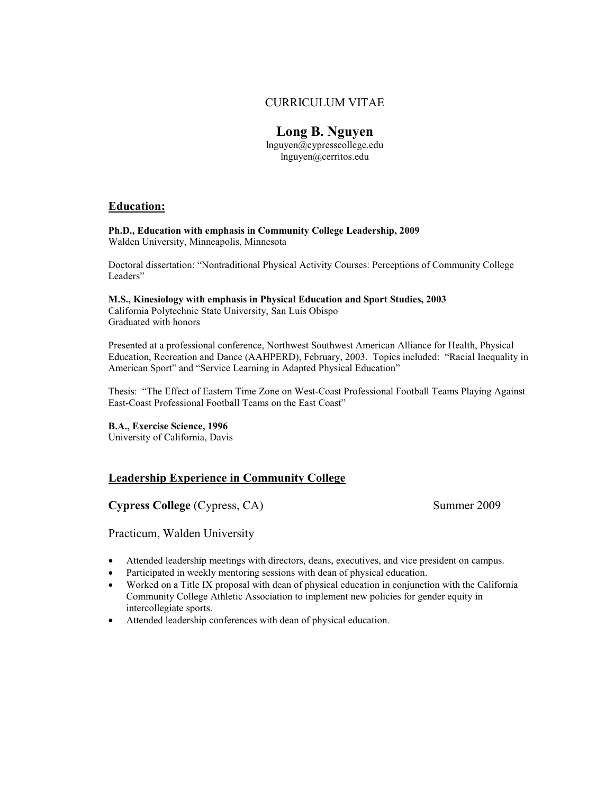### CURRICULUM VITAE

## **Long B. Nguyen**

lnguyen@cypresscollege.edu lnguyen@cerritos.edu

#### **Education:**

**Ph.D., Education with emphasis in Community College Leadership, 2009**  Walden University, Minneapolis, Minnesota

Doctoral dissertation: "Nontraditional Physical Activity Courses: Perceptions of Community College Leaders"

**M.S., Kinesiology with emphasis in Physical Education and Sport Studies, 2003**  California Polytechnic State University, San Luis Obispo Graduated with honors

Presented at a professional conference, Northwest Southwest American Alliance for Health, Physical Education, Recreation and Dance (AAHPERD), February, 2003. Topics included: "Racial Inequality in American Sport" and "Service Learning in Adapted Physical Education"

Thesis: "The Effect of Eastern Time Zone on West-Coast Professional Football Teams Playing Against East-Coast Professional Football Teams on the East Coast"

**B.A., Exercise Science, 1996**

University of California, Davis

### **Leadership Experience in Community College**

**Cypress College** (Cypress, CA) Summer 2009

Practicum, Walden University

- Attended leadership meetings with directors, deans, executives, and vice president on campus.
- Participated in weekly mentoring sessions with dean of physical education.
- Worked on a Title IX proposal with dean of physical education in conjunction with the California Community College Athletic Association to implement new policies for gender equity in intercollegiate sports.
- Attended leadership conferences with dean of physical education.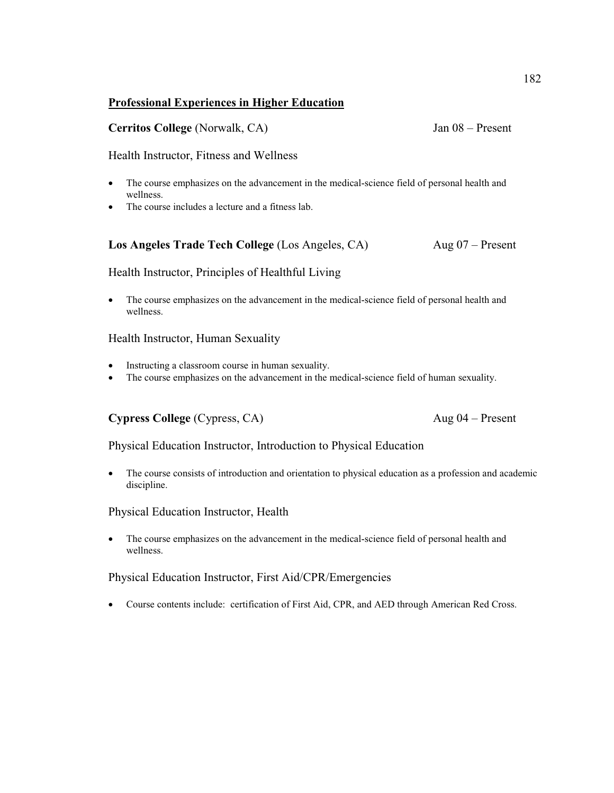### **Professional Experiences in Higher Education**

### **Cerritos College** (Norwalk, CA) Jan 08 – Present

### Health Instructor, Fitness and Wellness

- The course emphasizes on the advancement in the medical-science field of personal health and wellness.
- The course includes a lecture and a fitness lab.

### Los Angeles Trade Tech College *(Los Angeles, CA)* Aug 07 – Present

Health Instructor, Principles of Healthful Living

• The course emphasizes on the advancement in the medical-science field of personal health and wellness.

Health Instructor, Human Sexuality

- Instructing a classroom course in human sexuality.
- The course emphasizes on the advancement in the medical-science field of human sexuality.

### **Cypress College** (Cypress, CA) Aug 04 – Present

Physical Education Instructor, Introduction to Physical Education

• The course consists of introduction and orientation to physical education as a profession and academic discipline.

### Physical Education Instructor, Health

• The course emphasizes on the advancement in the medical-science field of personal health and wellness.

### Physical Education Instructor, First Aid/CPR/Emergencies

• Course contents include: certification of First Aid, CPR, and AED through American Red Cross.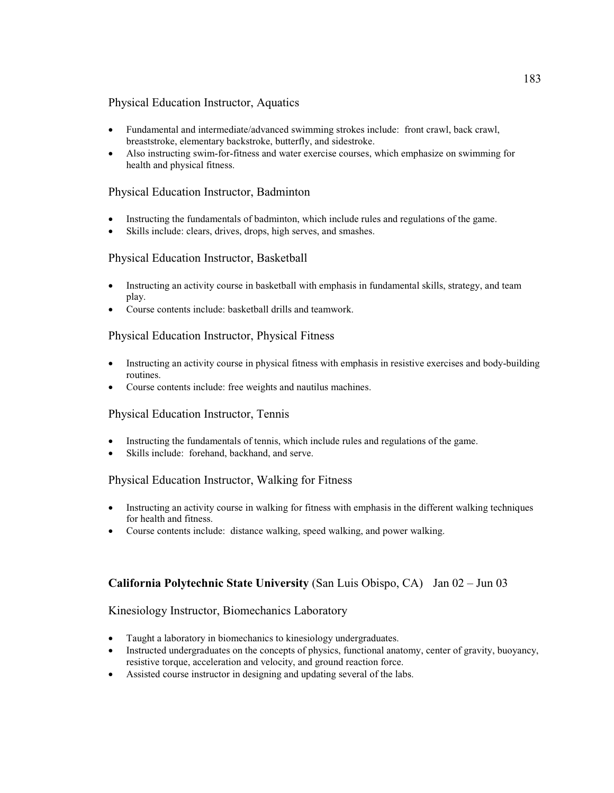### Physical Education Instructor, Aquatics

- Fundamental and intermediate/advanced swimming strokes include: front crawl, back crawl, breaststroke, elementary backstroke, butterfly, and sidestroke.
- Also instructing swim-for-fitness and water exercise courses, which emphasize on swimming for health and physical fitness.

### Physical Education Instructor, Badminton

- Instructing the fundamentals of badminton, which include rules and regulations of the game.
- Skills include: clears, drives, drops, high serves, and smashes.

### Physical Education Instructor, Basketball

- Instructing an activity course in basketball with emphasis in fundamental skills, strategy, and team play.
- Course contents include: basketball drills and teamwork.

### Physical Education Instructor, Physical Fitness

- Instructing an activity course in physical fitness with emphasis in resistive exercises and body-building routines.
- Course contents include: free weights and nautilus machines.

### Physical Education Instructor, Tennis

- Instructing the fundamentals of tennis, which include rules and regulations of the game.
- Skills include: forehand, backhand, and serve.

### Physical Education Instructor, Walking for Fitness

- Instructing an activity course in walking for fitness with emphasis in the different walking techniques for health and fitness.
- Course contents include: distance walking, speed walking, and power walking.

### **California Polytechnic State University** (San Luis Obispo, CA) Jan 02 – Jun 03

### Kinesiology Instructor, Biomechanics Laboratory

- Taught a laboratory in biomechanics to kinesiology undergraduates.
- Instructed undergraduates on the concepts of physics, functional anatomy, center of gravity, buoyancy, resistive torque, acceleration and velocity, and ground reaction force.
- Assisted course instructor in designing and updating several of the labs.